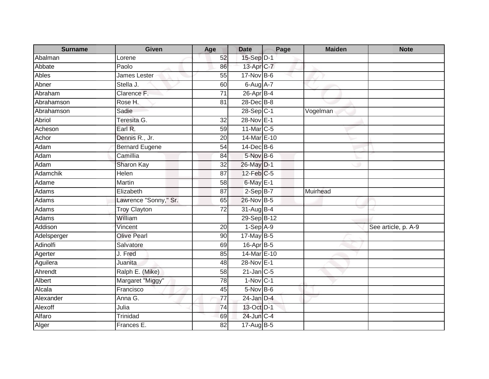| <b>Surname</b> | Given                 | Age             | <b>Date</b>     | Page | <b>Maiden</b> | <b>Note</b>         |
|----------------|-----------------------|-----------------|-----------------|------|---------------|---------------------|
| Abalman        | Lorene                | 52              | 15-Sep D-1      |      |               |                     |
| Abbate         | Paolo                 | 86              | 13-Apr C-7      |      |               |                     |
| Ables          | James Lester          | 55              | $17$ -Nov B-6   |      |               |                     |
| Abner          | Stella J.             | 60              | 6-Aug A-7       |      |               |                     |
| Abraham        | Clarence F.           | $\overline{71}$ | 26-Apr B-4      |      |               |                     |
| Abrahamson     | Rose H.               | 81              | 28-Dec B-8      |      |               |                     |
| Abrahamson     | Sadie                 |                 | 28-Sep C-1      |      | Vogelman      |                     |
| Abriol         | Teresita G.           | 32              | 28-Nov E-1      |      |               |                     |
| Acheson        | Earl R.               | 59              | 11-Mar C-5      |      |               |                     |
| Achor          | Dennis R., Jr.        | 20              | 14-Mar E-10     |      |               |                     |
| Adam           | <b>Bernard Eugene</b> | 54              | 14-Dec B-6      |      |               |                     |
| Adam           | Camillia              | 84              | 5-Nov B-6       |      |               |                     |
| Adam           | Sharon Kay            | 32              | 26-May D-1      |      |               |                     |
| Adamchik       | <b>Helen</b>          | 87              | $12$ -Feb $C-5$ |      |               |                     |
| Adame          | Martin                | 58              | $6$ -May $E-1$  |      |               |                     |
| Adams          | Elizabeth             | 87              | $2-SepB-7$      |      | Muirhead      |                     |
| Adams          | Lawrence "Sonny," Sr. | 65              | 26-Nov B-5      |      |               |                     |
| Adams          | <b>Troy Clayton</b>   | 72              | $31$ -Aug $B-4$ |      |               |                     |
| Adams          | William               |                 | 29-Sep B-12     |      |               |                     |
| Addison        | Vincent               | 20              | $1-Sep$ A-9     |      |               | See article, p. A-9 |
| Adelsperger    | <b>Olive Pearl</b>    | 90              | 17-May B-5      |      |               |                     |
| Adinolfi       | Salvatore             | 69              | 16-Apr B-5      |      |               |                     |
| Agerter        | J. Fred               | 85              | 14-Mar E-10     |      |               |                     |
| Aguilera       | Juanita               | 48              | 28-Nov E-1      |      |               |                     |
| Ahrendt        | Ralph E. (Mike)       | 58              | $21$ -Jan C-5   |      |               |                     |
| Albert         | Margaret "Miggy"      | $\overline{78}$ | $1-Nov$ C-1     |      |               |                     |
| Alcala         | Francisco             | 45              | $5-Nov$ B-6     |      |               |                     |
| Alexander      | Anna G.               | 77              | $24$ -Jan D-4   |      |               |                     |
| Alexoff        | Julia                 | 74              | 13-Oct D-1      |      |               |                     |
| Alfaro         | <b>Trinidad</b>       | 69              | 24-Jun C-4      |      |               |                     |
| Alger          | Frances E.            | 82              | 17-Aug B-5      |      |               |                     |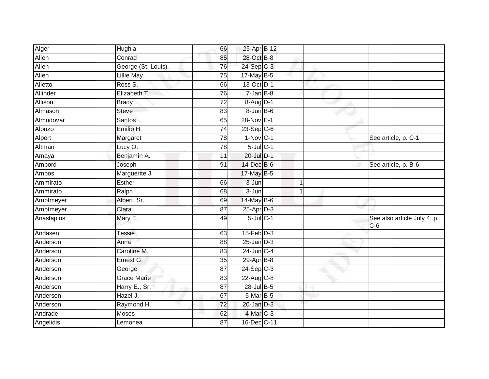| Alger      | Hughla             | 66              | 25-Apr B-12       |   |                                      |
|------------|--------------------|-----------------|-------------------|---|--------------------------------------|
| Allen      | Conrad             | 85              | 28-Oct B-8        |   |                                      |
| Allen      | George (St. Louis) | 76              | 24-Sep C-3        |   |                                      |
| Allen      | <b>Lillie May</b>  | 75              | $17$ -May B-5     |   |                                      |
| Alletto    | Ross S.            | 66              | 13-Oct D-1        |   |                                      |
| Allinder   | Elizabeth T.       | 76              | $7 - JanB - 8$    |   |                                      |
| Allison    | <b>Brady</b>       | 72              | $8-Aug$ D-1       |   |                                      |
| Almason    | <b>Steve</b>       | 83              | $8 - Jun$ $B - 6$ |   |                                      |
| Almodovar  | Santos             | 65              | 28-Nov E-1        |   |                                      |
| Alonzo     | Emilio H.          | $\overline{74}$ | $23-Sep$ C-6      |   |                                      |
| Alpert     | Margaret           | 78              | $1-Nov$ C-1       |   | See article, p. C-1                  |
| Altman     | Lucy O.            | 78              | $5$ -Jul $C-1$    |   |                                      |
| Amaya      | Benjamin A.        | 11              | 20-Jul D-1        |   |                                      |
| Ambord     | Joseph             | 91              | 14-Dec B-6        |   | See article, p. B-6                  |
| Ambos      | Marguerite J.      |                 | 17-May B-5        |   |                                      |
| Ammirato   | Esther             | 66              | 3-Jun             | 1 |                                      |
| Ammirato   | Ralph              | 68              | $3 - Jun$         | 1 |                                      |
| Amptmeyer  | Albert, Sr.        | 69              | $14$ -May B-6     |   |                                      |
| Amptmeyer  | Clara              | 87              | 25-Apr D-3        |   |                                      |
| Anastaplos | Mary E.            | 49              | $5$ -Jul $C-1$    |   | See also article July 4, p.<br>$C-6$ |
| Andasen    | <b>Tessie</b>      | 63              | $15$ -Feb $D-3$   |   |                                      |
| Anderson   | Anna               | 88              | $25$ -Jan $D-3$   |   |                                      |
| Anderson   | Caroline M.        | 83              | 24-Jun C-4        |   |                                      |
| Anderson   | Ernest G.          | 35              | $29-Apr$ B-8      |   |                                      |
| Anderson   | George             | $\overline{87}$ | $24-Sep$ C-3      |   |                                      |
| Anderson   | <b>Grace Marie</b> | 83              | 22-Aug C-8        |   |                                      |
| Anderson   | Harry E., Sr.      | 87              | 28-Jul B-5        |   |                                      |
| Anderson   | Hazel J.           | 67              | $5-Mar$ B-5       |   |                                      |
| Anderson   | Raymond H.         | 72              | $20$ -Jan $D-3$   |   |                                      |
| Andrade    | Moses              | 62              | 4-Mar C-3         |   |                                      |
| Angelidis  | Lemonea            | 87              | 16-Dec C-11       |   |                                      |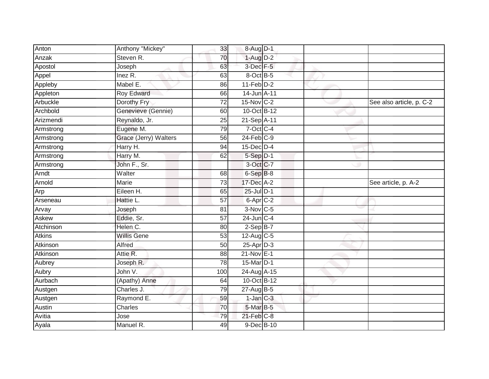| Anton         | Anthony "Mickey"      | 33              | 8-Aug D-1             |                          |
|---------------|-----------------------|-----------------|-----------------------|--------------------------|
| Anzak         | Steven R.             | 70              | $1-AugD-2$            |                          |
| Apostol       | Joseph                | 63              | $3$ -Dec $F-5$        |                          |
| Appel         | Inez R.               | 63              | 8-Oct B-5             |                          |
| Appleby       | Mabel E.              | 86              | $11-Feb$ D-2          |                          |
| Appleton      | Roy Edward            | 66              | 14-Jun A-11           |                          |
| Arbuckle      | Dorothy Fry           | $\overline{72}$ | 15-Nov C-2            | See also article, p. C-2 |
| Archbold      | Genevieve (Gennie)    | 60              | 10-Oct B-12           |                          |
| Arizmendi     | Reynaldo, Jr.         | 25              | 21-Sep A-11           |                          |
| Armstrong     | Eugene M.             | 79              | 7-Oct C-4             |                          |
| Armstrong     | Grace (Jerry) Walters | 56              | $24$ -Feb $C-9$       |                          |
| Armstrong     | Harry H.              | 94              | 15-Dec D-4            |                          |
| Armstrong     | Harry M.              | 62              | $5-Sep$ D-1           |                          |
| Armstrong     | John F., Sr.          |                 | 3-Oct C-7             |                          |
| Arndt         | Walter                | 68              | $6-SepB-8$            |                          |
| Arnold        | Marie                 | 73              | 17-Dec A-2            | See article, p. A-2      |
| Arp           | Eileen H.             | 65              | 25-Jul D-1            |                          |
| Arseneau      | Hattie L.             | 57              | $6 - Apr$ $C-2$       |                          |
| Arvay         | Joseph                | 81              | 3-Nov C-5             |                          |
| Askew         | Eddie, Sr.            | $\overline{57}$ | $24$ -Jun $C-4$       |                          |
| Atchinson     | Helen C.              | 80              | $2-SepB-7$            |                          |
| <b>Atkins</b> | <b>Willis Gene</b>    | 53              | 12-Aug C-5            |                          |
| Atkinson      | Alfred                | 50              | $25$ -Apr $D-3$       |                          |
| Atkinson      | Attie R.              | 88              | $21-Nov$ E-1          |                          |
| Aubrey        | Joseph R.             | 78              | 15-Mar <sub>D-1</sub> |                          |
| Aubry         | John V.               | 100             | 24-Aug A-15           |                          |
| Aurbach       | (Apathy) Anne         | 64              | 10-Oct B-12           |                          |
| Austgen       | Charles J.            | 79              | 27-Aug B-5            |                          |
| Austgen       | Raymond E.            | 59              | $1$ -Jan $C-3$        |                          |
| Austin        | Charles               | 70              | 5-Mar B-5             |                          |
| Avitia        | Jose                  | 79              | $21$ -Feb $C-8$       |                          |
| Ayala         | Manuel R.             | 49              | 9-Dec B-10            |                          |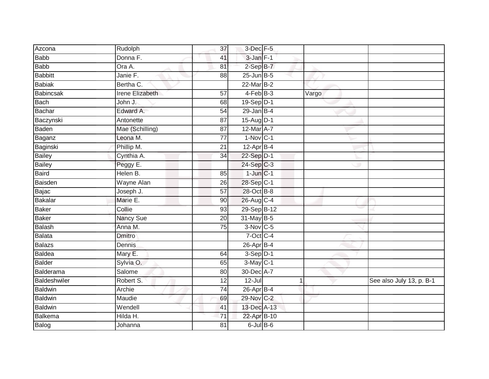| Azcona         | Rudolph                | 37              | 3-Dec F-5        |       |                          |
|----------------|------------------------|-----------------|------------------|-------|--------------------------|
| <b>Babb</b>    | Donna F.               | 41              | 3-Jan F-1        |       |                          |
| <b>Babb</b>    | Ora A.                 | 81              | $2-SepB-7$       |       |                          |
| <b>Babbitt</b> | Janie F.               | 88              | $25$ -Jun $B$ -5 |       |                          |
| <b>Babiak</b>  | Bertha C.              |                 | $22$ -Mar $B-2$  |       |                          |
| Babincsak      | <b>Irene Elizabeth</b> | $\overline{57}$ | $4-FebB-3$       | Vargo |                          |
| Bach           | John J.                | 68              | 19-Sep D-1       |       |                          |
| <b>Bachar</b>  | Edward A.              | 54              | $29$ -Jan $B-4$  |       |                          |
| Baczynski      | Antonette              | 87              | 15-Aug D-1       |       |                          |
| Baden          | Mae (Schilling)        | 87              | 12-Mar A-7       |       |                          |
| Baganz         | Leona M.               | 77              | $1-Nov$ C-1      |       |                          |
| Baginski       | Phillip M.             | 21              | $12-Apr$ B-4     |       |                          |
| <b>Bailey</b>  | Cynthia A.             | 34              | 22-Sep D-1       |       |                          |
| <b>Bailey</b>  | Peggy E.               |                 | 24-Sep C-3       |       |                          |
| <b>Baird</b>   | Helen B.               | 85              | $1$ -Jun $C-1$   |       |                          |
| Baisden        | Wayne Alan             | 26              | 28-Sep C-1       |       |                          |
| Bajac          | Joseph J.              | 57              | 28-Oct B-8       |       |                          |
| <b>Bakalar</b> | Marie E.               | 90              | 26-Aug C-4       |       |                          |
| <b>Baker</b>   | Collie                 | 93              | 29-Sep B-12      |       |                          |
| <b>Baker</b>   | <b>Nancy Sue</b>       | 20              | 31-May B-5       |       |                          |
| Balash         | Anna M.                | 75              | $3-Nov$ C-5      |       |                          |
| Balata         | <b>Dmitro</b>          |                 | 7-Oct C-4        |       |                          |
| <b>Balazs</b>  | Dennis                 |                 | 26-Apr B-4       |       |                          |
| <b>Baldea</b>  | Mary E.                | 64              | $3-Sep$ $D-1$    |       |                          |
| <b>Balder</b>  | Sylvia O.              | 65              | $3-May$ $C-1$    |       |                          |
| Balderama      | Salome                 | 80              | 30-Dec A-7       |       |                          |
| Baldeshwiler   | Robert S.              | 12              | $12 -$ Jul       | 1     | See also July 13, p. B-1 |
| <b>Baldwin</b> | Archie                 | 74              | 26-Apr B-4       |       |                          |
| <b>Baldwin</b> | Maudie                 | 69              | 29-Nov C-2       |       |                          |
| <b>Baldwin</b> | Wendell                | 41              | 13-Dec A-13      |       |                          |
| Balkema        | Hilda H.               | 71              | 22-Apr B-10      |       |                          |
| Balog          | Johanna                | $\overline{81}$ | $6$ -Jul $B$ -6  |       |                          |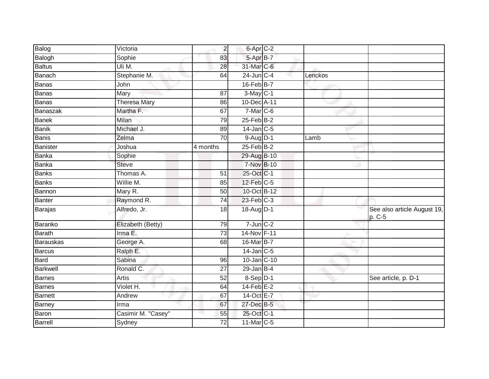| Balog           | Victoria                | $\overline{2}$  | 6-Apr C-2       |         |                                       |
|-----------------|-------------------------|-----------------|-----------------|---------|---------------------------------------|
| Balogh          | Sophie                  | 83              | 5-Apr B-7       |         |                                       |
| <b>Baltus</b>   | Uli M.                  | 28              | 31-Mar C-6      |         |                                       |
| Banach          | Stephanie M.            | 64              | $24$ -Jun $C-4$ | Lenckos |                                       |
| Banas           | John                    |                 | 16-Feb B-7      |         |                                       |
| Banas           | Mary                    | 87              | $3-May$ C-1     |         |                                       |
| Banas           | <b>Theresa Mary</b>     | 86              | 10-Dec A-11     |         |                                       |
| Banaszak        | Martha F.               | 67              | $7-Mar$ C-6     |         |                                       |
| Banek           | Milan                   | 79              | 25-Feb B-2      |         |                                       |
| <b>Banik</b>    | Michael J.              | 89              | $14$ -Jan $C-5$ |         |                                       |
| Banis           | Zelma                   | 70              | $9-Aug$ D-1     | Lamb    |                                       |
| Banister        | Joshua                  | 4 months        | $25$ -Feb $B-2$ |         |                                       |
| Banka           | Sophie                  |                 | 29-Aug B-10     |         |                                       |
| Banka           | <b>Steve</b>            |                 | 7-Nov B-10      |         |                                       |
| Banks           | Thomas A.               | 51              | 25-Oct C-1      |         |                                       |
| Banks           | Willie $\overline{M}$ . | 85              | $12$ -Feb $C-5$ |         |                                       |
| Bannon          | Mary R.                 | 50              | 10-Oct B-12     |         |                                       |
| Banter          | Raymond R.              | 74              | $23$ -Feb $C-3$ |         |                                       |
| Barajas         | Alfredo, Jr.            | 18              | 18-Aug D-1      |         | See also article August 19,<br>p. C-5 |
| Baranko         | Elizabeth (Betty)       | 79              | $7$ -Jun $C-2$  |         |                                       |
| <b>Barath</b>   | Irma E.                 | 73              | 14-Nov F-11     |         |                                       |
| Barauskas       | George A.               | 68              | 16-Mar B-7      |         |                                       |
| Barcus          | Ralph E.                |                 | $14$ -Jan C-5   |         |                                       |
| Bard            | Sabina                  | 96              | 10-Jan C-10     |         |                                       |
| <b>Barkwell</b> | Ronald C.               | $\overline{27}$ | $29$ -Jan B-4   |         |                                       |
| Barnes          | Artis                   | 52              | 8-Sep D-1       |         | See article, p. D-1                   |
| Barnes          | Violet H.               | 64              | $14$ -Feb $E-2$ |         |                                       |
| Barnett         | Andrew                  | 67              | 14-Oct E-7      |         |                                       |
| Barney          | Irma                    | 67              | 27-Dec B-5      |         |                                       |
| <b>Baron</b>    | Casimir M. "Casey"      | 55              | 25-Oct C-1      |         |                                       |
| Barrell         | Sydney                  | 72              | 11-Mar C-5      |         |                                       |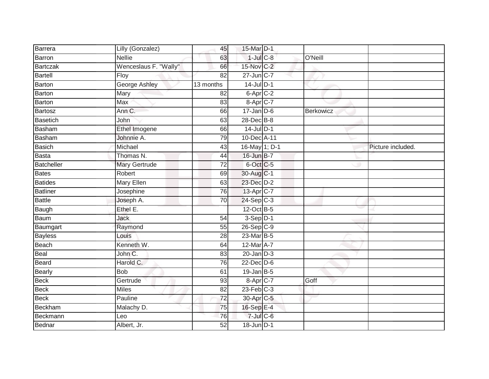| Barrera         | Lilly (Gonzalez)      | 45              | 15-Mar D-1                |           |                   |
|-----------------|-----------------------|-----------------|---------------------------|-----------|-------------------|
| Barron          | <b>Nellie</b>         | 63              | $1$ -Jul $C$ -8           | O'Neill   |                   |
| <b>Bartczak</b> | Wenceslaus F. "Wally" | 66              | 15-Nov C-2                |           |                   |
| Bartell         | Floy                  | 82              | 27-Jun C-7                |           |                   |
| <b>Barton</b>   | <b>George Ashley</b>  | 13 months       | $14$ -Jul $D-1$           |           |                   |
| Barton          | Mary                  | 82              | $6 - Apr$ <sub>C</sub> -2 |           |                   |
| Barton          | <b>Max</b>            | 83              | 8-Apr C-7                 |           |                   |
| Bartosz         | Ann C.                | 66              | $17 - Jan$ $D-6$          | Berkowicz |                   |
| Basetich        | John                  | 63              | 28-Dec B-8                |           |                   |
| Basham          | Ethel Imogene         | 66              | $14$ -Jul $D-1$           |           |                   |
| Basham          | Johnnie A.            | 79              | 10-Dec A-11               |           |                   |
| Basich          | Michael               | 43              | 16-May 1; D-1             |           | Picture included. |
| Basta           | Thomas N.             | 44              | 16-Jun B-7                |           |                   |
| Batcheller      | <b>Mary Gertrude</b>  | 72              | 6-Oct C-5                 |           |                   |
| <b>Bates</b>    | Robert                | 69              | 30-Aug C-1                |           |                   |
| <b>Batides</b>  | Mary Ellen            | 63              | 23-Dec D-2                |           |                   |
| <b>Batliner</b> | Josephine             | 76              | 13-Apr C-7                |           |                   |
| <b>Battle</b>   | Joseph A.             | 70              | $24-Sep C-3$              |           |                   |
| Baugh           | Ethel E.              |                 | 12-Oct B-5                |           |                   |
| Baum            | <b>Jack</b>           | 54              | $3-Sep$ $D-1$             |           |                   |
| Baumgart        | Raymond               | 55              | $26-Sep C-9$              |           |                   |
| <b>Bayless</b>  | Louis                 | $\overline{28}$ | 23-Mar B-5                |           |                   |
| Beach           | Kenneth W.            | 64              | 12-Mar A-7                |           |                   |
| Beal            | John C.               | 83              | $20$ -Jan $D-3$           |           |                   |
| Beard           | Harold C.             | 76              | $22$ -Dec $D-6$           |           |                   |
| Bearly          | <b>Bob</b>            | 61              | $19$ -Jan B-5             |           |                   |
| <b>Beck</b>     | Gertrude              | 93              | 8-Apr C-7                 | Goff      |                   |
| Beck            | <b>Miles</b>          | 82              | $23$ -Feb $C-3$           |           |                   |
| <b>Beck</b>     | Pauline               | 72              | 30-Apr <sub>C-5</sub>     |           |                   |
| Beckham         | Malachy D.            | 75              | 16-Sep E-4                |           |                   |
| Beckmann        | Leo                   | 76              | $7$ -Jul $C$ -6           |           |                   |
| Bednar          | Albert, Jr.           | 52              | $18$ -Jun $D-1$           |           |                   |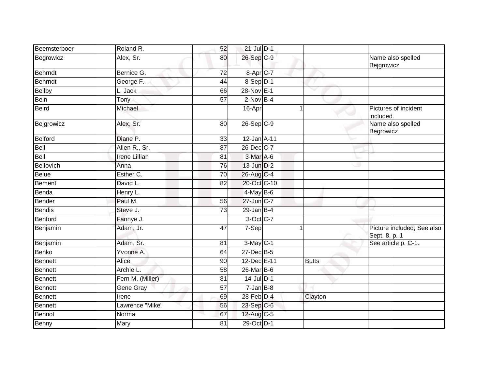| Beemsterboer   | Roland R.            | 52              | $21$ -Jul $D-1$          |              |                                             |
|----------------|----------------------|-----------------|--------------------------|--------------|---------------------------------------------|
| Begrowicz      | Alex, Sr.            | 80              | 26-Sep C-9               |              | Name also spelled<br>Bejgrowicz             |
| <b>Behrndt</b> | Bernice G.           | 72              | $8 - Apr$ <sub>C-7</sub> |              |                                             |
| Behrndt        | George F.            | 44              | $8-Sep$ D-1              |              |                                             |
| Beilby         | L. Jack              | 66              | 28-Nov E-1               |              |                                             |
| <b>Bein</b>    | Tony                 | $\overline{57}$ | $2-NovB-4$               |              |                                             |
| <b>Beird</b>   | Michael              |                 | 16-Apr                   | 1            | Pictures of incident<br>included.           |
| Bejgrowicz     | Alex, Sr.            | 80              | $26 - Sep$ C-9           |              | Name also spelled<br>Begrowicz              |
| Belford        | Diane P.             | 33              | 12-Jan A-11              |              |                                             |
| <b>Bell</b>    | Allen R., Sr.        | 87              | 26-Dec C-7               |              |                                             |
| <b>Bell</b>    | <b>Irene Lillian</b> | 81              | $3-Mar$ A-6              |              |                                             |
| Bellovich      | Anna                 | 76              | 13-Jun D-2               |              |                                             |
| <b>Belue</b>   | Esther C.            | 70              | $26$ -Aug C-4            |              |                                             |
| <b>Bement</b>  | David L.             | 82              | 20-Oct C-10              |              |                                             |
| Benda          | Henry L.             |                 | $4$ -May B-6             |              |                                             |
| Bender         | Paul M.              | 56              | 27-Jun C-7               |              |                                             |
| <b>Bendis</b>  | Steve J.             | 73              | $29$ -Jan B-4            |              |                                             |
| Benford        | Fannye J.            |                 | 3-Oct C-7                |              |                                             |
| Benjamin       | Adam, Jr.            | 47              | 7-Sep                    |              | Picture included; See also<br>Sept. 8, p. 1 |
| Benjamin       | Adam, Sr.            | 81              | $3-May$ C-1              |              | See article p. C-1.                         |
| <b>Benko</b>   | Yvonne A.            | 64              | 27-Dec B-5               |              |                                             |
| Bennett        | Alice                | 90              | 12-Dec E-11              | <b>Butts</b> |                                             |
| <b>Bennett</b> | Archie L.            | 58              | 26-Mar B-6               |              |                                             |
| Bennett        | Fern M. (Miller)     | 81              | $14$ -Jul $D-1$          |              |                                             |
| <b>Bennett</b> | Gene Gray            | 57              | $7$ -Jan $B-8$           |              |                                             |
| <b>Bennett</b> | Irene                | 69              | 28-Feb D-4               | Clayton      |                                             |
| Bennett        | Lawrence "Mike"      | 56              | 23-Sep C-6               |              |                                             |
| Bennot         | Norma                | 67              | 12-Aug C-5               |              |                                             |
| Benny          | Mary                 | 81              | 29-Oct D-1               |              |                                             |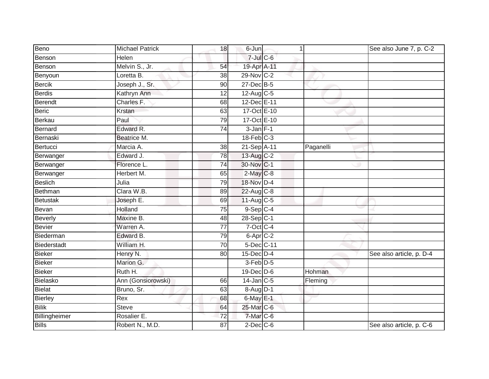| Beno          | <b>Michael Patrick</b> | 18 | 6-Jun                   | 1         | See also June 7, p. C-2  |
|---------------|------------------------|----|-------------------------|-----------|--------------------------|
| Benson        | Helen                  |    | $7$ -Jul $C$ -6         |           |                          |
| Benson        | Melvin S., Jr.         | 54 | 19-Apr A-11             |           |                          |
| Benyoun       | Loretta B.             | 38 | 29-Nov C-2              |           |                          |
| <b>Bercik</b> | Joseph J., Sr.         | 90 | $27$ -Dec $B-5$         |           |                          |
| Berdis        | Kathryn Ann            | 12 | 12-Aug C-5              |           |                          |
| Berendt       | Charles F.             | 68 | 12-Dec E-11             |           |                          |
| <b>Beric</b>  | Krstan                 | 63 | 17-Oct E-10             |           |                          |
| Berkau        | Paul                   | 79 | 17-Oct E-10             |           |                          |
| Bernard       | Edward R.              | 74 | $3$ -Jan $F-1$          |           |                          |
| Bernaski      | Beatrice M.            |    | $18$ -Feb $C-3$         |           |                          |
| Bertucci      | Marcia A.              | 38 | 21-Sep A-11             | Paganelli |                          |
| Berwanger     | Edward J.              | 78 | 13-Aug C-2              |           |                          |
| Berwanger     | Florence L.            | 74 | 30-Nov C-1              |           |                          |
| Berwanger     | Herbert M.             | 65 | $2$ -May $C$ -8         |           |                          |
| Beslich       | Julia                  | 79 | 18-Nov D-4              |           |                          |
| Bethman       | Clara W.B.             | 89 | 22-Aug C-8              |           |                          |
| Betustak      | Joseph E.              | 69 | $11-Aug$ <sub>C-5</sub> |           |                          |
| Bevan         | Holland                | 75 | 9-Sep C-4               |           |                          |
| Beverly       | Maxine B.              | 48 | $28-Sep$ C-1            |           |                          |
| <b>Bevier</b> | Warren A.              | 77 | $7$ -Oct C-4            |           |                          |
| Biederman     | Edward B.              | 79 | 6-Apr C-2               |           |                          |
| Biederstadt   | William H.             | 70 | 5-Dec C-11              |           |                          |
| Bieker        | Henry N.               | 80 | 15-Dec D-4              |           | See also article, p. D-4 |
| <b>Bieker</b> | Marion G.              |    | 3-Feb D-5               |           |                          |
| <b>Bieker</b> | Ruth H.                |    | 19-Dec D-6              | Hohman    |                          |
| Bielasko      | Ann (Gonsiorowski)     | 66 | $14$ -Jan $C-5$         | Fleming   |                          |
| <b>Bielat</b> | Bruno, Sr.             | 63 | $8-Aug$ D-1             |           |                          |
| Bierley       | Rex                    | 68 | $6$ -May $E-1$          |           |                          |
| <b>Bilik</b>  | <b>Steve</b>           | 64 | 25-Mar C-6              |           |                          |
| Billingheimer | Rosalier E.            | 72 | $7$ -Mar $C$ -6         |           |                          |
| <b>Bills</b>  | Robert N., M.D.        | 87 | $2$ -Dec $C$ -6         |           | See also article, p. C-6 |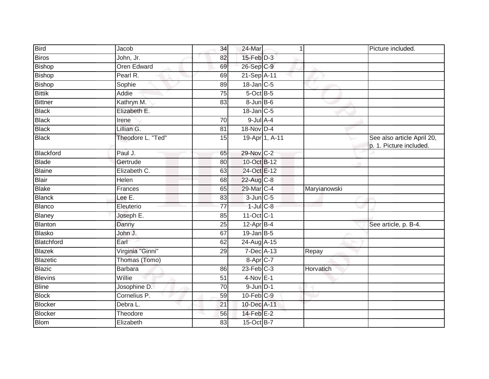| <b>Bird</b>    | Jacob              | 34              | 24-Mar                    | 1            | Picture included.                                     |
|----------------|--------------------|-----------------|---------------------------|--------------|-------------------------------------------------------|
| <b>Biros</b>   | John, Jr.          | 82              | $15$ -Feb $D-3$           |              |                                                       |
| <b>Bishop</b>  | <b>Oren Edward</b> | 69              | 26-Sep C-9                |              |                                                       |
| <b>Bishop</b>  | Pearl R.           | 69              | 21-Sep A-11               |              |                                                       |
| <b>Bishop</b>  | Sophie             | 89              | $18$ -Jan $C$ -5          |              |                                                       |
| <b>Bittik</b>  | Addie              | 75              | $5$ -Oct $B$ -5           |              |                                                       |
| <b>Bittner</b> | Kathryn M.         | 83              | 8-Jun B-6                 |              |                                                       |
| <b>Black</b>   | Elizabeth E.       |                 | $18$ -Jan $C$ -5          |              |                                                       |
| <b>Black</b>   | Irene              | $\overline{70}$ | $9$ -Jul $A$ -4           |              |                                                       |
| <b>Black</b>   | Lillian G.         | 81              | 18-Nov D-4                |              |                                                       |
| <b>Black</b>   | Theodore L. "Ted"  | 15              | 19-Apr 1, A-11            |              | See also article April 20,<br>p. 1. Picture included. |
| Blackford      | Paul J.            | 65              | 29-Nov C-2                |              |                                                       |
| <b>Blade</b>   | Gertrude           | 80              | 10-Oct B-12               |              |                                                       |
| Blaine         | Elizabeth C.       | 63              | 24-Oct E-12               |              |                                                       |
| <b>Blair</b>   | Helen              | 68              | 22-Aug C-8                |              |                                                       |
| <b>Blake</b>   | Frances            | 65              | 29-Mar C-4                | Maryianowski |                                                       |
| <b>Blanck</b>  | Lee E.             | 83              | $3$ -Jun $C$ -5           |              |                                                       |
| <b>Blanco</b>  | Eleuterio          | $\overline{77}$ | $1$ -Jul $C$ -8           |              |                                                       |
| Blaney         | Joseph E.          | 85              | 11-Oct C-1                |              |                                                       |
| Blanton        | Danny              | $\overline{25}$ | $12$ -Apr $B-4$           |              | See article, p. B-4.                                  |
| <b>Blasko</b>  | John J.            | 67              | $19$ -Jan B-5             |              |                                                       |
| Blatchford     | Earl               | 62              | 24-Aug A-15               |              |                                                       |
| <b>Blazek</b>  | Virginia "Ginni"   | 29              | 7-Dec A-13                | Repay        |                                                       |
| Blazetic       | Thomas (Tomo)      |                 | $8 - Apr$ <sub>C</sub> -7 |              |                                                       |
| <b>Blazic</b>  | <b>Barbara</b>     | 86              | $23$ -Feb $C-3$           | Horvatich    |                                                       |
| <b>Blevins</b> | Willie             | 51              | $4-Nov$ E-1               |              |                                                       |
| <b>Bline</b>   | Josophine D.       | $\overline{70}$ | $9$ -Jun $D-1$            |              |                                                       |
| <b>Block</b>   | Cornelius P.       | 59              | 10-Feb C-9                |              |                                                       |
| <b>Blocker</b> | Debra L.           | $\overline{21}$ | 10-Dec A-11               |              |                                                       |
| <b>Blocker</b> | Theodore           | 56              | $14$ -Feb $E-2$           |              |                                                       |
| <b>Blom</b>    | Elizabeth          | 83              | 15-Oct B-7                |              |                                                       |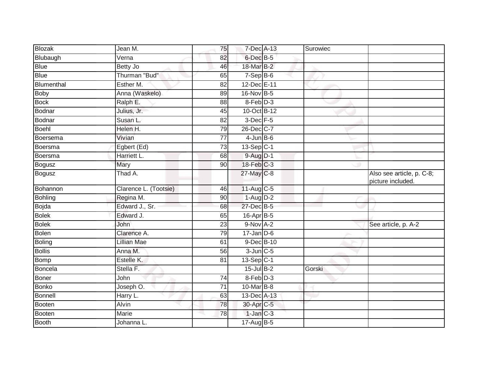| <b>Blozak</b> | Jean M.               | 75              | 7-Dec A-13       | Surowiec |                                                |
|---------------|-----------------------|-----------------|------------------|----------|------------------------------------------------|
| Blubaugh      | Verna                 | 82              | $6$ -Dec $B$ -5  |          |                                                |
| <b>Blue</b>   | <b>Betty Jo</b>       | 46              | 18-Mar B-2       |          |                                                |
| <b>Blue</b>   | Thurman "Bud"         | 65              | $7-Sep$ B-6      |          |                                                |
| Blumenthal    | Esther M.             | $\overline{82}$ | 12-Dec E-11      |          |                                                |
| <b>Boby</b>   | Anna (Waskelo)        | 89              | 16-Nov B-5       |          |                                                |
| <b>Bock</b>   | Ralph E.              | 88              | 8-Feb D-3        |          |                                                |
| Bodnar        | Julius, Jr.           | 45              | 10-Oct B-12      |          |                                                |
| Bodnar        | Susan L.              | 82              | $3$ -Dec $F-5$   |          |                                                |
| Boehl         | Helen H.              | 79              | 26-Dec C-7       |          |                                                |
| Boersema      | Vivian                | 77              | $4$ -Jun $B$ -6  |          |                                                |
| Boersma       | Egbert (Ed)           | 73              | $13-Sep C-1$     |          |                                                |
| Boersma       | Harriett L.           | 68              | 9-Aug D-1        |          |                                                |
| <b>Bogusz</b> | Mary                  | 90              | $18$ -Feb $C-3$  |          |                                                |
| <b>Bogusz</b> | Thad A.               |                 | 27-May C-8       |          | Also see article, p. C-8;<br>picture included. |
| Bohannon      | Clarence L. (Tootsie) | 46              | $11-Aug$ C-5     |          |                                                |
| Bohling       | Regina M.             | 90              | $1-Aug$ D-2      |          |                                                |
| Bojda         | Edward J., Sr.        | 68              | 27-Dec B-5       |          |                                                |
| <b>Bolek</b>  | Edward J.             | 65              | 16-Apr B-5       |          |                                                |
| <b>Bolek</b>  | John                  | 23              | $9-Nov1 A-2$     |          | See article, p. A-2                            |
| <b>Bolen</b>  | Clarence A.           | 79              | $17 - Jan$ $D-6$ |          |                                                |
| Boling        | Lillian Mae           | 61              | 9-Dec B-10       |          |                                                |
| <b>Bollis</b> | Anna M.               | 56              | $3$ -Jun $C$ -5  |          |                                                |
| <b>Bomp</b>   | Estelle K.            | 81              | $13-Sep$ C-1     |          |                                                |
| Boncela       | Stella F.             |                 | $15$ -Jul B-2    | Gorski   |                                                |
| Boner         | John                  | 74              | 8-Feb D-3        |          |                                                |
| <b>Bonko</b>  | Joseph O.             | 71              | 10-Mar B-8       |          |                                                |
| Bonnell       | Harry L.              | 63              | 13-Dec A-13      |          |                                                |
| Booten        | <b>Alvin</b>          | 78              | 30-Apr C-5       |          |                                                |
| Booten        | Marie                 | 78              | $1-Jan C-3$      |          |                                                |
| <b>Booth</b>  | Johanna L.            |                 | $17$ -Aug $B$ -5 |          |                                                |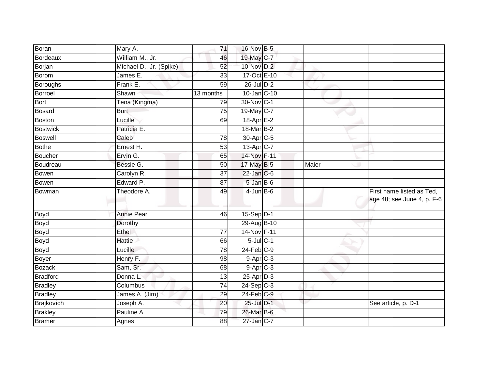| Boran           | Mary A.                 | 71              | 16-Nov B-5            |       |                                                         |
|-----------------|-------------------------|-----------------|-----------------------|-------|---------------------------------------------------------|
| Bordeaux        | William M., Jr.         | 46              | 19-May C-7            |       |                                                         |
| Borjan          | Michael D., Jr. (Spike) | 52              | 10-Nov D-2            |       |                                                         |
| <b>Borom</b>    | James E.                | 33              | 17-Oct E-10           |       |                                                         |
| <b>Boroughs</b> | Frank E.                | $\overline{59}$ | 26-Jul D-2            |       |                                                         |
| <b>Borroel</b>  | Shawn                   | 13 months       | 10-Jan C-10           |       |                                                         |
| Bort            | Tena (Kingma)           | 79              | 30-Nov C-1            |       |                                                         |
| <b>Bosard</b>   | <b>Burt</b>             | 75              | 19-May C-7            |       |                                                         |
| <b>Boston</b>   | Lucille                 | 69              | 18-Apr <sub>E-2</sub> |       |                                                         |
| <b>Bostwick</b> | Patricia E.             |                 | 18-Mar B-2            |       |                                                         |
| <b>Boswell</b>  | Caleb                   | 78              | 30-Apr <sub>C-5</sub> |       |                                                         |
| <b>Bothe</b>    | Ernest H.               | $\overline{53}$ | 13-Apr C-7            |       |                                                         |
| <b>Boucher</b>  | Ervin G.                | 65              | 14-Nov F-11           |       |                                                         |
| Boudreau        | Bessie G.               | 50              | 17-May B-5            | Maier |                                                         |
| Bowen           | Carolyn R.              | $\overline{37}$ | $22$ -Jan $C$ -6      |       |                                                         |
| Bowen           | Edward P.               | 87              | 5-Jan B-6             |       |                                                         |
| Bowman          | Theodore A.             | 49              | $4$ -Jun $B$ -6       |       | First name listed as Ted,<br>age 48; see June 4, p. F-6 |
| Boyd            | <b>Annie Pearl</b>      | 46              | $15-Sep$ D-1          |       |                                                         |
| <b>Boyd</b>     | Dorothy                 |                 | 29-Aug B-10           |       |                                                         |
| Boyd            | <b>Ethel</b>            | 77              | 14-Nov F-11           |       |                                                         |
| <b>Boyd</b>     | <b>Hattie</b>           | 66              | $5$ -Jul $C-1$        |       |                                                         |
| <b>Boyd</b>     | Lucille                 | 78              | $24$ -Feb $C-9$       |       |                                                         |
| <b>Boyer</b>    | Henry F.                | $\overline{98}$ | $9-Apr$ $C-3$         |       |                                                         |
| <b>Bozack</b>   | Sam, Sr.                | 68              | $9-Apr$ C-3           |       |                                                         |
| <b>Bradford</b> | Donna L.                | 13              | 25-Apr D-3            |       |                                                         |
| <b>Bradley</b>  | Columbus                | 74              | $24-Sep$ C-3          |       |                                                         |
| <b>Bradley</b>  | James A. (Jim)          | 29              | 24-Feb C-9            |       |                                                         |
| Brajkovich      | Joseph A.               | 20              | 25-Jul D-1            |       | See article, p. D-1                                     |
| <b>Brakley</b>  | Pauline A.              | 79              | 26-Mar B-6            |       |                                                         |
| <b>Bramer</b>   | Agnes                   | 88              | 27-Jan C-7            |       |                                                         |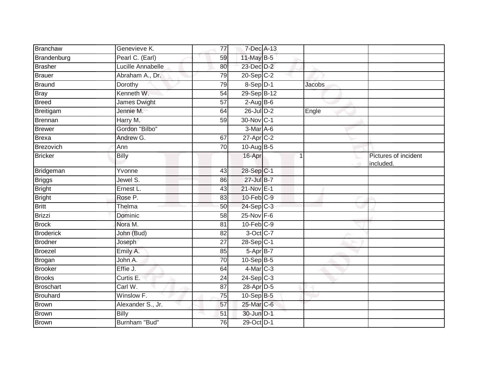| Branchaw         | Genevieve K.      | 77              | 7-Dec A-13      |               |                                   |
|------------------|-------------------|-----------------|-----------------|---------------|-----------------------------------|
| Brandenburg      | Pearl C. (Earl)   | 59              | 11-May B-5      |               |                                   |
| <b>Brasher</b>   | Lucille Annabelle | 80              | 23-Dec D-2      |               |                                   |
| <b>Brauer</b>    | Abraham A., Dr.   | 79              | $20-Sep$ $C-2$  |               |                                   |
| Braund           | Dorothy           | 79              | $8-Sep$ D-1     | <b>Jacobs</b> |                                   |
| <b>Bray</b>      | Kenneth W.        | 54              | 29-Sep B-12     |               |                                   |
| <b>Breed</b>     | James Dwight      | 57              | $2$ -Aug B-6    |               |                                   |
| Breitigam        | Jennie M.         | 64              | 26-Jul D-2      | Engle         |                                   |
| <b>Brennan</b>   | Harry M.          | 59              | 30-Nov C-1      |               |                                   |
| <b>Brewer</b>    | Gordon "Bilbo"    |                 | $3-Mar$ A-6     |               |                                   |
| <b>Brexa</b>     | Andrew G.         | 67              | $27$ -Apr $C-2$ |               |                                   |
| Brezovich        | Ann               | $\overline{70}$ | 10-Aug B-5      |               |                                   |
| <b>Bricker</b>   | <b>Billy</b>      |                 | 16-Apr          | 1             | Pictures of incident<br>included. |
| Bridgeman        | Yvonne            | 43              | $28-Sep C-1$    |               |                                   |
| <b>Briggs</b>    | Jewel S.          | 86              | 27-Jul B-7      |               |                                   |
| <b>Bright</b>    | Ernest L.         | 43              | 21-Nov E-1      |               |                                   |
| <b>Bright</b>    | Rose P.           | 83              | $10$ -Feb $C-9$ |               |                                   |
| <b>Britt</b>     | Thelma            | 50              | 24-Sep C-3      |               |                                   |
| <b>Brizzi</b>    | Dominic           | 58              | 25-Nov F-6      |               |                                   |
| <b>Brock</b>     | Nora M.           | 81              | $10$ -Feb $C-9$ |               |                                   |
| <b>Broderick</b> | John (Bud)        | 82              | 3-Oct C-7       |               |                                   |
| <b>Brodner</b>   | Joseph            | 27              | $28-Sep C-1$    |               |                                   |
| <b>Broezel</b>   | Emily A.          | 85              | $5-AprB-7$      |               |                                   |
| Brogan           | John A.           | 70              | $10-SepB-5$     |               |                                   |
| <b>Brooker</b>   | Effie J.          | 64              | $4$ -Mar $C-3$  |               |                                   |
| <b>Brooks</b>    | Curtis E.         | 24              | $24-Sep$ C-3    |               |                                   |
| <b>Broschart</b> | Carl W.           | 87              | 28-Apr D-5      |               |                                   |
| <b>Brouhard</b>  | Winslow F.        | $\overline{75}$ | 10-Sep B-5      |               |                                   |
| <b>Brown</b>     | Alexander S., Jr. | 57              | 25-Mar C-6      |               |                                   |
| <b>Brown</b>     | <b>Billy</b>      | 51              | 30-Jun D-1      |               |                                   |
| Brown            | Burnham "Bud"     | 76              | 29-Oct D-1      |               |                                   |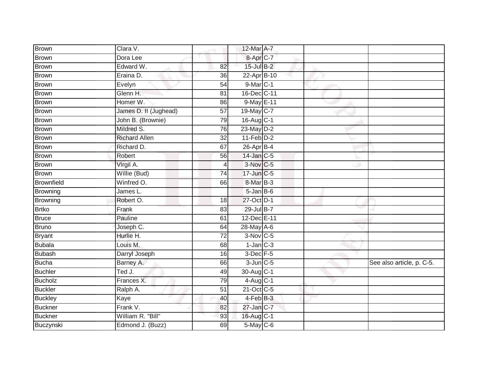| Brown          | Clara V.              |                 | 12-Mar A-7             |  |                           |
|----------------|-----------------------|-----------------|------------------------|--|---------------------------|
| <b>Brown</b>   | Dora Lee              |                 | 8-Apr C-7              |  |                           |
| Brown          | Edward W.             | 82              | $15$ -Jul $B-2$        |  |                           |
| <b>Brown</b>   | Eraina D.             | 36              | 22-Apr B-10            |  |                           |
| Brown          | Evelyn                | $\overline{54}$ | 9-Mar C-1              |  |                           |
| <b>Brown</b>   | Glenn H.              | 81              | 16-Dec C-11            |  |                           |
| Brown          | Homer W.              | 86              | 9-May E-11             |  |                           |
| <b>Brown</b>   | James D. II (Jughead) | 57              | 19-May C-7             |  |                           |
| <b>Brown</b>   | John B. (Brownie)     | 79              | 16-Aug C-1             |  |                           |
| Brown          | Mildred S.            | 76              | 23-May D-2             |  |                           |
| Brown          | <b>Richard Allen</b>  | $\overline{32}$ | $11-Feb$ D-2           |  |                           |
| <b>Brown</b>   | Richard D.            | 67              | $26$ -Apr $B-4$        |  |                           |
| Brown          | Robert                | 56              | 14-Jan C-5             |  |                           |
| Brown          | Virgil A.             | 4               | 3-Nov C-5              |  |                           |
| Brown          | Willie (Bud)          | $\overline{74}$ | 17-Jun C-5             |  |                           |
| Brownfield     | Winfred O.            | 66              | 8-Mar B-3              |  |                           |
| Browning       | James L.              |                 | $5 - Jan$ $B - 6$      |  |                           |
| Browning       | Robert O.             | 18              | 27-Oct D-1             |  |                           |
| <b>Brtko</b>   | Frank                 | 83              | 29-Jul B-7             |  |                           |
| <b>Bruce</b>   | Pauline               | 61              | 12-Dec E-11            |  |                           |
| Bruno          | Joseph C.             | 64              | 28-May A-6             |  |                           |
| <b>Bryant</b>  | Hurlie H.             | $\overline{72}$ | $3-Nov$ C-5            |  |                           |
| <b>Bubala</b>  | Louis M.              | 68              | $1$ -Jan $C-3$         |  |                           |
| <b>Bubash</b>  | Darryl Joseph         | 16              | $3$ -Dec $F-5$         |  |                           |
| Bucha          | Barney A.             | 66              | $3$ -Jun $C$ -5        |  | See also article, p. C-5. |
| <b>Buchler</b> | Ted J.                | 49              | 30-Aug C-1             |  |                           |
| Bucholz        | Frances X.            | 79              | $4-Aug$ <sub>C-1</sub> |  |                           |
| <b>Buckler</b> | Ralph A.              | 51              | $21-Oct$ $C-5$         |  |                           |
| <b>Buckley</b> | Kaye                  | 40              | 4-Feb B-3              |  |                           |
| <b>Buckner</b> | Frank V.              | 82              | 27-Jan C-7             |  |                           |
| Buckner        | William R. "Bill"     | 93              | 16-Aug C-1             |  |                           |
| Buczynski      | Edmond J. (Buzz)      | 69              | $5-May$ $C-6$          |  |                           |
|                |                       |                 |                        |  |                           |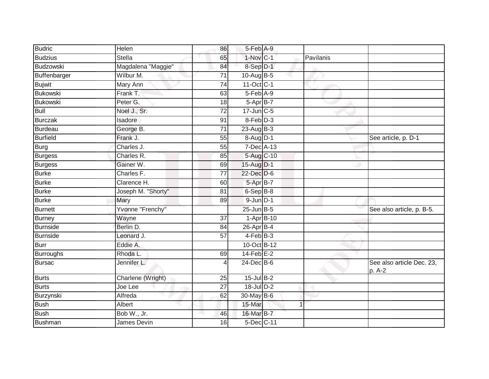| Budric          | Helen              | 86              | 5-Feb A-9        |           |                                     |
|-----------------|--------------------|-----------------|------------------|-----------|-------------------------------------|
| <b>Budzius</b>  | <b>Stella</b>      | 65              | 1-Nov C-1        | Pavilanis |                                     |
| Budzowski       | Magdalena "Maggie" | 84              | 8-Sep D-1        |           |                                     |
| Buffenbarger    | Wilbur M.          | 71              | 10-Aug $B-5$     |           |                                     |
| <b>Bujwit</b>   | <b>Mary Ann</b>    | $\overline{74}$ | 11-Oct C-1       |           |                                     |
| Bukowski        | Frank T.           | 63              | $5-Feb$ $A-9$    |           |                                     |
| <b>Bukowski</b> | Peter G.           | 18              | 5-Apr B-7        |           |                                     |
| <b>Bull</b>     | Noel J., Sr.       | 72              | $17$ -Jun $C$ -5 |           |                                     |
| Burczak         | Isadore            | 91              | 8-Feb D-3        |           |                                     |
| Burdeau         | George B.          | $\overline{71}$ | $23$ -Aug B-3    |           |                                     |
| <b>Burfield</b> | Frank J.           | 55              | 8-Aug D-1        |           | See article, p. D-1                 |
| <b>Burg</b>     | Charles J.         | 55              | 7-Dec A-13       |           |                                     |
| Burgess         | Charles R.         | 85              | 5-Aug C-10       |           |                                     |
| Burgess         | Gainer W.          | 69              | 15-Aug D-1       |           |                                     |
| <b>Burke</b>    | Charles F.         | $\overline{77}$ | 22-Dec D-6       |           |                                     |
| <b>Burke</b>    | Clarence H.        | 60              | 5-Apr B-7        |           |                                     |
| <b>Burke</b>    | Joseph M. "Shorty" | 81              | $6-$ Sep $B-8$   |           |                                     |
| <b>Burke</b>    | Mary               | 89              | $9$ -Jun $D-1$   |           |                                     |
| <b>Burnett</b>  | Yvonne "Frenchy"   |                 | $25$ -Jun $B-5$  |           | See also article, p. B-5.           |
| Burney          | Wayne              | $\overline{37}$ | $1-Apr$ B-10     |           |                                     |
| Burnside        | Berlin D.          | 84              | $26$ -Apr $B$ -4 |           |                                     |
| Burnside        | Leonard J.         | $\overline{57}$ | $4-FebB-3$       |           |                                     |
| <b>Burr</b>     | Eddie A.           |                 | 10-Oct B-12      |           |                                     |
| Burroughs       | Rhoda L.           | 69              | $14$ -Feb $E-2$  |           |                                     |
| <b>Bursac</b>   | Jennifer L.        | 4               | $24$ -Dec $B$ -6 |           | See also article Dec. 23,<br>p. A-2 |
| Burts           | Charlene (Wright)  | 25              | $15$ -Jul B-2    |           |                                     |
| Burts           | Joe Lee            | $\overline{27}$ | $18$ -Jul $D-2$  |           |                                     |
| Burzynski       | Alfreda            | 62              | 30-May B-6       |           |                                     |
| Bush            | Albert             |                 | 15-Mar           |           |                                     |
| <b>Bush</b>     | Bob W., Jr.        | 46              | 16-Mar B-7       |           |                                     |
| Bushman         | James Devin        | 16              | 5-Dec C-11       |           |                                     |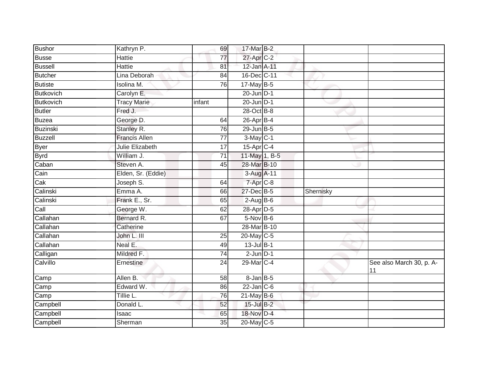| <b>Bushor</b>              | Kathryn P.           | 69              | 17-Mar B-2       |           |                                 |
|----------------------------|----------------------|-----------------|------------------|-----------|---------------------------------|
| <b>Busse</b>               | <b>Hattie</b>        | $\overline{77}$ | 27-Apr C-2       |           |                                 |
| <b>Bussell</b>             | <b>Hattie</b>        | 81              | 12-Jan A-11      |           |                                 |
| <b>Butcher</b>             | Lina Deborah         | 84              | 16-Dec C-11      |           |                                 |
| Butiste                    | <b>Isolina M.</b>    | 76              | $17$ -May B-5    |           |                                 |
| Butkovich                  | Carolyn E.           |                 | $20$ -Jun $D-1$  |           |                                 |
| Butkovich                  | <b>Tracy Marie</b>   | infant          | $20$ -Jun $D-1$  |           |                                 |
| Butler                     | Fred J.              |                 | 28-Oct B-8       |           |                                 |
| Buzea                      | George D.            | 64              | 26-Apr B-4       |           |                                 |
| <b>Buzinski</b>            | Stanley R.           | 76              | 29-Jun B-5       |           |                                 |
| Buzzell                    | <b>Francis Allen</b> | $\overline{77}$ | $3-May$ C-1      |           |                                 |
| <b>Byer</b>                | Julie Elizabeth      | 17              | $15$ -Apr $C$ -4 |           |                                 |
| <b>Byrd</b>                | William J.           | 71              | 11-May 1, B-5    |           |                                 |
| Caban                      | Steven A.            | 45              | 28-Mar B-10      |           |                                 |
| $\overline{\mathrm{Cain}}$ | Elden, Sr. (Eddie)   |                 | 3-Aug A-11       |           |                                 |
| Cak                        | Joseph S.            | 64              | 7-Apr C-8        |           |                                 |
| Calinski                   | Emma A.              | 66              | 27-Dec B-5       | Shernisky |                                 |
| Calinski                   | Frank E., Sr.        | 65              | $2-AugBB-6$      |           |                                 |
| Call                       | George W.            | 62              | 28-Apr D-5       |           |                                 |
| Callahan                   | Bernard R.           | 67              | $5-Nov$ B-6      |           |                                 |
| Callahan                   | Catherine            |                 | 28-Mar B-10      |           |                                 |
| Callahan                   | John L. III          | $\overline{25}$ | 20-May C-5       |           |                                 |
| Callahan                   | Neal E.              | 49              | $13$ -Jul B-1    |           |                                 |
| Calligan                   | Mildred F.           | 74              | $2$ -Jun $D-1$   |           |                                 |
| Calvillo                   | Ernestine            | 24              | 29-Mar C-4       |           | See also March 30, p. A-<br> 11 |
| Camp                       | Allen B.             | 58              | $8$ -Jan $B$ -5  |           |                                 |
| $\overline{\text{Camp}}$   | Edward W.            | 86              | $22$ -Jan $C-6$  |           |                                 |
| Camp                       | Tillie L.            | 76              | $21$ -May B-6    |           |                                 |
| Campbell                   | Donald L.            | 52              | 15-Jul B-2       |           |                                 |
| Campbell                   | Isaac                | 65              | 18-Nov D-4       |           |                                 |
| Campbell                   | Sherman              | 35              | 20-May C-5       |           |                                 |
|                            |                      |                 |                  |           |                                 |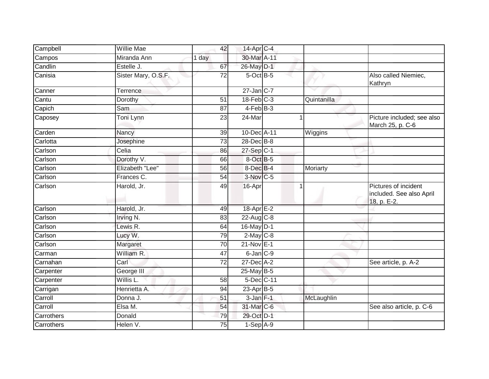| Campbell   | <b>Willie Mae</b>     | 42              | 14-Apr C-4       |             |                                                                 |
|------------|-----------------------|-----------------|------------------|-------------|-----------------------------------------------------------------|
| Campos     | Miranda Ann           | 1 day           | 30-Mar A-11      |             |                                                                 |
| Candlin    | Estelle J.            | 67              | 26-May D-1       |             |                                                                 |
| Canisia    | Sister Mary, O.S.F.   | 72              | 5-Oct B-5        |             | Also called Niemiec,<br>Kathryn                                 |
| Canner     | Terrence              |                 | $27$ -Jan $C-7$  |             |                                                                 |
| Cantu      | Dorothy               | 51              | $18$ -Feb $C-3$  | Quintanilla |                                                                 |
| Capich     | Sam                   | 87              | $4-FebB-3$       |             |                                                                 |
| Caposey    | Toni Lynn             | 23              | 24-Mar           |             | Picture included; see also<br>March 25, p. C-6                  |
| Carden     | Nancy                 | 39              | 10-Dec A-11      | Wiggins     |                                                                 |
| Carlotta   | Josephine             | 73              | $28$ -Dec $B$ -8 |             |                                                                 |
| Carlson    | Celia                 | 86              | 27-Sep C-1       |             |                                                                 |
| Carlson    | Dorothy V.            | 66              | 8-Oct B-5        |             |                                                                 |
| Carlson    | Elizabeth "Lee"       | 56              | 8-Dec B-4        | Moriarty    |                                                                 |
| Carlson    | Frances <sub>C.</sub> | 54              | $3-Nov$ C-5      |             |                                                                 |
| Carlson    | Harold, Jr.           | 49              | 16-Apr           |             | Pictures of incident<br>included. See also April<br>18, p. E-2. |
| Carlson    | Harold, Jr.           | 49              | 18-Apr E-2       |             |                                                                 |
| Carlson    | Irving N.             | 83              | $22$ -Aug C-8    |             |                                                                 |
| Carlson    | Lewis R.              | 64              | 16-May D-1       |             |                                                                 |
| Carlson    | Lucy W.               | 79              | $2$ -May $C$ -8  |             |                                                                 |
| Carlson    | Margaret              | 70              | 21-Nov E-1       |             |                                                                 |
| Carman     | William R.            | 47              | 6-Jan C-9        |             |                                                                 |
| Carnahan   | Carl                  | 72              | 27-Dec A-2       |             | See article, p. A-2                                             |
| Carpenter  | George III            |                 | $25$ -May B-5    |             |                                                                 |
| Carpenter  | Willis L.             | $\overline{58}$ | 5-Dec C-11       |             |                                                                 |
| Carrigan   | Henrietta A.          | 94              | $23$ -Apr $B$ -5 |             |                                                                 |
| Carroll    | Donna J.              | 51              | 3-Jan F-1        | McLaughlin  |                                                                 |
| Carroll    | Elsa M.               | 54              | 31-Mar C-6       |             | See also article, p. C-6                                        |
| Carrothers | Donald                | 79              | 29-Oct D-1       |             |                                                                 |
| Carrothers | Helen V.              | 75              | $1-Sep$ A-9      |             |                                                                 |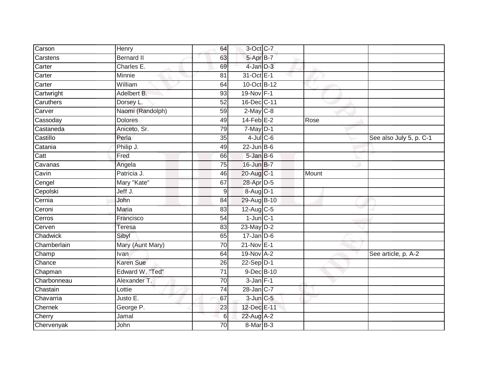| Carson      | Henry             | 64 | 3-Oct C-7         |       |                         |
|-------------|-------------------|----|-------------------|-------|-------------------------|
| Carstens    | <b>Bernard II</b> | 63 | $5-AprB-7$        |       |                         |
| Carter      | Charles E.        | 69 | 4-Jan D-3         |       |                         |
| Carter      | Minnie            | 81 | 31-Oct E-1        |       |                         |
| Carter      | William           | 64 | 10-Oct B-12       |       |                         |
| Cartwright  | Adelbert B.       | 93 | 19-Nov F-1        |       |                         |
| Caruthers   | Dorsey L.         | 52 | 16-Dec C-11       |       |                         |
| Carver      | Naomi (Randolph)  | 59 | $2$ -May $C$ -8   |       |                         |
| Cassoday    | <b>Dolores</b>    | 49 | $14$ -Feb $E-2$   | Rose  |                         |
| Castaneda   | Aniceto, Sr.      | 79 | $7$ -May $D-1$    |       |                         |
| Castillo    | Perla             | 35 | $4$ -Jul $C$ -6   |       | See also July 5, p. C-1 |
| Catania     | Philip J.         | 49 | $22$ -Jun $B$ -6  |       |                         |
| Catt        | Fred              | 66 | $5 - Jan$ $B - 6$ |       |                         |
| Cavanas     | Angela            | 75 | 16-Jun B-7        |       |                         |
| Cavin       | Patricia J.       | 46 | 20-Aug C-1        | Mount |                         |
| Cengel      | Mary "Kate"       | 67 | 28-Apr D-5        |       |                         |
| Cepolski    | Jeff J.           | 9  | 8-Aug D-1         |       |                         |
| Cernia      | John              | 84 | 29-Aug B-10       |       |                         |
| Ceroni      | Maria             | 83 | 12-Aug C-5        |       |                         |
| Cerros      | Francisco         | 54 | $1$ -Jun $C-1$    |       |                         |
| Cerven      | <b>Teresa</b>     | 83 | $23$ -May $D-2$   |       |                         |
| Chadwick    | Sibyl             | 65 | $17 - Jan$ $D-6$  |       |                         |
| Chamberlain | Mary (Aunt Mary)  | 70 | $21-Nov$ E-1      |       |                         |
| Champ       | <b>Ivan</b>       | 64 | 19-Nov A-2        |       | See article, p. A-2     |
| Chance      | <b>Karen Sue</b>  | 26 | $22-Sep$ D-1      |       |                         |
| Chapman     | Edward W. "Ted"   | 71 | 9-Dec B-10        |       |                         |
| Charbonneau | Alexander T.      | 70 | $3$ -Jan $F-1$    |       |                         |
| Chastain    | Lottie            | 74 | $28$ -Jan $ C-7 $ |       |                         |
| Chavarria   | Justo E.          | 67 | $3$ -Jun $C$ -5   |       |                         |
| Chernek     | George P.         | 23 | 12-Dec E-11       |       |                         |
| Cherry      | Jamal             | 6  | 22-Aug A-2        |       |                         |
| Chervenyak  | John              | 70 | 8-Mar B-3         |       |                         |
|             |                   |    |                   |       |                         |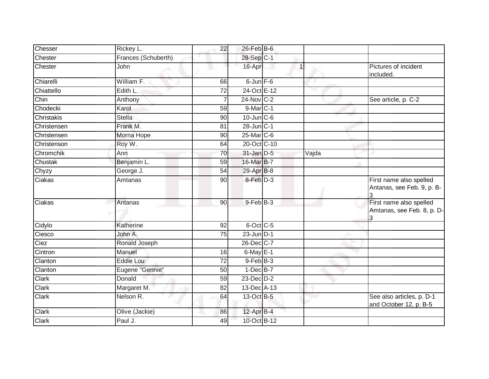| Chesser     | Rickey L.           | 22              | $26$ -Feb $B$ -6  |             |       |                                                            |
|-------------|---------------------|-----------------|-------------------|-------------|-------|------------------------------------------------------------|
| Chester     | Frances (Schuberth) |                 | 28-Sep C-1        |             |       |                                                            |
| Chester     | John                |                 | 16-Apr            | $\mathbf 1$ |       | Pictures of incident<br>included.                          |
| Chiarelli   | William F.          | 66              | $6$ -Jun $F-6$    |             |       |                                                            |
| Chiattello  | Edith L.            | 72              | 24-Oct E-12       |             |       |                                                            |
| Chin        | Anthony             |                 | $24$ -Nov $ C-2 $ |             |       | See article, p. C-2                                        |
| Chodecki    | Karol               | 59              | $9$ -Mar $C-1$    |             |       |                                                            |
| Christakis  | <b>Stella</b>       | 90              | $10$ -Jun $C - 6$ |             |       |                                                            |
| Christensen | Frank M.            | 81              | 28-Jun C-1        |             |       |                                                            |
| Christensen | Morna Hope          | 90              | 25-Mar C-6        |             |       |                                                            |
| Christenson | Roy W.              | 64              | 20-Oct C-10       |             |       |                                                            |
| Chromchik   | Ann                 | 70              | $31$ -Jan D-5     |             | Vajda |                                                            |
| Chustak     | Benjamin L.         | 59              | 16-Mar B-7        |             |       |                                                            |
| Chyzy       | George J.           | 54              | 29-Apr B-8        |             |       |                                                            |
| Ciakas      | Amtanas             | $\overline{90}$ | 8-Feb D-3         |             |       | First name also spelled<br>Antanas, see Feb. 9, p. B-<br>3 |
| Ciakas      | Antanas             | $\overline{90}$ | $9$ -Feb $B-3$    |             |       | First name also spelled<br>Amtanas, see Feb. 8, p. D-      |
| Cidylo      | Katherine           | 92              | 6-Oct C-5         |             |       |                                                            |
| Ciesco      | John A.             | 75              | $23$ -Jun $D-1$   |             |       |                                                            |
| Ciez        | Ronald Joseph       |                 | 26-Dec C-7        |             |       |                                                            |
| Cintron     | Manuel              | 16              | $6$ -May $E-1$    |             |       |                                                            |
| Clanton     | Eddie Lou           | 72              | $9$ -Feb $B$ -3   |             |       |                                                            |
| Clanton     | Eugene "Gennie"     | $\overline{50}$ | $1-Dec$ B-7       |             |       |                                                            |
| Clark       | Donald              | 59              | $23$ -Dec $D-2$   |             |       |                                                            |
| Clark       | Margaret M.         | 82              | 13-Dec A-13       |             |       |                                                            |
| Clark       | Nelson R.           | 64              | 13-Oct B-5        |             |       | See also articles, p. D-1<br>and October 12, p. B-5        |
| Clark       | Olive (Jackie)      | 86              | 12-Apr B-4        |             |       |                                                            |
| Clark       | Paul J.             | 49              | 10-Oct B-12       |             |       |                                                            |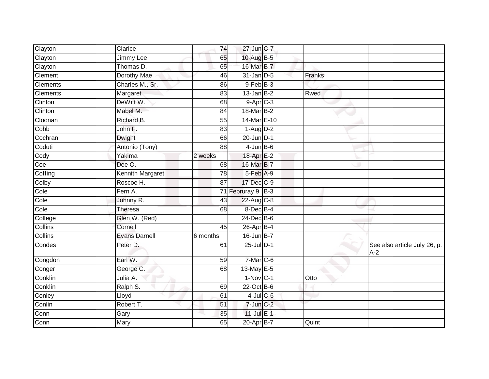| Clayton         | Clarice                 | 74       | 27-Jun C-7                        |        |                                       |
|-----------------|-------------------------|----------|-----------------------------------|--------|---------------------------------------|
| Clayton         | <b>Jimmy Lee</b>        | 65       | 10-Aug B-5                        |        |                                       |
| Clayton         | Thomas D.               | 65       | 16-Mar B-7                        |        |                                       |
| Clement         | Dorothy Mae             | 46       | $31$ -Jan D-5                     | Franks |                                       |
| <b>Clements</b> | Charles M., Sr.         | 86       | $9$ -Feb $B$ -3                   |        |                                       |
| Clements        | Margaret                | 83       | $13$ -Jan B-2                     | Rwed   |                                       |
| Clinton         | DeWitt W.               | 68       | $9-AprC-3$                        |        |                                       |
| Clinton         | Mabel M.                | 84       | 18-Mar B-2                        |        |                                       |
| Cloonan         | Richard B.              | 55       | 14-Mar E-10                       |        |                                       |
| Cobb            | John F.                 | 83       | $1 - \text{Aug} \cdot \text{D-2}$ |        |                                       |
| Cochran         | Dwight                  | 66       | $20$ -Jun $D-1$                   |        |                                       |
| Coduti          | Antonio (Tony)          | 88       | $4$ -Jun $B$ -6                   |        |                                       |
| Cody            | Yakima                  | 2 weeks  | 18-Apr E-2                        |        |                                       |
| Coe             | Dee O.                  | 68       | 16-Mar B-7                        |        |                                       |
| Coffing         | <b>Kennith Margaret</b> | 78       | 5-Feb A-9                         |        |                                       |
| Colby           | Roscoe H.               | 87       | 17-Dec C-9                        |        |                                       |
| Cole            | Fern A.                 |          | 71 Februray 9 B-3                 |        |                                       |
| Cole            | Johnny R.               | 43       | $22$ -Aug C-8                     |        |                                       |
| Cole            | Theresa                 | 68       | 8-Dec B-4                         |        |                                       |
| College         | Glen W. (Red)           |          | 24-Dec B-6                        |        |                                       |
| <b>Collins</b>  | Cornell                 | 45       | 26-Apr B-4                        |        |                                       |
| Collins         | <b>Evans Darnell</b>    | 6 months | $16$ -Jun $B-7$                   |        |                                       |
| Condes          | Peter D.                | 61       | 25-Jul D-1                        |        | See also article July 26, p.<br>$A-2$ |
| Congdon         | Earl W.                 | 59       | $7-Mar$ C-6                       |        |                                       |
| Conger          | George C.               | 68       | 13-May E-5                        |        |                                       |
| Conklin         | Julia A.                |          | $1-Nov C-1$                       | Otto   |                                       |
| Conklin         | Ralph S.                | 69       | 22-Oct B-6                        |        |                                       |
| Conley          | Lloyd                   | 61       | $4$ -Jul $C$ -6                   |        |                                       |
| Conlin          | Robert T.               | 51       | $7$ -Jun $C-2$                    |        |                                       |
| Conn            | Gary                    | 35       | $11$ -Jul E-1                     |        |                                       |
| Conn            | Mary                    | 65       | 20-Apr B-7                        | Quint  |                                       |
|                 |                         |          |                                   |        |                                       |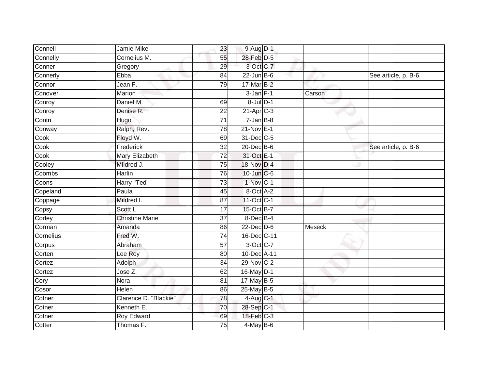| Connell   | Jamie Mike             | 23              | 9-Aug D-1               |        |                      |
|-----------|------------------------|-----------------|-------------------------|--------|----------------------|
| Connelly  | Cornelius M.           | 55              | 28-Feb D-5              |        |                      |
| Conner    | Gregory                | 29              | 3-Oct C-7               |        |                      |
| Connerly  | Ebba                   | 84              | $22$ -Jun B-6           |        | See article, p. B-6. |
| Connor    | Jean F.                | 79              | $17$ -Mar $B-2$         |        |                      |
| Conover   | Marion                 |                 | $3$ -Jan $F-1$          | Carson |                      |
| Conroy    | Daniel M.              | 69              | $8$ -Jul $D-1$          |        |                      |
| Conroy    | Denise R.              | 22              | $21-Apr$ <sub>C-3</sub> |        |                      |
| Contri    | Hugo                   | $\overline{71}$ | $7 - Jan$ $B-8$         |        |                      |
| Conway    | Ralph, Rev.            | 78              | $21-Nov$ E-1            |        |                      |
| Cook      | Floyd W.               | 69              | 31-Dec C-5              |        |                      |
| Cook      | Frederick              | 32              | 20-Dec B-6              |        | See article, p. B-6  |
| Cook      | <b>Mary Elizabeth</b>  | $\overline{72}$ | 31-Oct E-1              |        |                      |
| Cooley    | Mildred J.             | 75              | 18-Nov D-4              |        |                      |
| Coombs    | <b>Harlin</b>          | 76              | 10-Jun C-6              |        |                      |
| Coons     | Harry "Ted"            | 73              | $1-Nov$ C-1             |        |                      |
| Copeland  | Paula                  | 45              | 8-Oct A-2               |        |                      |
| Coppage   | Mildred I.             | 87              | 11-Oct C-1              |        |                      |
| Copsy     | Scott L.               | 17              | 15-Oct B-7              |        |                      |
| Corley    | <b>Christine Marie</b> | $\overline{37}$ | 8-Dec B-4               |        |                      |
| Corman    | Amanda                 | 86              | $22$ -Dec $D-6$         | Meseck |                      |
| Cornelius | Fred W.                | 74              | 16-Dec C-11             |        |                      |
| Corpus    | Abraham                | 57              | 3-Oct C-7               |        |                      |
| Corten    | Lee Roy                | 80              | 10-Dec A-11             |        |                      |
| Cortez    | Adolph                 | 34              | 29-Nov C-2              |        |                      |
| Cortez    | Jose Z.                | 62              | 16-May D-1              |        |                      |
| Cory      | Nora                   | $\overline{81}$ | 17-May B-5              |        |                      |
| Cosor     | Helen                  | 86              | $25$ -May B-5           |        |                      |
| Cotner    | Clarence D. "Blackie"  | 78              | 4-Aug C-1               |        |                      |
| Cotner    | Kenneth E.             | 70              | 28-Sep C-1              |        |                      |
| Cotner    | Roy Edward             | 69              | 18-Feb C-3              |        |                      |
| Cotter    | Thomas F.              | 75              | $4$ -May B-6            |        |                      |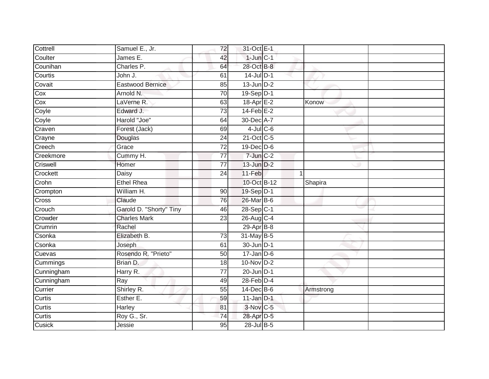| Cottrell   | Samuel E., Jr.          | 72              | 31-Oct E-1       |              |  |
|------------|-------------------------|-----------------|------------------|--------------|--|
| Coulter    | James E.                | 42              | $1$ -Jun $C-1$   |              |  |
| Counihan   | Charles P.              | 64              | 28-Oct B-8       |              |  |
| Courtis    | John J.                 | 61              | $14$ -Jul $D-1$  |              |  |
| Covait     | Eastwood Bernice        | 85              | $13$ -Jun $D-2$  |              |  |
| Cox        | Arnold N.               | 70              | 19-Sep D-1       |              |  |
| Cox        | LaVerne R.              | 63              | $18$ -Apr $E-2$  | Konow        |  |
| Coyle      | Edward J.               | 73              | $14$ -Feb $E-2$  |              |  |
| Coyle      | Harold "Joe"            | 64              | 30-Dec A-7       |              |  |
| Craven     | Forest (Jack)           | 69              | $4$ -Jul $C$ -6  |              |  |
| Crayne     | Douglas                 | 24              | 21-Oct C-5       |              |  |
| Creech     | Grace                   | 72              | 19-Dec D-6       |              |  |
| Creekmore  | Cummy H.                | 77              | $7$ -Jun $C-2$   |              |  |
| Criswell   | Homer                   | 77              | 13-Jun D-2       |              |  |
| Crockett   | Daisy                   | 24              | 11-Feb           | $\mathbf{1}$ |  |
| Crohn      | <b>Ethel Rhea</b>       |                 | 10-Oct B-12      | Shapira      |  |
| Crompton   | William H.              | $\overline{90}$ | 19-Sep D-1       |              |  |
| Cross      | Claude                  | 76              | 26-Mar B-6       |              |  |
| Crouch     | Garold D. "Shorty" Tiny | 46              | 28-Sep C-1       |              |  |
| Crowder    | <b>Charles Mark</b>     | $\overline{23}$ | 26-Aug C-4       |              |  |
| Crumrin    | Rachel                  |                 | $29$ -Apr $B$ -8 |              |  |
| Csonka     | Elizabeth B.            | 73              | 31-May B-5       |              |  |
| Csonka     | Joseph                  | 61              | 30-Jun D-1       |              |  |
| Cuevas     | Rosendo R. "Prieto"     | 50              | $17$ -Jan D-6    |              |  |
| Cummings   | Brian D.                | 18              | 10-Nov D-2       |              |  |
| Cunningham | Harry R.                | 77              | $20$ -Jun $D-1$  |              |  |
| Cunningham | Ray                     | 49              | $28$ -Feb $D-4$  |              |  |
| Currier    | Shirley R.              | 55              | $14$ -Dec $B$ -6 | Armstrong    |  |
| Curtis     | Esther E.               | 59              | $11$ -Jan D-1    |              |  |
| Curtis     | Harley                  | 81              | 3-Nov C-5        |              |  |
| Curtis     | Roy G., Sr.             | $\overline{74}$ | 28-Apr D-5       |              |  |
| Cusick     | Jessie                  | 95              | 28-Jul B-5       |              |  |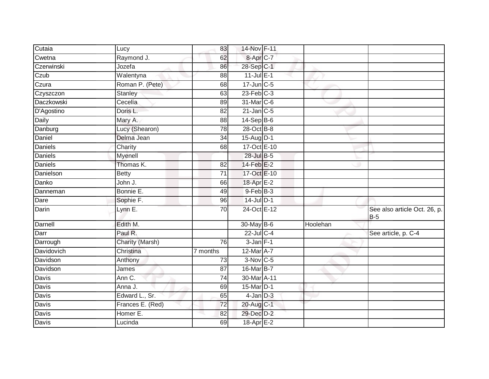| Cutaia         | Lucy             | 83              | 14-Nov F-11           |          |                                            |
|----------------|------------------|-----------------|-----------------------|----------|--------------------------------------------|
| Cwetna         | Raymond J.       | 62              | 8-Apr <sub>C-7</sub>  |          |                                            |
| Czerwinski     | Jozefa           | 86              | 28-Sep C-1            |          |                                            |
| Czub           | Walentyna        | 88              | $11$ -Jul $E-1$       |          |                                            |
| Czura          | Roman P. (Pete)  | 68              | $17$ -Jun $C$ -5      |          |                                            |
| Czyszczon      | Stanley          | 63              | $23$ -Feb $C-3$       |          |                                            |
| Daczkowski     | Cecelia          | 89              | 31-Mar C-6            |          |                                            |
| D'Agostino     | Doris L.         | 82              | $21$ -Jan C-5         |          |                                            |
| Daily          | Mary A.          | 88              | 14-Sep B-6            |          |                                            |
| Danburg        | Lucy (Shearon)   | 78              | 28-Oct B-8            |          |                                            |
| Daniel         | Delma Jean       | 34              | 15-Aug D-1            |          |                                            |
| Daniels        | Charity          | 68              | 17-Oct E-10           |          |                                            |
| <b>Daniels</b> | Myenell          |                 | 28-Jul B-5            |          |                                            |
| <b>Daniels</b> | Thomas K.        | 82              | 14-Feb <sup>E-2</sup> |          |                                            |
| Danielson      | <b>Betty</b>     | $\overline{71}$ | 17-Oct E-10           |          |                                            |
| Danko          | John J.          | 66              | 18-Apr E-2            |          |                                            |
| Danneman       | Bonnie E.        | 49              | $9$ -Feb $B$ -3       |          |                                            |
| Dare           | Sophie F.        | 96              | $14$ -Jul $D-1$       |          |                                            |
| Darin          | Lynn E.          | 70              | 24-Oct E-12           |          | See also article Oct. 26, p.<br><b>B-5</b> |
| Darnell        | Edith M.         |                 | 30-May B-6            | Hoolehan |                                            |
| Darr           | Paul R.          |                 | 22-Jul C-4            |          | See article, p. C-4                        |
| Darrough       | Charity (Marsh)  | 76              | $3$ -Jan $F-1$        |          |                                            |
| Davidovich     | Christina        | 7 months        | 12-Mar A-7            |          |                                            |
| Davidson       | Anthony          | 73              | $3-Nov$ C-5           |          |                                            |
| Davidson       | James            | $\overline{87}$ | 16-Mar B-7            |          |                                            |
| Davis          | Ann C.           | 74              | 30-Mar A-11           |          |                                            |
| <b>Davis</b>   | Anna J.          | 69              | 15-Mar D-1            |          |                                            |
| Davis          | Edward L., Sr.   | 65              | $4$ -Jan $D-3$        |          |                                            |
| Davis          | Frances E. (Red) | 72              | 20-Aug C-1            |          |                                            |
| Davis          | Homer E.         | 82              | 29-Dec D-2            |          |                                            |
| Davis          | Lucinda          | 69              | 18-Apr E-2            |          |                                            |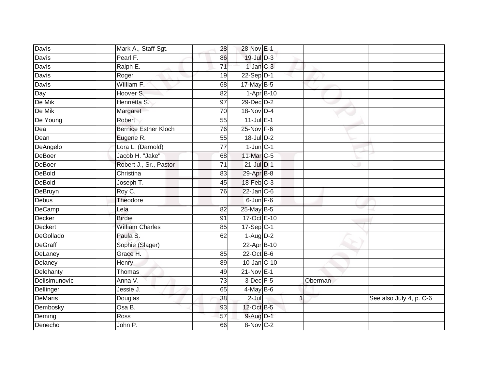| <b>Davis</b>     | Mark A., Staff Sgt.         | 28              | 28-Nov E-1              |   |         |                         |
|------------------|-----------------------------|-----------------|-------------------------|---|---------|-------------------------|
| Davis            | Pearl F.                    | 86              | $19$ -Jul $D-3$         |   |         |                         |
| Davis            | Ralph E.                    | $\overline{71}$ | $1$ -Jan $C-3$          |   |         |                         |
| Davis            | Roger                       | 19              | $22-Sep D-1$            |   |         |                         |
| Davis            | William F.                  | 68              | $17$ -May B-5           |   |         |                         |
| Day              | Hoover S.                   | 82              | $1-AprB-10$             |   |         |                         |
| De Mik           | Henrietta S.                | 97              | 29-Dec D-2              |   |         |                         |
| De Mik           | Margaret                    | 70              | 18-Nov D-4              |   |         |                         |
| De Young         | Robert                      | 55              | $11$ -Jul $E-1$         |   |         |                         |
| Dea              | <b>Bernice Esther Kloch</b> | 76              | 25-Nov F-6              |   |         |                         |
| Dean             | Eugene R.                   | 55              | $18$ -Jul $D-2$         |   |         |                         |
| DeAngelo         | Lora L. (Darnold)           | 77              | $1$ -Jun $C-1$          |   |         |                         |
| DeBoer           | Jacob H. "Jake"             | 68              | 11-Mar C-5              |   |         |                         |
| <b>DeBoer</b>    | Robert J., Sr., Pastor      | 71              | $21$ -Jul $D-1$         |   |         |                         |
| <b>DeBold</b>    | Christina                   | 83              | 29-Apr B-8              |   |         |                         |
| DeBold           | Joseph T.                   | 45              | 18-Feb C-3              |   |         |                         |
| DeBruyn          | Roy C.                      | $\overline{76}$ | $22$ -Jan $C-6$         |   |         |                         |
| Debus            | Theodore                    |                 | $6$ -Jun $F-6$          |   |         |                         |
| <b>DeCamp</b>    | Lela                        | 82              | 25-May B-5              |   |         |                         |
| Decker           | <b>Birdie</b>               | $\overline{91}$ | 17-Oct E-10             |   |         |                         |
| Deckert          | <b>William Charles</b>      | 85              | $17 - Sep$ C-1          |   |         |                         |
| <b>DeGollado</b> | Paula S.                    | 62              | $1-Aug$ $D-2$           |   |         |                         |
| <b>DeGraff</b>   | Sophie (Slager)             |                 | 22-Apr B-10             |   |         |                         |
| DeLaney          | Grace H.                    | 85              | 22-Oct B-6              |   |         |                         |
| Delaney          | Henry                       | 89              | 10-Jan C-10             |   |         |                         |
| Delehanty        | Thomas                      | 49              | $21-Nov$ E-1            |   |         |                         |
| Delisimunovic    | Anna V.                     | $\overline{73}$ | 3-Dec F-5               |   | Oberman |                         |
| Dellinger        | Jessie J.                   | 65              | $\overline{4}$ -May B-6 |   |         |                         |
| <b>DeMaris</b>   | Douglas                     | 38              | $2 -$ Jul               | 1 |         | See also July 4, p. C-6 |
| Dembosky         | Osa B.                      | 93              | 12-Oct B-5              |   |         |                         |
| Deming           | Ross                        | 57              | 9-Aug D-1               |   |         |                         |
| Denecho          | John P.                     | 66              | 8-Nov C-2               |   |         |                         |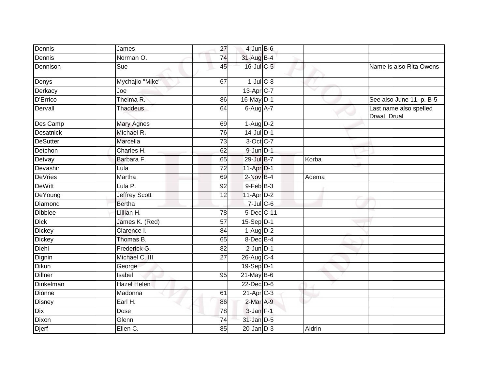| Dennis          | James                | $\overline{27}$ | $4$ -Jun $B$ -6         |              |                                        |
|-----------------|----------------------|-----------------|-------------------------|--------------|----------------------------------------|
| Dennis          | Norman O.            | 74              | 31-Aug B-4              |              |                                        |
| Dennison        | Sue                  | 45              | $16$ -Jul $C$ -5        |              | Name is also Rita Owens                |
| Denys           | Mychajlo "Mike"      | 67              | $1$ -Jul $C$ -8         |              |                                        |
| Derkacy         | Joe                  |                 | 13-Apr <sub>C-7</sub>   | $\checkmark$ |                                        |
| <b>D'Errico</b> | Thelma R.            | 86              | 16-May D-1              |              | See also June 11, p. B-5               |
| Dervall         | <b>Thaddeus</b>      | 64              | $6$ -Aug $A$ -7         |              | Last name also spelled<br>Drwal, Drual |
| Des Camp        | <b>Mary Agnes</b>    | 69              | $1-Aug$ $D-2$           |              |                                        |
| Desatnick       | Michael R.           | 76              | $14$ -Jul $D-1$         |              |                                        |
| <b>DeSutter</b> | Marcella             | 73              | 3-Oct C-7               |              |                                        |
| Detchon         | Charles H.           | 62              | $9$ -Jun $D-1$          |              |                                        |
| Detvay          | Barbara F.           | 65              | 29-Jul B-7              | Korba        |                                        |
| Devashir        | Lula                 | 72              | $11-Apr1$               |              |                                        |
| <b>DeVries</b>  | Martha               | 69              | $2$ -Nov B-4            | Adema        |                                        |
| <b>DeWitt</b>   | Lula P.              | 92              | $9$ -Feb $B$ -3         |              |                                        |
| DeYoung         | <b>Jeffrey Scott</b> | 12              | $11-Apr$ D-2            |              |                                        |
| Diamond         | <b>Bertha</b>        |                 | $7$ -Jul $C$ -6         |              |                                        |
| <b>Dibblee</b>  | Lillian H.           | 78              | 5-Dec C-11              |              |                                        |
| <b>Dick</b>     | James K. (Red)       | 57              | 15-Sep D-1              |              |                                        |
| <b>Dickey</b>   | Clarence I.          | 84              | $1-Aug$ $D-2$           |              |                                        |
| <b>Dickey</b>   | Thomas B.            | 65              | 8-Dec B-4               |              |                                        |
| Diehl           | Frederick G.         | 82              | $2$ -Jun $D-1$          |              |                                        |
| Dignin          | Michael C. III       | 27              | 26-Aug C-4              |              |                                        |
| <b>Dikun</b>    | George               |                 | 19-Sep D-1              |              |                                        |
| <b>Dillner</b>  | Isabel               | 95              | $21$ -May B-6           |              |                                        |
| Dinkelman       | <b>Hazel Helen</b>   |                 | 22-Dec D-6              |              |                                        |
| <b>Dionne</b>   | Madonna              | 61              | $21-Apr$ <sub>C-3</sub> |              |                                        |
| <b>Disney</b>   | Earl H.              | 86              | $2$ -Mar $A-9$          |              |                                        |
| Dix             | Dose                 | 78              | $3$ -Jan $F-1$          |              |                                        |
| Dixon           | Glenn                | $\overline{74}$ | 31-Jan D-5              |              |                                        |
| Djerf           | Ellen C.             | 85              | $20$ -Jan $D-3$         | Aldrin       |                                        |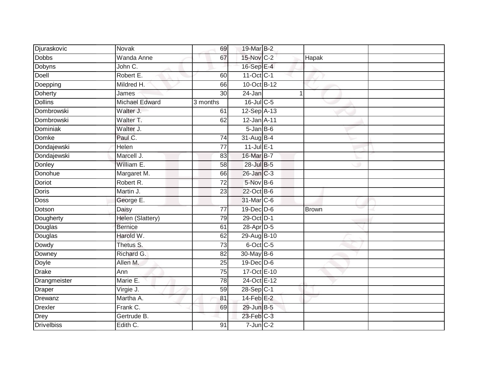| Djuraskovic       | Novak                 | 69              | 19-Mar B-2              |              |  |
|-------------------|-----------------------|-----------------|-------------------------|--------------|--|
| <b>Dobbs</b>      | <b>Wanda Anne</b>     | 67              | 15-Nov C-2              | Hapak        |  |
| <b>Dobyns</b>     | John C.               |                 | 16-Sep E-4              |              |  |
| Doell             | Robert E.             | 60              | $11-Oct$ <sub>C-1</sub> |              |  |
| Doepping          | Mildred H.            | 66              | 10-Oct B-12             |              |  |
| Doherty           | James                 | 30              | 24-Jan                  | 1            |  |
| <b>Dollins</b>    | <b>Michael Edward</b> | 3 months        | 16-Jul C-5              |              |  |
| Dombrowski        | Walter J.             | 61              | 12-Sep A-13             |              |  |
| Dombrowski        | Walter T.             | 62              | 12-Jan A-11             |              |  |
| <b>Dominiak</b>   | Walter J.             |                 | $5 - Jan$ $B - 6$       |              |  |
| Domke             | Paul C.               | 74              | 31-Aug B-4              |              |  |
| Dondajewski       | Helen                 | $\overline{77}$ | $11$ -Jul $E-1$         |              |  |
| Dondajewski       | Marcell J.            | 83              | 16-Mar B-7              |              |  |
| Donley            | William E.            | 58              | 28-Jul B-5              |              |  |
| Donohue           | Margaret M.           | 66              | 26-Jan C-3              |              |  |
| Doriot            | Robert R.             | 72              | 5-Nov B-6               |              |  |
| Doris             | Martin J.             | $\overline{23}$ | 22-Oct B-6              |              |  |
| Doss              | George E.             |                 | 31-Mar C-6              |              |  |
| Dotson            | Daisy                 | $\overline{77}$ | 19-Dec D-6              | <b>Brown</b> |  |
| Dougherty         | Helen (Slattery)      | 79              | 29-Oct D-1              |              |  |
| Douglas           | <b>Bernice</b>        | 61              | 28-Apr D-5              |              |  |
| Douglas           | Harold W.             | 62              | 29-Aug B-10             |              |  |
| Dowdy             | Thetus S.             | $\overline{73}$ | $6$ -Oct $C$ -5         |              |  |
| Downey            | Richard G.            | 82              | 30-May B-6              |              |  |
| Doyle             | Allen M.              | 25              | 19-Dec D-6              |              |  |
| <b>Drake</b>      | Ann                   | 75              | 17-Oct E-10             |              |  |
| Drangmeister      | Marie E.              | 78              | 24-Oct E-12             |              |  |
| <b>Draper</b>     | Virgie J.             | 59              | 28-Sep C-1              |              |  |
| Drewanz           | Martha A.             | 81              | $14$ -Feb $E-2$         |              |  |
| Drexler           | Frank C.              | 69              | 29-Jun B-5              |              |  |
| <b>Drey</b>       | Gertrude B.           |                 | 23-Feb C-3              |              |  |
| <b>Drivelbiss</b> | Edith C.              | 91              | $7$ -Jun $C-2$          |              |  |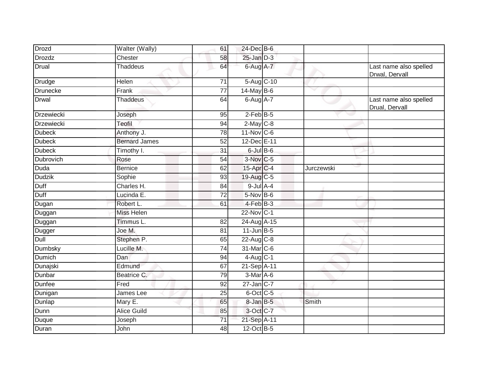| <b>Drozd</b>      | Walter (Wally)       | 61              | 24-Dec B-6        |            |                                          |
|-------------------|----------------------|-----------------|-------------------|------------|------------------------------------------|
| <b>Drozdz</b>     | Chester              | 58              | $25$ -Jan $D-3$   |            |                                          |
| <b>Drual</b>      | <b>Thaddeus</b>      | 64              | 6-Aug A-7         |            | Last name also spelled<br>Drwal, Dervall |
| Drudge            | Helen                | 71              | 5-Aug C-10        |            |                                          |
| <b>Drunecke</b>   | Frank                | 77              | 14-May B-6        | v          |                                          |
| <b>Drwal</b>      | <b>Thaddeus</b>      | 64              | $6$ -Aug $A$ -7   |            | Last name also spelled<br>Drual, Dervall |
| <b>Drzewiecki</b> | Joseph               | 95              | $2$ -Feb B-5      |            |                                          |
| <b>Drzewiecki</b> | Teofil               | 94              | $2$ -May C-8      |            |                                          |
| <b>Dubeck</b>     | Anthony J.           | 78              | $11$ -Nov $C-6$   |            |                                          |
| <b>Dubeck</b>     | <b>Bernard James</b> | 52              | 12-Dec E-11       |            |                                          |
| <b>Dubeck</b>     | Timothy I.           | 31              | $6$ -Jul $B$ -6   |            |                                          |
| Dubrovich         | Rose                 | 54              | 3-Nov C-5         |            |                                          |
| <b>Duda</b>       | <b>Bernice</b>       | 62              | 15-Apr C-4        | Jurczewski |                                          |
| <b>Dudzik</b>     | Sophie               | 93              | $19$ -Aug C-5     |            |                                          |
| Duff              | Charles H.           | 84              | $9$ -Jul A-4      |            |                                          |
| Duff              | Lucinda E.           | $\overline{72}$ | $5-Nov$ B-6       |            |                                          |
| Dugan             | Robert L.            | 61              | 4-Feb B-3         |            |                                          |
| Duggan            | <b>Miss Helen</b>    |                 | 22-Nov C-1        |            |                                          |
| Duggan            | Timmus L.            | 82              | 24-Aug A-15       |            |                                          |
| Dugger            | Joe M.               | 81              | $11$ -Jun $B - 5$ |            |                                          |
| Dull              | Stephen P.           | 65              | $22$ -Aug C-8     |            |                                          |
| Dumbsky           | Lucille M.           | $\overline{74}$ | 31-Mar C-6        |            |                                          |
| <b>Dumich</b>     | <b>Dan</b>           | 94              | $4$ -Aug C-1      |            |                                          |
| Dunajski          | Edmund               | 67              | 21-Sep A-11       |            |                                          |
| Dunbar            | Beatrice C.          | 79              | 3-Mar A-6         |            |                                          |
| <b>Dunfee</b>     | Fred                 | 92              | $27$ -Jan C-7     |            |                                          |
| Dunigan           | James Lee            | 25              | 6-Oct C-5         |            |                                          |
| Dunlap            | Mary E.              | 65              | 8-Jan B-5         | Smith      |                                          |
| Dunn              | <b>Alice Guild</b>   | 85              | 3-Oct C-7         |            |                                          |
| Duque             | Joseph               | $\overline{71}$ | 21-Sep A-11       |            |                                          |
| Duran             | John                 | 48              | 12-Oct B-5        |            |                                          |
|                   |                      |                 |                   |            |                                          |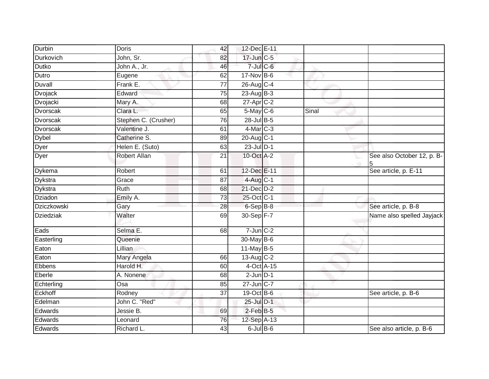| Durbin           | <b>Doris</b>         | 42              | 12-Dec E-11      |       |                                 |
|------------------|----------------------|-----------------|------------------|-------|---------------------------------|
| Durkovich        | John, Sr.            | 82              | 17-Jun C-5       |       |                                 |
| <b>Dutko</b>     | John A., Jr.         | 46              | $7$ -Jul $C$ -6  |       |                                 |
| Dutro            | Eugene               | 62              | $17$ -Nov B-6    |       |                                 |
| Duvall           | Frank E.             | $\overline{77}$ | 26-Aug C-4       |       |                                 |
| Dvojack          | Edward               | $\overline{75}$ | $23$ -Aug B-3    |       |                                 |
| Dvojacki         | Mary A.              | 68              | $27$ -Apr $C-2$  |       |                                 |
| Dvorscak         | Clara L.             | 65              | $5$ -May $C$ -6  | Sinal |                                 |
| <b>Dvorscak</b>  | Stephen C. (Crusher) | 76              | 28-Jul B-5       |       |                                 |
| <b>Dvorscak</b>  | Valentine J.         | 61              | 4-Mar C-3        |       |                                 |
| <b>Dybel</b>     | Catherine S.         | 89              | 20-Aug C-1       |       |                                 |
| Dyer             | Helen E. (Suto)      | 63              | $23$ -Jul $D-1$  |       |                                 |
| Dyer             | Robert Allan         | $\overline{21}$ | 10-Oct A-2       |       | See also October 12, p. B-<br>5 |
| Dykema           | Robert               | 61              | 12-Dec E-11      |       | See article, p. E-11            |
| Dykstra          | Grace                | 87              | 4-Aug C-1        |       |                                 |
| Dykstra          | Ruth                 | 68              | $21$ -Dec $D-2$  |       |                                 |
| Dziadon          | Emily A.             | 73              | 25-Oct C-1       |       |                                 |
| Dziczkowski      | Gary                 | 28              | 6-Sep B-8        |       | See article, p. B-8             |
| <b>Dziedziak</b> | Walter               | 69              | 30-Sep F-7       |       | Name also spelled Jayjack       |
| Eads             | Selma E.             | 68              | $7$ -Jun $C-2$   |       |                                 |
| Easterling       | Queenie              |                 | 30-May B-6       |       |                                 |
| Eaton            | Lillian              |                 | $11$ -May B-5    |       |                                 |
| Eaton            | Mary Angela          | 66              | $13-Aug$ $C-2$   |       |                                 |
| Ebbens           | Harold H.            | 60              | $4$ -Oct $A$ -15 |       |                                 |
| Eberle           | A. Nonene            | 68              | $2$ -Jun $D-1$   |       |                                 |
| Echterling       | Osa                  | 85              | 27-Jun C-7       |       |                                 |
| Eckhoff          | Rodney               | 37              | $19-Oct$ B-6     |       | See article, p. B-6             |
| Edelman          | John C. "Red"        |                 | 25-Jul D-1       |       |                                 |
| Edwards          | Jessie B.            | 69              | $2$ -Feb $B$ -5  |       |                                 |
| Edwards          | Leonard              | 76              | 12-Sep A-13      |       |                                 |
| Edwards          | Richard L.           | 43              | $6$ -Jul $B$ -6  |       | See also article, p. B-6        |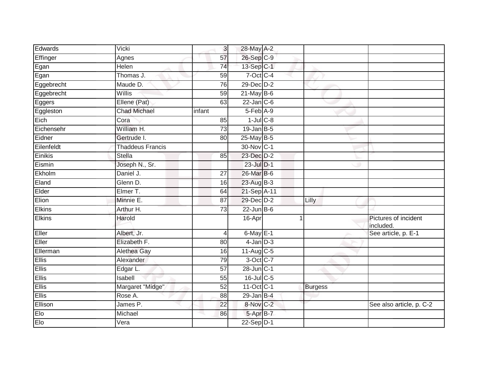| Edwards       | Vicki                   | 3               | 28-May A-2              |   |                |                                   |
|---------------|-------------------------|-----------------|-------------------------|---|----------------|-----------------------------------|
| Effinger      | Agnes                   | 57              | 26-Sep C-9              |   |                |                                   |
| Egan          | <b>Helen</b>            | 74              | 13-Sep C-1              |   |                |                                   |
| Egan          | Thomas J.               | 59              | 7-Oct C-4               |   |                |                                   |
| Eggebrecht    | Maude D.                | 76              | $29$ -Dec $D-2$         |   |                |                                   |
| Eggebrecht    | Willis                  | 59              | $21$ -May B-6           |   |                |                                   |
| Eggers        | Ellene (Pat)            | 63              | $22$ -Jan $C-6$         |   |                |                                   |
| Eggleston     | <b>Chad Michael</b>     | infant          | 5-Feb A-9               |   |                |                                   |
| Eich          | Cora                    | 85              | $1$ -Jul $C$ -8         |   |                |                                   |
| Eichensehr    | William H.              | $\overline{73}$ | $19$ -Jan B-5           |   |                |                                   |
| Eidner        | Gertrude I.             | 80              | 25-May B-5              |   |                |                                   |
| Eilenfeldt    | <b>Thaddeus Francis</b> |                 | 30-Nov C-1              |   |                |                                   |
| Einikis       | <b>Stella</b>           | 85              | 23-Dec D-2              |   |                |                                   |
| Eismin        | Joseph N., Sr.          |                 | 23-Jul D-1              |   |                |                                   |
| Ekholm        | Daniel J.               | 27              | 26-Mar B-6              |   |                |                                   |
| Eland         | Glenn D.                | 16              | 23-Aug B-3              |   |                |                                   |
| Elder         | Elmer T.                | 64              | 21-Sep A-11             |   |                |                                   |
| Elion         | Minnie E.               | 87              | 29-Dec D-2              |   | Lilly          |                                   |
| <b>Elkins</b> | Arthur H.               | 73              | $22$ -Jun B-6           |   |                |                                   |
| Elkins        | Harold                  |                 | 16-Apr                  | 1 |                | Pictures of incident<br>included. |
| Eller         | Albert, Jr.             | 4               | $6$ -May $E-1$          |   |                | See article, p. E-1               |
| Eller         | Elizabeth F.            | 80              | $4$ -Jan $D-3$          |   |                |                                   |
| Ellerman      | Alethea Gay             | 16              | $11-Aug$ <sub>C-5</sub> |   |                |                                   |
| Ellis         | Alexander               | 79              | 3-Oct C-7               |   |                |                                   |
| <b>Ellis</b>  | Edgar L.                | $\overline{57}$ | $28$ -Jun $C-1$         |   |                |                                   |
| <b>Ellis</b>  | Isabell                 | 55              | 16-Jul C-5              |   |                |                                   |
| Ellis         | Margaret "Midge"        | 52              | 11-Oct C-1              |   | <b>Burgess</b> |                                   |
| <b>Ellis</b>  | Rose A.                 | 88              | $29$ -Jan B-4           |   |                |                                   |
| Ellison       | James P.                | $\overline{22}$ | 8-Nov C-2               |   |                | See also article, p. C-2          |
| Elo           | Michael                 | 86              | 5-Apr B-7               |   |                |                                   |
| Elo           | Vera                    |                 | 22-Sep D-1              |   |                |                                   |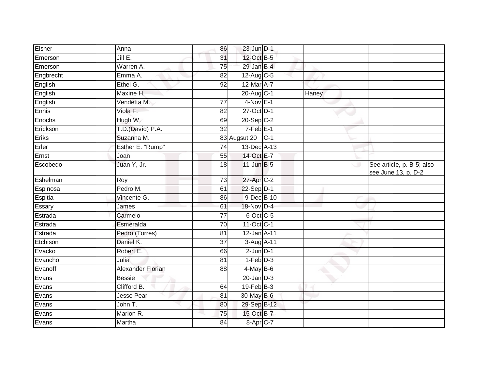| Elsner    | Anna                     | 86              | 23-Jun D-1        |       |       |                                                  |
|-----------|--------------------------|-----------------|-------------------|-------|-------|--------------------------------------------------|
| Emerson   | JillE.                   | 31              | 12-Oct B-5        |       |       |                                                  |
| Emerson   | Warren A.                | 75              | 29-Jan B-4        |       |       |                                                  |
| Engbrecht | Emma A.                  | 82              | 12-Aug C-5        |       |       |                                                  |
| English   | Ethel G.                 | $\overline{92}$ | 12-Mar A-7        |       |       |                                                  |
| English   | Maxine H.                |                 | 20-Aug C-1        |       | Haney |                                                  |
| English   | Vendetta M.              | 77              | $4-Nov$ E-1       |       |       |                                                  |
| Ennis     | Viola F.                 | 82              | 27-Oct D-1        |       |       |                                                  |
| Enochs    | Hugh W.                  | 69              | $20-Sep$ C-2      |       |       |                                                  |
| Erickson  | T.D.(David) P.A.         | $\overline{32}$ | $7-Feb$ E-1       |       |       |                                                  |
| Eriks     | Suzanna M.               |                 | 83 Augsut 20      | $C-1$ |       |                                                  |
| Erler     | Esther E. "Rump"         | 74              | 13-Dec A-13       |       |       |                                                  |
| Ernst     | Joan                     | 55              | 14-Oct E-7        |       |       |                                                  |
| Escobedo  | Juan Y, Jr.              | 18              | $11$ -Jun $B-5$   |       | ◡     | See article, p. B-5; also<br>see June 13, p. D-2 |
| Eshelman  | Roy                      | $\overline{73}$ | 27-Apr C-2        |       |       |                                                  |
| Espinosa  | Pedro M.                 | 61              | $22-Sep D-1$      |       |       |                                                  |
| Espitia   | Vincente G.              | 86              | $9$ -Dec B-10     |       |       |                                                  |
| Essary    | James                    | 61              | 18-Nov D-4        |       |       |                                                  |
| Estrada   | Carmelo                  | 77              | 6-Oct C-5         |       |       |                                                  |
| Estrada   | Esmeralda                | $\overline{70}$ | 11-Oct C-1        |       |       |                                                  |
| Estrada   | Pedro (Torres)           | 81              | 12-Jan A-11       |       |       |                                                  |
| Etchison  | Daniel K.                | 37              | 3-Aug A-11        |       |       |                                                  |
| Evacko    | Robert E.                | 66              | $2$ -Jun $D-1$    |       |       |                                                  |
| Evancho   | Julia                    | 81              | $1-Feb$ $D-3$     |       |       |                                                  |
| Evanoff   | <b>Alexander Florian</b> | 88              | $4$ -May $B$ -6   |       |       |                                                  |
| Evans     | <b>Bessie</b>            |                 | $20$ -Jan $D-3$   |       |       |                                                  |
| Evans     | Clifford B.              | 64              | $19$ -Feb $ B-3 $ |       |       |                                                  |
| Evans     | <b>Jesse Pearl</b>       | 81              | 30-May B-6        |       |       |                                                  |
| Evans     | John T.                  | 80              | 29-Sep B-12       |       |       |                                                  |
| Evans     | Marion R.                | 75              | 15-Oct B-7        |       |       |                                                  |
| Evans     | Martha                   | 84              | 8-Apr C-7         |       |       |                                                  |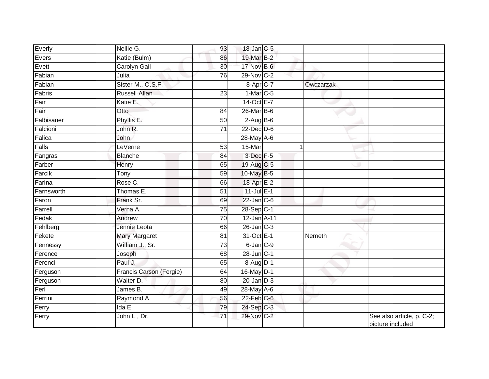| Everly     | Nellie G.               | 93              | 18-Jan C-5       |           |                                               |
|------------|-------------------------|-----------------|------------------|-----------|-----------------------------------------------|
| Evers      | Katie (Bulm)            | 86              | 19-Mar B-2       |           |                                               |
| Evett      | <b>Carolyn Gail</b>     | 30              | 17-Nov B-6       |           |                                               |
| Fabian     | Julia                   | 76              | 29-Nov C-2       |           |                                               |
| Fabian     | Sister M., O.S.F.       |                 | 8-Apr C-7        | Owczarzak |                                               |
| Fabris     | <b>Russell Allan</b>    | 23              | $1-Mar$ C-5      |           |                                               |
| Fair       | Katie E.                |                 | 14-Oct E-7       |           |                                               |
| Fair       | Otto                    | 84              | 26-Mar B-6       |           |                                               |
| Falbisaner | Phyllis E.              | 50              | $2-Aug$ B-6      |           |                                               |
| Falcioni   | John R.                 | $\overline{71}$ | $22$ -Dec $D-6$  |           |                                               |
| Falica     | John                    |                 | 28-May A-6       |           |                                               |
| Falls      | LeVerne                 | 53              | 15-Mar           | 1         |                                               |
| Fangras    | <b>Blanche</b>          | 84              | 3-Dec F-5        |           |                                               |
| Farber     | Henry                   | 65              | 19-Aug C-5       |           |                                               |
| Farcik     | $\overline{T}$ ony      | 59              | 10-May B-5       |           |                                               |
| Farina     | Rose C.                 | 66              | 18-Apr E-2       |           |                                               |
| Farnsworth | Thomas E.               | $\overline{51}$ | $11$ -Jul $E-1$  |           |                                               |
| Faron      | Frank Sr.               | 69              | $22$ -Jan $ C-6$ |           |                                               |
| Farrell    | Verna A.                | 75              | 28-Sep C-1       |           |                                               |
| Fedak      | Andrew                  | 70              | 12-Jan A-11      |           |                                               |
| Fehlberg   | Jennie Leota            | 66              | $26$ -Jan $C-3$  |           |                                               |
| Fekete     | <b>Mary Margaret</b>    | 81              | 31-Oct E-1       | Nemeth    |                                               |
| Fennessy   | William J., Sr.         | 73              | $6$ -Jan $C-9$   |           |                                               |
| Ference    | Joseph                  | 68              | 28-Jun C-1       |           |                                               |
| Ferenci    | Paul J.                 | 65              | 8-Aug D-1        |           |                                               |
| Ferguson   | Francis Carson (Fergie) | 64              | 16-May D-1       |           |                                               |
| Ferguson   | Walter D.               | 80              | $20$ -Jan $D-3$  |           |                                               |
| Ferl       | James B.                | 49              | 28-May A-6       |           |                                               |
| Ferrini    | Raymond A.              | 56              | $22$ -Feb $C$ -6 |           |                                               |
| Ferry      | Ida $E$ .               | 79              | 24-Sep C-3       |           |                                               |
| Ferry      | John L., Dr.            | $\overline{71}$ | 29-Nov C-2       |           | See also article, p. C-2;<br>picture included |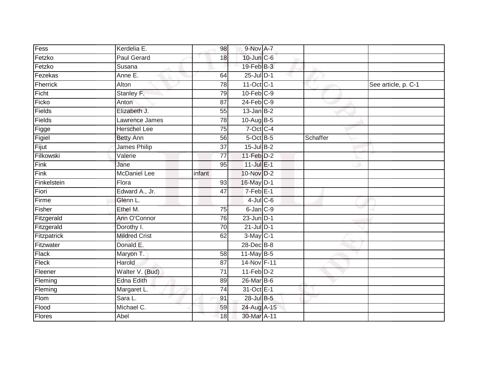| Fess          | Kerdelia E.          | 98              | 9-Nov A-7       |          |                     |
|---------------|----------------------|-----------------|-----------------|----------|---------------------|
| Fetzko        | <b>Paul Gerard</b>   | 18              | 10-Jun C-6      |          |                     |
| Fetzko        | Susana               |                 | 19-Feb B-3      |          |                     |
| Fezekas       | Anne E.              | 64              | $25$ -Jul $D-1$ |          |                     |
| Fherrick      | Alton                | 78              | 11-Oct C-1      |          | See article, p. C-1 |
| Ficht         | Stanley F.           | 79              | $10$ -Feb $C-9$ |          |                     |
| Ficko         | Anton                | 87              | $24$ -Feb $C-9$ |          |                     |
| Fields        | Elizabeth J.         | 55              | $13$ -Jan B-2   |          |                     |
| Fields        | Lawrence James       | 78              | 10-Aug B-5      |          |                     |
| Figge         | <b>Herschel Lee</b>  | 75              | $7$ -Oct C-4    |          |                     |
| Figiel        | <b>Betty Ann</b>     | 56              | 5-Oct B-5       | Schaffer |                     |
| Fijut         | James Philip         | 37              | 15-Jul B-2      |          |                     |
| Filkowski     | Valerie              | $\overline{77}$ | $11-Feb$ D-2    |          |                     |
| Fink          | Jane                 | 95              | $11$ -Jul $E-1$ |          |                     |
| Fink          | <b>McDaniel Lee</b>  | infant          | 10-Nov D-2      |          |                     |
| Finkelstein   | Flora                | 93              | 16-May D-1      |          |                     |
| Fiori         | Edward A., Jr.       | 47              | $7-Feb$ E-1     |          |                     |
| Firme         | Glenn L.             |                 | $4$ -Jul $C$ -6 |          |                     |
| Fisher        | Ethel M.             | 75              | 6-Jan C-9       |          |                     |
| Fitzgerald    | Ann O'Connor         | 76              | $23$ -Jun $D-1$ |          |                     |
| Fitzgerald    | Dorothy I.           | 70              | $21$ -Jul $D-1$ |          |                     |
| Fitzpatrick   | <b>Mildred Crist</b> | 62              | $3-May$ C-1     |          |                     |
| Fitzwater     | Donald E.            |                 | 28-Dec B-8      |          |                     |
| Flack         | Maryon T.            | $\overline{58}$ | $11$ -May B-5   |          |                     |
| Fleck         | Harold               | 87              | 14-Nov F-11     |          |                     |
| Fleener       | Walter V. (Bud)      | 71              | $11-Feb$ D-2    |          |                     |
| Fleming       | <b>Edna Edith</b>    | 89              | 26-Mar B-6      |          |                     |
| Fleming       | Margaret L.          | 74              | 31-Oct E-1      |          |                     |
| Flom          | Sara L.              | 91              | 28-Jul B-5      |          |                     |
| Flood         | Michael C.           | 59              | 24-Aug A-15     |          |                     |
| <b>Flores</b> | Abel                 | 18              | 30-Mar A-11     |          |                     |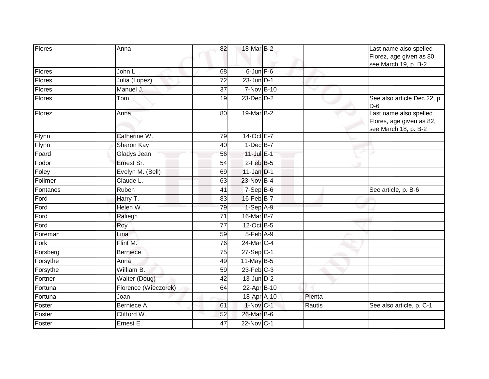| <b>Flores</b> | Anna                 | 82              | 18-Mar B-2             |        | Last name also spelled<br>Florez, age given as 80,<br>see March 19, p. B-2 |
|---------------|----------------------|-----------------|------------------------|--------|----------------------------------------------------------------------------|
| Flores        | John L.              | 68              | 6-Jun F-6              |        |                                                                            |
| Flores        | Julia (Lopez)        | 72              | $23$ -Jun $ D-1 $      |        |                                                                            |
| <b>Flores</b> | Manuel J.            | $\overline{37}$ | 7-Nov B-10             |        |                                                                            |
| <b>Flores</b> | Tom                  | 19              | 23-Dec D-2             |        | See also article Dec.22, p.<br>$D-6$                                       |
| Florez        | Anna                 | 80              | 19-Mar B-2             |        | Last name also spelled<br>Flores, age given as 82,<br>see March 18, p. B-2 |
| Flynn         | Catherine W.         | 79              | 14-Oct E-7             |        |                                                                            |
| Flynn         | Sharon Kay           | 40              | $1$ -Dec $B$ -7        |        |                                                                            |
| Foard         | Gladys Jean          | 56              | 11-Jul E-1             |        |                                                                            |
| Fodor         | Ernest Sr.           | 54              | $2$ -Feb $B-5$         |        |                                                                            |
| Foley         | Evelyn M. (Bell)     | 69              | $11$ -Jan D-1          |        |                                                                            |
| Follmer       | Claude L.            | 63              | 23-Nov B-4             |        |                                                                            |
| Fontanes      | Ruben                | 41              | $7-Sep$ B-6            |        | See article, p. B-6                                                        |
| Ford          | Harry T.             | 83              | 16-Feb B-7             |        |                                                                            |
| Ford          | Helen W.             | 79              | $1-Sep$ A-9            |        |                                                                            |
| Ford          | Raliegh              | 71              | 16-Mar B-7             |        |                                                                            |
| Ford          | Roy                  | 77              | $12$ -Oct B-5          |        |                                                                            |
| Foreman       | Lina                 | 59              | 5-Feb A-9              |        |                                                                            |
| Fork          | Flint M.             | 76              | $24$ -Mar $C-4$        |        |                                                                            |
| Forsberg      | <b>Berniece</b>      | 75              | $27-Sep C-1$           |        |                                                                            |
| Forsythe      | Anna                 | 49              | 11-May B-5             |        |                                                                            |
| Forsythe      | William B.           | 59              | $23$ -Feb $C-3$        |        |                                                                            |
| Fortner       | Walter (Doug)        | 42              | $13$ -Jun $D-2$        |        |                                                                            |
| Fortuna       | Florence (Wieczorek) | 64              | 22-Apr B-10            |        |                                                                            |
| Fortuna       | Joan                 |                 | 18-Apr A-10            | Pienta |                                                                            |
| Foster        | Berniece A.          | 61              | $1-Nov$ <sub>C-1</sub> | Rautis | See also article, p. C-1                                                   |
| Foster        | Clifford W.          | 52              | 26-Mar B-6             |        |                                                                            |
| Foster        | Ernest E.            | 47              | $22$ -Nov C-1          |        |                                                                            |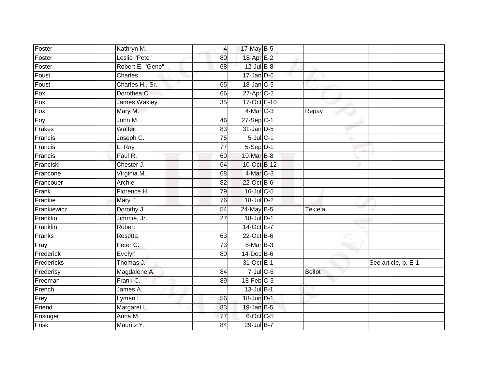| Foster      | Kathryn M.          | $\overline{4}$  | 17-May B-5       |               |                     |
|-------------|---------------------|-----------------|------------------|---------------|---------------------|
| Foster      | Leslie "Pete"       | 80              | 18-Apr E-2       |               |                     |
| Foster      | Robert E. "Gene"    | 68              | 12-Jul B-8       |               |                     |
| Foust       | Charles             |                 | $17 - Jan$ $D-6$ |               |                     |
| Foust       | Charles H., Sr.     | 65              | $18$ -Jan $C-5$  |               |                     |
| Fox         | Dorothea C.         | 66              | 27-Apr C-2       |               |                     |
| Fox         | <b>James Wakley</b> | 35              | 17-Oct E-10      |               |                     |
| Fox         | Mary M.             |                 | 4-Mar C-3        | Repay         |                     |
| Foy         | John M.             | 46              | $27-Sep C-1$     |               |                     |
| Frakes      | Walter              | 83              | 31-Jan D-5       |               |                     |
| Francis     | Joseph C.           | 75              | $5$ -Jul $C-1$   |               |                     |
| Francis     | L. Ray              | $\overline{77}$ | $5-Sep$ $D-1$    |               |                     |
| Francis     | Paul R.             | 60              | 10-Mar B-8       |               |                     |
| Franciski   | Chester J.          | 64              | 10-Oct B-12      |               |                     |
| Francone    | Virginia M.         | 68              | 4-Mar C-3        |               |                     |
| Francouer   | Archie              | 82              | 22-Oct B-6       |               |                     |
| Frank       | Florence H.         | 79              | $16$ -Jul C-5    |               |                     |
| Frankie     | Mary E.             | 76              | $18$ -Jul $D-2$  |               |                     |
| Frankiewicz | Dorothy J.          | 54              | 24-May B-5       | Tekiela       |                     |
| Franklin    | Jimmie, Jr.         | $\overline{27}$ | 18-Jul D-1       |               |                     |
| Franklin    | Robert              |                 | 14-Oct E-7       |               |                     |
| Franks      | Rosetta             | 63              | 22-Oct B-6       |               |                     |
| Fray        | Peter C.            | 73              | 8-Mar B-3        |               |                     |
| Frederick   | Evelyn              | 80              | $14$ -Dec $B$ -6 |               |                     |
| Fredericks  | Thomas J.           |                 | 31-Oct E-1       |               | See article, p. E-1 |
| Frederisy   | Magdalene A.        | 84              | $7$ -Jul C-6     | <b>Bellot</b> |                     |
| Freeman     | Frank C.            | 89              | $18$ -Feb $C-3$  |               |                     |
| French      | James A.            |                 | $13$ -Jul B-1    |               |                     |
| Frey        | Lyman L.            | 56              | 18-Jun D-1       |               |                     |
| Friend      | Margaret L.         | 83              | $19$ -Jan B-5    |               |                     |
| Frisinger   | Anna M.             | 77              | 6-Oct C-5        |               |                     |
| Frisk       | Mauritz Y.          | 84              | 29-Jul B-7       |               |                     |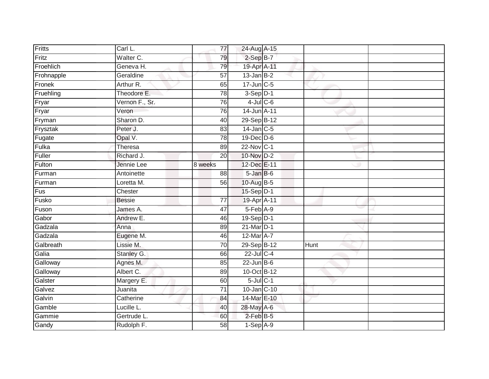| Fritts     | Carl L.        | 77              | 24-Aug A-15      |      |  |
|------------|----------------|-----------------|------------------|------|--|
| Fritz      | Walter C.      | 79              | $2-SepB-7$       |      |  |
| Froehlich  | Geneva H.      | 79              | 19-Apr A-11      |      |  |
| Frohnapple | Geraldine      | $\overline{57}$ | $13$ -Jan B-2    |      |  |
| Fronek     | Arthur R.      | 65              | $17$ -Jun $C$ -5 |      |  |
| Fruehling  | Theodore E.    | 78              | $3-Sep$ $D-1$    |      |  |
| Fryar      | Vernon F., Sr. | 76              | $4$ -Jul $C$ -6  |      |  |
| Fryar      | Veron          | 76              | 14-Jun A-11      |      |  |
| Fryman     | Sharon D.      | 40              | 29-Sep B-12      |      |  |
| Frysztak   | Peter J.       | 83              | $14$ -Jan C-5    |      |  |
| Fugate     | Opal V.        | 78              | 19-Dec D-6       |      |  |
| Fulka      | Theresa        | 89              | 22-Nov C-1       |      |  |
| Fuller     | Richard J.     | 20              | 10-Nov D-2       |      |  |
| Fulton     | Jennie Lee     | 8 weeks         | 12-Dec E-11      |      |  |
| Furman     | Antoinette     | $\overline{88}$ | 5-Jan B-6        |      |  |
| Furman     | Loretta M.     | 56              | 10-Aug B-5       |      |  |
| Fus        | Chester        |                 | 15-Sep D-1       |      |  |
| Fusko      | <b>Bessie</b>  | 77              | 19-Apr A-11      |      |  |
| Fuson      | James A.       | 47              | 5-Feb A-9        |      |  |
| Gabor      | Andrew E.      | 46              | 19-Sep D-1       |      |  |
| Gadzala    | Anna           | 89              | 21-Mar D-1       |      |  |
| Gadzala    | Eugene M.      | 46              | 12-Mar A-7       |      |  |
| Galbreath  | Lissie M.      | 70              | 29-Sep B-12      | Hunt |  |
| Galia      | Stanley G.     | 66              | 22-Jul C-4       |      |  |
| Galloway   | Agnes M.       | 85              | $22$ -Jun B-6    |      |  |
| Galloway   | Albert C.      | 89              | 10-Oct B-12      |      |  |
| Galster    | Margery E.     | 60              | $5$ -Jul $C-1$   |      |  |
| Galvez     | Juanita        | 71              | 10-Jan C-10      |      |  |
| Galvin     | Catherine      | 84              | 14-Mar E-10      |      |  |
| Gamble     | Lucille L.     | 40              | 28-May A-6       |      |  |
| Gammie     | Gertrude L.    | 60              | $2$ -Feb B-5     |      |  |
| Gandy      | Rudolph F.     | 58              | $1-Sep$ A-9      |      |  |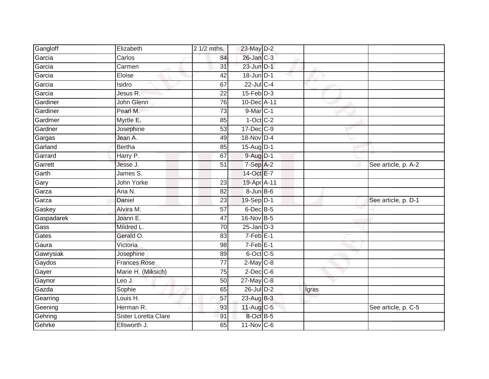| Gangloff   | Elizabeth            | 2 1/2 mths.     | 23-May D-2       |       |                     |
|------------|----------------------|-----------------|------------------|-------|---------------------|
| Garcia     | Carlos               | 84              | 26-Jan C-3       |       |                     |
| Garcia     | Carmen               | 31              | 23-Jun D-1       |       |                     |
| Garcia     | Eloise               | 42              | 18-Jun D-1       |       |                     |
| Garcia     | Isidro               | 67              | $22$ -Jul C-4    |       |                     |
| Garcia     | Jesus R.             | 22              | $15$ -Feb $D-3$  |       |                     |
| Gardiner   | John Glenn           | $\overline{76}$ | 10-Dec A-11      |       |                     |
| Gardiner   | Pearl M.             | 73              | 9-Mar C-1        |       |                     |
| Gardmer    | Myrtle E.            | 85              | $1-Oct$ $C-2$    |       |                     |
| Gardner    | Josephine            | 53              | $17 - Dec$ $C-9$ |       |                     |
| Gargas     | Jean A.              | 49              | 18-Nov D-4       |       |                     |
| Garland    | <b>Bertha</b>        | 85              | 15-Aug D-1       |       |                     |
| Garrard    | Harry P.             | 67              | $9$ -Aug $D-1$   |       |                     |
| Garrett    | Jesse J.             | 51              | 7-Sep A-2        |       | See article, p. A-2 |
| Garth      | James S.             |                 | 14-Oct E-7       |       |                     |
| Gary       | John Yorke           | 23              | 19-Apr A-11      |       |                     |
| Garza      | Ana N.               | 82              | $8 - Jun$ B-6    |       |                     |
| Garza      | Daniel               | 23              | 19-Sep D-1       |       | See article, p. D-1 |
| Gaskey     | Alvira M.            | 57              | $6$ -Dec $B$ -5  |       |                     |
| Gaspadarek | Joann E.             | 47              | 16-Nov B-5       |       |                     |
| Gass       | Mildred L.           | 70              | $25 - Jan$ $D-3$ |       |                     |
| Gates      | Gerald O.            | $\overline{83}$ | $7-Feb$ E-1      |       |                     |
| Gaura      | Victoria             | 98              | $7-FebE-1$       |       |                     |
| Gawrysiak  | Josephine            | 89              | $6$ -Oct C-5     |       |                     |
| Gaydos     | <b>Frances Rose</b>  | 77              | $2$ -May $C-8$   |       |                     |
| Gayer      | Marie H. (Miksich)   | 75              | $2$ -Dec $C$ -6  |       |                     |
| Gaynor     | Leo J.               | 50              | $27$ -May C-8    |       |                     |
| Gazda      | Sophie               | 65              | 26-Jul D-2       | Igras |                     |
| Gearring   | Louis H.             | 57              | 23-Aug B-3       |       |                     |
| Geening    | Herman R.            | 93              | 11-Aug C-5       |       | See article, p. C-5 |
| Gehring    | Sister Loretta Clare | 91              | 8-Oct B-5        |       |                     |
| Gehrke     | Ellsworth J.         | 65              | $11-Nov$ C-6     |       |                     |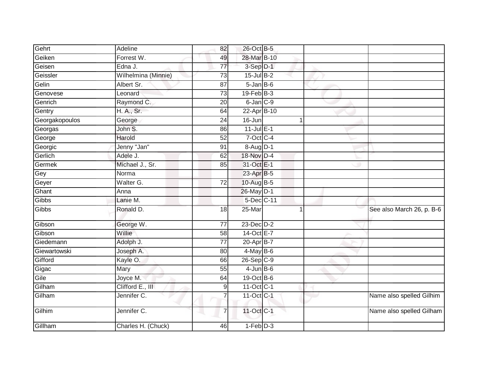| Gehrt          | Adeline             | 82              | 26-Oct B-5        |                           |
|----------------|---------------------|-----------------|-------------------|---------------------------|
| Geiken         | Forrest W.          | 49              | 28-Mar B-10       |                           |
| Geisen         | Edna J.             | $\overline{77}$ | $3-Sep$ $D-1$     |                           |
| Geissler       | Wilhelmina (Minnie) | 73              | $15$ -Jul $B-2$   |                           |
| Gelin          | Albert Sr.          | $\overline{87}$ | $5 - Jan$ $B - 6$ |                           |
| Genovese       | Leonard             | 73              | $19$ -Feb $B-3$   |                           |
| Genrich        | Raymond C.          | 20              | $6$ -Jan $C-9$    |                           |
| Gentry         | H. A., Sr.          | 64              | 22-Apr B-10       |                           |
| Georgakopoulos | George              | 24              | 16-Jun            |                           |
| Georgas        | John S.             | 86              | $11$ -Jul $E-1$   |                           |
| George         | Harold              | 52              | 7-Oct C-4         |                           |
| Georgic        | Jenny "Jan"         | 91              | $8-Aug$ D-1       |                           |
| Gerlich        | Adele J.            | 62              | 18-Nov D-4        |                           |
| Germek         | Michael J., Sr.     | 85              | 31-Oct E-1        |                           |
| Gey            | Norma               |                 | 23-Apr B-5        |                           |
| Geyer          | Walter G.           | 72              | 10-Aug B-5        |                           |
| Ghant          | Anna                |                 | 26-May D-1        |                           |
| Gibbs          | Lanie M.            |                 | 5-Dec C-11        |                           |
| Gibbs          | Ronald D.           | 18              | 25-Mar            | See also March 26, p. B-6 |
| Gibson         | George W.           | $\overline{77}$ | 23-Dec D-2        |                           |
| Gibson         | Willie              | 58              | 14-Oct E-7        |                           |
| Giedemann      | Adolph J.           | 77              | 20-Apr B-7        |                           |
| Giewartowski   | Joseph A.           | 80              | $4$ -May $B$ -6   |                           |
| Gifford        | Kayle O.            | 66              | $26-Sep$ C-9      |                           |
| Gigac          | Mary                | $\overline{55}$ | $4$ -Jun $B$ -6   |                           |
| Gile           | Joyce M.            | 64              | 19-Oct B-6        |                           |
| Gilham         | Clifford E., III    | $\overline{9}$  | 11-Oct C-1        |                           |
| Gilham         | Jennifer C.         | 7               | 11-Oct C-1        | Name also spelled Gilhim  |
| Gilhim         | Jennifer C.         | 7               | 11-Oct C-1        | Name also spelled Gilham  |
| Gillham        | Charles H. (Chuck)  | 46              | $1-Feb$ $D-3$     |                           |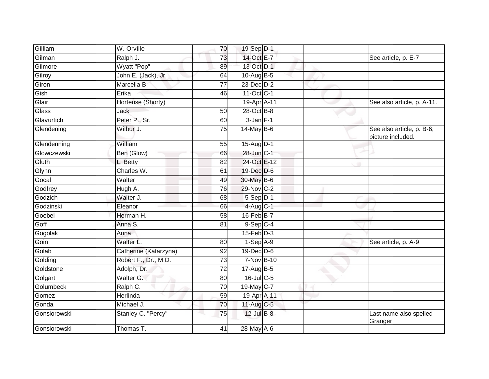| Gilliam      | W. Orville            | 70              | 19-Sep D-1       |  |                                                |
|--------------|-----------------------|-----------------|------------------|--|------------------------------------------------|
| Gilman       | Ralph J.              | 73              | 14-Oct E-7       |  | See article, p. E-7                            |
| Gilmore      | Wyatt "Pop"           | 89              | 13-Oct D-1       |  |                                                |
| Gilroy       | John E. (Jack), Jr.   | 64              | 10-Aug $B-5$     |  |                                                |
| Giron        | Marcella B.           | $\overline{77}$ | $23$ -Dec $D-2$  |  |                                                |
| Gish         | Erika                 | 46              | 11-Oct C-1       |  |                                                |
| Glair        | Hortense (Shorty)     |                 | 19-Apr A-11      |  | See also article, p. A-11.                     |
| Glass        | Jack                  | 50              | 28-Oct B-8       |  |                                                |
| Glavurtich   | Peter P., Sr.         | 60              | $3 - Jan$ $F-1$  |  |                                                |
| Glendening   | Wilbur J.             | 75              | $14$ -May B-6    |  | See also article, p. B-6;<br>picture included. |
| Glendenning  | William               | 55              | 15-Aug D-1       |  |                                                |
| Glowczewski  | Ben (Glow)            | 66              | 28-Jun C-1       |  |                                                |
| Gluth        | L. Betty              | 82              | 24-Oct E-12      |  |                                                |
| Glynn        | Charles W.            | 61              | 19-Dec D-6       |  |                                                |
| Gocal        | Walter                | 49              | 30-May B-6       |  |                                                |
| Godfrey      | Hugh A.               | 76              | 29-Nov C-2       |  |                                                |
| Godzich      | Walter J.             | 68              | $5-Sep$ D-1      |  |                                                |
| Godzinski    | Eleanor               | 66              | 4-Aug C-1        |  |                                                |
| Goebel       | Herman H.             | 58              | $16$ -Feb $B$ -7 |  |                                                |
| Goff         | Anna S.               | 81              | $9-Sep$ C-4      |  |                                                |
| Gogolak      | Anna                  |                 | $15$ -Feb $D-3$  |  |                                                |
| Goin         | Walter L.             | 80              | $1-Sep$ A-9      |  | See article, p. A-9                            |
| Golab        | Catherine (Katarzyna) | 92              | $19$ -Dec $D$ -6 |  |                                                |
| Golding      | Robert F., Dr., M.D.  | 73              | 7-Nov B-10       |  |                                                |
| Goldstone    | Adolph, Dr.           | 72              | 17-Aug B-5       |  |                                                |
| Golgart      | Walter G.             | 80              | $16$ -JulC-5     |  |                                                |
| Golumbeck    | Ralph C.              | 70              | 19-May C-7       |  |                                                |
| Gomez        | Herlinda              | 59              | 19-Apr A-11      |  |                                                |
| Gonda        | Michael J.            | 70              | $11$ -Aug $C$ -5 |  |                                                |
| Gonsiorowski | Stanley C. "Percy"    | 75              | $12$ -Jul B-8    |  | Last name also spelled<br>Granger              |
| Gonsiorowski | Thomas T.             | 41              | 28-May A-6       |  |                                                |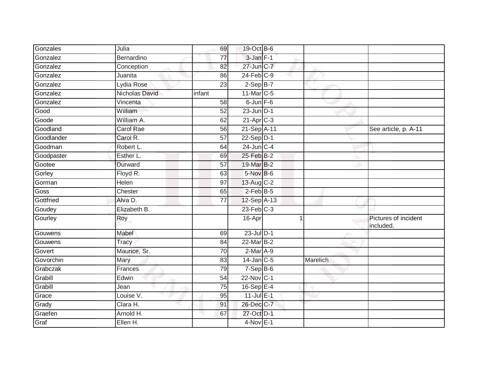| Gonzales   | Julia            | 69              | 19-Oct B-6      |   |          |                                  |
|------------|------------------|-----------------|-----------------|---|----------|----------------------------------|
| Gonzalez   | Bernardino       | 77              | 3-Jan F-1       |   |          |                                  |
| Gonzalez   | Conception       | 82              | 27-Jun C-7      |   |          |                                  |
| Gonzalez   | Juanita          | 86              | $24$ -Feb $C-9$ |   |          |                                  |
| Gonzalez   | Lydia Rose       | $\overline{23}$ | $2-SepB-7$      |   |          |                                  |
| Gonzalez   | Nicholas David   | infant          | 11-Mar C-5      |   |          |                                  |
| Gonzalez   | Vincenta         | 58              | $6$ -Jun $F$ -6 |   |          |                                  |
| Good       | William          | 52              | $23$ -Jun $D-1$ |   |          |                                  |
| Goode      | William A.       | 62              | $21-Apr$ $C-3$  |   |          |                                  |
| Goodland   | <b>Carol Rae</b> | 56              | 21-Sep A-11     |   |          | See article, p. A-11             |
| Goodlander | Carol R.         | $\overline{57}$ | $22-Sep D-1$    |   |          |                                  |
| Goodman    | Robert L.        | 64              | 24-Jun C-4      |   |          |                                  |
| Goodpaster | Esther L.        | 69              | 25-Feb B-2      |   |          |                                  |
| Gootee     | Durward          | 57              | 19-Mar B-2      |   |          |                                  |
| Gorley     | Floyd R.         | 63              | $5-Nov$ B-6     |   |          |                                  |
| Gorman     | Helen            | 97              | 13-Aug C-2      |   |          |                                  |
| Goss       | Chester          | 65              | $2$ -Feb $B$ -5 |   |          |                                  |
| Gottfried  | Alva D.          | $\overline{77}$ | 12-Sep A-13     |   |          |                                  |
| Goudey     | Elizabeth B.     |                 | $23$ -Feb $C-3$ |   |          |                                  |
| Gourley    | Roy              |                 | $16 - Apr$      | 1 |          | Pictures of incident<br>included |
| Gouwens    | Mabel            | 69              | $23$ -Jul $D-1$ |   |          |                                  |
| Gouwens    | Tracy            | 84              | $22$ -Mar $B-2$ |   |          |                                  |
| Govert     | Maurice, Sr.     | 70              | $2-Mar$ A-9     |   |          |                                  |
| Govorchin  | Mary             | 83              | $14$ -Jan $C-5$ |   | Marelich |                                  |
| Grabczak   | Frances          | 79              | $7-Sep$ B-6     |   |          |                                  |
| Grabill    | Edwin            | 54              | 22-Nov C-1      |   |          |                                  |
| Grabill    | Jean             | 75              | $16-Sep$ E-4    |   |          |                                  |
| Grace      | Louise V.        | 95              | $11$ -Jul E-1   |   |          |                                  |
| Grady      | Clara H.         | 91              | 26-Dec C-7      |   |          |                                  |
| Graefen    | Arnold H.        | 67              | 27-Oct D-1      |   |          |                                  |
| Graf       | Ellen H.         |                 | $4-Nov$ E-1     |   |          |                                  |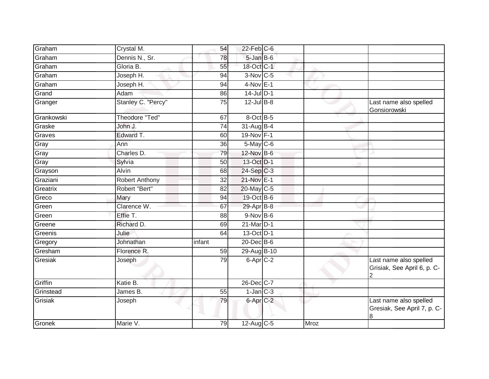| Graham     | Crystal M.            | 54     | $22$ -Feb $C$ -6 |      |                                                            |
|------------|-----------------------|--------|------------------|------|------------------------------------------------------------|
| Graham     | Dennis N., Sr.        | 78     | 5-Jan B-6        |      |                                                            |
| Graham     | Gloria B.             | 55     | 18-Oct C-1       |      |                                                            |
| Graham     | Joseph H.             | 94     | $3-Nov$ C-5      |      |                                                            |
| Graham     | Joseph H.             | 94     | $4-Nov$ E-1      |      |                                                            |
| Grand      | Adam                  | 86     | $14$ -Jul $D-1$  |      |                                                            |
| Granger    | Stanley C. "Percy"    | 75     | $12$ -Jul B-8    |      | Last name also spelled<br>Gonsiorowski                     |
| Grankowski | <b>Theodore "Ted"</b> | 67     | 8-Oct B-5        |      |                                                            |
| Graske     | John J.               | 74     | 31-Aug B-4       |      |                                                            |
| Graves     | Edward T.             | 60     | 19-Nov F-1       |      |                                                            |
| Gray       | Ann                   | 36     | $5$ -May $C$ -6  |      |                                                            |
| Gray       | Charles D.            | 79     | 12-Nov B-6       |      |                                                            |
| Gray       | Sylvia                | 50     | 13-Oct D-1       |      |                                                            |
| Grayson    | Alvin                 | 68     | $24-Sep$ C-3     |      |                                                            |
| Graziani   | <b>Robert Anthony</b> | 32     | 21-Nov E-1       |      |                                                            |
| Greatrix   | Robert "Bert"         | 82     | 20-May C-5       |      |                                                            |
| Greco      | Mary                  | 94     | 19-Oct B-6       |      |                                                            |
| Green      | Clarence W.           | 67     | 29-Apr B-8       |      |                                                            |
| Green      | Effie T.              | 88     | $9-Nov$ B-6      |      |                                                            |
| Greene     | Richard D.            | 69     | 21-Mar D-1       |      |                                                            |
| Greenis    | Julie                 | 64     | 13-Oct D-1       |      |                                                            |
| Gregory    | Johnathan             | infant | 20-Dec B-6       |      |                                                            |
| Gresham    | Florence R.           | 59     | 29-Aug B-10      |      |                                                            |
| Gresiak    | Joseph                | 79     | $6$ -Apr $C$ -2  |      | Last name also spelled<br>Grisiak, See April 6, p. C-      |
| Griffin    | Katie B.              |        | 26-Dec C-7       |      |                                                            |
| Grinstead  | James B.              | 55     | $1$ -Jan $C-3$   |      |                                                            |
| Grisiak    | Joseph                | 79     | 6-Apr C-2        |      | Last name also spelled<br>Gresiak, See April 7, p. C-<br>8 |
| Gronek     | Marie V.              | 79     | $12-Aug$ C-5     | Mroz |                                                            |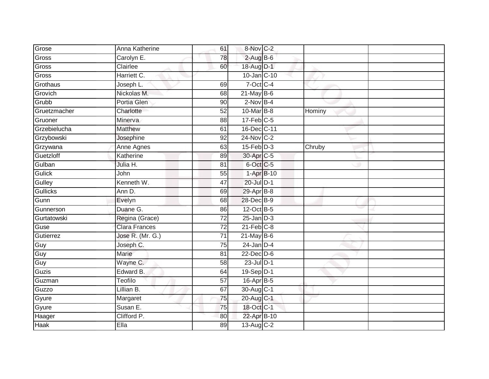| Grose           | Anna Katherine       | 61              | 8-Nov C-2             |        |  |
|-----------------|----------------------|-----------------|-----------------------|--------|--|
| Gross           | Carolyn E.           | 78              | $2$ -Aug B-6          |        |  |
| Gross           | Clairlee             | 60              | 18-Aug D-1            |        |  |
| Gross           | Harriett C.          |                 | 10-Jan C-10           |        |  |
| Grothaus        | Joseph L.            | 69              | $7-Oct$ $C-4$         |        |  |
| Grovich         | Nickolas M.          | 68              | $21$ -May B-6         |        |  |
| Grubb           | Portia Glen          | 90              | $2$ -Nov $B-4$        |        |  |
| Gruetzmacher    | Charlotte            | 52              | 10-Mar B-8            | Hominy |  |
| Gruoner         | Minerva              | 88              | $17$ -Feb $C-5$       |        |  |
| Grzebielucha    | <b>Matthew</b>       | 61              | 16-Dec C-11           |        |  |
| Grzybowski      | Josephine            | 92              | $24$ -Nov $ C-2 $     |        |  |
| Grzywana        | Anne Agnes           | 63              | $15 - Feb$ $D-3$      | Chruby |  |
| Guetzloff       | Katherine            | 89              | 30-Apr <sub>C-5</sub> |        |  |
| Gulban          | Julia H.             | 81              | 6-Oct C-5             |        |  |
| Gulick          | John                 | 55              | 1-Apr B-10            |        |  |
| Gulley          | Kenneth W.           | 47              | 20-Jul D-1            |        |  |
| <b>Gullicks</b> | Ann D.               | 69              | $29$ -Apr $B$ -8      |        |  |
| Gunn            | Evelyn               | 68              | 28-Dec B-9            |        |  |
| Gunnerson       | Duane G.             | 86              | 12-Oct B-5            |        |  |
| Gurtatowski     | Regina (Grace)       | $\overline{72}$ | $25 - Jan$ $D-3$      |        |  |
| Guse            | <b>Clara Frances</b> | $\overline{72}$ | $21$ -Feb $C-8$       |        |  |
| Gutierrez       | Jose R. (Mr. G.)     | 71              | $21$ -May B-6         |        |  |
| Guy             | Joseph C.            | 75              | $24$ -Jan D-4         |        |  |
| Guy             | Marie                | 81              | $22$ -Dec $D-6$       |        |  |
| Guy             | Wayne C.             | 58              | 23-Jul D-1            |        |  |
| Guzis           | Edward B.            | 64              | 19-Sep D-1            |        |  |
| Guzman          | <b>Teofilo</b>       | $\overline{57}$ | 16-Apr B-5            |        |  |
| Guzzo           | Lillian B.           | 67              | 30-Aug C-1            |        |  |
| Gyure           | Margaret             | 75              | 20-Aug C-1            |        |  |
| Gyure           | Susan E.             | 75              | 18-Oct C-1            |        |  |
| Haager          | Clifford P.          | 80              | 22-Apr B-10           |        |  |
| <b>Haak</b>     | Ella                 | 89              | 13-Aug C-2            |        |  |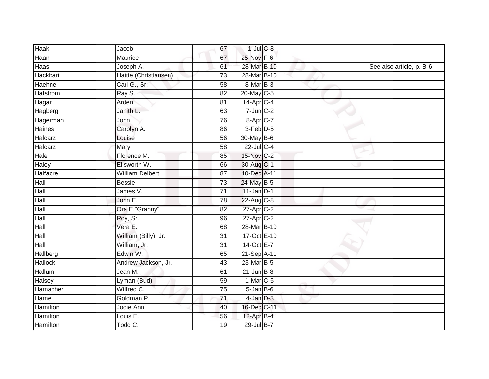| <b>Haak</b>     | Jacob                  | 67              | $1$ -Jul $C$ -8          |  |                          |
|-----------------|------------------------|-----------------|--------------------------|--|--------------------------|
| Haan            | Maurice                | 67              | 25-Nov F-6               |  |                          |
| Haas            | Joseph A.              | 61              | 28-Mar B-10              |  | See also article, p. B-6 |
| Hackbart        | Hattie (Christiansen)  | 73              | 28-Mar B-10              |  |                          |
| Haehnel         | Carl G., Sr.           | $\overline{58}$ | 8-Mar B-3                |  |                          |
| <b>Hafstrom</b> | Ray S.                 | 82              | 20-May C-5               |  |                          |
| Hagar           | Arden                  | 81              | $14$ -Apr $C-4$          |  |                          |
| Hagberg         | Janith L.              | 63              | $7$ -Jun $C-2$           |  |                          |
| Hagerman        | John                   | 76              | $8 - Apr$ <sub>C-7</sub> |  |                          |
| <b>Haines</b>   | Carolyn A.             | 86              | 3-Feb D-5                |  |                          |
| Halcarz         | Louise                 | 56              | 30-May B-6               |  |                          |
| Halcarz         | Mary                   | 58              | 22-Jul C-4               |  |                          |
| Hale            | Florence M.            | 85              | 15-Nov C-2               |  |                          |
| Haley           | Ellsworth W.           | 66              | 30-Aug C-1               |  |                          |
| Halfacre        | <b>William Delbert</b> | $\overline{87}$ | 10-Dec A-11              |  |                          |
| Hall            | <b>Bessie</b>          | 73              | 24-May B-5               |  |                          |
| Hall            | James V.               | $\overline{71}$ | $11$ -Jan D-1            |  |                          |
| Hall            | John E.                | 78              | 22-Aug C-8               |  |                          |
| Hall            | Ora E."Granny"         | 82              | 27-Apr C-2               |  |                          |
| Hall            | Roy, Sr.               | 96              | $27$ -Apr $C-2$          |  |                          |
| Hall            | Vera E.                | 68              | 28-Mar B-10              |  |                          |
| Hall            | William (Billy), Jr.   | $\overline{31}$ | 17-Oct E-10              |  |                          |
| Hall            | William, Jr.           | 31              | 14-Oct E-7               |  |                          |
| Hallberg        | Edwin W.               | 65              | 21-Sep A-11              |  |                          |
| <b>Hallock</b>  | Andrew Jackson, Jr.    | 43              | 23-Mar B-5               |  |                          |
| <b>Hallum</b>   | Jean M.                | 61              | $21$ -Jun $B-8$          |  |                          |
| Halsey          | Lyman (Bud)            | 59              | $1-Mar$ <sub>C-5</sub>   |  |                          |
| Hamacher        | Wilfred C.             | 75              | $5$ -Jan B-6             |  |                          |
| Hamel           | Goldman P.             | 71              | $4$ -Jan $D-3$           |  |                          |
| Hamilton        | Jodie Ann              | 40              | 16-Dec C-11              |  |                          |
| Hamilton        | Louis $E$ .            | 56              | 12-Apr B-4               |  |                          |
| Hamilton        | Todd C.                | 19              | 29-Jul B-7               |  |                          |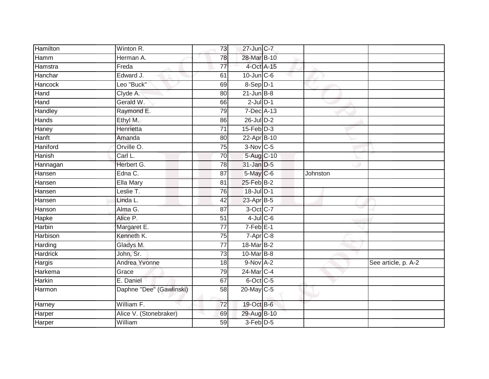| Hamilton        | Winton R.                | 73              | 27-Jun C-7             |          |                     |
|-----------------|--------------------------|-----------------|------------------------|----------|---------------------|
| Hamm            | Herman A.                | 78              | 28-Mar B-10            |          |                     |
| Hamstra         | Freda                    | 77              | 4-Oct A-15             |          |                     |
| Hanchar         | Edward J.                | 61              | $10$ -Jun $C$ -6       |          |                     |
| Hancock         | Leo "Buck"               | 69              | 8-Sep D-1              |          |                     |
| Hand            | Clyde A.                 | 80              | $21$ -Jun $B-8$        |          |                     |
| Hand            | Gerald W.                | 66              | $2$ -Jul $D-1$         |          |                     |
| Handley         | Raymond E.               | 79              | $7$ -Dec $A-13$        |          |                     |
| Hands           | Ethyl M.                 | 86              | 26-Jul D-2             |          |                     |
| Haney           | Henrietta                | $\overline{71}$ | $15$ -Feb $D-3$        |          |                     |
| Hanft           | Amanda                   | 80              | 22-Apr B-10            |          |                     |
| Haniford        | Orville O.               | 75              | $3-Nov$ C-5            |          |                     |
| Hanish          | Carl L.                  | 70              | 5-Aug C-10             |          |                     |
| Hannagan        | Herbert G.               | 78              | 31-Jan D-5             |          |                     |
| Hansen          | Edna C.                  | 87              | 5-May C-6              | Johnston |                     |
| Hansen          | Ella Mary                | 81              | 25-Feb B-2             |          |                     |
| Hansen          | Leslie T.                | $\overline{76}$ | 18-Jul D-1             |          |                     |
| Hansen          | Linda L.                 | 42              | $23$ -Apr $B$ -5       |          |                     |
| Hanson          | Alma G.                  | 87              | 3-Oct C-7              |          |                     |
| Hapke           | Alice P.                 | $\overline{51}$ | $4$ -Jul C-6           |          |                     |
| Harbin          | Margaret E.              | $\overline{77}$ | $7-Feb$ E-1            |          |                     |
| <b>Harbison</b> | Kenneth K.               | $\overline{75}$ | $7-Apr$ <sub>C-8</sub> |          |                     |
| Harding         | Gladys M.                | 77              | 18-Mar B-2             |          |                     |
| <b>Hardrick</b> | John, Sr.                | $\overline{73}$ | 10-Mar B-8             |          |                     |
| Hargis          | Andrea Yvonne            | 18              | $9-Nov A-2$            |          | See article, p. A-2 |
| Harkema         | Grace                    | 79              | 24-Mar C-4             |          |                     |
| Harkin          | E. Daniel                | 67              | $6$ -Oct $C$ -5        |          |                     |
| Harmon          | Daphne "Dee" (Gawlinski) | 58              | $20$ -May C-5          |          |                     |
| Harney          | William F.               | $\overline{72}$ | 19-Oct B-6             |          |                     |
| Harper          | Alice V. (Stonebraker)   | 69              | 29-Aug B-10            |          |                     |
| Harper          | William                  | 59              | 3-Feb D-5              |          |                     |
|                 |                          |                 |                        |          |                     |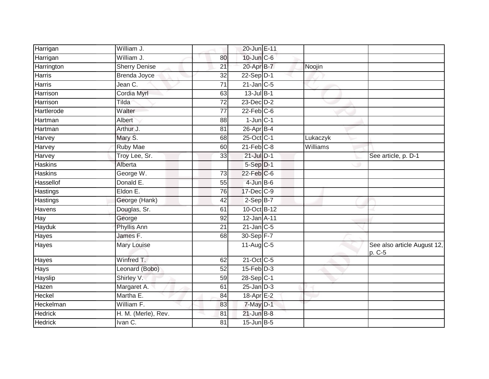| 10-Jun C-6<br>William J.<br>80<br><b>Sherry Denise</b><br>20-Apr B-7<br>Harrington<br>Noojin<br>21<br>$\overline{32}$<br>22-Sep D-1<br>Brenda Joyce<br>Harris<br>Jean C.<br>$\overline{71}$<br>$21$ -Jan $C-5$<br>Harris<br>Cordia Myrl<br>$13$ -Jul B-1<br>63<br>Harrison<br>$23$ -Dec $D-2$<br>Harrison<br>Tilda<br>72<br>$22$ -Feb $C-6$<br>Walter<br>77<br>$1$ -Jun $C-1$<br>88<br>Hartman<br>Albert<br>Arthur J.<br>$26$ -Apr $B-4$<br>Hartman<br>81<br>25-Oct C-1<br>Mary S.<br>68<br>Lukaczyk<br>$21$ -Feb $C-8$<br>Ruby Mae<br>$\overline{\text{Williams}}$<br>60<br>Harvey<br>$21$ -Jul $D-1$<br>Troy Lee, Sr.<br>See article, p. D-1<br>33<br>Harvey<br>$5-Sep$ $D-1$<br>Alberta<br>$22$ -Feb $ C$ -6<br><b>Haskins</b><br>George W.<br>$\overline{73}$<br>Hassellof<br>Donald E.<br>4-Jun B-6<br>55<br>Eldon E.<br>17-Dec C-9<br>Hastings<br>76<br>$2-Sep B-7$<br>George (Hank)<br>Hastings<br>42<br>10-Oct B-12<br>Douglas, Sr.<br>Havens<br>61<br>12-Jan A-11<br>George<br>92<br>$21$ -Jan $C-5$<br>21<br>Phyllis Ann<br>James F.<br>30-Sep F-7<br>68<br>11-Aug C-5<br>Mary Louise<br>p. C-5<br>$21-Oct$ C-5<br>Winfred T.<br>62<br>$15$ -Feb $D-3$<br>Leonard (Bobo)<br>52<br>Shirley V.<br>28-Sep C-1<br>59<br>$25$ -Jan $D-3$<br>Hazen<br>Margaret A.<br>61<br>Martha E.<br>Heckel<br>18-Apr E-2<br>84<br>William F.<br>7-May D-1<br>83<br><b>Hedrick</b><br>H. M. (Merle), Rev.<br>$21$ -Jun $B-8$<br>81<br>$l$ van $C$ .<br>$15$ -Jun $B$ -5<br>81 | Harrigan          | William J. | 20-Jun E-11 |                             |
|----------------------------------------------------------------------------------------------------------------------------------------------------------------------------------------------------------------------------------------------------------------------------------------------------------------------------------------------------------------------------------------------------------------------------------------------------------------------------------------------------------------------------------------------------------------------------------------------------------------------------------------------------------------------------------------------------------------------------------------------------------------------------------------------------------------------------------------------------------------------------------------------------------------------------------------------------------------------------------------------------------------------------------------------------------------------------------------------------------------------------------------------------------------------------------------------------------------------------------------------------------------------------------------------------------------------------------------------------------------------------------------------------------------------------------------------------------------------|-------------------|------------|-------------|-----------------------------|
|                                                                                                                                                                                                                                                                                                                                                                                                                                                                                                                                                                                                                                                                                                                                                                                                                                                                                                                                                                                                                                                                                                                                                                                                                                                                                                                                                                                                                                                                      | Harrigan          |            |             |                             |
|                                                                                                                                                                                                                                                                                                                                                                                                                                                                                                                                                                                                                                                                                                                                                                                                                                                                                                                                                                                                                                                                                                                                                                                                                                                                                                                                                                                                                                                                      |                   |            |             |                             |
|                                                                                                                                                                                                                                                                                                                                                                                                                                                                                                                                                                                                                                                                                                                                                                                                                                                                                                                                                                                                                                                                                                                                                                                                                                                                                                                                                                                                                                                                      |                   |            |             |                             |
|                                                                                                                                                                                                                                                                                                                                                                                                                                                                                                                                                                                                                                                                                                                                                                                                                                                                                                                                                                                                                                                                                                                                                                                                                                                                                                                                                                                                                                                                      |                   |            |             |                             |
|                                                                                                                                                                                                                                                                                                                                                                                                                                                                                                                                                                                                                                                                                                                                                                                                                                                                                                                                                                                                                                                                                                                                                                                                                                                                                                                                                                                                                                                                      |                   |            |             |                             |
|                                                                                                                                                                                                                                                                                                                                                                                                                                                                                                                                                                                                                                                                                                                                                                                                                                                                                                                                                                                                                                                                                                                                                                                                                                                                                                                                                                                                                                                                      |                   |            |             |                             |
|                                                                                                                                                                                                                                                                                                                                                                                                                                                                                                                                                                                                                                                                                                                                                                                                                                                                                                                                                                                                                                                                                                                                                                                                                                                                                                                                                                                                                                                                      | Hartlerode        |            |             |                             |
|                                                                                                                                                                                                                                                                                                                                                                                                                                                                                                                                                                                                                                                                                                                                                                                                                                                                                                                                                                                                                                                                                                                                                                                                                                                                                                                                                                                                                                                                      |                   |            |             |                             |
|                                                                                                                                                                                                                                                                                                                                                                                                                                                                                                                                                                                                                                                                                                                                                                                                                                                                                                                                                                                                                                                                                                                                                                                                                                                                                                                                                                                                                                                                      |                   |            |             |                             |
|                                                                                                                                                                                                                                                                                                                                                                                                                                                                                                                                                                                                                                                                                                                                                                                                                                                                                                                                                                                                                                                                                                                                                                                                                                                                                                                                                                                                                                                                      | Harvey            |            |             |                             |
|                                                                                                                                                                                                                                                                                                                                                                                                                                                                                                                                                                                                                                                                                                                                                                                                                                                                                                                                                                                                                                                                                                                                                                                                                                                                                                                                                                                                                                                                      |                   |            |             |                             |
|                                                                                                                                                                                                                                                                                                                                                                                                                                                                                                                                                                                                                                                                                                                                                                                                                                                                                                                                                                                                                                                                                                                                                                                                                                                                                                                                                                                                                                                                      |                   |            |             |                             |
|                                                                                                                                                                                                                                                                                                                                                                                                                                                                                                                                                                                                                                                                                                                                                                                                                                                                                                                                                                                                                                                                                                                                                                                                                                                                                                                                                                                                                                                                      | Haskins           |            |             |                             |
|                                                                                                                                                                                                                                                                                                                                                                                                                                                                                                                                                                                                                                                                                                                                                                                                                                                                                                                                                                                                                                                                                                                                                                                                                                                                                                                                                                                                                                                                      |                   |            |             |                             |
|                                                                                                                                                                                                                                                                                                                                                                                                                                                                                                                                                                                                                                                                                                                                                                                                                                                                                                                                                                                                                                                                                                                                                                                                                                                                                                                                                                                                                                                                      |                   |            |             |                             |
|                                                                                                                                                                                                                                                                                                                                                                                                                                                                                                                                                                                                                                                                                                                                                                                                                                                                                                                                                                                                                                                                                                                                                                                                                                                                                                                                                                                                                                                                      |                   |            |             |                             |
|                                                                                                                                                                                                                                                                                                                                                                                                                                                                                                                                                                                                                                                                                                                                                                                                                                                                                                                                                                                                                                                                                                                                                                                                                                                                                                                                                                                                                                                                      |                   |            |             |                             |
|                                                                                                                                                                                                                                                                                                                                                                                                                                                                                                                                                                                                                                                                                                                                                                                                                                                                                                                                                                                                                                                                                                                                                                                                                                                                                                                                                                                                                                                                      |                   |            |             |                             |
|                                                                                                                                                                                                                                                                                                                                                                                                                                                                                                                                                                                                                                                                                                                                                                                                                                                                                                                                                                                                                                                                                                                                                                                                                                                                                                                                                                                                                                                                      | $\overline{H}$ ay |            |             |                             |
|                                                                                                                                                                                                                                                                                                                                                                                                                                                                                                                                                                                                                                                                                                                                                                                                                                                                                                                                                                                                                                                                                                                                                                                                                                                                                                                                                                                                                                                                      | Hayduk            |            |             |                             |
|                                                                                                                                                                                                                                                                                                                                                                                                                                                                                                                                                                                                                                                                                                                                                                                                                                                                                                                                                                                                                                                                                                                                                                                                                                                                                                                                                                                                                                                                      | Hayes             |            |             |                             |
|                                                                                                                                                                                                                                                                                                                                                                                                                                                                                                                                                                                                                                                                                                                                                                                                                                                                                                                                                                                                                                                                                                                                                                                                                                                                                                                                                                                                                                                                      | Hayes             |            |             | See also article August 12, |
|                                                                                                                                                                                                                                                                                                                                                                                                                                                                                                                                                                                                                                                                                                                                                                                                                                                                                                                                                                                                                                                                                                                                                                                                                                                                                                                                                                                                                                                                      | Hayes             |            |             |                             |
|                                                                                                                                                                                                                                                                                                                                                                                                                                                                                                                                                                                                                                                                                                                                                                                                                                                                                                                                                                                                                                                                                                                                                                                                                                                                                                                                                                                                                                                                      | <b>Hays</b>       |            |             |                             |
|                                                                                                                                                                                                                                                                                                                                                                                                                                                                                                                                                                                                                                                                                                                                                                                                                                                                                                                                                                                                                                                                                                                                                                                                                                                                                                                                                                                                                                                                      | Hayslip           |            |             |                             |
|                                                                                                                                                                                                                                                                                                                                                                                                                                                                                                                                                                                                                                                                                                                                                                                                                                                                                                                                                                                                                                                                                                                                                                                                                                                                                                                                                                                                                                                                      |                   |            |             |                             |
|                                                                                                                                                                                                                                                                                                                                                                                                                                                                                                                                                                                                                                                                                                                                                                                                                                                                                                                                                                                                                                                                                                                                                                                                                                                                                                                                                                                                                                                                      |                   |            |             |                             |
|                                                                                                                                                                                                                                                                                                                                                                                                                                                                                                                                                                                                                                                                                                                                                                                                                                                                                                                                                                                                                                                                                                                                                                                                                                                                                                                                                                                                                                                                      | Heckelman         |            |             |                             |
|                                                                                                                                                                                                                                                                                                                                                                                                                                                                                                                                                                                                                                                                                                                                                                                                                                                                                                                                                                                                                                                                                                                                                                                                                                                                                                                                                                                                                                                                      |                   |            |             |                             |
|                                                                                                                                                                                                                                                                                                                                                                                                                                                                                                                                                                                                                                                                                                                                                                                                                                                                                                                                                                                                                                                                                                                                                                                                                                                                                                                                                                                                                                                                      | <b>Hedrick</b>    |            |             |                             |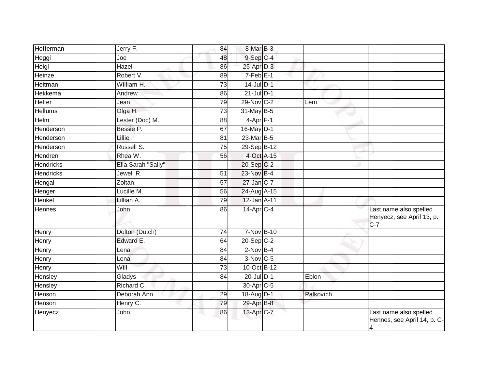| Hefferman        | Jerry F.           | 84              | 8-Mar B-3                |           |                                                                         |
|------------------|--------------------|-----------------|--------------------------|-----------|-------------------------------------------------------------------------|
| Heggi            | Joe                | 48              | $9-$ Sep $C-4$           |           |                                                                         |
| Heigl            | Hazel              | 86              | $25$ -Apr $D-3$          |           |                                                                         |
| Heinze           | Robert V.          | 89              | $7-Feb$ E-1              |           |                                                                         |
| Heitman          | William H.         | 73              | $14$ -Jul $D-1$          |           |                                                                         |
| Hekkema          | Andrew             | 86              | $21$ -Jul $D-1$          |           |                                                                         |
| Helfer           | Jean               | 79              | 29-Nov C-2               | Lem       |                                                                         |
| <b>Hellums</b>   | Olga H.            | 73              | 31-May B-5               |           |                                                                         |
| Helm             | Lester (Doc) M.    | 88              | $4 - \overline{Apr}$ F-1 |           |                                                                         |
| Henderson        | Bessie P.          | 67              | 16-May D-1               |           |                                                                         |
| Henderson        | Lillie             | 81              | 23-Mar B-5               |           |                                                                         |
| Henderson        | Russell S.         | $\overline{75}$ | 29-Sep B-12              |           |                                                                         |
| Hendren          | Rhea W.            | 56              | 4-Oct A-15               |           |                                                                         |
| <b>Hendricks</b> | Ella Sarah "Sally" |                 | 20-Sep C-2               |           |                                                                         |
| <b>Hendricks</b> | Jewell R.          | $\overline{51}$ | 23-Nov B-4               |           |                                                                         |
| Hengal           | Zoltan             | 57              | 27-Jan C-7               |           |                                                                         |
| Henger           | Lucille M.         | 56              | 24-Aug A-15              |           |                                                                         |
| Henkel           | Lillian A.         | $\overline{79}$ | 12-Jan A-11              |           |                                                                         |
| Hennes           | John               | 86              | $14$ -Apr $C-4$          |           | Last name also spelled                                                  |
|                  |                    |                 |                          |           | Henyecz, see April 13, p.<br>$C-7$                                      |
| Henry            | Dolton (Dutch)     | 74              | 7-Nov B-10               |           |                                                                         |
| Henry            | Edward E.          | 64              | $20 - Sep$ C-2           |           |                                                                         |
| Henry            | Lena               | 84              | $2$ -Nov $B-4$           |           |                                                                         |
| Henry            | Lena               | 84              | $3-Nov$ C-5              |           |                                                                         |
| Henry            | Will               | 73              | 10-Oct B-12              |           |                                                                         |
| Hensley          | Gladys             | 84              | $20$ -Jul $D-1$          | Eblon     |                                                                         |
| Hensley          | Richard C.         |                 | 30-Apr C-5               |           |                                                                         |
| Henson           | Deborah Ann        | 29              | 18-Aug D-1               | Palkovich |                                                                         |
| Henson           | Henry C.           | 79              | 29-Apr B-8               |           |                                                                         |
| Henyecz          | John               | 86              | 13-Apr <sub>IC-7</sub>   |           | Last name also spelled<br>Hennes, see April 14, p. C-<br>$\overline{4}$ |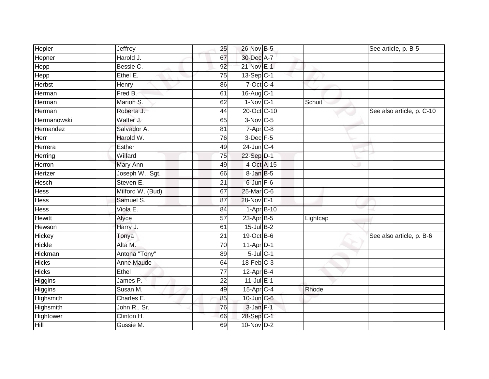| Hepler        | Jeffrey          | 25              | 26-Nov B-5             |              |          | See article, p. B-5       |
|---------------|------------------|-----------------|------------------------|--------------|----------|---------------------------|
| Hepner        | Harold J.        | 67              | 30-Dec A-7             |              |          |                           |
| Hepp          | Bessie C.        | 92              | 21-Nov E-1             |              |          |                           |
| Hepp          | Ethel E.         | 75              | $13-Sep C-1$           |              |          |                           |
| Herbst        | Henry            | 86              | $7-Oct$ C-4            |              |          |                           |
| Herman        | Fred B.          | 61              | 16-Aug C-1             |              |          |                           |
| Herman        | Marion S.        | 62              | $1-Nov$ C-1            |              | Schuit   |                           |
| Herman        | Roberta J.       | 44              | 20-Oct C-10            |              |          | See also article, p. C-10 |
| Hermanowski   | Walter J.        | 65              | 3-Nov C-5              |              |          |                           |
| Hernandez     | Salvador A.      | $\overline{81}$ | 7-Apr C-8              |              |          |                           |
| Herr          | Harold W.        | 76              | 3-Dec F-5              |              |          |                           |
| Herrera       | Esther           | 49              | 24-Jun C-4             |              |          |                           |
| Herring       | Willard          | 75              | 22-Sep D-1             |              |          |                           |
| Herron        | Mary Ann         | 49              | 4-Oct A-15             |              |          |                           |
| Hertzer       | Joseph W., Sgt.  | 66              | 8-Jan B-5              |              |          |                           |
| Hesch         | Steven E.        | 21              | 6-Jun F-6              |              |          |                           |
| <b>Hess</b>   | Milford W. (Bud) | 67              | 25-Mar C-6             |              |          |                           |
| Hess          | Samuel S.        | 87              | 28-Nov E-1             |              |          |                           |
| <b>Hess</b>   | Viola E.         | 84              |                        | $1-Apr$ B-10 |          |                           |
| <b>Hewitt</b> | Alyce            | $\overline{57}$ | 23-Apr <sub>B-5</sub>  |              | Lightcap |                           |
| Hewson        | Harry J.         | 61              | 15-Jul B-2             |              |          |                           |
| <b>Hickey</b> | Tonya            | $\overline{21}$ | 19-Oct B-6             |              |          | See also article, p. B-6  |
| <b>Hickle</b> | Alta M.          | 70              | $11-Apr\overline{D-1}$ |              |          |                           |
| Hickman       | Antona "Tony"    | 89              | $5$ -Jul $C-1$         |              |          |                           |
| <b>Hicks</b>  | Anne Maude       | 64              | $18$ -Feb $C-3$        |              |          |                           |
| <b>Hicks</b>  | Ethel            | 77              | $12-Apr\overline{B-4}$ |              |          |                           |
| Higgins       | James P.         | $\overline{22}$ | $11$ -Jul $E-1$        |              |          |                           |
| Higgins       | Susan M.         | 49              | 15-Apr C-4             |              | Rhode    |                           |
| Highsmith     | Charles E.       | 85              | $10$ -Jun $C$ -6       |              |          |                           |
| Highsmith     | John R., Sr.     | 76              | $3$ -Jan $F-1$         |              |          |                           |
| Hightower     | Clinton H.       | 66              | 28-Sep C-1             |              |          |                           |
| <b>Hill</b>   | Gussie M.        | 69              | $10$ -Nov $D-2$        |              |          |                           |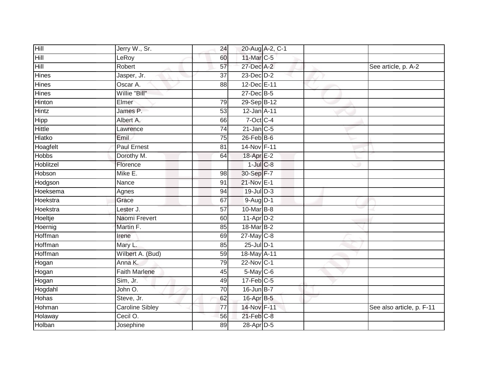| Hill          | Jerry W., Sr.          | 24              |                       | 20-Aug A-2, C-1 |                           |
|---------------|------------------------|-----------------|-----------------------|-----------------|---------------------------|
| Hill          | LeRoy                  | 60              | 11-Mar C-5            |                 |                           |
| Hill          | Robert                 | 57              | 27-Dec A-2            |                 | See article, p. A-2       |
| Hines         | Jasper, Jr.            | 37              | 23-Dec D-2            |                 |                           |
| <b>Hines</b>  | Oscar A.               | $\overline{88}$ | 12-Dec E-11           |                 |                           |
| <b>Hines</b>  | Willie "Bill"          |                 | 27-Dec B-5            |                 |                           |
| Hinton        | Elmer                  | 79              | 29-Sep B-12           |                 |                           |
| Hintz         | James P.               | 53              | 12-Jan A-11           |                 |                           |
| <b>Hipp</b>   | Albert A.              | 66              | $7$ -Oct C-4          |                 |                           |
| <b>Hittle</b> | Lawrence               | $\overline{74}$ | $21$ -Jan C-5         |                 |                           |
| Hlatko        | Emil                   | 75              | $26$ -Feb $B$ -6      |                 |                           |
| Hoagfelt      | <b>Paul Ernest</b>     | 81              | 14-Nov F-11           |                 |                           |
| Hobbs         | Dorothy M.             | 64              | 18-Apr <sub>E-2</sub> |                 |                           |
| Hoblitzel     | Florence               |                 | $1$ -Jul $C$ -8       |                 |                           |
| Hobson        | Mike E.                | 98              | 30-Sep F-7            |                 |                           |
| Hodgson       | Nance                  | 91              | 21-Nov E-1            |                 |                           |
| Hoeksema      | Agnes                  | 94              | $19$ -Jul $D-3$       |                 |                           |
| Hoekstra      | Grace                  | 67              | 9-Aug D-1             |                 |                           |
| Hoekstra      | Lester J.              | 57              | 10-Mar B-8            |                 |                           |
| Hoeltje       | Naomi Frevert          | 60              | $11-Apr2$             |                 |                           |
| Hoernig       | Martin F.              | 85              | 18-Mar B-2            |                 |                           |
| Hoffman       | Irene                  | 69              | 27-May C-8            |                 |                           |
| Hoffman       | Mary L.                | 85              | $25$ -Jul $D-1$       |                 |                           |
| Hoffman       | Wilbert A. (Bud)       | 59              | 18-May A-11           |                 |                           |
| Hogan         | Anna K.                | 79              | 22-Nov C-1            |                 |                           |
| Hogan         | <b>Faith Marlene</b>   | 45              | 5-May C-6             |                 |                           |
| Hogan         | Sim, Jr.               | 49              | $17$ -Feb $C-5$       |                 |                           |
| Hogdahl       | John O.                | 70              | $16$ -Jun $B$ -7      |                 |                           |
| Hohas         | Steve, Jr.             | 62              | 16-Apr B-5            |                 |                           |
| Hohman        | <b>Caroline Sibley</b> | $\overline{77}$ | 14-Nov F-11           |                 | See also article, p. F-11 |
| Holaway       | Cecil O.               | 56              | $21$ -Feb $C-8$       |                 |                           |
| Holban        | Josephine              | 89              | 28-Apr D-5            |                 |                           |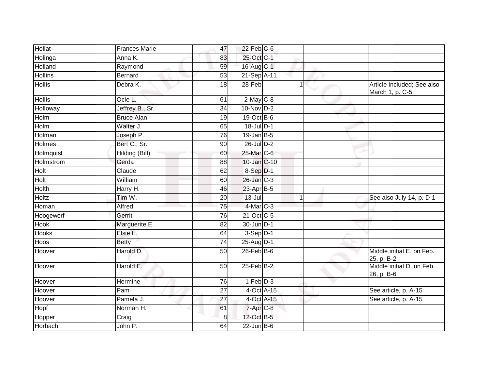| Holiat         | <b>Frances Marie</b> | 47              | $22$ -Feb $C$ -6 |             |                                               |
|----------------|----------------------|-----------------|------------------|-------------|-----------------------------------------------|
| Holinga        | Anna K.              | 83              | 25-Oct C-1       |             |                                               |
| Holland        | Raymond              | 59              | 16-Aug C-1       |             |                                               |
| <b>Hollins</b> | <b>Bernard</b>       | 53              | 21-Sep A-11      |             |                                               |
| <b>Hollis</b>  | Debra K.             | 18              | 28-Feb           | 1           | Article included; See also<br>March 1, p. C-5 |
| <b>Hollis</b>  | $Ocie$ L.            | 61              | $2$ -May $C$ -8  |             |                                               |
| Holloway       | Jeffrey B., Sr.      | 34              | $10$ -Nov $D-2$  |             |                                               |
| Holm           | <b>Bruce Alan</b>    | $\overline{19}$ | 19-Oct B-6       |             |                                               |
| Holm           | Walter J.            | 65              | 18-Jul D-1       |             |                                               |
| Holman         | Joseph P.            | 76              | $19$ -Jan B-5    |             |                                               |
| Holmes         | Bert C., Sr.         | 90              | 26-Jul D-2       |             |                                               |
| Holmquist      | Hilding (Bill)       | 60              | 25-Mar C-6       |             |                                               |
| Holmstrom      | Gerda                | 88              | 10-Jan C-10      |             |                                               |
| Holt           | Claude               | 62              | $8-Sep$ D-1      |             |                                               |
| Holt           | William              | 60              | 26-Jan C-3       |             |                                               |
| Holth          | Harry H.             | 46              | 23-Apr B-5       |             |                                               |
| <b>Holtz</b>   | Tim W.               | $\overline{20}$ | $13 -$ Jul       | $\mathbf 1$ | See also July 14, p. D-1                      |
| Homan          | Alfred               | 75              | 4-Mar C-3        |             |                                               |
| Hoogewerf      | Gerrit               | $\overline{76}$ | 21-Oct C-5       |             |                                               |
| <b>Hook</b>    | Marguerite E.        | $\overline{82}$ | 30-Jun D-1       |             |                                               |
| <b>Hooks</b>   | Elsie L.             | 64              | $3-Sep$ $D-1$    |             |                                               |
| Hoos           | <b>Betty</b>         | 74              | 25-Aug D-1       |             |                                               |
| Hoover         | Harold D.            | 50              | $26$ -Feb $B$ -6 |             | Middle initial E. on Feb.<br>25, p. B-2       |
| Hoover         | Harold E.            | 50              | $25$ -Feb $B$ -2 |             | Middle initial D. on Feb.<br>26, p. B-6       |
| Hoover         | Hermine              | 76              | $1-Feb$ $D-3$    |             |                                               |
| Hoover         | Pam                  | 27              | 4-Oct A-15       |             | See article, p. A-15                          |
| Hoover         | Pamela J.            | 27              | 4-Oct A-15       |             | See article, p. A-15                          |
| Hopf           | Norman H.            | 61              | $7 - Apr$ $C-8$  |             |                                               |
| Hopper         | Craig                | 8               | 12-Oct B-5       |             |                                               |
| Horbach        | John P.              | 64              | $22$ -Jun B-6    |             |                                               |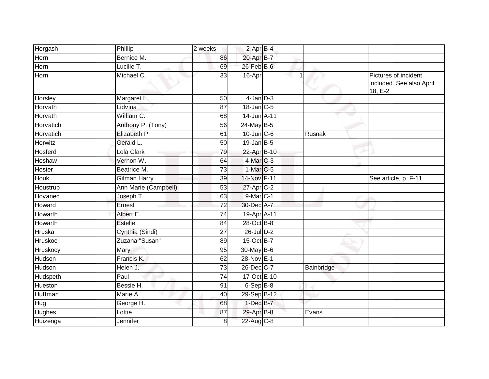| Horgash       | Phillip              | 2 weeks         | $2$ -Apr $B-4$        |            |                                                             |
|---------------|----------------------|-----------------|-----------------------|------------|-------------------------------------------------------------|
| Horn          | Bernice M.           | 86              | 20-Apr B-7            |            |                                                             |
| Horn          | Lucille T.           | 69              | $26$ -Feb $B$ -6      |            |                                                             |
| Horn          | Michael C.           | 33              | 16-Apr                |            | Pictures of incident<br>included. See also April<br>18, E-2 |
| Horsley       | Margaret L.          | 50              | $4$ -Jan $D-3$        |            |                                                             |
| Horvath       | Lidvina              | 87              | 18-Jan C-5            |            |                                                             |
| Horvath       | William C.           | 68              | 14-Jun A-11           |            |                                                             |
| Horvatich     | Anthony P. (Tony)    | 56              | 24-May B-5            |            |                                                             |
| Horvatich     | Elizabeth P.         | 61              | $10$ -Jun $C - 6$     | Rusnak     |                                                             |
| Horwitz       | Gerald L.            | 50              | $19$ -Jan B-5         |            |                                                             |
| Hosferd       | Lola Clark           | 79              | 22-Apr B-10           |            |                                                             |
| Hoshaw        | Vernon W.            | 64              | 4-Mar C-3             |            |                                                             |
| Hoster        | Beatrice M.          | 73              | $1-Mar$ C-5           |            |                                                             |
| <b>Houk</b>   | Gilman Harry         | 39              | 14-Nov F-11           |            | See article, p. F-11                                        |
| Houstrup      | Ann Marie (Campbell) | 53              | 27-Apr <sub>C-2</sub> |            |                                                             |
| Hovanec       | Joseph T.            | 63              | 9-Mar C-1             |            |                                                             |
| Howard        | Ernest               | $\overline{72}$ | 30-Dec A-7            |            |                                                             |
| Howarth       | Albert E.            | $\overline{74}$ | 19-Apr A-11           |            |                                                             |
| Howarth       | <b>Estelle</b>       | 84              | 28-Oct B-8            |            |                                                             |
| Hruska        | Cynthia (Sindi)      | 27              | $26$ -Jul $D-2$       |            |                                                             |
| Hruskoci      | Zuzana "Susan"       | 89              | 15-Oct B-7            |            |                                                             |
| Hruskocy      | Mary                 | 95              | 30-May B-6            |            |                                                             |
| Hudson        | Francis K.           | 62              | 28-Nov E-1            |            |                                                             |
| Hudson        | Helen J.             | 73              | $26$ -Dec $C$ -7      | Bainbridge |                                                             |
| Hudspeth      | Paul                 | 74              | 17-Oct E-10           |            |                                                             |
| Hueston       | Bessie H.            | 91              | $6-SepIB-8$           |            |                                                             |
| Huffman       | Marie A.             | 40              | 29-Sep B-12           |            |                                                             |
| Hug           | George H.            | 68              | $1$ -Dec $B-7$        |            |                                                             |
| <b>Hughes</b> | Lottie               | 87              | 29-Apr B-8            | Evans      |                                                             |
| Huizenga      | Jennifer             | 8               | 22-Aug C-8            |            |                                                             |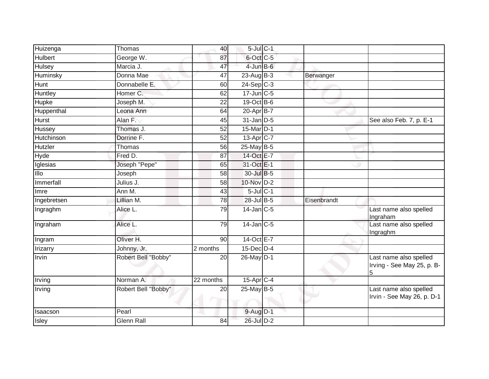| Huizenga                   | Thomas              | 40              | $5$ -Jul $C-1$        |             |                                                           |
|----------------------------|---------------------|-----------------|-----------------------|-------------|-----------------------------------------------------------|
| <b>Hulbert</b>             | George W.           | 87              | 6-Oct C-5             |             |                                                           |
| <b>Hulsey</b>              | Marcia J.           | 47              | $4$ -Jun $B$ -6       |             |                                                           |
| Huminsky                   | Donna Mae           | 47              | $23$ -Aug B-3         | Berwanger   |                                                           |
| <b>Hunt</b>                | Donnabelle E.       | 60              | $24-Sep$ C-3          |             |                                                           |
| Huntley                    | Homer C.            | 62              | $17$ -Jun $C$ -5      |             |                                                           |
| <b>Hupke</b>               | Joseph M.           | 22              | 19-Oct B-6            |             |                                                           |
| Huppenthal                 | Leona Ann           | 64              | 20-Apr B-7            |             |                                                           |
| <b>Hurst</b>               | Alan F.             | 45              | $31$ -Jan $D-5$       |             | See also Feb. 7, p. E-1                                   |
| Hussey                     | Thomas J.           | $\overline{52}$ | 15-Mar D-1            |             |                                                           |
| Hutchinson                 | Dorrine F.          | 52              | 13-Apr <sub>C-7</sub> |             |                                                           |
| Hutzler                    | <b>Thomas</b>       | 56              | 25-May B-5            |             |                                                           |
| Hyde                       | Fred D.             | 87              | 14-Oct E-7            |             |                                                           |
| Iglesias                   | Joseph "Pepe"       | 65              | 31-Oct E-1            |             |                                                           |
| $\overline{\mathsf{IIlo}}$ | Joseph              | 58              | 30-Jul B-5            |             |                                                           |
| Immerfall                  | Julius J.           | 58              | 10-Nov D-2            |             |                                                           |
| Imre                       | Ann M.              | 43              | $5$ -Jul $C-1$        |             |                                                           |
| Ingebretsen                | Lillian M.          | 78              | 28-Jul B-5            | Eisenbrandt |                                                           |
| Ingraghm                   | Alice L.            | 79              | 14-Jan C-5            |             | Last name also spelled<br>Ingraham                        |
| Ingraham                   | Alice L.            | 79              | $14$ -Jan C-5         |             | Last name also spelled<br>Ingraghm                        |
| Ingram                     | Oliver H.           | 90              | 14-Oct E-7            |             |                                                           |
| <b>Irizarry</b>            | Johnny, Jr.         | 2 months        | $15$ -Dec $D-4$       |             |                                                           |
| Irvin                      | Robert Bell "Bobby" | 20              | 26-May D-1            |             | Last name also spelled<br>Irving - See May 25, p. B-<br>5 |
| Irving                     | Norman A.           | 22 months       | 15-Apr C-4            |             |                                                           |
| Irving                     | Robert Bell "Bobby" | 20<br><b>A</b>  | $25$ -May B-5         |             | Last name also spelled<br>Irvin - See May 26, p. D-1      |
| Isaacson                   | Pearl               |                 | 9-Aug D-1             |             |                                                           |
| Isley                      | Glenn Rall          | 84              | 26-Jul D-2            |             |                                                           |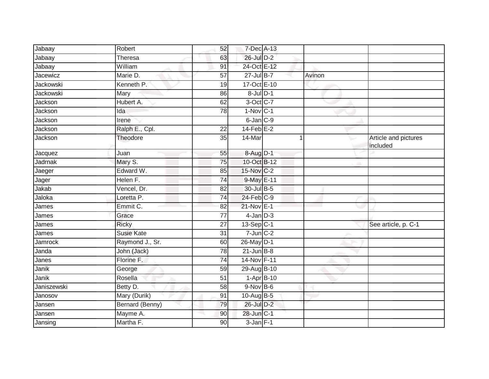| Jabaay           | Robert            | 52              | 7-Dec A-13      |        |                                  |
|------------------|-------------------|-----------------|-----------------|--------|----------------------------------|
| Jabaay           | Theresa           | 63              | $26$ -Jul $D-2$ |        |                                  |
| Jabaay           | William           | 91              | 24-Oct E-12     |        |                                  |
| Jacewicz         | Marie D.          | 57              | $27 -$ Jul B-7  | Avinon |                                  |
| <b>Jackowski</b> | Kenneth P.        | $\overline{19}$ | 17-Oct E-10     |        |                                  |
| Jackowski        | Mary              | 86              | $8$ -Jul $D-1$  |        |                                  |
| Jackson          | Hubert A.         | 62              | 3-Oct C-7       |        |                                  |
| Jackson          | Ida               | 78              | $1-Nov$ C-1     |        |                                  |
| Jackson          | Irene             |                 | 6-Jan C-9       |        |                                  |
| Jackson          | Ralph E., Cpl.    | 22              | $14$ -Feb $E-2$ |        |                                  |
| Jackson          | Theodore          | 35              | 14-Mar          | 1      | Article and pictures<br>included |
| Jacquez          | Juan              | 55              | 8-Aug D-1       |        |                                  |
| Jadrnak          | Mary S.           | 75              | 10-Oct B-12     |        |                                  |
| Jaeger           | Edward W.         | 85              | 15-Nov C-2      |        |                                  |
| Jager            | Helen F.          | $\overline{74}$ | 9-May E-11      |        |                                  |
| Jakab            | Vencel, Dr.       | 82              | 30-Jul B-5      |        |                                  |
| Jaloka           | Loretta P.        | 74              | $24$ -Feb $C-9$ |        |                                  |
| James            | Emmit C.          | 82              | 21-Nov E-1      |        |                                  |
| James            | Grace             | 77              | $4$ -Jan $D-3$  |        |                                  |
| James            | <b>Ricky</b>      | $\overline{27}$ | 13-Sep C-1      |        | See article, p. C-1              |
| James            | <b>Susie Kate</b> | 31              | $7$ -Jun $C-2$  |        |                                  |
| Jamrock          | Raymond J., Sr.   | 60              | 26-May D-1      |        |                                  |
| Janda            | John (Jack)       | $\overline{78}$ | $21$ -Jun B-8   |        |                                  |
| Janes            | Florine F.        | 74              | 14-Nov F-11     |        |                                  |
| Janik            | George            | 59              | 29-Aug B-10     |        |                                  |
| Janik            | Rosella           | 51              | $1-Apr$ B-10    |        |                                  |
| Janiszewski      | Betty D.          | 58              | $9-Nov$ B-6     |        |                                  |
| Janosov          | Mary (Durik)      | 91              | 10-Aug B-5      |        |                                  |
| Jansen           | Bernard (Benny)   | 79              | 26-Jul D-2      |        |                                  |
| Jansen           | Mayme A.          | 90              | 28-Jun C-1      |        |                                  |
| Jansing          | Martha F.         | 90              | $3-Jan$ F-1     |        |                                  |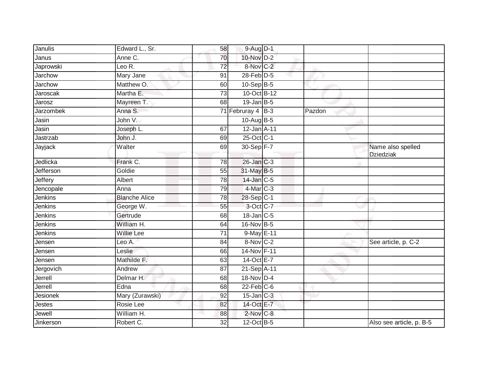| Janulis         | Edward L., Sr.                | 58              | $9-Aug$ D-1       |        |                                       |
|-----------------|-------------------------------|-----------------|-------------------|--------|---------------------------------------|
| Janus           | Anne C.                       | 70              | 10-Nov D-2        |        |                                       |
| Japrowski       | Leo $\overline{\mathsf{R}}$ . | 72              | 8-Nov C-2         |        |                                       |
| Jarchow         | Mary Jane                     | 91              | $28$ -Feb $D-5$   |        |                                       |
| Jarchow         | Matthew O.                    | 60              | $10-Sep$ B-5      |        |                                       |
| Jaroscak        | Martha E.                     | $\overline{73}$ | 10-Oct B-12       |        |                                       |
| Jarosz          | Mayreen T.                    | 68              | $19$ -Jan B-5     |        |                                       |
| Jarzombek       | Anna S.                       |                 | 71 Februray 4 B-3 | Pazdon |                                       |
| Jasin           | John V.                       |                 | 10-Aug B-5        |        |                                       |
| Jasin           | Joseph L.                     | 67              | 12-Jan A-11       |        |                                       |
| Jastrzab        | John J.                       | 69              | 25-Oct C-1        |        |                                       |
| Jayjack         | Walter                        | 69              | 30-Sep F-7        |        | Name also spelled<br><b>Dziedziak</b> |
| Jedlicka        | Frank C.                      | 78              | 26-Jan C-3        |        |                                       |
| Jefferson       | Goldie                        | 55              | 31-May B-5        |        |                                       |
| Jeffery         | Albert                        | 78              | 14-Jan C-5        |        |                                       |
| Jencopale       | Anna                          | 79              | $4$ -Mar $C-3$    |        |                                       |
| Jenkins         | <b>Blanche Alice</b>          | 78              | 28-Sep C-1        |        |                                       |
| Jenkins         | George W.                     | 55              | 3-Oct C-7         |        |                                       |
| Jenkins         | Gertrude                      | 68              | $18$ -Jan $ C-5 $ |        |                                       |
| Jenkins         | William H.                    | 64              | 16-Nov B-5        |        |                                       |
| Jenkins         | Willie Lee                    | 71              | 9-May E-11        |        |                                       |
| Jensen          | Leo A.                        | 84              | $8-Nov$ C-2       |        | See article, p. C-2                   |
| Jensen          | Leslie                        | 66              | 14-Nov F-11       |        |                                       |
| Jensen          | Mathilde F.                   | 63              | 14-Oct E-7        |        |                                       |
| Jergovich       | Andrew                        | 87              | 21-Sep A-11       |        |                                       |
| Jerrell         | Delmar H.                     | 68              | 18-Nov D-4        |        |                                       |
| Jerrell         | Edna                          | 68              | $22$ -Feb $C$ -6  |        |                                       |
| <b>Jesionek</b> | Mary (Zurawski)               | 92              | $15$ -Jan $ C-3 $ |        |                                       |
| Jestes          | Rosie Lee                     | 82              | 14-Oct E-7        |        |                                       |
| Jewell          | William H.                    | 88              | 2-Nov C-8         |        |                                       |
| Jinkerson       | Robert C.                     | 32              | 12-Oct B-5        |        | Also see article, p. B-5              |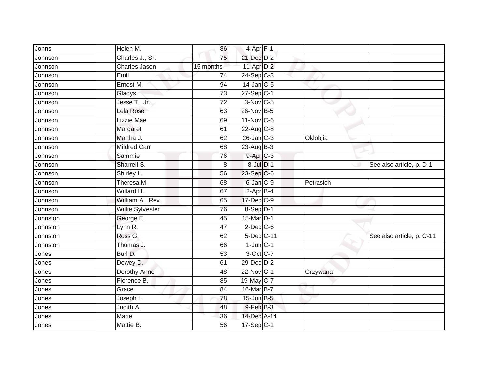| Johns    | Helen M.             | 86              | 4-Apr F-1       |           |                           |
|----------|----------------------|-----------------|-----------------|-----------|---------------------------|
| Johnson  | Charles J., Sr.      | 75              | 21-Dec D-2      |           |                           |
| Johnson  | <b>Charles Jason</b> | 15 months       | $11-Apr$ D-2    |           |                           |
| Johnson  | Emil                 | 74              | $24-Sep$ C-3    |           |                           |
| Johnson  | Ernest M.            | 94              | $14$ -Jan $C-5$ |           |                           |
| Johnson  | Gladys               | 73              | $27-Sep C-1$    |           |                           |
| Johnson  | Jesse T., Jr.        | $\overline{72}$ | $3-Nov$ C-5     |           |                           |
| Johnson  | Lela Rose            | 63              | 26-Nov B-5      |           |                           |
| Johnson  | Lizzie Mae           | 69              | $11-Nov$ C-6    |           |                           |
| Johnson  | Margaret             | 61              | $22$ -Aug C-8   |           |                           |
| Johnson  | Martha J.            | 62              | $26$ -Jan $C-3$ | Oklobjia  |                           |
| Johnson  | <b>Mildred Carr</b>  | 68              | $23$ -Aug $B-3$ |           |                           |
| Johnson  | Sammie               | 76              | 9-Apr C-3       |           |                           |
| Johnson  | Sharrell S.          | 8               | 8-Jul D-1       |           | See also article, p. D-1  |
| Johnson  | Shirley L.           | 56              | 23-Sep C-6      |           |                           |
| Johnson  | Theresa M.           | 68              | 6-Jan C-9       | Petrasich |                           |
| Johnson  | Willard H.           | 67              | $2-AprB-4$      |           |                           |
| Johnson  | William A., Rev.     | 65              | 17-Dec C-9      |           |                           |
| Johnson  | Willie Sylvester     | 76              | 8-Sep D-1       |           |                           |
| Johnston | George E.            | 45              | 15-Mar D-1      |           |                           |
| Johnston | Lynn R.              | 47              | $2$ -Dec $C$ -6 |           |                           |
| Johnston | Ross G.              | 62              | 5-Dec C-11      |           | See also article, p. C-11 |
| Johnston | Thomas J.            | 66              | $1$ -Jun $C-1$  |           |                           |
| Jones    | Burl D.              | 53              | 3-Oct C-7       |           |                           |
| Jones    | Dewey D.             | 61              | 29-Dec D-2      |           |                           |
| Jones    | Dorothy Anne         | 48              | 22-Nov C-1      | Grzywana  |                           |
| Jones    | Florence B.          | 85              | 19-May C-7      |           |                           |
| Jones    | Grace                | 84              | 16-Mar B-7      |           |                           |
| Jones    | Joseph L.            | 78              | 15-Jun B-5      |           |                           |
| Jones    | Judith A.            | 48              | 9-Feb B-3       |           |                           |
| Jones    | Marie                | 36              | 14-Dec A-14     |           |                           |
| Jones    | Mattie B.            | $\overline{56}$ | $17-Sep C-1$    |           |                           |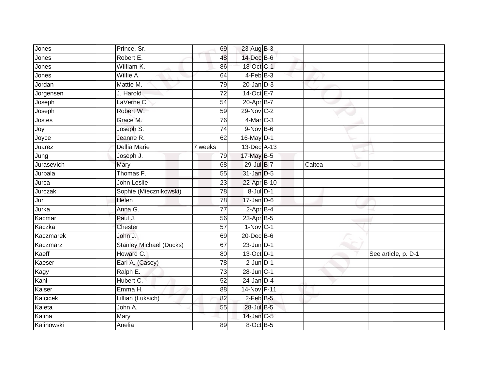| Jones      | Prince, Sr.                    | 69              | 23-Aug B-3       |        |                     |
|------------|--------------------------------|-----------------|------------------|--------|---------------------|
| Jones      | Robert E.                      | 48              | 14-Dec B-6       |        |                     |
| Jones      | William K.                     | 86              | 18-Oct C-1       |        |                     |
| Jones      | Willie A.                      | 64              | 4-Feb B-3        |        |                     |
| Jordan     | Mattie M.                      | 79              | $20$ -Jan $D-3$  |        |                     |
| Jorgensen  | J. Harold                      | 72              | 14-Oct E-7       |        |                     |
| Joseph     | LaVerne C.                     | 54              | 20-Apr B-7       |        |                     |
| Joseph     | Robert W.                      | 59              | 29-Nov C-2       |        |                     |
| Jostes     | Grace M.                       | 76              | $4$ -Mar $C-3$   |        |                     |
| Joy        | Joseph S.                      | $\overline{74}$ | $9-Nov$ B-6      |        |                     |
| Joyce      | Jeanne R.                      | 62              | 16-May D-1       |        |                     |
| Juarez     | <b>Dellia Marie</b>            | 7 weeks         | 13-Dec A-13      |        |                     |
| Jung       | Joseph J.                      | 79              | $17$ -May B-5    |        |                     |
| Jurasevich | Mary                           | 68              | 29-Jul B-7       | Caltea |                     |
| Jurbala    | Thomas F.                      | 55              | 31-Jan D-5       |        |                     |
| Jurca      | John Leslie                    | 23              | 22-Apr B-10      |        |                     |
| Jurczak    | Sophie (Miecznikowski)         | 78              | $8$ -Jul $D-1$   |        |                     |
| Juri       | Helen                          | 78              | $17 - Jan$ $D-6$ |        |                     |
| Jurka      | Anna G.                        | $\overline{77}$ | $2$ -Apr $B-4$   |        |                     |
| Kacmar     | Paul J.                        | 56              | 23-Apr B-5       |        |                     |
| Kaczka     | Chester                        | 57              | $1-Nov$ C-1      |        |                     |
| Kaczmarek  | John J.                        | 69              | 20-Dec B-6       |        |                     |
| Kaczmarz   | <b>Stanley Michael (Ducks)</b> | 67              | $23$ -Jun $D-1$  |        |                     |
| Kaeff      | Howard C.                      | 80              | 13-Oct D-1       |        | See article, p. D-1 |
| Kaeser     | Earl A. (Casey)                | $\overline{78}$ | $2$ -Jun $D-1$   |        |                     |
| Kagy       | Ralph E.                       | 73              | $28$ -Jun $C-1$  |        |                     |
| Kahl       | Hubert C.                      | 52              | $24$ -Jan $D-4$  |        |                     |
| Kaiser     | Emma H.                        | 88              | 14-Nov F-11      |        |                     |
| Kalcicek   | Lillian (Luksich)              | 82              | 2-Feb B-5        |        |                     |
| Kaleta     | John A.                        | 55              | 28-Jul B-5       |        |                     |
| Kalina     | Mary                           |                 | 14-Jan C-5       |        |                     |
| Kalinowski | Anelia                         | 89              | 8-Oct B-5        |        |                     |
|            |                                |                 |                  |        |                     |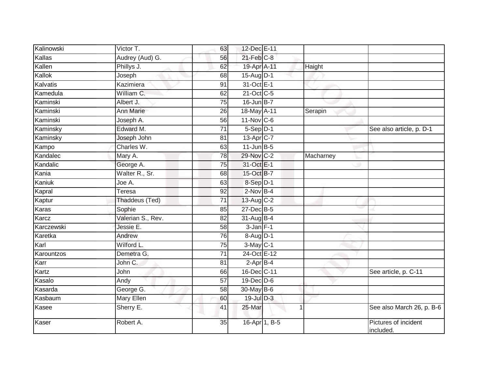| Kalinowski | Victor T.         | 63              | 12-Dec E-11       |           |                                   |
|------------|-------------------|-----------------|-------------------|-----------|-----------------------------------|
| Kallas     | Audrey (Aud) G.   | 56              | $21$ -Feb $C-8$   |           |                                   |
| Kallen     | Phillys J.        | 62              | 19-Apr A-11       | Haight    |                                   |
| Kallok     | Joseph            | 68              | $15$ -Aug $D-1$   |           |                                   |
| Kalvatis   | Kazimiera         | $\overline{91}$ | 31-Oct E-1        |           |                                   |
| Kamedula   | William C.        | 62              | $21$ -Oct $C-5$   |           |                                   |
| Kaminski   | Albert J.         | 75              | $16$ -Jun $B-7$   |           |                                   |
| Kaminski   | Ann Marie         | 26              | 18-May A-11       | Serapin   |                                   |
| Kaminski   | Joseph A.         | 56              | 11-Nov C-6        |           |                                   |
| Kaminsky   | Edward M.         | $\overline{71}$ | $5-Sep$ D-1       |           | See also article, p. D-1          |
| Kaminsky   | Joseph John       | 81              | 13-Apr C-7        |           |                                   |
| Kampo      | Charles W.        | 63              | $11$ -Jun $B - 5$ |           |                                   |
| Kandalec   | Mary A.           | 78              | 29-Nov C-2        | Macharney |                                   |
| Kandalic   | George A.         | 75              | 31-Oct E-1        |           |                                   |
| Kania      | Walter R., Sr.    | 68              | 15-Oct B-7        |           |                                   |
| Kaniuk     | Joe A.            | 63              | 8-Sep D-1         |           |                                   |
| Kapral     | Teresa            | 92              | $2$ -Nov $B-4$    |           |                                   |
| Kaptur     | Thaddeus (Ted)    | 71              | $13$ -Aug C-2     |           |                                   |
| Karas      | Sophie            | 85              | 27-Dec B-5        |           |                                   |
| Karcz      | Valerian S., Rev. | 82              | $31-AugB-4$       |           |                                   |
| Karczewski | Jessie E.         | 58              | $3$ -Jan $F-1$    |           |                                   |
| Karetka    | Andrew            | $\overline{76}$ | 8-Aug D-1         |           |                                   |
| Karl       | Wilford L.        | 75              | $3-May$ C-1       |           |                                   |
| Karountzos | Demetra G.        | 71              | 24-Oct E-12       |           |                                   |
| Karr       | John C.           | 81              | $2-AprB-4$        |           |                                   |
| Kartz      | John              | 66              | 16-Dec C-11       |           | See article, p. C-11              |
| Kasalo     | Andy              | $\overline{57}$ | $19$ -Dec $D$ -6  |           |                                   |
| Kasarda    | George G.         | 58              | 30-May $B-6$      |           |                                   |
| Kasbaum    | <b>Mary Ellen</b> | 60              | 19-Jul D-3        |           |                                   |
| Kasee      | Sherry E.         | 41              | 25-Mar            | 1         | See also March 26, p. B-6         |
| Kaser      | Robert A.         | 35              | 16-Apr 1, B-5     |           | Pictures of incident<br>included. |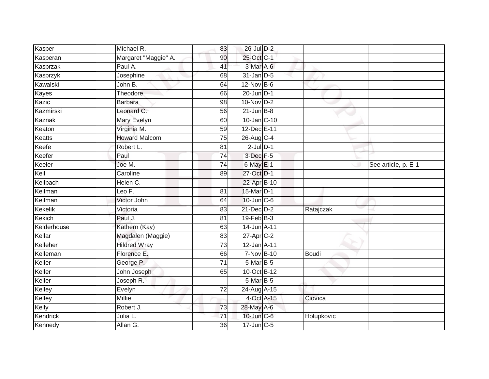| Kasper        | Michael R.           | 83              | 26-Jul D-2                  |            |                     |
|---------------|----------------------|-----------------|-----------------------------|------------|---------------------|
| Kasperan      | Margaret "Maggie" A. | 90              | 25-Oct C-1                  |            |                     |
| Kasprzak      | Paul A.              | 41              | 3-Mar A-6                   |            |                     |
| Kasprzyk      | Josephine            | 68              | $31$ -Jan $D-5$             |            |                     |
| Kawalski      | John B.              | 64              | 12-Nov B-6                  |            |                     |
| Kayes         | Theodore             | 66              | $20$ -Jun $\overline{D}$ -1 |            |                     |
| Kazic         | <b>Barbara</b>       | 98              | $10$ -Nov D-2               |            |                     |
| Kazmirski     | Leonard C.           | 56              | $21$ -Jun $B-8$             |            |                     |
| Kaznak        | Mary Evelyn          | 60              | 10-Jan C-10                 |            |                     |
| Keaton        | Virginia M.          | 59              | 12-Dec E-11                 |            |                     |
| Keatts        | <b>Howard Malcom</b> | 75              | 26-Aug C-4                  |            |                     |
| Keefe         | Robert L.            | 81              | $2$ -Jul $D-1$              |            |                     |
| Keefer        | Paul                 | 74              | 3-Dec F-5                   |            |                     |
| Keeler        | Joe M.               | 74              | $6$ -May $E-1$              |            | See article, p. E-1 |
| Keil          | Caroline             | 89              | 27-Oct D-1                  |            |                     |
| Keilbach      | Helen C.             |                 | 22-Apr B-10                 |            |                     |
| Keilman       | Leo F.               | $\overline{81}$ | 15-Mar D-1                  |            |                     |
| Keilman       | Victor John          | 64              | 10-Jun C-6                  |            |                     |
| Kekelik       | Victoria             | 83              | 21-Dec D-2                  | Ratajczak  |                     |
| <b>Kekich</b> | Paul J.              | 81              | $19$ -Feb $ B-3 $           |            |                     |
| Kelderhouse   | Kathern (Kay)        | 63              | 14-Jun A-11                 |            |                     |
| Kellar        | Magdalen (Maggie)    | 83              | 27-Apr C-2                  |            |                     |
| Kelleher      | <b>Hildred Wray</b>  | 73              | 12-Jan A-11                 |            |                     |
| Kelleman      | Florence E.          | 66              | 7-Nov B-10                  | Boudi      |                     |
| Keller        | George P.            | $\overline{71}$ | 5-Mar B-5                   |            |                     |
| Keller        | John Joseph          | 65              | 10-Oct B-12                 |            |                     |
| Keller        | Joseph R.            |                 | $5$ -Mar $B$ -5             |            |                     |
| Kelley        | Evelyn               | 72              | 24-Aug A-15                 |            |                     |
| Kelley        | <b>Millie</b>        |                 | 4-Oct A-15                  | Ciovica    |                     |
| Kelly         | Robert J.            | 73              | 28-May A-6                  |            |                     |
| Kendrick      | Julia L.             | 71              | 10-Jun C-6                  | Holupkovic |                     |
| Kennedy       | Allan G.             | $\overline{36}$ | 17-Jun C-5                  |            |                     |
|               |                      |                 |                             |            |                     |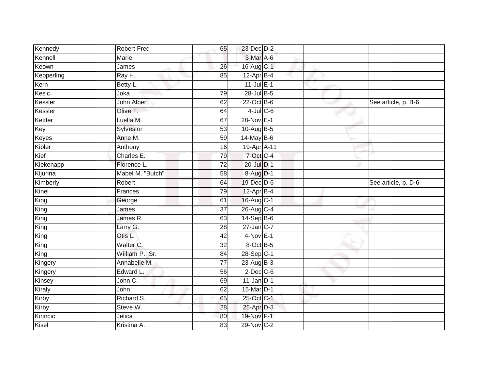| Kennedy    | <b>Robert Fred</b> | 65              | 23-Dec D-2      |  |                     |
|------------|--------------------|-----------------|-----------------|--|---------------------|
| Kennell    | Marie              |                 | 3-Mar A-6       |  |                     |
| Keown      | James              | 26              | 16-Aug C-1      |  |                     |
| Kepperling | Ray H.             | 85              | $12$ -Apr $B-4$ |  |                     |
| Kern       | Betty L.           |                 | $11$ -Jul $E-1$ |  |                     |
| Kesic      | Joka               | 79              | 28-Jul B-5      |  |                     |
| Kessler    | <b>John Albert</b> | 62              | $22$ -Oct B-6   |  | See article, p. B-6 |
| Kessler    | Olive T.           | 64              | $4$ -Jul C-6    |  |                     |
| Kettler    | Luella M.          | 67              | 28-Nov E-1      |  |                     |
| Key        | Sylvestor          | 53              | 10-Aug $B-5$    |  |                     |
| Keyes      | Anne M.            | 59              | 14-May B-6      |  |                     |
| Kibler     | Anthony            | 16              | 19-Apr A-11     |  |                     |
| Kief       | Charles E.         | 79              | 7-Oct C-4       |  |                     |
| Kiekenapp  | Florence L.        | 72              | 20-Jul D-1      |  |                     |
| Kijurina   | Mabel M. "Butch"   | 58              | 8-Aug D-1       |  |                     |
| Kimberly   | Robert             | 64              | 19-Dec D-6      |  | See article, p. D-6 |
| Kinel      | Frances            | 79              | $12-Apr$ B-4    |  |                     |
| King       | George             | 61              | 16-Aug C-1      |  |                     |
| King       | James              | 37              | 26-Aug C-4      |  |                     |
| King       | James R.           | 63              | $14-Sep$ B-6    |  |                     |
| King       | Larry G.           | 28              | $27$ -Jan $C-7$ |  |                     |
| King       | Otis L.            | 42              | $4-Nov$ E-1     |  |                     |
| King       | Walter C.          | 32              | 8-Oct B-5       |  |                     |
| King       | William P., Sr.    | 84              | 28-Sep C-1      |  |                     |
| Kingery    | Annabelle M.       | 77              | 23-Aug $B-3$    |  |                     |
| Kingery    | Edward L.          | 56              | $2$ -Dec $C$ -6 |  |                     |
| Kinsey     | John C.            | 69              | $11$ -Jan D-1   |  |                     |
| Kiraly     | John               | 62              | 15-Mar D-1      |  |                     |
| Kirby      | Richard S.         | 65              | 25-Oct C-1      |  |                     |
| Kirby      | Steve W.           | 28              | 25-Apr D-3      |  |                     |
| Kirincic   | Jelica             | 80              | 19-Nov F-1      |  |                     |
| Kisel      | Kristina A.        | $\overline{83}$ | 29-Nov C-2      |  |                     |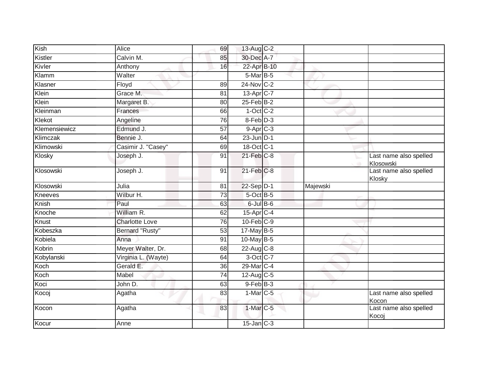| Kish          | Alice               | 69              | 13-Aug C-2            |          |                                                      |
|---------------|---------------------|-----------------|-----------------------|----------|------------------------------------------------------|
| Kistler       | Calvin M.           | 85              | 30-Dec A-7            |          |                                                      |
| Kivler        | Anthony             | 16              | 22-Apr B-10           |          |                                                      |
| Klamm         | Walter              |                 | 5-Mar B-5             |          |                                                      |
| Klasner       | Floyd               | 89              | 24-Nov C-2            |          |                                                      |
| Klein         | Grace M.            | 81              | 13-Apr <sub>C-7</sub> |          |                                                      |
| Klein         | Margaret B.         | 80              | $25$ -Feb $B$ -2      |          |                                                      |
| Kleinman      | Frances             | 66              | $1-Oct$ $C-2$         |          |                                                      |
| Klekot        | Angeline            | 76              | 8-Feb D-3             |          |                                                      |
| Klemensiewicz | Edmund J.           | $\overline{57}$ | $9-AprC-3$            |          |                                                      |
| Klimczak      | Bennie J.           | 64              | $23$ -Jun $D-1$       |          |                                                      |
| Klimowski     | Casimir J. "Casey"  | 69              | 18-Oct C-1            |          |                                                      |
| Klosky        | Joseph J.           | 91              | $21$ -Feb $C-8$       |          | Last name also spelled<br>Klosowski<br>$\rightarrow$ |
| Klosowski     | Joseph J.           | 91              | $21$ -Feb $C-8$       |          | Last name also spelled<br>Klosky                     |
| Klosowski     | Julia               | 81              | $22-Sep D-1$          | Majewski |                                                      |
| Kneeves       | Wilbur H.           | 73              | $5$ -Oct $B$ -5       |          |                                                      |
| Knish         | Paul                | 63              | $6$ -Jul $B$ -6       |          |                                                      |
| Knoche        | William R.          | 62              | 15-Apr <sub>C-4</sub> |          |                                                      |
| Knust         | Charlotte Love      | 76              | $10$ -Feb $C-9$       |          |                                                      |
| Kobeszka      | Bernard "Rusty"     | 53              | 17-May B-5            |          |                                                      |
| Kobiela       | Anna                | 91              | 10-May B-5            |          |                                                      |
| Kobrin        | Meyer Walter, Dr.   | 68              | 22-Aug C-8            |          |                                                      |
| Kobylanski    | Virginia L. (Wayte) | 64              | 3-Oct C-7             |          |                                                      |
| Koch          | Gerald E.           | 36              | 29-Mar C-4            |          |                                                      |
| Koch          | Mabel               | 74              | 12-Aug C-5            |          |                                                      |
| Koci          | John D.             | 63              | $9$ -Feb $B-3$        |          |                                                      |
| Kocoj         | Agatha              | 83              | $1-Mar$ C-5           |          | Last name also spelled<br>Kocon                      |
| Kocon         | Agatha              | 83              | 1-Mar C-5             |          | Last name also spelled<br>Kocoj                      |
| Kocur         | Anne                |                 | $15$ -Jan $C-3$       |          |                                                      |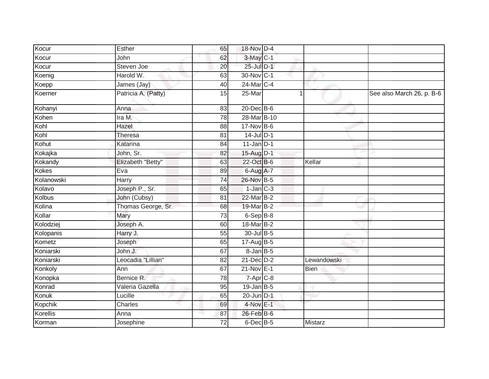| Kocur      | Esther              | 65 | 18-Nov D-4               |             |                           |
|------------|---------------------|----|--------------------------|-------------|---------------------------|
| Kocur      | John                | 62 | 3-May C-1                |             |                           |
| Kocur      | Steven Joe          | 20 | 25-Jul D-1               |             |                           |
| Koenig     | Harold W.           | 63 | 30-Nov C-1               |             |                           |
| Koepp      | James (Jay)         | 40 | 24-Mar C-4               |             |                           |
| Koerner    | Patricia A. (Patty) | 15 | 25-Mar                   | 1           | See also March 26, p. B-6 |
| Kohanyi    | Anna                | 83 | $20$ -Dec $B-6$          |             |                           |
| Kohen      | Ira M.              | 78 | 28-Mar B-10              |             |                           |
| Kohl       | Hazel               | 88 | 17-Nov B-6               |             |                           |
| Kohl       | Theresa             | 81 | $14$ -Jul $D-1$          |             |                           |
| Kohut      | Katarina            | 84 | $11$ -Jan D-1            |             |                           |
| Kokajka    | John, Sr.           | 82 | 15-Aug D-1               |             |                           |
| Kokandy    | Elizabeth "Betty"   | 63 | 22-Oct B-6               | Kellar      |                           |
| Kokes      | Eva                 | 89 | 6-Aug A-7                |             |                           |
| Kolanowski | Harry               | 74 | 26-Nov B-5               |             |                           |
| Kolavo     | Joseph P., Sr.      | 65 | $1$ -Jan $C-3$           |             |                           |
| Kolbus     | John (Cubsy)        | 81 | 22-Mar B-2               |             |                           |
| Kolina     | Thomas George, Sr.  | 68 | 19-Mar B-2               |             |                           |
| Kollar     | Mary                | 73 | $6-Sep$ $B-8$            |             |                           |
| Kolodziej  | Joseph A.           | 60 | 18-Mar B-2               |             |                           |
| Kolopanis  | Harry J.            | 55 | 30-Jul B-5               |             |                           |
| Kometz     | Joseph              | 65 | 17-Aug B-5               |             |                           |
| Koniarski  | John J.             | 67 | $8$ -Jan $B$ -5          |             |                           |
| Koniarski  | Leocadia "Lillian"  | 82 | $21$ -Dec $D-2$          | Lewandowski |                           |
| Konkoly    | Ann                 | 67 | $21-Nov$ E-1             | <b>Bien</b> |                           |
| Konopka    | Bernice R.          | 78 | $7 - \overline{Apr}$ C-8 |             |                           |
| Konrad     | Valeria Gazella     | 95 | $19$ -Jan B-5            |             |                           |
| Konuk      | Lucille             | 65 | 20-Jun D-1               |             |                           |
| Kopchik    | Charles             | 69 | $4$ -Nov $E-1$           |             |                           |
| Korellis   | Anna                | 87 | 26-Feb B-6               |             |                           |
| Korman     | Josephine           | 72 | $6$ -Dec $B$ -5          | Mistarz     |                           |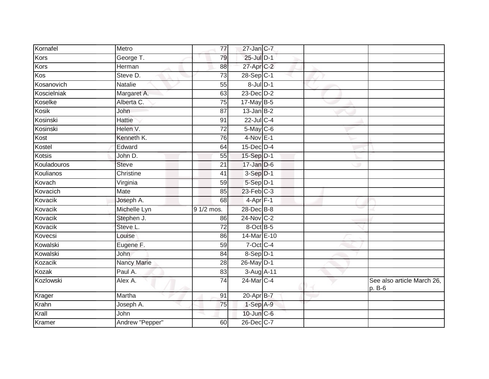| Kornafel    | Metro              | 77              | $27$ -Jan C-7    |  |                                      |
|-------------|--------------------|-----------------|------------------|--|--------------------------------------|
| Kors        | George T.          | 79              | 25-Jul D-1       |  |                                      |
| Kors        | Herman             | 88              | 27-Apr C-2       |  |                                      |
| Kos         | Steve D.           | 73              | 28-Sep C-1       |  |                                      |
| Kosanovich  | <b>Natalie</b>     | 55              | $8$ -Jul $D-1$   |  |                                      |
| Koscielniak | Margaret A.        | 63              | 23-Dec D-2       |  |                                      |
| Koselke     | Alberta C.         | 75              | 17-May B-5       |  |                                      |
| Kosik       | John               | 87              | $13$ -Jan B-2    |  |                                      |
| Kosinski    | Hattie             | 91              | 22-Jul C-4       |  |                                      |
| Kosinski    | Helen V.           | $\overline{72}$ | 5-May C-6        |  |                                      |
| Kost        | Kenneth K.         | 76              | $4-Nov$ E-1      |  |                                      |
| Kostel      | Edward             | 64              | $15$ -Dec $D-4$  |  |                                      |
| Kotsis      | John D.            | 55              | 15-Sep D-1       |  |                                      |
| Kouladouros | <b>Steve</b>       | 21              | $17 - Jan$ $D-6$ |  |                                      |
| Koulianos   | Christine          | 41              | $3-Sep$ $D-1$    |  |                                      |
| Kovach      | Virginia           | 59              | $5-Sep$ D-1      |  |                                      |
| Kovacich    | Mate               | 85              | $23$ -Feb $C-3$  |  |                                      |
| Kovacik     | Joseph A.          | 68              | $4-Apr$ F-1      |  |                                      |
| Kovacik     | Michelle Lyn       | 9 1/2 mos.      | 28-Dec B-8       |  |                                      |
| Kovacik     | Stephen J.         | 86              | 24-Nov C-2       |  |                                      |
| Kovacik     | Steve L.           | 72              | $8$ -Oct B-5     |  |                                      |
| Kovecsi     | Louise             | 86              | 14-Mar E-10      |  |                                      |
| Kowalski    | Eugene F.          | 59              | $7$ -Oct C-4     |  |                                      |
| Kowalski    | John               | 84              | 8-Sep D-1        |  |                                      |
| Kozacik     | <b>Nancy Marie</b> | 28              | 26-May D-1       |  |                                      |
| Kozak       | Paul A.            | 83              | 3-Aug A-11       |  |                                      |
| Kozlowski   | Alex A.            | $\overline{74}$ | 24-Mar C-4       |  | See also article March 26,<br>p. B-6 |
| Krager      | Martha             | 91              | 20-Apr B-7       |  |                                      |
| Krahn       | Joseph A.          | 75              | $1-Sep$ A-9      |  |                                      |
| Krall       | John               |                 | 10-Jun C-6       |  |                                      |
| Kramer      | Andrew "Pepper"    | 60              | 26-Dec C-7       |  |                                      |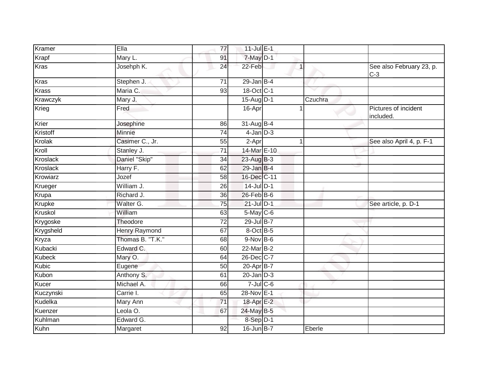| Kramer          | Ella                 | 77 | 11-Jul E-1       |         |         |                                   |
|-----------------|----------------------|----|------------------|---------|---------|-----------------------------------|
| Krapf           | Mary L.              | 91 | $7$ -May $D-1$   |         |         |                                   |
| <b>Kras</b>     | Josehph K.           | 24 | 22-Feb           | $\vert$ |         | See also February 23, p.<br>$C-3$ |
| Kras            | Stephen J.           | 71 | $29$ -Jan B-4    |         |         |                                   |
| <b>Krass</b>    | Maria C.             | 93 | 18-Oct C-1       |         |         |                                   |
| Krawczyk        | Mary J.              |    | 15-Aug D-1       |         | Czuchra |                                   |
| Krieg           | Fred                 |    | 16-Apr           |         |         | Pictures of incident<br>included. |
| Krier           | Josephine            | 86 | 31-Aug B-4       |         |         |                                   |
| Kristoff        | Minnie               | 74 | $4$ -Jan $D-3$   |         |         |                                   |
| Krolak          | Casimer C., Jr.      | 55 | 2-Apr            | 1       |         | See also April 4, p. F-1          |
| Kroll           | Stanley J.           | 71 | 14-Mar E-10      |         |         |                                   |
| <b>Kroslack</b> | Daniel "Skip"        | 34 | 23-Aug B-3       |         |         |                                   |
| <b>Kroslack</b> | Harry F.             | 62 | $29$ -Jan B-4    |         |         |                                   |
| Krowiarz        | Jozef                | 58 | 16-Dec C-11      |         |         |                                   |
| Krueger         | William J.           | 26 | 14-Jul D-1       |         |         |                                   |
| Krupa           | Richard J.           | 36 | 26-Feb B-6       |         |         |                                   |
| Krupke          | Walter G.            | 75 | $21$ -Jul $D-1$  |         |         | See article, p. D-1               |
| Kruskol         | William              | 63 | $5-May$ $C-6$    |         |         |                                   |
| Krygoske        | Theodore             | 72 | 29-Jul B-7       |         |         |                                   |
| Krygsheld       | <b>Henry Raymond</b> | 67 | 8-Oct B-5        |         |         |                                   |
| Kryza           | Thomas B. "T.K."     | 68 | $9-Nov$ B-6      |         |         |                                   |
| Kubacki         | Edward C.            | 60 | 22-Mar B-2       |         |         |                                   |
| <b>Kubeck</b>   | Mary O.              | 64 | 26-Dec C-7       |         |         |                                   |
| Kubic           | Eugene               | 50 | 20-Apr B-7       |         |         |                                   |
| Kubon           | Anthony S.           | 61 | $20$ -Jan $D-3$  |         |         |                                   |
| Kucer           | Michael A.           | 66 | $7$ -Jul $C$ -6  |         |         |                                   |
| Kuczynski       | Carrie I.            | 65 | 28-Nov E-1       |         |         |                                   |
| Kudelka         | Mary Ann             | 71 | 18-Apr E-2       |         |         |                                   |
| Kuenzer         | Leola O.             | 67 | 24-May B-5       |         |         |                                   |
| Kuhlman         | Edward G.            |    | 8-Sep D-1        |         |         |                                   |
| Kuhn            | Margaret             | 92 | $16$ -Jun $B$ -7 |         | Eberle  |                                   |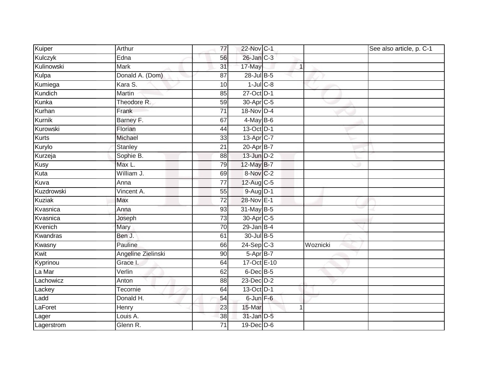| Kuiper       | Arthur             | 77              | 22-Nov C-1            |              | See also article, p. C-1 |
|--------------|--------------------|-----------------|-----------------------|--------------|--------------------------|
| Kulczyk      | Edna               | 56              | 26-Jan C-3            |              |                          |
| Kulinowski   | <b>Mark</b>        | $\overline{31}$ | 17-May                | $\mathbf{1}$ |                          |
| Kulpa        | Donald A. (Dom)    | 87              | 28-Jul B-5            |              |                          |
| Kumiega      | Kara S.            | 10              | $1$ -Jul $C$ -8       |              |                          |
| Kundich      | Martin             | 85              | 27-Oct D-1            |              |                          |
| Kunka        | Theodore R.        | 59              | 30-Apr <sub>C-5</sub> |              |                          |
| Kurhan       | Frank              | $\overline{71}$ | 18-Nov D-4            |              |                          |
| Kurnik       | Barney F.          | 67              | $4$ -May B-6          |              |                          |
| Kurowski     | Florian            | 44              | 13-Oct D-1            |              |                          |
| <b>Kurts</b> | Michael            | 33              | 13-Apr C-7            |              |                          |
| Kurylo       | Stanley            | $\overline{21}$ | 20-Apr B-7            |              |                          |
| Kurzeja      | Sophie B.          | 88              | 13-Jun D-2            |              |                          |
| Kusy         | Max L.             | 79              | 12-May B-7            |              |                          |
| Kuta         | William J.         | 69              | 8-Nov C-2             |              |                          |
| Kuva         | Anna               | $\overline{77}$ | 12-Aug C-5            |              |                          |
| Kuzdrowski   | Vincent A.         | 55              | $9-Aug$ $D-1$         |              |                          |
| Kuziak       | Max                | 72              | 28-Nov E-1            |              |                          |
| Kvasnica     | Anna               | 93              | 31-May B-5            |              |                          |
| Kvasnica     | Joseph             | 73              | 30-Apr <sub>C-5</sub> |              |                          |
| Kvenich      | Mary               | 70              | $29$ -Jan B-4         |              |                          |
| Kwandras     | Ben J.             | 61              | 30-Jul B-5            |              |                          |
| Kwasny       | Pauline            | 66              | $24-SepC-3$           | Woznicki     |                          |
| Kwit         | Angeline Zielinski | 90              | $5-Apr$ B-7           |              |                          |
| Kyprinou     | Grace I.           | 64              | 17-Oct E-10           |              |                          |
| La Mar       | Verlin             | 62              | 6-Dec B-5             |              |                          |
| Lachowicz    | Anton              | $\overline{88}$ | 23-Dec D-2            |              |                          |
| Lackey       | Tecornie           | 64              | 13-Oct D-1            |              |                          |
| Ladd         | Donald H.          | 54              | $6$ -Jun $F-6$        |              |                          |
| LaForet      | Henry              | 23              | 15-Mar                | 1            |                          |
| Lager        | Louis A.           | 38              | 31-Jan D-5            |              |                          |
| Lagerstrom   | Glenn R.           | $\overline{71}$ | 19-Dec D-6            |              |                          |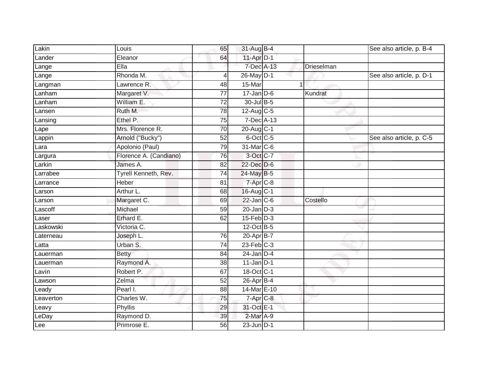| Lakin     | Louis                  | 65              | 31-Aug B-4        |            | See also article, p. B-4 |
|-----------|------------------------|-----------------|-------------------|------------|--------------------------|
| Lander    | Eleanor                | 64              | 11-Apr D-1        |            |                          |
| Lange     | EIIa                   |                 | 7-Dec A-13        | Drieselman |                          |
| Lange     | Rhonda M.              | 4               | 26-May D-1        |            | See also article, p. D-1 |
| Langman   | Lawrence R.            | 48              | 15-Mar            |            |                          |
| Lanham    | Margaret V.            | $\overline{77}$ | $17 - Jan$ $D-6$  | Kundrat    |                          |
| Lanham    | William E.             | 72              | 30-Jul B-5        |            |                          |
| Lansen    | Ruth M.                | 78              | $12$ -Aug C-5     |            |                          |
| Lansing   | Ethel P.               | 75              | 7-Dec A-13        |            |                          |
| Lape      | Mrs. Florence R.       | $\overline{70}$ | 20-Aug C-1        |            |                          |
| Lappin    | Arnold ("Bucky")       | 52              | 6-Oct C-5         |            | See also article, p. C-5 |
| Lara      | Apolonio (Paul)        | 79              | 31-Mar C-6        |            |                          |
| Largura   | Florence A. (Candiano) | 76              | 3-Oct C-7         |            |                          |
| Larkin    | James A.               | 82              | 22-Dec D-6        |            |                          |
| Larrabee  | Tyrell Kenneth, Rev.   | $\overline{74}$ | 24-May B-5        |            |                          |
| Larrance  | Heber                  | 81              | 7-Apr C-8         |            |                          |
| Larson    | Arthur L.              | 68              | 16-Aug C-1        |            |                          |
| Larson    | Margaret C.            | 69              | $22$ -Jan C-6     | Costello   |                          |
| Lascoff   | Michael                | 59              | $20$ -Jan $D-3$   |            |                          |
| Laser     | Erhard E.              | 62              | $15$ -Feb $D-3$   |            |                          |
| Laskowski | Victoria C.            |                 | 12-Oct B-5        |            |                          |
| Laterneau | Joseph L.              | 76              | 20-Apr B-7        |            |                          |
| Latta     | Urban S.               | $\overline{74}$ | $23$ -Feb $C-3$   |            |                          |
| Lauerman  | <b>Betty</b>           | 84              | $24$ -Jan $D-4$   |            |                          |
| Lauerman  | Raymond A.             | 38              | $11$ -Jan $ D-1 $ |            |                          |
| Lavin     | Robert P.              | 67              | 18-Oct C-1        |            |                          |
| Lawson    | Zelma                  | 52              | 26-Apr B-4        |            |                          |
| Leady     | Pearl I.               | 88              | 14-Mar E-10       |            |                          |
| Leaverton | Charles W.             | 75              | $7 - Apr$ $C-8$   |            |                          |
| Leavy     | <b>Phyllis</b>         | 29              | 31-Oct E-1        |            |                          |
| LeDay     | Raymond D.             | 39              | 2-Mar A-9         |            |                          |
| Lee       | Primrose E.            | $\overline{56}$ | $23$ -Jun $D-1$   |            |                          |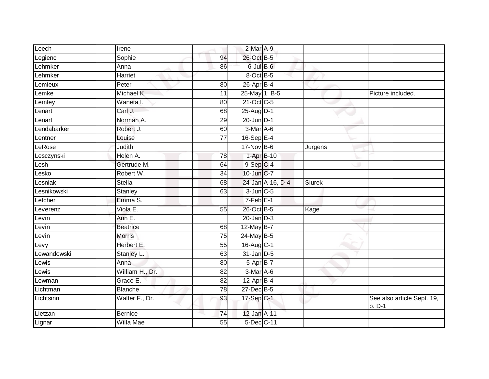| Leech       | Irene           |                 | 2-Mar A-9       |                  |               |                                      |
|-------------|-----------------|-----------------|-----------------|------------------|---------------|--------------------------------------|
|             | Sophie          | 94              | 26-Oct B-5      |                  |               |                                      |
| Legienc     |                 |                 |                 |                  |               |                                      |
| Lehmker     | Anna            | 86              | $6$ -Jul $B$ -6 |                  |               |                                      |
| Lehmker     | Harriet         |                 | 8-Oct B-5       |                  |               |                                      |
| Lemieux     | Peter           | 80              | $26$ -Apr $B-4$ |                  |               |                                      |
| Lemke       | Michael K.      | 11              | 25-May 1; B-5   |                  |               | Picture included.                    |
| Lemley      | Waneta I.       | 80              | 21-Oct C-5      |                  |               |                                      |
| Lenart      | Carl J.         | 68              | 25-Aug D-1      |                  |               |                                      |
| Lenart      | Norman A.       | 29              | $20$ -Jun $D-1$ |                  |               |                                      |
| Lendabarker | Robert J.       | 60              | $3-Mar$ A-6     |                  |               |                                      |
| Lentner     | Louise          | $\overline{77}$ | 16-Sep E-4      |                  |               |                                      |
| LeRose      | Judith          |                 | $17$ -Nov B-6   |                  | Jurgens       |                                      |
| Lesczynski  | Helen A.        | 78              | 1-Apr B-10      |                  |               |                                      |
| Lesh        | Gertrude M.     | 64              | $9-Sep$ C-4     |                  |               |                                      |
| Lesko       | Robert W.       | $\overline{34}$ | 10-Jun C-7      |                  |               |                                      |
| Lesniak     | <b>Stella</b>   | 68              |                 | 24-Jan A-16, D-4 | <b>Siurek</b> |                                      |
| Lesnikowski | Stanley         | 63              | $3$ -Jun $C$ -5 |                  |               |                                      |
| Letcher     | Emma S.         |                 | $7-Feb$ E-1     |                  |               |                                      |
| Leverenz    | Viola E.        | 55              | 26-Oct B-5      |                  | Kage          |                                      |
| Levin       | Ann E.          |                 | $20$ -Jan $D-3$ |                  |               |                                      |
| Levin       | <b>Beatrice</b> | 68              | 12-May $B-7$    |                  |               |                                      |
| Levin       | <b>Morris</b>   | $\overline{75}$ | $24$ -May B-5   |                  |               |                                      |
| Levy        | Herbert E.      | 55              | $16$ -Aug C-1   |                  |               |                                      |
| Lewandowski | Stanley L.      | 63              | $31$ -Jan $D-5$ |                  |               |                                      |
| _ewis       | Anna            | 80              | $5-AprB-7$      |                  |               |                                      |
| Lewis       | William H., Dr. | 82              | $3-Mar$ A-6     |                  |               |                                      |
| Lewman      | Grace E.        | $\overline{82}$ | $12$ -Apr $B-4$ |                  |               |                                      |
| Lichtman    | <b>Blanche</b>  | 78              | 27-Dec B-5      |                  |               |                                      |
| Lichtsinn   | Walter F., Dr.  | 93              | 17-Sep C-1      |                  |               | See also article Sept. 19,<br>p. D-1 |
| Lietzan     | <b>Bernice</b>  | 74              | 12-Jan A-11     |                  |               |                                      |
| Lignar      | Willa Mae       | 55              | 5-Dec C-11      |                  |               |                                      |
|             |                 |                 |                 |                  |               |                                      |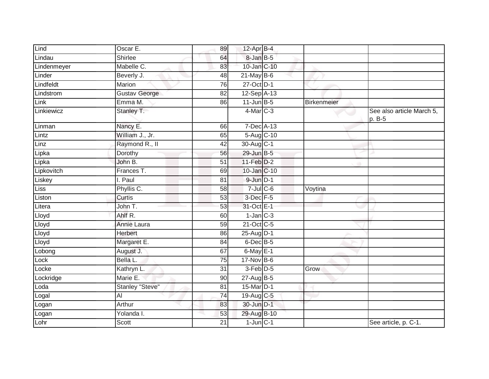| Lind        | Oscar E.               | 89              | $12$ -Apr $B-4$      |                    |                                     |
|-------------|------------------------|-----------------|----------------------|--------------------|-------------------------------------|
| Lindau      | Shirlee                | 64              | 8-Jan B-5            |                    |                                     |
| Lindenmeyer | Mabelle C.             | 83              | 10-Jan C-10          |                    |                                     |
| Linder      | Beverly J.             | 48              | $21$ -May B-6        |                    |                                     |
| Lindfeldt   | <b>Marion</b>          | $\overline{76}$ | 27-Oct D-1           |                    |                                     |
| Lindstrom   | <b>Gustav George</b>   | $\overline{82}$ | 12-Sep A-13          |                    |                                     |
| Link        | Emma M.                | 86              | $11$ -Jun $B - 5$    | <b>Birkenmeier</b> |                                     |
| Linkiewicz  | Stanley T.             |                 | $4$ -Mar $C-3$       |                    | See also article March 5,<br>p. B-5 |
| Linman      | Nancy E.               | 66              | 7-Dec A-13           |                    |                                     |
| Lintz       | William J., Jr.        | 65              | 5-Aug C-10           |                    |                                     |
| Linz        | Raymond R., II         | 42              | 30-Aug C-1           |                    |                                     |
| Lipka       | Dorothy                | 56              | 29-Jun B-5           |                    |                                     |
| Lipka       | John B.                | $\overline{51}$ | $11-Feb$ $D-2$       |                    |                                     |
| Lipkovitch  | Frances T.             | 69              | 10-Jan C-10          |                    |                                     |
| Liskey      | I. Paul                | 81              | 9-Jun D-1            |                    |                                     |
| <b>Liss</b> | Phyllis C.             | 58              | $7$ -Jul $C$ -6      | Voytina            |                                     |
| Liston      | Curtis                 | $\overline{53}$ | $3$ -Dec $F - 5$     |                    |                                     |
| Litera      | John T.                | 53              | 31-Oct E-1           |                    |                                     |
| Lloyd       | Ahlf R.                | 60              | $1$ -Jan $C-3$       |                    |                                     |
| Lloyd       | Annie Laura            | 59              | 21-Oct C-5           |                    |                                     |
| Lloyd       | Herbert                | 86              | 25-Aug D-1           |                    |                                     |
| Lloyd       | Margaret E.            | 84              | $6$ -Dec $B$ -5      |                    |                                     |
| Lobong      | August J.              | 67              | $6$ -May $E-1$       |                    |                                     |
| Lock        | Bella L.               | 75              | 17-Nov B-6           |                    |                                     |
| Locke       | Kathryn L.             | $\overline{31}$ | 3-Feb <sup>D-5</sup> | Grow               |                                     |
| Lockridge   | Marie E.               | 90              | $27$ -Aug B-5        |                    |                                     |
| Loda        | <b>Stanley "Steve"</b> | 81              | 15-Mar D-1           |                    |                                     |
| Logal       | AI                     | 74              | 19-Aug C-5           |                    |                                     |
| Logan       | Arthur                 | 83              | 30-Jun D-1           |                    |                                     |
| Logan       | Yolanda I.             | 53              | 29-Aug B-10          |                    |                                     |
| Lohr        | Scott                  | 21              | $1$ -Jun $C-1$       |                    | See article, p. C-1.                |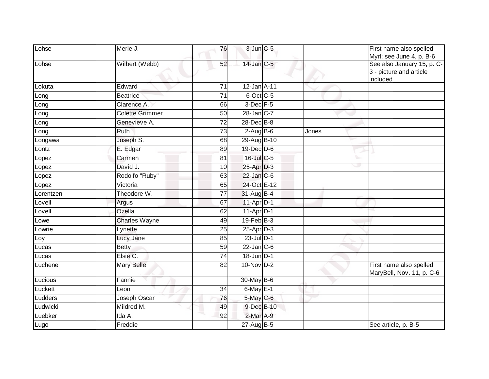| Lohse     | Merle J.               | 76              | 3-Jun C-5         |       | First name also spelled<br>Myrl; see June 4, p. B-6               |
|-----------|------------------------|-----------------|-------------------|-------|-------------------------------------------------------------------|
| Lohse     | Wilbert (Webb)         | 52              | 14-Jan C-5        |       | See also January 15, p. C-<br>3 - picture and article<br>included |
| Lokuta    | Edward                 | 71              | $12$ -Jan $A$ -11 |       |                                                                   |
| Long      | Beatrice               | 71              | $6$ -Oct C-5      |       |                                                                   |
| Long      | Clarence A.            | 66              | 3-Dec F-5         |       |                                                                   |
| Long      | <b>Colette Grimmer</b> | 50              | 28-Jan C-7        |       |                                                                   |
| Long      | Genevieve A.           | 72              | 28-Dec B-8        |       |                                                                   |
| Long      | Ruth                   | 73              | $2-AugB-6$        | Jones |                                                                   |
| Longawa   | Joseph S.              | 68              | 29-Aug B-10       |       |                                                                   |
| Lontz     | E. Edgar               | 89              | $19$ -Dec $D$ -6  |       |                                                                   |
| Lopez     | Carmen                 | 81              | $16$ -Jul C-5     | ⊾     |                                                                   |
| Lopez     | David J.               | 10 <sup>1</sup> | $25-Apr$ D-3      | w     |                                                                   |
| Lopez     | Rodolfo "Ruby"         | 63              | $22$ -Jan $C-6$   |       |                                                                   |
| Lopez     | Victoria               | 65              | 24-Oct E-12       |       |                                                                   |
| Lorentzen | Theodore W.            | 77              | $31-AugB-4$       |       |                                                                   |
| Lovell    | Argus                  | 67              | 11-Apr D-1        |       |                                                                   |
| Lovell    | Ozella                 | 62              | $11-Apr$ D-1      |       |                                                                   |
| Lowe      | <b>Charles Wayne</b>   | 49              | $19$ -Feb $B$ -3  |       |                                                                   |
| ∟owrie    | Lynette                | 25              | 25-Apr D-3        |       |                                                                   |
| Loy       | Lucy Jane              | 85              | $23$ -Jul $D-1$   |       |                                                                   |
| Lucas     | <b>Betty</b>           | 59              | $22$ -Jan $C-6$   |       |                                                                   |
| Lucas     | Elsie C.               | 74              | 18-Jun D-1        |       |                                                                   |
| Luchene   | <b>Mary Belle</b>      | 82              | $10-Nov$ D-2      |       | First name also spelled<br>MaryBell, Nov. 11, p. C-6              |
| Lucious   | Fannie                 |                 | 30-May B-6        |       |                                                                   |
| Luckett   | Leon                   | 34              | $6$ -May $E-1$    |       |                                                                   |
| Ludders   | Joseph Oscar           | 76              | 5-May C-6         |       |                                                                   |
| Ludwicki  | Mildred M.             | 49              | 9-Dec B-10        |       |                                                                   |
| Luebker   | Ida A.                 | 92              | $2$ -Mar $A-9$    |       |                                                                   |
| Lugo      | Freddie                |                 | $27-AugB-5$       |       | See article, p. B-5                                               |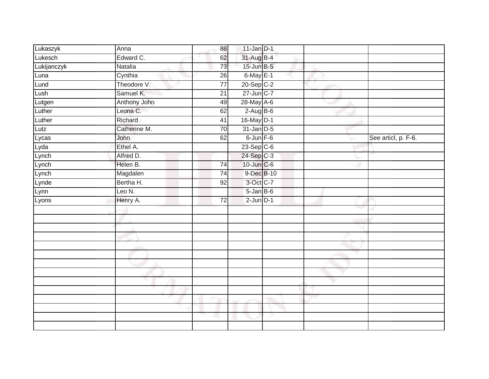| Lukaszyk    | Anna           | 88              | $11$ -Jan D-1     |   |                     |
|-------------|----------------|-----------------|-------------------|---|---------------------|
| Lukesch     | Edward C.      | 62              | 31-Aug B-4        |   |                     |
| Lukijanczyk | <b>Natalia</b> | 73              | 15-Jun B-5        |   |                     |
| Luna        | Cynthia        | 26              | $6$ -May $E-1$    |   |                     |
| Lund        | Theodore V.    | $\overline{77}$ | $20-Sep$ C-2      |   |                     |
| Lush        | Samuel K.      | $\overline{21}$ | 27-Jun C-7        |   |                     |
| Lutgen      | Anthony John   | 49              | 28-May A-6        |   |                     |
| Luther      | Leona C.       | 62              | $2-Aug$ B-6       |   |                     |
| Luther      | Richard        | 41              | 16-May D-1        |   |                     |
| Lutz        | Catherine M.   | $\overline{70}$ | $31$ -Jan $D-5$   |   |                     |
| Lycas       | John           | 62              | $6$ -Jun $F-6$    |   | See articl, p. F-6. |
| Lyda        | Ethel A.       |                 | 23-Sep C-6        |   |                     |
| Lynch       | Alfred D.      |                 | $24-Sep$ C-3      |   |                     |
| Lynch       | Helen B.       | 74              | 10-Jun C-6        |   |                     |
| Lynch       | Magdalen       | $\overline{74}$ | 9-Dec B-10        |   |                     |
| Lynde       | Bertha H.      | 92              | 3-Oct C-7         |   |                     |
| Lynn        | Leo N.         |                 | $5 - Jan$ $B - 6$ |   |                     |
| Lyons       | Henry A.       | $\overline{72}$ | $2$ -Jun $D-1$    |   |                     |
|             |                |                 |                   |   |                     |
|             |                |                 |                   |   |                     |
|             |                |                 |                   |   |                     |
|             |                |                 |                   |   |                     |
|             |                |                 |                   |   |                     |
|             |                |                 |                   |   |                     |
|             |                |                 |                   |   |                     |
|             |                |                 |                   |   |                     |
|             |                |                 |                   |   |                     |
|             |                |                 |                   |   |                     |
|             |                |                 |                   |   |                     |
|             |                |                 |                   |   |                     |
|             |                |                 |                   | ≻ |                     |
|             |                |                 |                   |   |                     |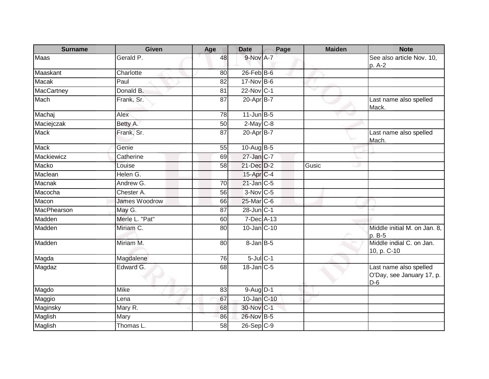| <b>Surname</b> | <b>Given</b>         | Age             | <b>Date</b>       | Page | <b>Maiden</b> | <b>Note</b>                                                  |
|----------------|----------------------|-----------------|-------------------|------|---------------|--------------------------------------------------------------|
| Maas           | Gerald P.            | 48              | 9-Nov A-7         |      |               | See also article Nov. 10,<br>p. A-2                          |
| Maaskant       | Charlotte            | 80              | $26$ -Feb $B$ -6  |      |               |                                                              |
| <b>Macak</b>   | Paul                 | 82              | 17-Nov B-6        |      |               |                                                              |
| MacCartney     | Donald B.            | 81              | 22-Nov C-1        |      | v             |                                                              |
| Mach           | Frank, Sr.           | 87              | 20-Apr B-7        |      |               | Last name also spelled<br>Mack.                              |
| Machaj         | Alex                 | 78              | $11$ -Jun $B - 5$ |      |               |                                                              |
| Maciejczak     | Betty A.             | 50              | $2$ -May $C-8$    |      |               |                                                              |
| <b>Mack</b>    | Frank, Sr.           | 87              | 20-Apr B-7        |      |               | Last name also spelled<br>Mach.                              |
| Mack           | Genie                | 55              | 10-Aug B-5        |      |               |                                                              |
| Mackiewicz     | Catherine            | 69              | $27$ -Jan C-7     |      |               |                                                              |
| Macko          | Louise               | 58              | 21-Dec D-2        |      | Gusic         |                                                              |
| Maclean        | Helen G.             |                 | 15-Apr C-4        |      |               |                                                              |
| Macnak         | Andrew G.            | 70              | $21$ -Jan C-5     |      |               |                                                              |
| Macocha        | Chester A.           | 56              | $3-Nov$ C-5       |      |               |                                                              |
| Macon          | <b>James Woodrow</b> | 66              | 25-Mar C-6        |      |               |                                                              |
| MacPhearson    | May G.               | 87              | 28-Jun C-1        |      |               |                                                              |
| Madden         | Merle L. "Pat"       | 60              | 7-Dec A-13        |      |               |                                                              |
| Madden         | Miriam C.            | 80              | 10-Jan C-10       |      |               | Middle initial M. on Jan. 8,<br>p. B-5                       |
| Madden         | Miriam M.            | 80              | 8-Jan B-5         |      |               | Middle indial C. on Jan.<br>10, p. C-10                      |
| Magda          | Magdalene            | 76              | $5$ -Jul $C$ -1   |      |               |                                                              |
| Magdaz         | Edward G.            | 68              | $18$ -Jan $C$ -5  |      |               | Last name also spelled<br>O'Day, see January 17, p.<br>$D-6$ |
| Magdo          | Mike                 | 83              | $9-Aug1D-1$       |      |               |                                                              |
| Maggio         | Lena                 | 67              | 10-Jan C-10       |      |               |                                                              |
| Maginsky       | Mary R.              | 68              | 30-Nov C-1        |      |               |                                                              |
| Maglish        | Mary                 | 86              | 26-Nov B-5        |      |               |                                                              |
| Maglish        | Thomas L.            | $\overline{58}$ | $26-SepC-9$       |      |               |                                                              |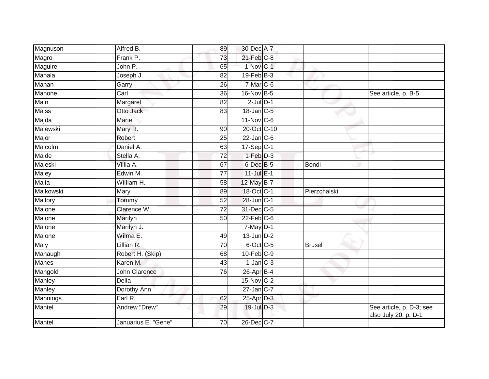| Magnuson      | Alfred B.                | 89              | 30-Dec A-7       |               |                                                  |
|---------------|--------------------------|-----------------|------------------|---------------|--------------------------------------------------|
| Magro         | Frank P.                 | 73              | $21$ -Feb $C-8$  |               |                                                  |
| Maguire       | John P.                  | 65              | 1-Nov C-1        |               |                                                  |
| Mahala        | Joseph J.                | 82              | $19$ -Feb $B-3$  |               |                                                  |
| Mahan         | Garry                    | 26              | $7-Mar$ C-6      |               |                                                  |
| Mahone        | $\overline{\text{Carl}}$ | 36              | 16-Nov B-5       |               | See article, p. B-5                              |
| Main          | Margaret                 | 82              | $2$ -Jul $D-1$   |               |                                                  |
| <b>Maiss</b>  | Otto Jack                | 83              | 18-Jan C-5       |               |                                                  |
| Majda         | Marie                    |                 | $11-Nov$ C-6     |               |                                                  |
| Majewski      | Mary R.                  | 90              | 20-Oct C-10      |               |                                                  |
| Major         | Robert                   | $\overline{25}$ | $22$ -Jan $C$ -6 |               |                                                  |
| Malcolm       | Daniel A.                | 63              | $17-Sep C-1$     |               |                                                  |
| Malde         | Stella A.                | 72              | $1-Feb$ D-3      |               |                                                  |
| Maleski       | Villia A.                | 67              | 6-Dec B-5        | Bondi         |                                                  |
| Maley         | Edwin M.                 | $\overline{77}$ | $11$ -Jul $E-1$  |               |                                                  |
| Malia         | William H.               | 58              | 12-May B-7       |               |                                                  |
| Malkowski     | Mary                     | 89              | 18-Oct C-1       | Pierzchalski  |                                                  |
| Mallory       | Tommy                    | 52              | 28-Jun C-1       |               |                                                  |
| Malone        | Clarence W.              | 72              | 31-Dec C-5       |               |                                                  |
| Malone        | Marilyn                  | 50              | $22$ -Feb $C-6$  |               |                                                  |
| Malone        | Marilyn J.               |                 | $7$ -May $D-1$   |               |                                                  |
| Malone        | Wilma E.                 | 49              | $13$ -Jun $D-2$  |               |                                                  |
| Maly          | Lillian R.               | 70              | $6$ -Oct C-5     | <b>Brusel</b> |                                                  |
| Manaugh       | Robert H. (Skip)         | 68              | $10$ -Feb $C-9$  |               |                                                  |
| <b>Manes</b>  | Karen M.                 | 43              | $1$ -Jan $C-3$   |               |                                                  |
| Mangold       | <b>John Clarence</b>     | 76              | 26-Apr B-4       |               |                                                  |
| <b>Manley</b> | <b>Della</b>             |                 | $15-Nov$ C-2     |               |                                                  |
| Manley        | Dorothy Ann              |                 | 27-Jan C-7       |               |                                                  |
| Mannings      | Earl R.                  | 62              | $25$ -Apr $D-3$  |               |                                                  |
| Mantel        | Andrew "Drew"            | 29              | 19-Jul D-3       |               | See article, p. D-3; see<br>also July 20, p. D-1 |
| Mantel        | Januarius E. "Gene"      | 70              | 26-Dec C-7       |               |                                                  |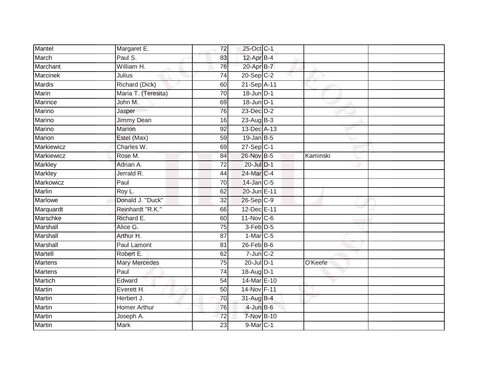| Mantel         | Margaret E.          | 72              | 25-Oct C-1           |          |  |
|----------------|----------------------|-----------------|----------------------|----------|--|
| March          | Paul S.              | 83              | 12-Apr B-4           |          |  |
| Marchant       | William H.           | 76              | 20-Apr B-7           |          |  |
| Marcinek       | Julius               | 74              | $20-SepC-2$          |          |  |
| <b>Mardis</b>  | Richard (Dick)       | 60              | 21-Sep A-11          |          |  |
| Marin          | Maria T. (Teresita)  | 70              | $18$ -Jun $D-1$      |          |  |
| Marince        | John M.              | 69              | 18-Jun D-1           |          |  |
| Marino         | Jasper               | 76              | $23$ -Dec $D-2$      |          |  |
| Marino         | Jimmy Dean           | 16              | $23 - Aug$ $B-3$     |          |  |
| Marino         | Marion               | 92              | 13-Dec A-13          |          |  |
| Marion         | Estel (Max)          | 59              | $19$ -Jan $B$ -5     |          |  |
| Markiewicz     | Charles W.           | 69              | $27-Sep$ C-1         |          |  |
| Markiewicz     | Rose M.              | 84              | 26-Nov B-5           | Kaminski |  |
| <b>Markley</b> | Adrian A.            | 72              | 20-Jul D-1           |          |  |
| <b>Markley</b> | Jerrald R.           | 44              | 24-Mar C-4           |          |  |
| Markowicz      | Paul                 | 70              | 14-Jan C-5           |          |  |
| <b>Marlin</b>  | Roy L.               | 62              | 20-Jun E-11          |          |  |
| <b>Marlowe</b> | Donald J. "Duck"     | 32              | 26-Sep C-9           |          |  |
| Marquardt      | Reinhardt "R.K."     | 66              | 12-Dec E-11          |          |  |
| Marschke       | Richard E.           | 60              | 11-Nov C-6           |          |  |
| Marshall       | Alice G.             | $\overline{75}$ | 3-Feb <sup>D-5</sup> |          |  |
| Marshall       | Arthur H.            | 87              | $1-Mar$ C-5          |          |  |
| Marshall       | Paul Lamont          | 81              | $26$ -Feb $B$ -6     |          |  |
| Martell        | Robert E.            | 62              | $7$ -Jun $C-2$       |          |  |
| <b>Martens</b> | <b>Mary Mercedes</b> | 75              | 20-Jul D-1           | O'Keefe  |  |
| <b>Martens</b> | Paul                 | 74              | 18-Aug D-1           |          |  |
| <b>Martich</b> | Edward               | $\overline{54}$ | 14-Mar E-10          |          |  |
| Martin         | Everett H.           | 50              | 14-Nov F-11          |          |  |
| <b>Martin</b>  | Herbert J.           | 70              | 31-Aug B-4           |          |  |
| Martin         | <b>Homer Arthur</b>  | 76              | $4$ -Jun $B$ -6      |          |  |
| <b>Martin</b>  | Joseph A.            | $\overline{72}$ | <b>7-Nov B-10</b>    |          |  |
| <b>Martin</b>  | <b>Mark</b>          | $\overline{23}$ | 9-Mar C-1            |          |  |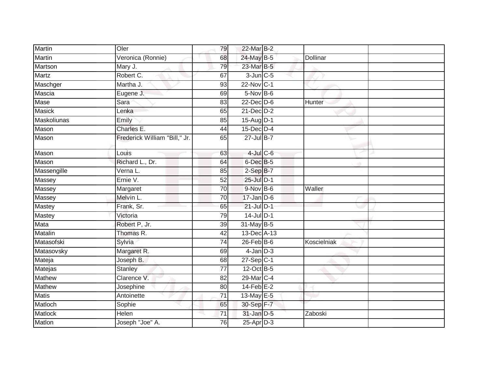| Martin        | Oler                          | 79              | 22-Mar B-2       |             |  |
|---------------|-------------------------------|-----------------|------------------|-------------|--|
| Martin        | Veronica (Ronnie)             | 68              | 24-May B-5       | Dollinar    |  |
| Martson       | Mary J.                       | 79              | 23-Mar B-5       |             |  |
| Martz         | Robert C.                     | 67              | $3$ -Jun $C$ -5  |             |  |
| Maschger      | Martha J.                     | 93              | 22-Nov C-1       |             |  |
| Mascia        | Eugene J.                     | 69              | 5-Nov B-6        |             |  |
| Mase          | Sara                          | 83              | $22$ -Dec $D-6$  | Hunter      |  |
| <b>Masick</b> | Lenka                         | 65              | $21$ -Dec $D-2$  |             |  |
| Maskoliunas   | Emily                         | 85              | 15-Aug D-1       |             |  |
| <b>Mason</b>  | Charles E.                    | 44              | $15$ -Dec $D-4$  |             |  |
| Mason         | Frederick William "Bill," Jr. | 65              | $27$ -Jul B-7    |             |  |
| Mason         | Louis                         | 63              | $4$ -Jul $C$ -6  |             |  |
| Mason         | Richard L., Dr.               | 64              | 6-Dec B-5        |             |  |
| Massengille   | Verna L.                      | 85              | $2-SepB-7$       |             |  |
| Massey        | Ernie V.                      | 52              | 25-Jul D-1       |             |  |
| Massey        | Margaret                      | 70              | $9-Nov$ B-6      | Waller      |  |
| Massey        | Melvin L.                     | 70              | $17 - Jan$ $D-6$ |             |  |
| Mastey        | Frank, Sr.                    | 65              | $21$ -Jul $D-1$  |             |  |
| Mastey        | Victoria                      | 79              | $14$ -Jul $D-1$  |             |  |
| Mata          | Robert P, Jr.                 | $\overline{39}$ | $31$ -May B-5    |             |  |
| Matalin       | Thomas R.                     | 42              | 13-Dec A-13      |             |  |
| Matasofski    | Sylvia                        | 74              | $26$ -Feb $ B-6$ | Koscielniak |  |
| Matasovsky    | Margaret R.                   | 69              | $4$ -Jan $D-3$   |             |  |
| Mateja        | Joseph B.                     | 68              | $27 - Sep$ C-1   |             |  |
| Matejas       | <b>Stanley</b>                | $\overline{77}$ | 12-Oct B-5       |             |  |
| <b>Mathew</b> | Clarence V.                   | 82              | 29-Mar C-4       |             |  |
| Mathew        | Josephine                     | 80              | $14$ -Feb $E-2$  |             |  |
| <b>Matis</b>  | Antoinette                    | $\overline{71}$ | 13-May E-5       |             |  |
| Matloch       | Sophie                        | 65              | 30-Sep F-7       |             |  |
| Matlock       | Helen                         | 71              | $31$ -Jan $D-5$  | Zaboski     |  |
| Matlon        | Joseph "Joe" A.               | 76              | $25$ -Apr $D-3$  |             |  |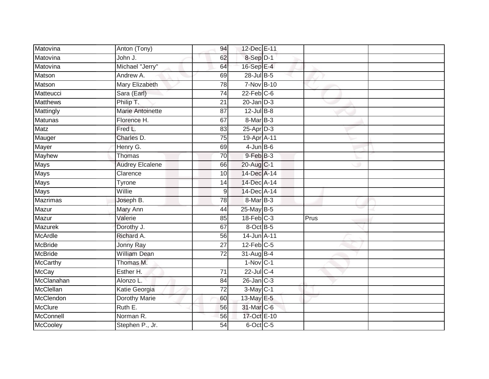| Matovina        | Anton (Tony)           | 94              | 12-Dec E-11      |      |  |
|-----------------|------------------------|-----------------|------------------|------|--|
| Matovina        | John J.                | 62              | 8-Sep D-1        |      |  |
| Matovina        | Michael "Jerry"        | 64              | 16-Sep E-4       |      |  |
| Matson          | Andrew A.              | 69              | $28$ -Jul $B$ -5 |      |  |
| Matson          | <b>Mary Elizabeth</b>  | 78              | 7-Nov B-10       |      |  |
| Matteucci       | Sara (Earl)            | $\overline{74}$ | $22$ -Feb $C$ -6 |      |  |
| <b>Matthews</b> | Philip T.              | 21              | $20$ -Jan $D-3$  |      |  |
| Mattingly       | Marie Antoinette       | 87              | $12$ -Jul $B-8$  |      |  |
| <b>Matunas</b>  | Florence H.            | 67              | 8-Mar B-3        |      |  |
| Matz            | Fred L.                | 83              | $25$ -Apr $D-3$  |      |  |
| Mauger          | Charles D.             | 75              | 19-Apr A-11      |      |  |
| Mayer           | Henry G.               | 69              | $4$ -Jun $B$ -6  |      |  |
| <b>Mayhew</b>   | Thomas                 | 70              | 9-Feb B-3        |      |  |
| Mays            | <b>Audrey Elcalene</b> | 66              | 20-Aug C-1       |      |  |
| <b>Mays</b>     | Clarence               | 10              | 14-Dec A-14      |      |  |
| <b>Mays</b>     | Tyrone                 | 14              | 14-Dec A-14      |      |  |
| <b>Mays</b>     | Willie                 | 9               | 14-Dec A-14      |      |  |
| <b>Mazrimas</b> | Joseph B.              | 78              | 8-Mar B-3        |      |  |
| Mazur           | Mary Ann               | 44              | 25-May B-5       |      |  |
| Mazur           | Valerie                | 85              | $18$ -Feb $C-3$  | Prus |  |
| Mazurek         | Dorothy J.             | 67              | 8-Oct B-5        |      |  |
| McArdle         | Richard A.             | 56              | 14-Jun A-11      |      |  |
| <b>McBride</b>  | Jonny Ray              | 27              | $12$ -Feb $C-5$  |      |  |
| <b>McBride</b>  | <b>William Dean</b>    | $\overline{72}$ | $31-Aug$ B-4     |      |  |
| McCarthy        | Thomas M.              |                 | $1-Nov$ C-1      |      |  |
| <b>McCay</b>    | Esther H.              | $\overline{71}$ | 22-Jul C-4       |      |  |
| McClanahan      | Alonzo L.              | 84              | $26$ -Jan $C-3$  |      |  |
| McClellan       | Katie Georgia          | 72              | 3-May C-1        |      |  |
| McClendon       | <b>Dorothy Marie</b>   | 60              | 13-May E-5       |      |  |
| <b>McClure</b>  | Ruth E.                | 56              | 31-Mar C-6       |      |  |
| McConnell       | Norman R.              | 56              | 17-Oct E-10      |      |  |
| <b>McCooley</b> | Stephen P., Jr.        | 54              | 6-Oct C-5        |      |  |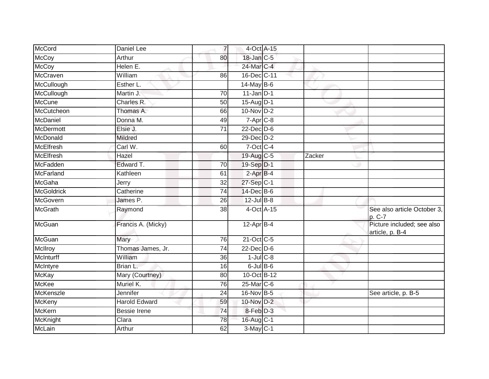| <b>McCoy</b><br>18-Jan C-5<br>Arthur<br>80                   |                                               |
|--------------------------------------------------------------|-----------------------------------------------|
| Helen E.<br>24-Mar C-4<br><b>McCoy</b>                       |                                               |
| 16-Dec C-11<br>McCraven<br>William<br>86                     |                                               |
| McCullough<br>$14$ -May B-6<br>Esther L.                     |                                               |
| McCullough<br>$\overline{70}$<br>$11$ -Jan D-1<br>Martin J.  |                                               |
| <b>McCune</b><br>Charles R.<br>$15$ -AugD-1<br>50            |                                               |
| McCutcheon<br>Thomas A.<br>10-Nov D-2<br>66                  |                                               |
| McDaniel<br>Donna M.<br>7-Apr C-8<br>49                      |                                               |
| <b>McDermott</b><br>Elsie J.<br>$22$ -Dec $D-6$<br>71        |                                               |
| McDonald<br>29-Dec D-2<br><b>Mildred</b>                     |                                               |
| <b>McElfresh</b><br>7-Oct C-4<br>Carl W.<br>60               |                                               |
| <b>McElfresh</b><br>19-Aug C-5<br>Hazel                      | Zacker                                        |
| McFadden<br>Edward T.<br>$\overline{70}$<br>19-Sep D-1       |                                               |
| $2$ -Apr $B-4$<br><b>McFarland</b><br>Kathleen<br>61         |                                               |
| McGaha<br>27-Sep C-1<br>Jerry<br>32                          |                                               |
| <b>McGoldrick</b><br>Catherine<br>14-Dec B-6<br>74           |                                               |
| McGovern<br>James P.<br>26<br>$12$ -Jul B-8                  |                                               |
| <b>McGrath</b><br>38<br>4-Oct A-15<br>Raymond                | See also article October 3,<br>p. C-7         |
| $12-Apr$ B-4<br><b>McGuan</b><br>Francis A. (Micky)          | Picture included; see also<br>article, p. B-4 |
| McGuan<br>21-Oct C-5<br>76<br>Mary                           |                                               |
| $22$ -Dec $D-6$<br>McIlroy<br>Thomas James, Jr.<br>74        |                                               |
| McInturff<br>$1$ -Jul $C$ -8<br>William<br>36                |                                               |
| $6$ -Jul $B$ -6<br>McIntyre<br>Brian L.<br>16                |                                               |
| Mary (Courtney)<br>10-Oct B-12<br><b>McKay</b><br>80         |                                               |
| <b>McKee</b><br>Muriel K.<br>25-Mar C-6<br>76                |                                               |
| McKenszle<br>16-Nov B-5<br>Jennifer<br>24                    | See article, p. B-5                           |
| McKeny<br><b>Harold Edward</b><br>10-Nov D-2<br>59           |                                               |
| <b>McKern</b><br>$8$ -Feb $D-3$<br><b>Bessie Irene</b><br>74 |                                               |
| McKnight<br>Clara<br>16-Aug C-1<br>78                        |                                               |
| $3-May$ C-1<br>McLain<br>62<br>Arthur                        |                                               |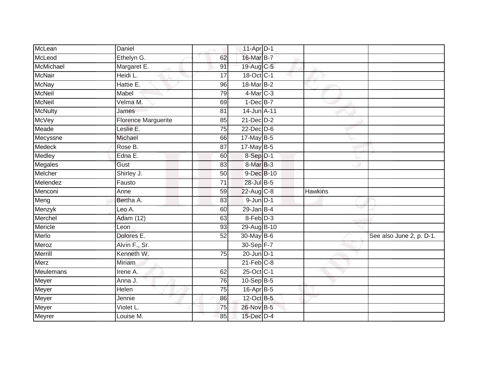| McLean         | Daniel                     |                 | 11-Apr D-1      |                |                          |
|----------------|----------------------------|-----------------|-----------------|----------------|--------------------------|
| McLeod         | Ethelyn G.                 | 62              | 16-Mar B-7      |                |                          |
| McMichael      | Margaret E.                | 91              | 19-Aug C-5      |                |                          |
| <b>McNair</b>  | Heidi L.                   | 17              | 18-Oct C-1      |                |                          |
| <b>McNay</b>   | Hattie E.                  | 96              | 18-Mar B-2      |                |                          |
| <b>McNeil</b>  | Mabel                      | 79              | $4$ -Mar $C-3$  |                |                          |
| <b>McNeil</b>  | Velma M.                   | 69              | $1-Dec$ B-7     |                |                          |
| <b>McNulty</b> | James                      | 81              | 14-Jun A-11     |                |                          |
| McVey          | <b>Florence Marguerite</b> | 85              | $21$ -Dec $D-2$ |                |                          |
| Meade          | Leslie E.                  | $\overline{75}$ | 22-Dec D-6      |                |                          |
| Mecyssne       | Michael                    | 66              | 17-May B-5      |                |                          |
| Medeck         | Rose B.                    | 87              | 17-May B-5      |                |                          |
| Medley         | Edna E.                    | 60              | 8-Sep D-1       |                |                          |
| Megales        | Gust                       | 83              | $8$ -Mar $B$ -3 |                |                          |
| Melcher        | Shirley J.                 | $\overline{50}$ | 9-Dec B-10      |                |                          |
| Melendez       | Fausto                     | 71              | 28-Jul B-5      |                |                          |
| Menconi        | Anne                       | 59              | 22-Aug C-8      | <b>Hawkins</b> |                          |
| Meng           | Bertha A.                  | 83              | $9$ -Jun $D-1$  |                |                          |
| Menzyk         | Leo A.                     | 60              | $29$ -Jan B-4   |                |                          |
| Merchel        | <b>Adam (12)</b>           | 63              | 8-Feb D-3       |                |                          |
| Mericle        | Leon                       | 93              | 29-Aug B-10     |                |                          |
| Merlo          | Dolores E.                 | $\overline{52}$ | 30-May B-6      |                | See also June 2, p. D-1. |
| Meroz          | Alvin F., Sr.              |                 | 30-Sep F-7      |                |                          |
| Merrill        | Kenneth W.                 | $\overline{75}$ | $20$ -Jun $D-1$ |                |                          |
| Merz           | Miriam                     |                 | $21$ -Feb $C-8$ |                |                          |
| Meulemans      | Irene A.                   | 62              | 25-Oct C-1      |                |                          |
| Meyer          | Anna J.                    | 76              | $10-SepB-5$     |                |                          |
| Meyer          | Helen                      | 75              | 16-Apr B-5      |                |                          |
| Meyer          | Jennie                     | 86              | 12-Oct B-5      |                |                          |
| Meyer          | Violet L.                  | 75              | 26-Nov B-5      |                |                          |
| Meyrer         | Louise M.                  | 85              | 15-Dec D-4      |                |                          |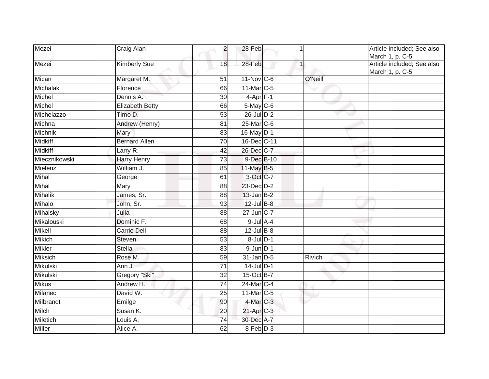| Mezei           | Craig Alan             | $\overline{c}$  | 28-Feb                  |         | Article included; See also<br>March 1, p. C-5 |
|-----------------|------------------------|-----------------|-------------------------|---------|-----------------------------------------------|
| Mezei           | <b>Kimberly Sue</b>    | 18              | 28-Feb                  |         | Article included; See also<br>March 1, p. C-5 |
| Mican           | Margaret M.            | 51              | $11$ -Nov C-6           | O'Neill |                                               |
| Michalak        | Florence               | 66              | 11-Mar C-5              |         |                                               |
| Michel          | Dennis A.              | 30              | $4-Apr$ F-1             |         |                                               |
| Michel          | <b>Elizabeth Betty</b> | 66              | 5-May C-6               |         |                                               |
| Michelazzo      | Timo D.                | 53              | 26-Jul D-2              |         |                                               |
| Michna          | Andrew (Henry)         | 81              | 25-Mar C-6              |         |                                               |
| <b>Michnik</b>  | Mary                   | 83              | 16-May D-1              |         |                                               |
| <b>Midkiff</b>  | <b>Bernard Allen</b>   | 70              | 16-Dec C-11             |         |                                               |
| <b>Midkiff</b>  | Larry R.               | 42              | 26-Dec C-7              |         |                                               |
| Miecznikowski   | <b>Harry Henry</b>     | 73              | 9-Dec B-10              |         |                                               |
| Mielenz         | William J.             | 85              | 11-May B-5              |         |                                               |
| Mihal           | George                 | 61              | 3-Oct C-7               |         |                                               |
| Mihal           | Mary                   | 88              | 23-Dec D-2              |         |                                               |
| <b>Mihalik</b>  | James, Sr.             | 88              | $13$ -Jan B-2           |         |                                               |
| Mihalo          | John, Sr.              | 93              | $12$ -Jul B-8           |         |                                               |
| Mihalsky        | Julia                  | 88              | 27-Jun C-7              |         |                                               |
| Mikalouski      | Dominic F.             | 68              | $9$ -Jul $A$ -4         |         |                                               |
| <b>Mikell</b>   | <b>Carrie Dell</b>     | 88              | $12$ -Jul $B-8$         |         |                                               |
| Mikich          | <b>Steven</b>          | 53              | $8$ -Jul $D-1$          |         |                                               |
| <b>Mikler</b>   | <b>Stella</b>          | 83              | $9$ -Jun $D-1$          |         |                                               |
| <b>Miksich</b>  | Rose M.                | 59              | $31$ -Jan $D-5$         | Rivich  |                                               |
| <b>Mikulski</b> | Ann J.                 | $\overline{71}$ | $14$ -Jul $D-1$         |         |                                               |
| Mikulski        | Gregory "Ski"          | $\overline{32}$ | 15-Oct B-7              |         |                                               |
| <b>Mikus</b>    | Andrew H.              | 74              | 24-Mar C-4              |         |                                               |
| Milanec         | David W.               | 25              | 11-Mar C-5              |         |                                               |
| Milbrandt       | Emilge                 | 90              | $4$ -Mar $C-3$          |         |                                               |
| Milch           | Susan K.               | 20              | $21-Apr$ <sub>C-3</sub> |         |                                               |
| <b>Miletich</b> | Louis A.               | $\overline{74}$ | 30-Dec A-7              |         |                                               |
| <b>Miller</b>   | Alice A.               | 62              | 8-Feb D-3               |         |                                               |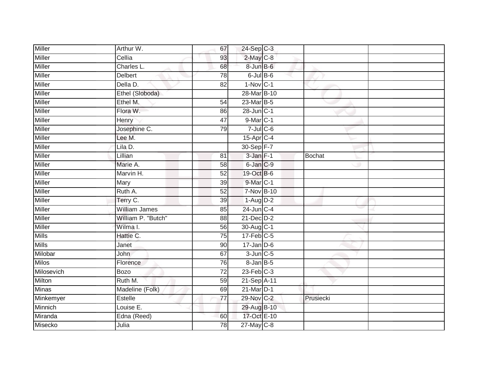| <b>Miller</b> | Arthur W.            | 67              | $24-Sep$ C-3    |               |  |
|---------------|----------------------|-----------------|-----------------|---------------|--|
| <b>Miller</b> | Cellia               | 93              | 2-May C-8       |               |  |
| <b>Miller</b> | Charles L.           | 68              | 8-Jun B-6       |               |  |
| <b>Miller</b> | Delbert              | 78              | $6$ -Jul $B$ -6 |               |  |
| <b>Miller</b> | Della D.             | $\overline{82}$ | $1-Nov$ C-1     |               |  |
| <b>Miller</b> | Ethel (Sloboda)      |                 | 28-Mar B-10     |               |  |
| <b>Miller</b> | Ethel M.             | 54              | 23-Mar B-5      |               |  |
| Miller        | Flora W.             | 86              | 28-Jun C-1      |               |  |
| <b>Miller</b> | Henry                | $\overline{47}$ | 9-Mar C-1       |               |  |
| Miller        | Josephine C.         | 79              | $7$ -Jul $C$ -6 |               |  |
| <b>Miller</b> | Lee M.               |                 | 15-Apr C-4      |               |  |
| Miller        | Lila D.              |                 | 30-Sep F-7      |               |  |
| <b>Miller</b> | Lillian              | 81              | $3$ -Jan $F-1$  | <b>Bochat</b> |  |
| Miller        | Marie A.             | 58              | 6-Jan C-9       |               |  |
| <b>Miller</b> | Marvin H.            | 52              | 19-Oct B-6      |               |  |
| Miller        | Mary                 | 39              | 9-Mar C-1       |               |  |
| <b>Miller</b> | Ruth A.              | 52              | 7-Nov B-10      |               |  |
| <b>Miller</b> | Terry C.             | 39              | $1-Aug$ D-2     |               |  |
| Miller        | <b>William James</b> | 85              | 24-Jun C-4      |               |  |
| <b>Miller</b> | William P. "Butch"   | $\overline{88}$ | $21$ -Dec $D-2$ |               |  |
| Miller        | Wilma I.             | 56              | 30-Aug C-1      |               |  |
| <b>Mills</b>  | Hattie C.            | 75              | $17$ -Feb $C-5$ |               |  |
| <b>Mills</b>  | Janet                | 90              | $17$ -Jan D-6   |               |  |
| Milobar       | <b>John</b>          | 67              | $3$ -Jun $C$ -5 |               |  |
| <b>Milos</b>  | Florence             | 76              | 8-Jan B-5       |               |  |
| Milosevich    | <b>Bozo</b>          | $\overline{72}$ | $23$ -Feb $C-3$ |               |  |
| Milton        | Ruth M.              | 59              | 21-Sep A-11     |               |  |
| <b>Minas</b>  | Madeline (Folk)      | 69              | $21$ -Mar $D-1$ |               |  |
| Minkemyer     | Estelle              | $\overline{77}$ | 29-Nov C-2      | Prusiecki     |  |
| Minnich       | Louise E.            |                 | 29-Aug B-10     |               |  |
| Miranda       | Edna (Reed)          | 60              | 17-Oct E-10     |               |  |
| Misecko       | Julia                | 78              | $27$ -May C-8   |               |  |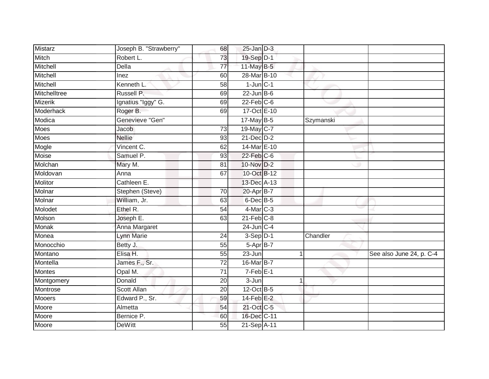| <b>Mistarz</b>  | Joseph B. "Strawberry" | 68              | $25$ -Jan $D-3$  |                      |                          |
|-----------------|------------------------|-----------------|------------------|----------------------|--------------------------|
| Mitch           | Robert L.              | 73              | 19-Sep D-1       |                      |                          |
| Mitchell        | <b>Della</b>           | $\overline{77}$ | 11-May $B-5$     |                      |                          |
| <b>Mitchell</b> | Inez                   | 60              | 28-Mar B-10      |                      |                          |
| Mitchell        | Kenneth L.             | $\overline{58}$ | $1$ -Jun $C-1$   |                      |                          |
| Mitchelltree    | Russell P.             | 69              | $22$ -Jun B-6    |                      |                          |
| Mizerik         | Ignatius "Iggy" G.     | 69              | $22$ -Feb $C$ -6 |                      |                          |
| Moderhack       | Roger B.               | 69              | 17-Oct E-10      |                      |                          |
| Modica          | Genevieve "Gen"        |                 | 17-May B-5       | Szymanski            |                          |
| Moes            | Jacob                  | 73              | 19-May C-7       |                      |                          |
| <b>Moes</b>     | <b>Nellie</b>          | 93              | $21$ -Dec $D-2$  |                      |                          |
| Mogle           | Vincent C.             | 62              | 14-Mar E-10      |                      |                          |
| Moise           | Samuel P.              | 93              | 22-Feb C-6       |                      |                          |
| Molchan         | Mary M.                | 81              | 10-Nov D-2       |                      |                          |
| Moldovan        | Anna                   | 67              | 10-Oct B-12      |                      |                          |
| Molitor         | Cathleen E.            |                 | 13-Dec A-13      |                      |                          |
| Molnar          | Stephen (Steve)        | 70              | 20-Apr B-7       |                      |                          |
| Molnar          | William, Jr.           | 63              | $6$ -Dec $B$ -5  |                      |                          |
| Molodet         | Ethel R.               | 54              | 4-Mar C-3        |                      |                          |
| Molson          | Joseph E.              | 63              | $21$ -Feb $C-8$  |                      |                          |
| Monak           | Anna Margaret          |                 | $24$ -Jun $C-4$  |                      |                          |
| Monea           | <b>Lynn Marie</b>      | 24              | $3-Sep$ D-1      | Chandler             |                          |
| Monocchio       | Betty J.               | 55              | 5-Apr B-7        |                      |                          |
| Montano         | Elisa H.               | 55              | $23 - Jun$       | $\blacktriangleleft$ | See also June 24, p. C-4 |
| Montella        | James F., Sr.          | 72              | 16-Mar B-7       |                      |                          |
| <b>Montes</b>   | Opal M.                | 71              | $7-Feb$ E-1      |                      |                          |
| Montgomery      | <b>Donald</b>          | 20              | $3 - Jun$        | 1                    |                          |
| Montrose        | Scott Allan            | 20              | $12$ -Oct B-5    |                      |                          |
| Mooers          | Edward P., Sr.         | 59              | $14$ -Feb $E-2$  |                      |                          |
| Moore           | Almetta                | 54              | 21-Oct C-5       |                      |                          |
| Moore           | Bernice P.             | 60              | 16-Dec C-11      |                      |                          |
| Moore           | <b>DeWitt</b>          | $\overline{55}$ | 21-Sep A-11      |                      |                          |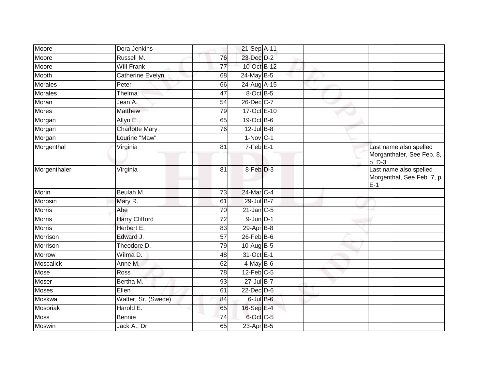| Moore            | Dora Jenkins          |                 | 21-Sep A-11      |  |                                                               |
|------------------|-----------------------|-----------------|------------------|--|---------------------------------------------------------------|
| Moore            | Russell M.            | 76              | 23-Dec D-2       |  |                                                               |
| Moore            | <b>Will Frank</b>     | 77              | 10-Oct B-12      |  |                                                               |
| Mooth            | Catherine Evelyn      | 68              | 24-May B-5       |  |                                                               |
| <b>Morales</b>   | Peter                 | 66              | 24-Aug A-15      |  |                                                               |
| <b>Morales</b>   | Thelma                | $\overline{47}$ | 8-Oct B-5        |  |                                                               |
| Moran            | Jean A.               | 54              | 26-Dec C-7       |  |                                                               |
| <b>Mores</b>     | <b>Matthew</b>        | 79              | 17-Oct E-10      |  |                                                               |
| Morgan           | Allyn E.              | 65              | 19-Oct B-6       |  |                                                               |
| Morgan           | <b>Charlotte Mary</b> | 76              | $12$ -Jul $B-8$  |  |                                                               |
| Morgan           | Lourine "Maw"         |                 | $1-Nov$ C-1      |  |                                                               |
| Morgenthal       | Virginia              | 81              | $7-Feb$ E-1      |  | Last name also spelled<br>Morganthaler, See Feb. 8,<br>p. D-3 |
| Morgenthaler     | Virginia              | 81              | 8-Feb D-3        |  | Last name also spelled<br>Morgenthal, See Feb. 7, p.<br>$E-1$ |
| Morin            | Beulah M.             | $\overline{73}$ | 24-Mar C-4       |  |                                                               |
| Morosin          | Mary R.               | 61              | 29-Jul B-7       |  |                                                               |
| <b>Morris</b>    | Abe                   | 70              | $21$ -Jan $C-5$  |  |                                                               |
| Morris           | <b>Harry Clifford</b> | 72              | $9$ -Jun $D-1$   |  |                                                               |
| <b>Morris</b>    | Herbert E.            | 83              | 29-Apr B-8       |  |                                                               |
| Morrison         | Edward J.             | $\overline{57}$ | $26$ -Feb $B$ -6 |  |                                                               |
| Morrison         | Theodore D.           | 79              | $10$ -Aug B-5    |  |                                                               |
| Morrow           | Wilma D.              | 48              | 31-Oct E-1       |  |                                                               |
| <b>Moscalick</b> | Anne M.               | 62              | $4$ -May B-6     |  |                                                               |
| Mose             | Ross                  | 78              | $12$ -Feb $C-5$  |  |                                                               |
| Moser            | Bertha M.             | 93              | 27-Jul B-7       |  |                                                               |
| Moses            | Ellen                 | 61              | $22$ -Dec $D-6$  |  |                                                               |
| Moskwa           | Walter, Sr. (Swede)   | 84              | $6$ -Jul $B$ -6  |  |                                                               |
| Mosoriak         | Harold E.             | 65              | 16-Sep E-4       |  |                                                               |
| Moss             | Bennie                | 74              | 6-Oct C-5        |  |                                                               |
| Moswin           | Jack A., Dr.          | 65              | $23$ -Apr $B-5$  |  |                                                               |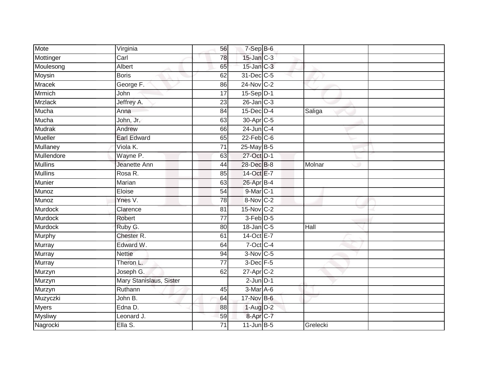| Mote           | Virginia                | 56              | $7-SepB-6$              |          |  |
|----------------|-------------------------|-----------------|-------------------------|----------|--|
| Mottinger      | Carl                    | 78              | $15$ -Jan $C-3$         |          |  |
| Moulesong      | <b>Albert</b>           | 65              | $15$ -Jan $C-3$         |          |  |
| Moysin         | <b>Boris</b>            | 62              | $31$ -Dec $C$ -5        |          |  |
| <b>Mracek</b>  | George F.               | 86              | 24-Nov C-2              |          |  |
| <b>Mrmich</b>  | John                    | 17              | 15-Sep D-1              |          |  |
| <b>Mrzlack</b> | Jeffrey A.              | 23              | $26$ -Jan $C-3$         |          |  |
| Mucha          | Anna                    | 84              | $15$ -Dec $D-4$         | Saliga   |  |
| Mucha          | John, Jr.               | 63              | 30-Apr C-5              |          |  |
| Mudrak         | Andrew                  | 66              | 24-Jun C-4              |          |  |
| Mueller        | <b>Earl Edward</b>      | 65              | $22$ -Feb $C-6$         |          |  |
| Mullaney       | Viola K.                | 71              | 25-May B-5              |          |  |
| Mullendore     | Wayne P.                | 63              | 27-Oct D-1              |          |  |
| <b>Mullins</b> | Jeanette Ann            | 44              | 28-Dec B-8              | Molnar   |  |
| <b>Mullins</b> | Rosa R.                 | 85              | 14-Oct E-7              |          |  |
| Munier         | Marian                  | 63              | 26-Apr B-4              |          |  |
| Munoz          | Eloise                  | $\overline{54}$ | 9-Mar C-1               |          |  |
| Munoz          | Ynes V.                 | 78              | 8-Nov C-2               |          |  |
| Murdock        | Clarence                | 81              | 15-Nov C-2              |          |  |
| <b>Murdock</b> | Robert                  | $\overline{77}$ | 3-Feb <sup>D-5</sup>    |          |  |
| <b>Murdock</b> | Ruby G.                 | 80              | 18-Jan C-5              | Hall     |  |
| Murphy         | Chester R.              | 61              | 14-Oct E-7              |          |  |
| Murray         | Edward W.               | 64              | 7-Oct C-4               |          |  |
| Murray         | <b>Nettie</b>           | 94              | $3-Nov$ C-5             |          |  |
| Murray         | Theron L.               | $\overline{77}$ | 3-Dec F-5               |          |  |
| Murzyn         | Joseph G.               | 62              | $27$ -Apr $C-2$         |          |  |
| Murzyn         | Mary Stanislaus, Sister |                 | $2$ -Jun $D-1$          |          |  |
| Murzyn         | Ruthann                 | 45              | $\overline{3}$ -Mar A-6 |          |  |
| Muzyczki       | John B.                 | 64              | 17-Nov B-6              |          |  |
| <b>Myers</b>   | Edna D.                 | 88              | $1-Aug$ $D-2$           |          |  |
| <b>Mysliwy</b> | Leonard J.              | 59              | 8-Apr <sub>C-7</sub>    |          |  |
| Nagrocki       | Ella S.                 | $\overline{71}$ | $11$ -Jun B-5           | Grelecki |  |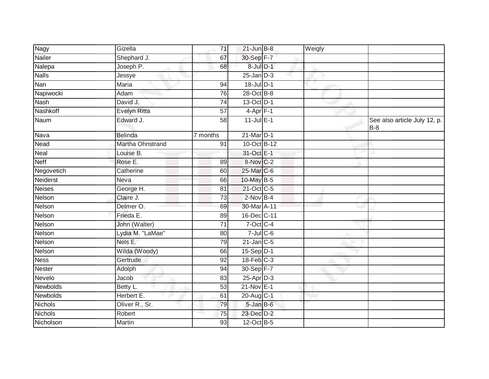| <b>Nagy</b>     | Gizella             | 71              | $21$ -Jun $B-8$ | Weigly |                                       |
|-----------------|---------------------|-----------------|-----------------|--------|---------------------------------------|
| Nailer          | Shephard J.         | 67              | 30-Sep F-7      |        |                                       |
| Nalepa          | Joseph P.           | 68              | 8-Jul D-1       |        |                                       |
| <b>Nalls</b>    | Jessye              |                 | $25$ -Jan $D-3$ |        |                                       |
| Nan             | <b>Maria</b>        | 94              | $18$ -Jul $D-1$ |        |                                       |
| Napiwocki       | Adam                | 76              | 28-Oct B-8      |        |                                       |
| <b>Nash</b>     | David J.            | 74              | $13-Oct$ D-1    |        |                                       |
| Nashkoff        | <b>Evelyn Ritta</b> | 57              | $4$ -Apr $F-1$  |        |                                       |
| Naum            | Edward J.           | $\overline{58}$ | $11$ -Jul $E-1$ |        | See also article July 12, p.<br>$B-8$ |
| Nava            | <b>Belinda</b>      | 7 months        | 21-Mar D-1      |        |                                       |
| Nead            | Martha Ohnstrand    | 91              | 10-Oct B-12     |        |                                       |
| Neal            | Louise B.           |                 | 31-Oct E-1      |        |                                       |
| <b>Neff</b>     | Rose E.             | 89              | 8-Nov C-2       |        |                                       |
| Negovetich      | Catherine           | 60              | 25-Mar C-6      |        |                                       |
| Neiderst        | Neva                | 66              | 10-May B-5      |        |                                       |
| <b>Neises</b>   | George H.           | 81              | 21-Oct C-5      |        |                                       |
| Nelson          | Claire J.           | 73              | $2$ -Nov $B-4$  |        |                                       |
| Nelson          | Delmer O.           | 69              | 30-Mar A-11     |        |                                       |
| Nelson          | Frieda E.           | 89              | 16-Dec C-11     |        |                                       |
| Nelson          | John (Walter)       | $\overline{71}$ | 7-Oct C-4       |        |                                       |
| Nelson          | Lydia M. "LaMae"    | 80              | $7$ -Jul $C$ -6 |        |                                       |
| Nelson          | Nels E.             | 79              | $21$ -Jan C-5   |        |                                       |
| Nelson          | Wilda (Woody)       | 66              | 15-Sep D-1      |        |                                       |
| <b>Ness</b>     | Gertrude            | 92              | $18$ -Feb $C-3$ |        |                                       |
| Nester          | Adolph              | 94              | 30-Sep F-7      |        |                                       |
| Nevelo          | Jacob               | 83              | 25-Apr D-3      |        |                                       |
| <b>Newbolds</b> | Betty L.            | 53              | $21-Nov$ E-1    |        |                                       |
| Newbolds        | Herbert E.          | 61              | 20-Aug C-1      |        |                                       |
| <b>Nichols</b>  | Oliver R., Sr.      | 79              | 5-Jan B-6       |        |                                       |
| <b>Nichols</b>  | Robert              | 75              | 23-Dec D-2      |        |                                       |
| Nicholson       | Martin              | 93              | 12-Oct B-5      |        |                                       |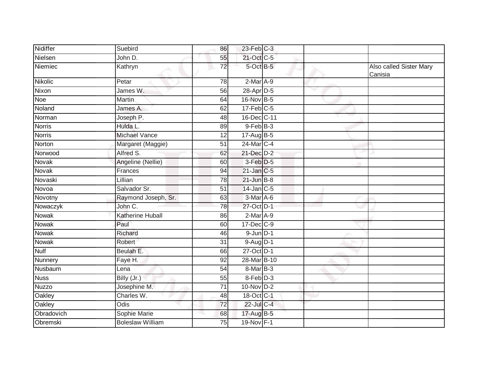| Nidiffer      | Suebird                 | 86              | $23$ -Feb $C-3$ |   |                                    |
|---------------|-------------------------|-----------------|-----------------|---|------------------------------------|
| Nielsen       | John D.                 | 55              | 21-Oct C-5      |   |                                    |
| Niemiec       | Kathryn                 | 72              | 5-Oct B-5       |   | Also called Sister Mary<br>Canisia |
| Nikolic       | Petar                   | 78              | $2-Mar A-9$     |   |                                    |
| Nixon         | James W.                | 56              | 28-Apr D-5      | v |                                    |
| Noe           | <b>Martin</b>           | 64              | 16-Nov B-5      |   |                                    |
| Noland        | James A.                | 62              | $17$ -Feb $C-5$ |   |                                    |
| Norman        | Joseph P.               | 48              | 16-Dec C-11     |   |                                    |
| <b>Norris</b> | Hulda L.                | 89              | $9$ -Feb $B-3$  |   |                                    |
| <b>Norris</b> | <b>Michael Vance</b>    | 12              | 17-Aug B-5      |   |                                    |
| Norton        | Margaret (Maggie)       | 51              | $24$ -Mar $C-4$ |   |                                    |
| Norwood       | Alfred S.               | 62              | 21-Dec D-2      |   |                                    |
| Novak         | Angeline (Nellie)       | 60              | 3-Feb D-5       |   |                                    |
| <b>Novak</b>  | Frances                 | 94              | $21$ -Jan C-5   |   |                                    |
| Novaski       | Lillian                 | 78              | $21$ -Jun $B-8$ |   |                                    |
| Novoa         | Salvador Sr.            | 51              | $14$ -Jan $C-5$ |   |                                    |
| Novotny       | Raymond Joseph, Sr.     | 63              | $3-Mar$ A-6     |   |                                    |
| Nowaczyk      | John C.                 | 78              | 27-Oct D-1      |   |                                    |
| Nowak         | Katherine Huball        | 86              | $2-Mar$ A-9     |   |                                    |
| <b>Nowak</b>  | Paul                    | 60              | 17-Dec C-9      |   |                                    |
| Nowak         | Richard                 | 46              | $9$ -Jun $D-1$  |   |                                    |
| Nowak         | Robert                  | 31              | $9-Aug$ D-1     |   |                                    |
| <b>Nulf</b>   | Beulah E.               | 66              | 27-Oct D-1      |   |                                    |
| Nunnery       | Faye H.                 | 92              | 28-Mar B-10     |   |                                    |
| Nusbaum       | Lena                    | 54              | 8-Mar B-3       |   |                                    |
| <b>Nuss</b>   | Billy (Jr.)             | 55              | 8-Feb D-3       |   |                                    |
| <b>Nuzzo</b>  | Josephine M.            | $\overline{71}$ | $10$ -Nov $D-2$ |   |                                    |
| Oakley        | Charles W.              | 48              | 18-Oct C-1      |   |                                    |
| Oakley        | Odis                    | 72              | 22-Jul C-4      |   |                                    |
| Obradovich    | Sophie Marie            | 68              | 17-Aug B-5      |   |                                    |
| Obremski      | <b>Boleslaw William</b> | 75              | 19-Nov F-1      |   |                                    |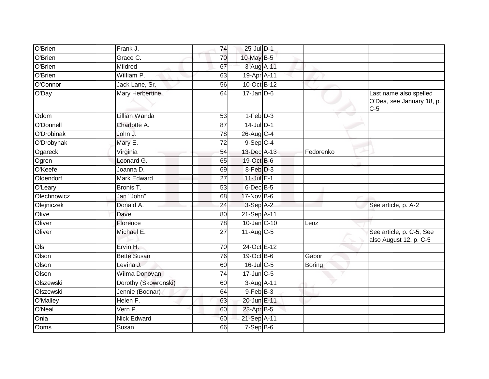| O'Brien     | Frank J.             | 74              | 25-Jul D-1         |               |                                                              |
|-------------|----------------------|-----------------|--------------------|---------------|--------------------------------------------------------------|
| O'Brien     | Grace C.             | 70              | 10-May B-5         |               |                                                              |
| O'Brien     | Mildred              | 67              | 3-Aug A-11         |               |                                                              |
| O'Brien     | William P.           | 63              | 19-Apr A-11        |               |                                                              |
| O'Connor    | Jack Lane, Sr.       | 56              | 10-Oct B-12        |               |                                                              |
| O'Day       | Mary Herbertine      | 64              | $17$ -Jan D-6      |               | Last name also spelled<br>O'Dea, see January 18, p.<br>$C-5$ |
| Odom        | Lillian Wanda        | 53              | $1-Feb$ $D-3$      |               |                                                              |
| O'Donnell   | Charlotte A.         | $\overline{87}$ | $14$ -Jul D-1      |               |                                                              |
| O'Drobinak  | John J.              | 78              | 26-Aug C-4         |               |                                                              |
| O'Drobynak  | Mary E.              | $\overline{72}$ | $9-Sep$ C-4        |               |                                                              |
| Ogareck     | Virginia             | 54              | 13-Dec A-13        | Fedorenko     |                                                              |
| Ogren       | Leonard G.           | 65              | 19-Oct B-6         |               |                                                              |
| O'Keefe     | Joanna D.            | 69              | $8-Feb$ D-3        |               |                                                              |
| Oldendorf   | Mark Edward          | 27              | 11-Jul E-1         |               |                                                              |
| O'Leary     | Bronis T.            | 53              | $6$ -Dec $B$ -5    |               |                                                              |
| Olechnowicz | Jan "John"           | 68              | 17-Nov B-6         |               |                                                              |
| Olejniczek  | Donald A.            | 24              | 3-Sep A-2          |               | See article, p. A-2                                          |
| Olive       | Dave                 | 80              | 21-Sep A-11        |               |                                                              |
| Oliver      | Florence             | 78              | $10$ -Jan $ C-10 $ | Lenz          |                                                              |
| Oliver      | Michael E.           | 27              | $11-Aug$ C-5       |               | See article, p. C-5; See<br>also August 12, p. C-5           |
| O(s)        | Ervin H.             | 70              | 24-Oct E-12        |               |                                                              |
| Olson       | <b>Bette Susan</b>   | 76              | 19-Oct B-6         | Gabor         |                                                              |
| Olson       | Levina J.            | 60              | $16$ -Jul C-5      | <b>Boring</b> |                                                              |
| Olson       | Wilma Donovan        | 74              | 17-Jun C-5         |               |                                                              |
| Olszewski   | Dorothy (Skowronski) | 60              | 3-Aug A-11         |               |                                                              |
| Olszewski   | Jennie (Bodnar)      | 64              | $9$ -Feb $B-3$     |               |                                                              |
| O'Malley    | Helen F.             | 63              | 20-Jun E-11        |               |                                                              |
| O'Neal      | Vern P.              | 60              | $23$ -Apr $B-5$    |               |                                                              |
| Onia        | <b>Nick Edward</b>   | 60              | 21-Sep A-11        |               |                                                              |
| Ooms        | Susan                | 66              | $7-Sep$ B-6        |               |                                                              |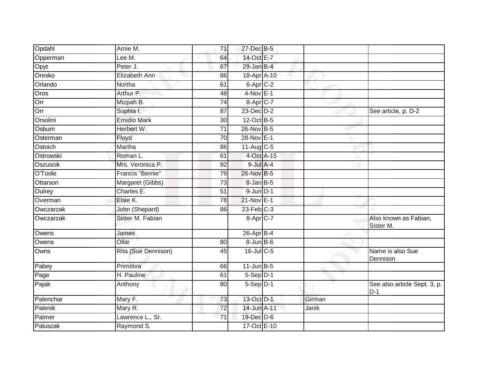| Opdahl    | Arnie M.            | 71              | 27-Dec B-5                |        |                                       |
|-----------|---------------------|-----------------|---------------------------|--------|---------------------------------------|
| Opperman  | Lee M.              | 64              | 14-Oct E-7                |        |                                       |
| Opyt      | Peter J.            | 67              | 29-Jan B-4                |        |                                       |
| Oresko    | Elizabeth Ann       | 86              | 18-Apr A-10               |        |                                       |
| Orlando   | Northa              | 61              | 6-Apr C-2                 |        |                                       |
| Oros      | Arthur P.           | 48              | $4-Nov$ E-1               |        |                                       |
| Orr       | Mizpah B.           | 74              | $8 - Apr$ <sub>C-7</sub>  |        |                                       |
| Orr       | Sophia I.           | 87              | $23$ -Dec $D-2$           |        | See article, p. D-2                   |
| Orsolini  | <b>Emidio Mark</b>  | 30              | 12-Oct B-5                |        |                                       |
| Osburn    | Herbert W.          | $\overline{71}$ | 26-Nov B-5                |        |                                       |
| Osterman  | Floyd               | 70              | 28-Nov E-1                |        |                                       |
| Ostoich   | Martha              | 86              | $11-Aug$ C-5              |        |                                       |
| Ostrowski | Roman L.            | 61              | 4-Oct A-15                |        |                                       |
| Oszuscik  | Mrs. Veronica P.    | 92              | $9$ -Jul $A$ -4           |        |                                       |
| O'Toole   | Francis "Bernie"    | 79              | 26-Nov B-5                |        |                                       |
| Ottarson  | Margaret (Gibbs)    | 73              | 8-Jan B-5                 |        |                                       |
| Oulrey    | Charles E.          | $\overline{51}$ | $9$ -Jun $D-1$            |        |                                       |
| Overman   | Elsie K.            | $\overline{78}$ | 21-Nov E-1                |        |                                       |
| Owczarzak | John (Shepard)      | 86              | $23$ -Feb $C-3$           |        |                                       |
| Owczarzak | Sister M. Fabian    |                 | 8-Apr C-7                 |        | Also known as Fabian,<br>Sister M.    |
| Owens     | James               |                 | $26$ -Apr $B-4$           |        |                                       |
| Owens     | Ollie               | 80              | $8 - Jun$ $B - 6$         |        |                                       |
| Owns      | Rita (Sue Dennison) | 45              | 16-Jul C-5                |        | Name is also Sue<br>Dennison          |
| Pabey     | Primitiva           | 66              | $11 - \overline{Jun}$ B-5 |        |                                       |
| Page      | H. Pauline          | 61              | $5-Sep$ D-1               |        |                                       |
| Pajak     | Anthony             | 80              | $5-Sep$ D-1               |        | See also article Sept. 3, p.<br>$D-1$ |
| Palenchar | Mary F.             | 73              | 13-Oct D-1                | Girman |                                       |
| Palenik   | Mary R.             | 72              | 14-Jun A-11               | Janik  |                                       |
| Palmer    | Lawrence L., Sr.    | $\overline{71}$ | 19-Dec D-6                |        |                                       |
| Paluszak  | Raymond S.          |                 | 17-Oct E-10               |        |                                       |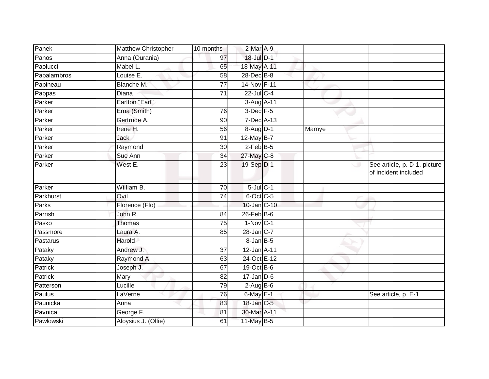| Matthew Christopher   | 10 months       |  |                                                                                                                                                                                                                                                                                                                                                                                                                                                                                              |                                                      |
|-----------------------|-----------------|--|----------------------------------------------------------------------------------------------------------------------------------------------------------------------------------------------------------------------------------------------------------------------------------------------------------------------------------------------------------------------------------------------------------------------------------------------------------------------------------------------|------------------------------------------------------|
| Anna (Ourania)        | 97              |  |                                                                                                                                                                                                                                                                                                                                                                                                                                                                                              |                                                      |
| Mabel L.              | 65              |  |                                                                                                                                                                                                                                                                                                                                                                                                                                                                                              |                                                      |
| Louise E.             | 58              |  |                                                                                                                                                                                                                                                                                                                                                                                                                                                                                              |                                                      |
| Blanche M.            | $\overline{77}$ |  |                                                                                                                                                                                                                                                                                                                                                                                                                                                                                              |                                                      |
| Diana                 | 71              |  |                                                                                                                                                                                                                                                                                                                                                                                                                                                                                              |                                                      |
| <b>Earlton "Earl"</b> |                 |  |                                                                                                                                                                                                                                                                                                                                                                                                                                                                                              |                                                      |
| Erna (Smith)          | 76              |  |                                                                                                                                                                                                                                                                                                                                                                                                                                                                                              |                                                      |
| Gertrude A.           | 90              |  |                                                                                                                                                                                                                                                                                                                                                                                                                                                                                              |                                                      |
| Irene H.              | 56              |  | Marnye                                                                                                                                                                                                                                                                                                                                                                                                                                                                                       |                                                      |
| Jack                  | 91              |  |                                                                                                                                                                                                                                                                                                                                                                                                                                                                                              |                                                      |
| Raymond               | 30              |  |                                                                                                                                                                                                                                                                                                                                                                                                                                                                                              |                                                      |
| Sue Ann               | 34              |  |                                                                                                                                                                                                                                                                                                                                                                                                                                                                                              |                                                      |
| West E.               | 23              |  |                                                                                                                                                                                                                                                                                                                                                                                                                                                                                              | See article, p. D-1, picture<br>of incident included |
| William B.            | $\overline{70}$ |  |                                                                                                                                                                                                                                                                                                                                                                                                                                                                                              |                                                      |
| Ovil                  | $\overline{74}$ |  |                                                                                                                                                                                                                                                                                                                                                                                                                                                                                              |                                                      |
| Florence (Flo)        |                 |  |                                                                                                                                                                                                                                                                                                                                                                                                                                                                                              |                                                      |
| John R.               | 84              |  |                                                                                                                                                                                                                                                                                                                                                                                                                                                                                              |                                                      |
| Thomas                | 75              |  |                                                                                                                                                                                                                                                                                                                                                                                                                                                                                              |                                                      |
| Laura A.              | 85              |  |                                                                                                                                                                                                                                                                                                                                                                                                                                                                                              |                                                      |
| Harold                |                 |  |                                                                                                                                                                                                                                                                                                                                                                                                                                                                                              |                                                      |
| Andrew J.             | 37              |  |                                                                                                                                                                                                                                                                                                                                                                                                                                                                                              |                                                      |
| Raymond A.            | 63              |  |                                                                                                                                                                                                                                                                                                                                                                                                                                                                                              |                                                      |
| Joseph J.             | 67              |  |                                                                                                                                                                                                                                                                                                                                                                                                                                                                                              |                                                      |
| Mary                  | 82              |  |                                                                                                                                                                                                                                                                                                                                                                                                                                                                                              |                                                      |
| Lucille               | 79              |  |                                                                                                                                                                                                                                                                                                                                                                                                                                                                                              |                                                      |
| LaVerne               | 76              |  |                                                                                                                                                                                                                                                                                                                                                                                                                                                                                              | See article, p. E-1                                  |
| Anna                  | 83              |  |                                                                                                                                                                                                                                                                                                                                                                                                                                                                                              |                                                      |
| George F.             | 81              |  |                                                                                                                                                                                                                                                                                                                                                                                                                                                                                              |                                                      |
| Aloysius J. (Ollie)   | 61              |  |                                                                                                                                                                                                                                                                                                                                                                                                                                                                                              |                                                      |
|                       |                 |  | 2-Mar A-9<br>18-Jul D-1<br>18-May A-11<br>28-Dec B-8<br>14-Nov F-11<br>$22$ -Jul $C-4$<br>3-Aug A-11<br>$3$ -Dec $F - 5$<br>$7$ -Dec $A$ -13<br>8-Aug D-1<br>12-May B-7<br>$2$ -Feb $ B-5 $<br>27-May C-8<br>19-Sep D-1<br>$5$ -Jul $C-1$<br>6-Oct C-5<br>10-Jan C-10<br>$26$ -Feb $B$ -6<br>$1-Nov C-1$<br>28-Jan C-7<br>$8 - Jan$ $B - 5$<br>$12$ -Jan $A$ -11<br>24-Oct E-12<br>19-Oct B-6<br>$17 - Jan$ $D-6$<br>$2-AugB-6$<br>$6$ -May $E-1$<br>18-Jan C-5<br>30-Mar A-11<br>11-May B-5 |                                                      |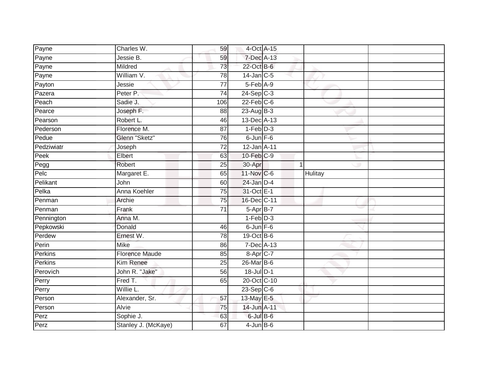| Payne      | Charles W.              | 59              | 4-Oct A-15       |                |  |
|------------|-------------------------|-----------------|------------------|----------------|--|
| Payne      | Jessie B.               | 59              | 7-Dec A-13       |                |  |
| Payne      | Mildred                 | 73              | 22-Oct B-6       |                |  |
| Payne      | William V.              | 78              | $14$ -Jan $C-5$  |                |  |
| Payton     | Jessie                  | $\overline{77}$ | $5-Feb$ $A-9$    |                |  |
| Pazera     | Peter P.                | 74              | $24-Sep$ C-3     |                |  |
| Peach      | Sadie J.                | 106             | $22$ -Feb $C$ -6 |                |  |
| Pearce     | Joseph F.               | 88              | $23$ -Aug B-3    |                |  |
| Pearson    | Robert L.               | 46              | 13-Dec A-13      |                |  |
| Pederson   | Florence M.             | 87              | $1-Feb$ $D-3$    |                |  |
| Pedue      | Glenn "Sketz"           | 76              | $6$ -Jun $F-6$   |                |  |
| Pedziwiatr | Joseph                  | 72              | 12-Jan A-11      |                |  |
| Peek       | Elbert                  | 63              | $10$ -Feb $C-9$  |                |  |
| Pegg       | Robert                  | 25              | 30-Apr           | $\overline{1}$ |  |
| Pelc       | Margaret E.             | 65              | 11-Nov C-6       | Hulitay        |  |
| Pelikant   | John                    | 60              | $24$ -Jan $D-4$  |                |  |
| Pelka      | Anna Koehler            | $\overline{75}$ | 31-Oct E-1       |                |  |
| Penman     | Archie                  | 75              | 16-Dec C-11      |                |  |
| Penman     | Frank                   | $\overline{71}$ | 5-Apr B-7        |                |  |
| Pennington | Anna M.                 |                 | $1-Feb$ $D-3$    |                |  |
| Pepkowski  | Donald                  | 46              | $6$ -Jun $F-6$   |                |  |
| Perdew     | Ernest W.               | 78              | 19-Oct B-6       |                |  |
| Perin      | <b>Mike</b>             | 86              | 7-Dec A-13       |                |  |
| Perkins    | <b>Florence Maude</b>   | 85              | $8-$ Apr $C-7$   |                |  |
| Perkins    | Kim Renee               | 25              | 26-Mar B-6       |                |  |
| Perovich   | John R. "Jake"          | 56              | 18-Jul D-1       |                |  |
| Perry      | Fred T.                 | 65              | 20-Oct C-10      |                |  |
| Perry      | $\overline{W}$ illie L. |                 | $23-SepC-6$      |                |  |
| Person     | Alexander, Sr.          | 57              | 13-May E-5       |                |  |
| Person     | <b>Alvie</b>            | 75              | 14-Jun A-11      |                |  |
| Perz       | Sophie J.               | 63              | $6$ -Jul B- $6$  |                |  |
| Perz       | Stanley J. (McKaye)     | 67              | $4$ -Jun $B$ -6  |                |  |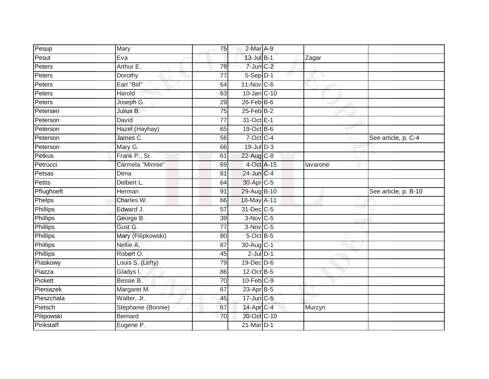| Pesup           | Mary               | 75              | 2-Mar A-9             |          |                      |
|-----------------|--------------------|-----------------|-----------------------|----------|----------------------|
| Pesut           | Eva                |                 | $13$ -Jul B-1         | Zagar    |                      |
| Peters          | Arthur E.          | 79              | $7$ -Jun $C-2$        |          |                      |
| Peters          | Dorothy            | 77              | $5-Sep D-1$           |          |                      |
| Peters          | Earl "Bill"        | 64              | 11-Nov C-6            |          |                      |
| Peters          | Harold             | 63              | 10-Jan C-10           |          |                      |
| Peters          | Joseph G.          | 29              | $26$ -Feb $B$ -6      |          |                      |
| Petersen        | Julius B.          | 75              | $25$ -Feb $B-2$       |          |                      |
| Peterson        | David              | $\overline{77}$ | 31-Oct E-1            |          |                      |
| Peterson        | Hazel (Hayhay)     | 65              | 19-Oct B-6            |          |                      |
| Peterson        | James C.           | 56              | 7-Oct C-4             |          | See article, p. C-4  |
| Peterson        | Mary G.            | 66              | $19$ -Jul $D-3$       |          |                      |
| Petkus          | Frank P., Sr.      | 61              | 22-Aug C-8            |          |                      |
| Petrucci        | Carmela "Minnie"   | 69              | 4-Oct A-15            | lavarone |                      |
| Petsas          | Dena               | 81              | 24-Jun C-4            |          |                      |
| Pettis          | Delbert L.         | 64              | 30-Apr <sub>C-5</sub> |          |                      |
| Pflughoeft      | Herman             | $\overline{91}$ | 29-Aug B-10           |          | See article, p. B-10 |
| Phelps          | Charles W.         | 66              | 18-May A-11           |          |                      |
| <b>Phillips</b> | Edward J.          | 57              | 31-Dec C-5            |          |                      |
| <b>Phillips</b> | George B.          | 39              | 3-Nov C-5             |          |                      |
| <b>Phillips</b> | Gust G.            | $\overline{77}$ | 3-Nov C-5             |          |                      |
| Phillips        | Mary (Filipkowski) | 80              | 5-Oct B-5             |          |                      |
| Phillips        | Nellie A.          | 87              | 30-Aug C-1            |          |                      |
| Phillips        | Robert O.          | 45              | $2$ -Jul $D-1$        |          |                      |
| Piaskowy        | Louis S. (Lefty)   | 79              | $19$ -Dec $ D$ -6     |          |                      |
| Piazza          | Gladys I.          | 86              | 12-Oct B-5            |          |                      |
| Pickett         | Bessie B.          | 70              | 10-Feb C-9            |          |                      |
| Pieniazek       | Margaret M.        | 67              | $23$ -Apr $B$ -5      |          |                      |
| Pieszchala      | Walter, Jr.        | 45              | 17-Jun C-5            |          |                      |
| Pietsch         | Stephanie (Bonnie) | 67              | 14-Apr C-4            | Murzyn   |                      |
| Pilipowski      |                    | 70              | 20-Oct C-10           |          |                      |
| Pinkstaff       | <b>Bernard</b>     |                 | 21-Mar D-1            |          |                      |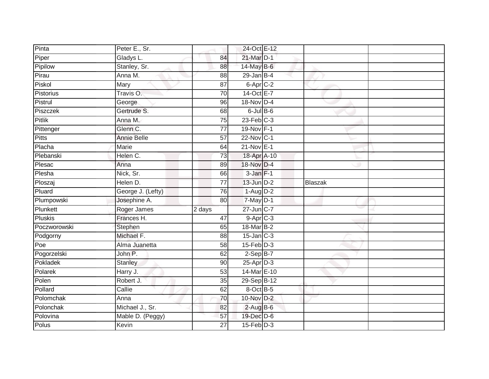| Pinta          | Peter E., Sr.      |                 | 24-Oct E-12           |         |  |
|----------------|--------------------|-----------------|-----------------------|---------|--|
| Piper          | Gladys L.          | 84              | 21-Mar D-1            |         |  |
| Pipilow        | Stanley, Sr.       | 88              | 14-May B-6            |         |  |
| Pirau          | Anna M.            | 88              | $29$ -Jan B-4         |         |  |
| Piskol         | Mary               | $\overline{87}$ | 6-Apr <sub>IC-2</sub> |         |  |
| Pistorius      | Travis O.          | 70              | 14-Oct E-7            |         |  |
| Pistrul        | George             | 96              | 18-Nov D-4            |         |  |
| Piszczek       | Gertrude S.        | 68              | $6$ -Jul $B$ -6       |         |  |
| <b>Pitlik</b>  | Anna M.            | 75              | $23$ -Feb $C-3$       |         |  |
| Pittenger      | Glenn C.           | $\overline{77}$ | 19-Nov F-1            |         |  |
| <b>Pitts</b>   | <b>Annie Belle</b> | 57              | 22-Nov C-1            |         |  |
| Placha         | Marie              | 64              | 21-Nov E-1            |         |  |
| Plebanski      | Helen C.           | 73              | 18-Apr A-10           |         |  |
| Plesac         | Anna               | 89              | 18-Nov D-4            |         |  |
| Plesha         | Nick, Sr.          | 66              | $3-Jan F-1$           |         |  |
| Ploszaj        | Helen D.           | $\overline{77}$ | $13$ -Jun $D-2$       | Blaszak |  |
| Pluard         | George J. (Lefty)  | 76              | $1-Aug$ D-2           |         |  |
| Plumpowski     | Josephine A.       | 80              | $7$ -May $D-1$        |         |  |
| Plunkett       | Roger James        | 2 days          | 27-Jun C-7            |         |  |
| <b>Pluskis</b> | Frances H.         | $\overline{47}$ | $9-AprC-3$            |         |  |
| Poczworowski   | Stephen            | 65              | 18-Mar B-2            |         |  |
| Podgorny       | Michael F.         | 88              | $15$ -Jan $C-3$       |         |  |
| Poe            | Alma Juanetta      | 58              | $15$ -Feb $D-3$       |         |  |
| Pogorzelski    | John P.            | 62              | $2-Sep$ B-7           |         |  |
| Pokladek       | <b>Stanley</b>     | 90              | $25$ -Apr $D-3$       |         |  |
| Polarek        | Harry J.           | 53              | 14-Mar E-10           |         |  |
| Polen          | Robert J.          | 35              | 29-Sep B-12           |         |  |
| Pollard        | Callie             | 62              | 8-Oct B-5             |         |  |
| Polomchak      | Anna               | 70              | 10-Nov D-2            |         |  |
| Polonchak      | Michael J., Sr.    | 82              | $2$ -Aug B-6          |         |  |
| Polovina       | Mable D. (Peggy)   | 57              | 19-Dec D-6            |         |  |
| Polus          | Kevin              | 27              | $15$ -Feb $D-3$       |         |  |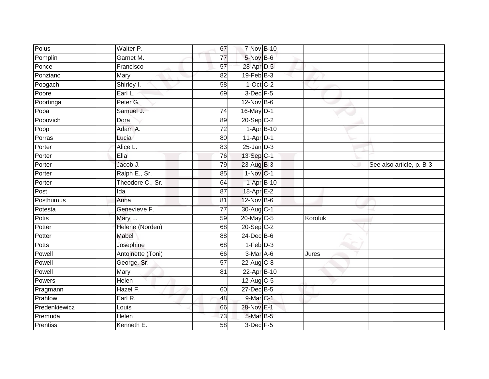| Polus         | Walter P.         | 67              | 7-Nov B-10              |         |                          |
|---------------|-------------------|-----------------|-------------------------|---------|--------------------------|
| Pomplin       | Garnet M.         | 77              | $5$ -Nov $B$ -6         |         |                          |
| Ponce         | Francisco         | 57              | 28-Apr D-5              |         |                          |
| Ponziano      | Mary              | 82              | $19$ -Feb $B-3$         |         |                          |
| Poogach       | Shirley I.        | $\overline{58}$ | $1-Oct$ $C-2$           |         |                          |
| Poore         | Earl L.           | 69              | $3$ -Dec $F - 5$        |         |                          |
| Poortinga     | Peter G.          |                 | $12$ -Nov $B-6$         |         |                          |
| Popa          | Samuel J.         | 74              | 16-May D-1              |         |                          |
| Popovich      | Dora              | 89              | $20-Sep$ <sub>C-2</sub> |         |                          |
| Popp          | Adam A.           | $\overline{72}$ | $1-Apr$ B-10            |         |                          |
| Porras        | Lucia             | 80              | $11-Apr$ D-1            |         |                          |
| Porter        | Alice L.          | 83              | $25 - Jan$ $D-3$        |         |                          |
| Porter        | Ella              | 76              | 13-Sep C-1              |         |                          |
| Porter        | Jacob J.          | 79              | 23-Aug B-3              |         | See also article, p. B-3 |
| Porter        | Ralph E., Sr.     | 85              | $1-NovC-1$              |         |                          |
| Porter        | Theodore C., Sr.  | 64              | 1-Apr B-10              |         |                          |
| Post          | Ida               | $\overline{87}$ | 18-Apr E-2              |         |                          |
| Posthumus     | Anna              | 81              | 12-Nov B-6              |         |                          |
| Potesta       | Genevieve F.      | $\overline{77}$ | 30-Aug C-1              |         |                          |
| <b>Potis</b>  | Mary L.           | 59              | 20-May C-5              | Koroluk |                          |
| Potter        | Helene (Norden)   | 68              | $20-Sep$ <sub>C-2</sub> |         |                          |
| Potter        | Mabel             | 88              | 24-Dec B-6              |         |                          |
| Potts         | Josephine         | 68              | $1-Feb$ $D-3$           |         |                          |
| Powell        | Antoinette (Toni) | 66              | 3-Mar A-6               | Jures   |                          |
| Powell        | George, Sr.       | $\overline{57}$ | $22$ -Aug C-8           |         |                          |
| Powell        | Mary              | 81              | 22-Apr B-10             |         |                          |
| Powers        | Helen             |                 | $12$ -Aug C-5           |         |                          |
| Pragmann      | Hazel F.          | 60              | 27-Dec B-5              |         |                          |
| Prahlow       | Earl R.           | 48              | 9-Mar C-1               |         |                          |
| Predenkiewicz | Louis             | 66              | 28-Nov E-1              |         |                          |
| Premuda       | Helen             | 73              | $5$ -Mar $B-5$          |         |                          |
| Prentiss      | Kenneth E.        | $\overline{58}$ | $3$ -Dec $F - 5$        |         |                          |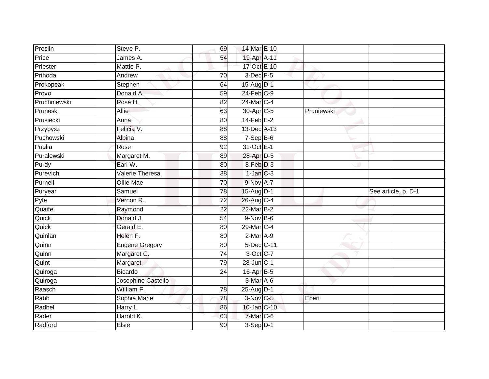| Preslin      | Steve P.              | 69              | 14-Mar E-10      |            |                     |
|--------------|-----------------------|-----------------|------------------|------------|---------------------|
| Price        | James A.              | 54              | 19-Apr A-11      |            |                     |
| Priester     | Mattie P.             |                 | 17-Oct E-10      |            |                     |
| Prihoda      | Andrew                | 70              | $3$ -Dec $F - 5$ |            |                     |
| Prokopeak    | Stephen               | 64              | 15-Aug D-1       |            |                     |
| Provo        | Donald A.             | 59              | $24$ -Feb $C-9$  |            |                     |
| Pruchniewski | Rose H.               | 82              | 24-Mar C-4       |            |                     |
| Pruneski     | Allie                 | 63              | 30-Apr C-5       | Pruniewski |                     |
| Prusiecki    | Anna                  | 80              | $14$ -Feb $E-2$  |            |                     |
| Przybysz     | Felicia V.            | 88              | 13-Dec A-13      |            |                     |
| Puchowski    | Albina                | 88              | $7-Sep$ B-6      |            |                     |
| Puglia       | Rose                  | $\overline{92}$ | 31-Oct E-1       |            |                     |
| Puralewski   | Margaret M.           | 89              | 28-Apr D-5       |            |                     |
| Purdy        | Earl W.               | 80              | 8-Feb D-3        |            |                     |
| Purevich     | Valerie Theresa       | $\overline{38}$ | $1-Jan$ $C-3$    |            |                     |
| Purnell      | Ollie Mae             | $\overline{70}$ | 9-Nov A-7        |            |                     |
| Puryear      | Samuel                | 78              | 15-Aug D-1       |            | See article, p. D-1 |
| Pyle         | Vernon R.             | 72              | 26-Aug C-4       |            |                     |
| Quaife       | Raymond               | 22              | 22-Mar B-2       |            |                     |
| Quick        | Donald J.             | 54              | $9-Nov$ B-6      |            |                     |
| Quick        | Gerald E.             | 80              | 29-Mar C-4       |            |                     |
| Quinlan      | Helen F.              | 80              | $2-Mar A-9$      |            |                     |
| Quinn        | <b>Eugene Gregory</b> | 80              | 5-Dec C-11       |            |                     |
| Quinn        | Margaret C.           | $\overline{74}$ | 3-Oct C-7        |            |                     |
| Quint        | Margaret              | 79              | 28-Jun C-1       |            |                     |
| Quiroga      | <b>Bicardo</b>        | 24              | 16-Apr B-5       |            |                     |
| Quiroga      | Josephine Castello    |                 | 3-Mar A-6        |            |                     |
| Raasch       | William F.            | 78              | 25-Aug D-1       |            |                     |
| Rabb         | Sophia Marie          | 78              | 3-Nov C-5        | Ebert      |                     |
| Radbel       | Harry L.              | 86              | 10-Jan C-10      |            |                     |
| Rader        | Harold K.             | 63              | 7-Mar C-6        |            |                     |
| Radford      | Elsie                 | 90              | $3-Sep$ D-1      |            |                     |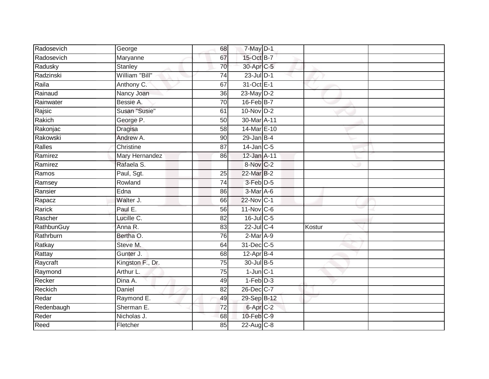| Radosevich | George                | 68              | $7$ -May $D-1$    |        |  |
|------------|-----------------------|-----------------|-------------------|--------|--|
| Radosevich | Maryanne              | 67              | 15-Oct B-7        |        |  |
| Radusky    | <b>Stanley</b>        | 70              | 30-Apr C-5        |        |  |
| Radzinski  | William "Bill"        | 74              | $23$ -Jul $D-1$   |        |  |
| Raila      | Anthony C.            | 67              | 31-Oct E-1        |        |  |
| Rainaud    | Nancy Joan            | 36              | 23-May D-2        |        |  |
| Rainwater  | Bessie A.             | 70              | 16-Feb B-7        |        |  |
| Rajsic     | Susan "Susie"         | 61              | $10$ -Nov $D-2$   |        |  |
| Rakich     | George P.             | 50              | 30-Mar A-11       |        |  |
| Rakonjac   | <b>Dragisa</b>        | 58              | 14-Mar E-10       |        |  |
| Rakowski   | Andrew A.             | 90              | $29$ -Jan B-4     |        |  |
| Ralles     | Christine             | $\overline{87}$ | $14$ -Jan $C-5$   |        |  |
| Ramirez    | <b>Mary Hernandez</b> | 86              | 12-Jan A-11       |        |  |
| Ramirez    | Rafaela S.            |                 | 8-Nov C-2         |        |  |
| Ramos      | Paul, Sgt.            | 25              | 22-Mar B-2        |        |  |
| Ramsey     | Rowland               | $\overline{74}$ | 3-Feb D-5         |        |  |
| Ransier    | Edna                  | 86              | 3-Mar A-6         |        |  |
| Rapacz     | Walter J.             | 66              | 22-Nov C-1        |        |  |
| Rarick     | Paul E.               | 56              | $11$ -Nov $ C-6 $ |        |  |
| Rascher    | Lucille C.            | 82              | 16-Jul C-5        |        |  |
| RathbunGuy | Anna R.               | 83              | $22$ -Jul C-4     | Kostur |  |
| Rathrburn  | Bertha O.             | 76              | $2-Mar A-9$       |        |  |
| Ratkay     | Steve M.              | 64              | 31-Dec C-5        |        |  |
| Rattay     | Gunter J.             | 68              | $12-AprB-4$       |        |  |
| Raycraft   | Kingston F., Dr.      | 75              | 30-Jul B-5        |        |  |
| Raymond    | Arthur L.             | 75              | $1$ -Jun $C-1$    |        |  |
| Recker     | Dina A.               | 49              | $1-Feb$ $D-3$     |        |  |
| Reckich    | Daniel                | 82              | 26-Dec C-7        |        |  |
| Redar      | Raymond E.            | 49              | 29-Sep B-12       |        |  |
| Redenbaugh | Sherman E.            | 72              | $6-Apr$ $C-2$     |        |  |
| Reder      | Nicholas J.           | 68              | 10-Feb C-9        |        |  |
| Reed       | Fletcher              | 85              | 22-Aug C-8        |        |  |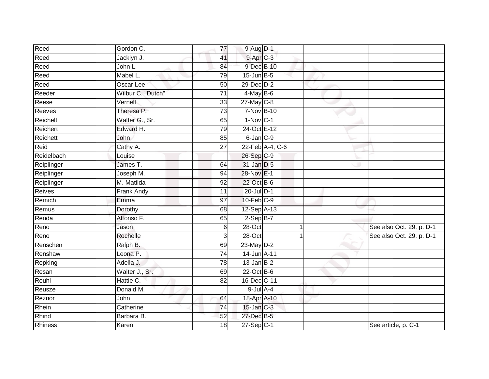| Reed           | Gordon C.         | 77              | 9-Aug D-1        |                 |                          |
|----------------|-------------------|-----------------|------------------|-----------------|--------------------------|
| Reed           | Jacklyn J.        | 41              | $9-AprC-3$       |                 |                          |
| Reed           | John L.           | 84              | 9-Dec B-10       |                 |                          |
| Reed           | Mabel L.          | 79              | $15$ -Jun $B$ -5 |                 |                          |
| Reed           | Oscar Lee         | 50              | $29$ -Dec $D-2$  |                 |                          |
| Reeder         | Wilbur C. "Dutch" | $\overline{71}$ | $4$ -May B-6     |                 |                          |
| Reese          | Vernell           | 33              | $27$ -May C-8    |                 |                          |
| Reeves         | Theresa P.        | 73              | 7-Nov B-10       |                 |                          |
| Reichelt       | Walter G., Sr.    | 65              | $1-Nov$ C-1      |                 |                          |
| Reichert       | Edward H.         | 79              | 24-Oct E-12      |                 |                          |
| Reichett       | John              | 85              | 6-Jan C-9        |                 |                          |
| Reid           | Cathy A.          | 27              |                  | 22-Feb A-4, C-6 |                          |
| Reidelbach     | Louise            |                 | 26-Sep C-9       |                 |                          |
| Reiplinger     | James T.          | 64              | 31-Jan D-5       |                 |                          |
| Reiplinger     | Joseph M.         | 94              | 28-Nov E-1       |                 |                          |
| Reiplinger     | M. Matilda        | 92              | 22-Oct B-6       |                 |                          |
| Reives         | <b>Frank Andy</b> | $\overline{11}$ | $20$ -Jul $D-1$  |                 |                          |
| Remich         | Emma              | 97              | $10$ -Feb $C-9$  |                 |                          |
| Remus          | Dorothy           | 68              | 12-Sep A-13      |                 |                          |
| Renda          | Alfonso F.        | 65              | $2-SepB-7$       |                 |                          |
| Reno           | Jason             | 6               | 28-Oct           | 1               | See also Oct. 29, p. D-1 |
| Reno           | Rochelle          | 3               | 28-Oct           |                 | See also Oct. 29, p. D-1 |
| Renschen       | Ralph B.          | 69              | $23$ -May $D-2$  |                 |                          |
| Renshaw        | Leona P.          | 74              | 14-Jun A-11      |                 |                          |
| Repking        | Adella J.         | 78              | $13$ -Jan $B-2$  |                 |                          |
| Resan          | Walter J., Sr.    | 69              | $22$ -Oct B-6    |                 |                          |
| Reuhl          | Hattie C.         | 82              | 16-Dec C-11      |                 |                          |
| Reusze         | Donald M.         |                 | $9$ -Jul $A - 4$ |                 |                          |
| Reznor         | John              | 64              | 18-Apr A-10      |                 |                          |
| Rhein          | Catherine         | 74              | $15$ -Jan $C-3$  |                 |                          |
| Rhind          | Barbara B.        | 52              | 27-Dec B-5       |                 |                          |
| <b>Rhiness</b> | Karen             | 18              | $27-Sep C-1$     |                 | See article, p. C-1      |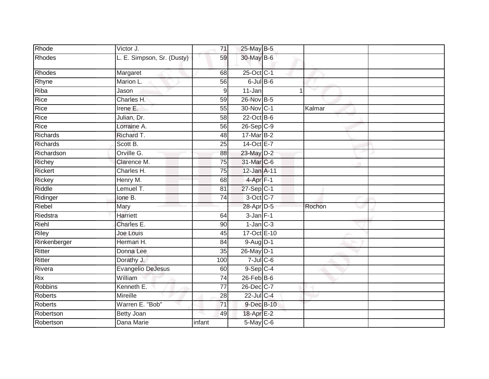| Rhode          | Victor J.                  | 71              | 25-May B-5        |        |  |
|----------------|----------------------------|-----------------|-------------------|--------|--|
| Rhodes         | L. E. Simpson, Sr. (Dusty) | 59              | 30-May B-6        |        |  |
| Rhodes         | Margaret                   | 68              | 25-Oct C-1        |        |  |
| Rhyne          | Marion L.                  | 56              | $6$ -Jul $B$ -6   |        |  |
| Riba           | Jason                      | 9               | 11-Jan            |        |  |
| Rice           | Charles H.                 | 59              | 26-Nov B-5        |        |  |
| Rice           | Irene E.                   | 55              | 30-Nov C-1        | Kalmar |  |
| Rice           | Julian, Dr.                | $\overline{58}$ | $22$ -Oct B-6     |        |  |
| Rice           | Lorraine A.                | 56              | $26-Sep$ $C-9$    |        |  |
| Richards       | Richard T.                 | 48              | 17-Mar B-2        |        |  |
| Richards       | Scott B.                   | 25              | 14-Oct E-7        |        |  |
| Richardson     | Orville G.                 | 88              | 23-May D-2        |        |  |
| Richey         | Clarence M.                | $\overline{75}$ | 31-Mar C-6        |        |  |
| Rickert        | Charles H.                 | 75              | 12-Jan A-11       |        |  |
| Rickey         | Henry M.                   | 68              | $4$ -Apr $F-1$    |        |  |
| Riddle         | Lemuel T.                  | 81              | $27-Sep$ C-1      |        |  |
| Ridinger       | lone B.                    | 74              | 3-Oct C-7         |        |  |
| Riebel         | Mary                       |                 | 28-Apr D-5        | Rochon |  |
| Riedstra       | <b>Harriett</b>            | 64              | $3-Jan$ F-1       |        |  |
| Riehl          | Charles E.                 | 90              | $1$ -Jan $C-3$    |        |  |
| Riley          | Joe Louis                  | 45              | 17-Oct E-10       |        |  |
| Rinkenberger   | Herman H.                  | 84              | $9-Aug$ D-1       |        |  |
| Ritter         | Donna Lee                  | 35              | 26-May D-1        |        |  |
| Ritter         | Dorathy J.                 | 100             | $7 -$ Jul $C - 6$ |        |  |
| Rivera         | <b>Evangelio DeJesus</b>   | 60              | $9-$ Sep $ C-4 $  |        |  |
| <b>Rix</b>     | William                    | 74              | $26$ -Feb $B$ -6  |        |  |
| Robbins        | Kenneth E.                 | 77              | 26-Dec C-7        |        |  |
| <b>Roberts</b> | Mireille                   | 28              | $22$ -Jul C-4     |        |  |
| Roberts        | Warren E. "Bob"            | 71              | 9-Dec B-10        |        |  |
| Robertson      | Betty Joan                 | 49              | 18-Apr E-2        |        |  |
| Robertson      | Dana Marie                 | infant          | 5-May C-6         |        |  |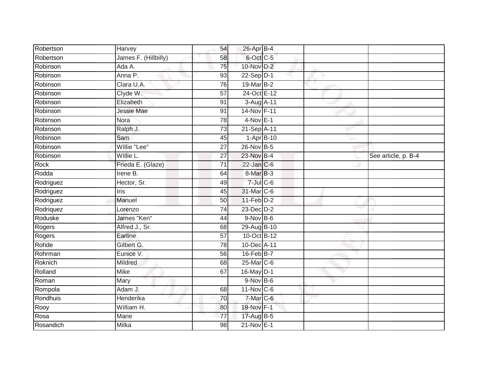| Robertson   | Harvey               | 54              | 26-Apr B-4           |  |                     |
|-------------|----------------------|-----------------|----------------------|--|---------------------|
| Robertson   | James F. (Hillbilly) | 58              | 6-Oct C-5            |  |                     |
| Robinson    | Ada A.               | 75              | 10-Nov D-2           |  |                     |
| Robinson    | Anna P.              | 93              | $22-Sep D-1$         |  |                     |
| Robinson    | Clara U.A.           | 76              | $19$ -Mar $B-2$      |  |                     |
| Robinson    | Clyde W.             | 57              | 24-Oct E-12          |  |                     |
| Robinson    | Elizabeth            | 91              | 3-Aug A-11           |  |                     |
| Robinson    | <b>Jessie Mae</b>    | 91              | 14-Nov F-11          |  |                     |
| Robinson    | Nora                 | 78              | $4-Nov$ E-1          |  |                     |
| Robinson    | Ralph J.             | 73              | 21-Sep A-11          |  |                     |
| Robinson    | Sam                  | 45              | $1-AprB-10$          |  |                     |
| Robinson    | Willie "Lee"         | 27              | 26-Nov B-5           |  |                     |
| Robinson    | Willie L.            | 27              | 23-Nov B-4           |  | See article, p. B-4 |
| <b>Rock</b> | Frieda E. (Glaze)    | 71              | 22-Jan C-6           |  |                     |
| Rodda       | Irene B.             | 64              | 8-Mar <sub>B-3</sub> |  |                     |
| Rodriguez   | Hector, Sr.          | 49              | $7$ -Jul $C$ -6      |  |                     |
| Rodriguez   | <b>Iris</b>          | 45              | 31-Mar C-6           |  |                     |
| Rodriguez   | Manuel               | 50              | $11-Feb$ D-2         |  |                     |
| Rodriquez   | Lorenzo              | 74              | 23-Dec D-2           |  |                     |
| Roduske     | James "Ken"          | 44              | 9-Nov B-6            |  |                     |
| Rogers      | Alfred J., Sr.       | 68              | 29-Aug B-10          |  |                     |
| Rogers      | Earline              | $\overline{57}$ | 10-Oct B-12          |  |                     |
| Rohde       | Gilbert G.           | 78              | 10-Dec A-11          |  |                     |
| Rohrman     | Eunice V.            | 56              | $16$ -Feb $B$ -7     |  |                     |
| Roknich     | Mildred              | 68              | 25-Mar C-6           |  |                     |
| Rolland     | <b>Mike</b>          | 67              | 16-May D-1           |  |                     |
| Roman       | Mary                 |                 | $9-NovB-6$           |  |                     |
| Rompola     | Adam J.              | 68              | $11$ -Nov $ C-6 $    |  |                     |
| Rondhuis    | Henderika            | 70              | 7-Mar C-6            |  |                     |
| Rooy        | William H.           | 80              | 19-Nov F-1           |  |                     |
| Rosa        | Marie                | $\overline{77}$ | 17-Aug B-5           |  |                     |
| Rosandich   | Milka                | $\overline{98}$ | 21-Nov E-1           |  |                     |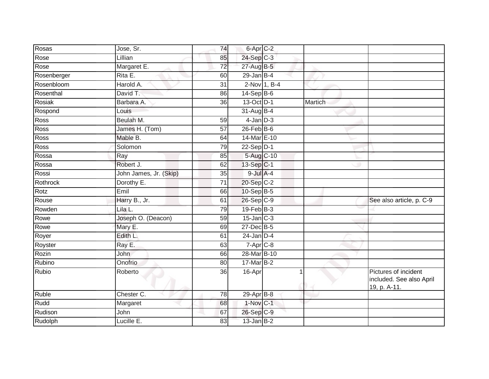| Rosas       | Jose, Sr.              | 74              | 6-Apr C-2        |              |         |                                                                  |
|-------------|------------------------|-----------------|------------------|--------------|---------|------------------------------------------------------------------|
| Rose        | Lillian                | 85              | 24-Sep C-3       |              |         |                                                                  |
| Rose        | Margaret E.            | 72              | 27-Aug B-5       |              |         |                                                                  |
| Rosenberger | Rita E.                | 60              | $29$ -Jan B-4    |              |         |                                                                  |
| Rosenbloom  | Harold A.              | $\overline{31}$ |                  | 2-Nov 1, B-4 |         |                                                                  |
| Rosenthal   | David T.               | 86              | $14-SepB-6$      |              |         |                                                                  |
| Rosiak      | Barbara A.             | 36              | 13-Oct D-1       |              | Martich |                                                                  |
| Rospond     | Louis                  |                 | 31-Aug B-4       |              |         |                                                                  |
| Ross        | Beulah M.              | 59              | $4$ -Jan $D-3$   |              |         |                                                                  |
| <b>Ross</b> | James H. (Tom)         | 57              | $26$ -Feb $B$ -6 |              |         |                                                                  |
| Ross        | Mable B.               | 64              | 14-Mar E-10      |              |         |                                                                  |
| Ross        | Solomon                | 79              | $22-Sep D-1$     |              |         |                                                                  |
| Rossa       | Ray                    | 85              | 5-Aug C-10       |              |         |                                                                  |
| Rossa       | Robert J.              | 62              | 13-Sep C-1       |              |         |                                                                  |
| Rossi       | John James, Jr. (Skip) | $\overline{35}$ | $9$ -Jul $A-4$   |              |         |                                                                  |
| Rothrock    | Dorothy E.             | $\overline{71}$ | 20-Sep C-2       |              |         |                                                                  |
| Rotz        | Emil                   | 66              | 10-Sep B-5       |              |         |                                                                  |
| Rouse       | Harry B., Jr.          | 61              | 26-Sep C-9       |              |         | See also article, p. C-9                                         |
| Rowden      | Lila L.                | 79              | 19-Feb B-3       |              |         |                                                                  |
| Rowe        | Joseph O. (Deacon)     | 59              | $15$ -Jan $C-3$  |              |         |                                                                  |
| Rowe        | Mary E.                | 69              | 27-Dec B-5       |              |         |                                                                  |
| Royer       | Edith L.               | 61              | $24$ -Jan D-4    |              |         |                                                                  |
| Royster     | Ray E.                 | 63              | 7-Apr C-8        |              |         |                                                                  |
| Rozin       | John                   | 66              | 28-Mar B-10      |              |         |                                                                  |
| Rubino      | Onofrio                | 80              | 17-Mar B-2       |              |         |                                                                  |
| Rubio       | Roberto                | 36              | 16-Apr           |              |         | Pictures of incident<br>included. See also April<br>19, p. A-11. |
| Ruble       | Chester C.             | 78              | 29-Apr B-8       |              |         |                                                                  |
| Rudd        | Margaret               | 68              | 1-Nov C-1        |              |         |                                                                  |
| Rudison     | John                   | 67              | 26-Sep C-9       |              |         |                                                                  |
| Rudolph     | Lucille E.             | 83              | $13$ -Jan B-2    |              |         |                                                                  |
|             |                        |                 |                  |              |         |                                                                  |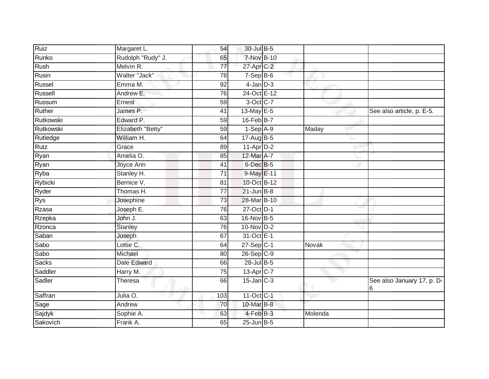| Ruiz         | Margaret L.        | 54              | 30-Jul B-5              |         |                                 |
|--------------|--------------------|-----------------|-------------------------|---------|---------------------------------|
| Runko        | Rudolph "Rudy" J.  | 65              | 7-Nov B-10              |         |                                 |
| Rush         | Melvin R.          | 77              | 27-Apr C-2              |         |                                 |
| Rusin        | Walter "Jack"      | 78              | $7-Sep$ B-6             |         |                                 |
| Russel       | Emma M.            | $\overline{92}$ | $4$ -Jan $D-3$          |         |                                 |
| Russell      | Andrew E.          | 76              | 24-Oct E-12             |         |                                 |
| Russum       | Ernest             | 59              | 3-Oct C-7               |         |                                 |
| Ruther       | James P.           | 41              | 13-May E-5              |         | See also article, p. E-5.       |
| Rutkowski    | Edward P.          | 59              | 16-Feb B-7              |         |                                 |
| Rutkowski    | Elizabeth "Betty"  | 59              | $1-SepA-9$              | Maday   |                                 |
| Rutledge     | William H.         | 64              | 17-Aug B-5              |         |                                 |
| Rutz         | Grace              | 89              | $11-Apr\overline{D-2}$  |         |                                 |
| Ryan         | Amelia O.          | 85              | 12-Mar A-7              |         |                                 |
| Ryan         | Joyce Ann          | 41              | $6$ -Dec $B$ -5         |         |                                 |
| Ryba         | Stanley H.         | $\overline{71}$ | 9-May E-11              |         |                                 |
| Rybicki      | Bernice V.         | 81              | 10-Oct B-12             |         |                                 |
| Ryder        | Thomas H.          | $\overline{77}$ | $21$ -Jun $B-8$         |         |                                 |
| Rys          | Josephine          | 73              | 28-Mar B-10             |         |                                 |
| Rzasa        | Joseph E.          | 76              | 27-Oct D-1              |         |                                 |
| Rzepka       | John J.            | 63              | 16-Nov B-5              |         |                                 |
| Rzonca       | Stanley            | 76              | $10$ -Nov $D-2$         |         |                                 |
| Saban        | Joseph             | 67              | 31-Oct E-1              |         |                                 |
| Sabo         | Lottie C.          | 64              | $27-Sep$ C-1            | Novak   |                                 |
| Sabo         | Michael            | 80              | $26-Sep$ C-9            |         |                                 |
| <b>Sacks</b> | <b>Dale Edward</b> | 66              | 28-Jul B-5              |         |                                 |
| Saddler      | Harry M.           | 75              | $13-Apr$ <sub>C-7</sub> |         |                                 |
| Sadler       | Theresa            | 66              | $15$ -Jan $C-3$         |         | See also January 17, p. D-<br>6 |
| Saffran      | Julia O.           | 103             | 11-Oct C-1              |         |                                 |
| Sage         | Andrew             | 70              | 10-Mar B-8              |         |                                 |
| Sajdyk       | Sophie A.          | 63              | 4-Feb B-3               | Molenda |                                 |
| Sakovich     | Frank A.           | 65              | $25$ -Jun $B-5$         |         |                                 |
|              |                    |                 |                         |         |                                 |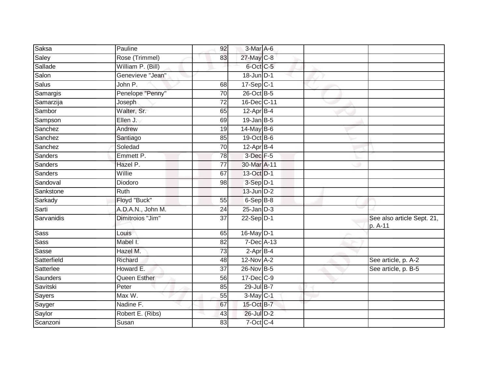| Saksa         | Pauline           | 92              | 3-Mar A-6         |  |                                       |
|---------------|-------------------|-----------------|-------------------|--|---------------------------------------|
| Saley         | Rose (Trimmel)    | 83              | 27-May C-8        |  |                                       |
| Sallade       | William P. (Bill) |                 | 6-Oct C-5         |  |                                       |
| Salon         | Genevieve "Jean"  |                 | $18$ -Jun $ D-1 $ |  |                                       |
| <b>Salus</b>  | John P.           | 68              | 17-Sep C-1        |  |                                       |
| Samargis      | Penelope "Penny"  | 70              | 26-Oct B-5        |  |                                       |
| Samarzija     | Joseph            | $\overline{72}$ | 16-Dec C-11       |  |                                       |
| Sambor        | Walter, Sr.       | 65              | $12$ -Apr $B-4$   |  |                                       |
| Sampson       | Ellen J.          | 69              | $19$ -Jan B-5     |  |                                       |
| Sanchez       | Andrew            | 19              | $14$ -May B-6     |  |                                       |
| Sanchez       | Santiago          | 85              | 19-Oct B-6        |  |                                       |
| Sanchez       | Soledad           | 70              | $12$ -Apr $B-4$   |  |                                       |
| Sanders       | Emmett P.         | 78              | $3$ -Dec $F - 5$  |  |                                       |
| Sanders       | Hazel P.          | $\overline{77}$ | 30-Mar A-11       |  |                                       |
| Sanders       | Willie            | 67              | 13-Oct D-1        |  |                                       |
| Sandoval      | Diodoro           | 98              | 3-Sep D-1         |  |                                       |
| Sankstone     | <b>Ruth</b>       |                 | $13$ -Jun $D-2$   |  |                                       |
| Sarkady       | Floyd "Buck"      | 55              | 6-Sep B-8         |  |                                       |
| Sarti         | A.D.A.N., John M. | 24              | $25$ -Jan $D-3$   |  |                                       |
| Sarvanidis    | Dimitroios "Jim"  | $\overline{37}$ | $22-Sep$ D-1      |  | See also article Sept. 21,<br>p. A-11 |
| <b>Sass</b>   | Louis             | 65              | 16-May D-1        |  |                                       |
| <b>Sass</b>   | Mabel I.          | 82              | 7-Dec A-13        |  |                                       |
| Sasse         | Hazel M.          | 73              | $2$ -Apr $B-4$    |  |                                       |
| Satterfield   | Richard           | 48              | $12-Nov$ A-2      |  | See article, p. A-2                   |
| Satterlee     | Howard E.         | $\overline{37}$ | 26-Nov B-5        |  | See article, p. B-5                   |
| Saunders      | Queen Esther      | 56              | 17-Dec C-9        |  |                                       |
| Savitski      | Peter             | 85              | 29-Jul B-7        |  |                                       |
| <b>Sayers</b> | Max W.            | 55              | $3-May$ C-1       |  |                                       |
| Sayger        | Nadine F.         | 67              | 15-Oct B-7        |  |                                       |
| Saylor        | Robert E. (Ribs)  | 43              | 26-Jul D-2        |  |                                       |
| Scanzoni      | Susan             | 83              | 7-Oct C-4         |  |                                       |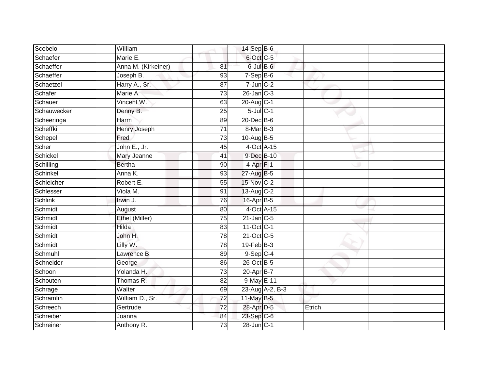| Scebelo        | William             |                 | $14-Sep$ B-6           |                 |        |  |
|----------------|---------------------|-----------------|------------------------|-----------------|--------|--|
| Schaefer       | Marie E.            |                 | 6-Oct C-5              |                 |        |  |
| Schaeffer      | Anna M. (Kirkeiner) | 81              | $6$ -Jul $B$ -6        |                 |        |  |
| Schaeffer      | Joseph B.           | 93              | $7-Sep$ B-6            |                 |        |  |
| Schaetzel      | Harry A., Sr.       | $\overline{87}$ | $7$ -Jun $C-2$         |                 |        |  |
| Schafer        | Marie A.            | 73              | $26$ -Jan $C-3$        |                 |        |  |
| Schauer        | Vincent W.          | 63              | $20$ -Aug $C-1$        |                 |        |  |
| Schauwecker    | Denny B.            | 25              | $5$ -Jul $C-1$         |                 |        |  |
| Scheeringa     | Harm                | 89              | 20-Dec B-6             |                 |        |  |
| Scheffki       | <b>Henry Joseph</b> | $\overline{71}$ | $8$ -Mar $B-3$         |                 |        |  |
| Schepel        | Fred                | 73              | 10-Aug B-5             |                 |        |  |
| Scher          | John E., Jr.        | 45              | 4-Oct A-15             |                 |        |  |
| Schickel       | Mary Jeanne         | 41              | 9-Dec B-10             |                 |        |  |
| Schilling      | <b>Bertha</b>       | 90              | 4-Apr <sub>F-1</sub>   |                 |        |  |
| Schinkel       | Anna K.             | 93              | 27-Aug B-5             |                 |        |  |
| Schleicher     | Robert E.           | 55              | 15-Nov C-2             |                 |        |  |
| Schlesser      | Viola M.            | 91              | 13-Aug C-2             |                 |        |  |
| <b>Schlink</b> | Irwin J.            | 76              | 16-Apr B-5             |                 |        |  |
| Schmidt        | August              | 80              | 4-Oct A-15             |                 |        |  |
| Schmidt        | Ethel (Miller)      | 75              | $21$ -Jan $C-5$        |                 |        |  |
| Schmidt        | Hilda               | 83              | 11-Oct C-1             |                 |        |  |
| Schmidt        | John H.             | $\overline{78}$ | 21-Oct C-5             |                 |        |  |
| Schmidt        | Lilly W.            | 78              | $19$ -Feb $B-3$        |                 |        |  |
| Schmuhl        | Lawrence B.         | 89              | $9-Sep$ <sub>C-4</sub> |                 |        |  |
| Schneider      | George              | 86              | 26-Oct B-5             |                 |        |  |
| Schoon         | Yolanda H.          | 73              | 20-Apr B-7             |                 |        |  |
| Schouten       | Thomas R.           | 82              | 9-May E-11             |                 |        |  |
| Schrage        | Walter              | 69              |                        | 23-Aug A-2, B-3 |        |  |
| Schramlin      | William D., Sr.     | 72              | 11-May B-5             |                 |        |  |
| Schreech       | Gertrude            | 72              | 28-Apr D-5             |                 | Etrich |  |
| Schreiber      | Joanna              | 84              | 23-Sep C-6             |                 |        |  |
| Schreiner      | Anthony R.          | $\overline{73}$ | 28-Jun C-1             |                 |        |  |
|                |                     |                 |                        |                 |        |  |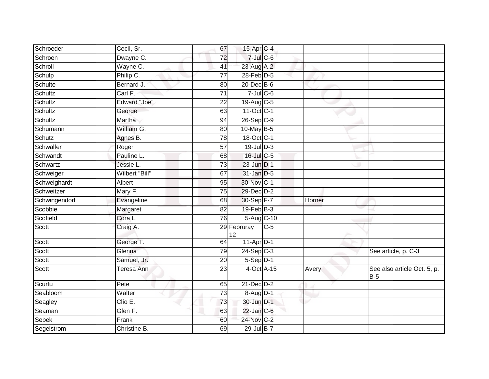| Schroeder     | Cecil, Sr.          | 67              | 15-Apr C-4              |       |        |                                      |
|---------------|---------------------|-----------------|-------------------------|-------|--------|--------------------------------------|
| Schroen       | Dwayne C.           | 72              | $7$ -Jul $C$ -6         |       |        |                                      |
| Schroll       | Wayne C.            | 41              | 23-Aug A-2              |       |        |                                      |
| Schulp        | Philip C.           | 77              | 28-Feb D-5              |       |        |                                      |
| Schulte       | Bernard J.          | $\overline{80}$ | $20$ -Dec $B-6$         |       |        |                                      |
| Schultz       | Carl F.             | 71              | $7$ -Jul C-6            |       |        |                                      |
| Schultz       | <b>Edward "Joe"</b> | 22              | 19-Aug C-5              |       |        |                                      |
| Schultz       | George              | 63              | 11-Oct C-1              |       |        |                                      |
| Schultz       | Martha              | 94              | $26-Sep$ C-9            |       |        |                                      |
| Schumann      | William G.          | 80              | 10-May B-5              |       |        |                                      |
| Schutz        | Agnes B.            | 78              | $18-Oct$ <sub>C-1</sub> |       |        |                                      |
| Schwaller     | Roger               | 57              | $19$ -Jul $D-3$         |       |        |                                      |
| Schwandt      | Pauline L.          | 68              | 16-Jul C-5              |       |        |                                      |
| Schwartz      | Jessie L.           | 73              | $23$ -Jun $D-1$         |       |        |                                      |
| Schweiger     | Wilbert "Bill"      | 67              | 31-Jan D-5              |       |        |                                      |
| Schweighardt  | Albert              | 95              | 30-Nov C-1              |       |        |                                      |
| Schweitzer    | Mary F.             | 75              | 29-Dec D-2              |       |        |                                      |
| Schwingendorf | Evangeline          | 68              | 30-Sep F-7              |       | Horner |                                      |
| Scobbie       | Margaret            | 82              | $19$ -Feb $B-3$         |       |        |                                      |
| Scofield      | Cora L.             | 76              | 5-Aug C-10              |       |        |                                      |
| Scott         | Craig A.            |                 | 29 Februray<br>12       | $C-5$ |        |                                      |
| Scott         | George T.           | 64              | $11-Apr$ D-1            |       |        |                                      |
| Scott         | Glenna              | 79              | $24-Sep$ C-3            |       |        | See article, p. C-3                  |
| Scott         | Samuel, Jr.         | 20              | $5-Sep$ D-1             |       |        |                                      |
| Scott         | Teresa Ann          | $\overline{23}$ | 4-Oct A-15              |       | Avery  | See also article Oct. 5, p.<br>$B-5$ |
| Scurtu        | Pete                | 65              | $21$ -Dec $D-2$         |       |        |                                      |
| Seabloom      | Walter              | $\overline{73}$ | 8-Aug D-1               |       |        |                                      |
| Seagley       | Clio E.             | 73              | 30-Jun D-1              |       |        |                                      |
| Seaman        | Glen F.             | 63              | $22$ -Jan $C-6$         |       |        |                                      |
| Sebek         | Frank               | 60              | 24-Nov C-2              |       |        |                                      |
| Segelstrom    | Christine B.        | 69              | 29-Jul B-7              |       |        |                                      |
|               |                     |                 |                         |       |        |                                      |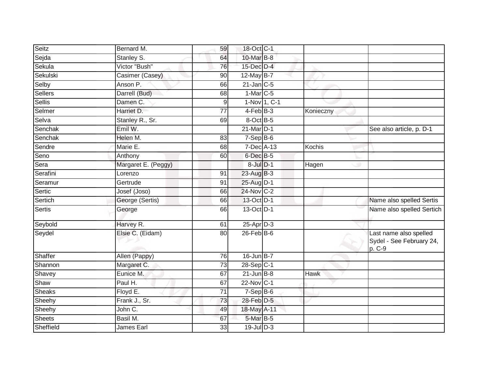| Seitz                       | Bernard M.          | 59              | 18-Oct C-1       |             |                                                              |
|-----------------------------|---------------------|-----------------|------------------|-------------|--------------------------------------------------------------|
| Sejda                       | Stanley S.          | 64              | 10-Mar B-8       |             |                                                              |
| Sekula                      | Victor "Bush"       | 76              | 15-Dec D-4       |             |                                                              |
| Sekulski                    | Casimer (Casey)     | 90              | 12-May B-7       |             |                                                              |
| Selby                       | Anson P.            | 66              | $21$ -Jan $C-5$  |             |                                                              |
| Sellers                     | Darrell (Bud)       | 68              | $1-Mar$ C-5      |             |                                                              |
| <b>Sellis</b>               | Damen <sub>C.</sub> | 9               | 1-Nov 1, C-1     |             |                                                              |
| Selmer                      | Harriet D.          | 77              | $4-FebB-3$       | Konieczny   |                                                              |
| Selva                       | Stanley R., Sr.     | 69              | 8-Oct B-5        |             |                                                              |
| Senchak                     | Emil W.             |                 | 21-Mar D-1       |             | See also article, p. D-1                                     |
| Senchak                     | Helen M.            | 83              | $7-Sep$ B-6      |             |                                                              |
| Sendre                      | Marie E.            | 68              | 7-Dec A-13       | Kochis      |                                                              |
| $\overline{\mathsf{S}}$ eno | Anthony             | 60              | 6-Dec B-5        |             |                                                              |
| Sera                        | Margaret E. (Peggy) |                 | $8$ -Jul $D-1$   | Hagen       |                                                              |
| Serafini                    | Lorenzo             | 91              | 23-Aug B-3       |             |                                                              |
| Seramur                     | Gertrude            | 91              | 25-Aug D-1       |             |                                                              |
| Sertic                      | Josef (Joso)        | 66              | 24-Nov C-2       |             |                                                              |
| Sertich                     | George (Sertis)     | 66              | 13-Oct D-1       |             | Name also spelled Sertis                                     |
| <b>Sertis</b>               | George              | 66              | 13-Oct D-1       |             | Name also spelled Sertich                                    |
| Seybold                     | Harvey R.           | 61              | 25-Apr D-3       |             |                                                              |
| Seydel                      | Elsie C. (Eidam)    | 80              | $26$ -Feb $B$ -6 |             | Last name also spelled<br>Sydel - See February 24,<br>p. C-9 |
| Shaffer                     | Allen (Pappy)       | 76              | $16$ -Jun $B-7$  |             |                                                              |
| Shannon                     | Margaret C.         | 73              | 28-Sep C-1       |             |                                                              |
| Shavey                      | Eunice M.           | 67              | $21$ -Jun B-8    | <b>Hawk</b> |                                                              |
| Shaw                        | Paul H.             | 67              | 22-Nov C-1       |             |                                                              |
| <b>Sheaks</b>               | Floyd E.            | $\overline{71}$ | $7-Sep$ B-6      |             |                                                              |
| Sheehy                      | Frank J., Sr.       | 73              | 28-Feb D-5       |             |                                                              |
| Sheehy                      | John C.             | 49              | 18-May A-11      |             |                                                              |
| <b>Sheets</b>               | Basil M.            | 67              | 5-Mar B-5        |             |                                                              |
| Sheffield                   | James Earl          | 33              | $19$ -Jul $D-3$  |             |                                                              |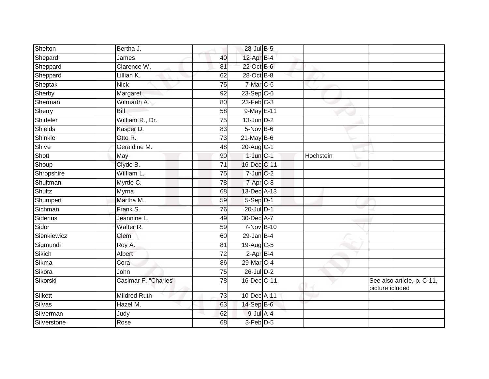| Shelton       | Bertha J.            |                 | 28-Jul B-5      |           |                                               |
|---------------|----------------------|-----------------|-----------------|-----------|-----------------------------------------------|
| Shepard       | James                | 40              | 12-Apr B-4      |           |                                               |
| Sheppard      | Clarence W.          | 81              | 22-Oct B-6      |           |                                               |
| Sheppard      | Lillian K.           | 62              | 28-Oct B-8      |           |                                               |
| Sheptak       | <b>Nick</b>          | $\overline{75}$ | $7-Mar$ $C-6$   |           |                                               |
| Sherby        | Margaret             | 92              | $23-Sep$ C-6    |           |                                               |
| Sherman       | Wilmarth A.          | 80              | $23$ -Feb $C-3$ |           |                                               |
| Sherry        | Bill                 | 58              | 9-May E-11      |           |                                               |
| Shideler      | William R., Dr.      | 75              | $13$ -Jun $D-2$ |           |                                               |
| Shields       | Kasper D.            | 83              | $5-Nov$ B-6     |           |                                               |
| Shinkle       | Otto R.              | 73              | $21$ -May B-6   |           |                                               |
| Shive         | Geraldine M.         | 48              | $20$ -Aug $C-1$ |           |                                               |
| Shott         | May                  | 90              | $1$ -Jun $C-1$  | Hochstein |                                               |
| Shoup         | Clyde B.             | $\overline{71}$ | 16-Dec C-11     |           |                                               |
| Shropshire    | William L.           | $\overline{75}$ | $7$ -Jun $C-2$  |           |                                               |
| Shultman      | Myrtle C.            | 78              | 7-Apr C-8       |           |                                               |
| <b>Shultz</b> | Myrna                | 68              | 13-Dec A-13     |           |                                               |
| Shumpert      | Martha M.            | 59              | $5-Sep D-1$     |           |                                               |
| Sichman       | Frank S.             | 76              | 20-Jul D-1      |           |                                               |
| Siderius      | Jeannine L.          | 49              | 30-Dec A-7      |           |                                               |
| Sidor         | Walter R.            | 59              | 7-Nov B-10      |           |                                               |
| Sienkiewicz   | Clem                 | 60              | $29$ -Jan B-4   |           |                                               |
| Sigmundi      | Roy A.               | 81              | 19-Aug C-5      |           |                                               |
| Sikich        | Albert               | $\overline{72}$ | $2$ -Apr $B-4$  |           |                                               |
| Sikma         | Cora                 | 86              | 29-Mar C-4      |           |                                               |
| Sikora        | John                 | 75              | 26-Jul D-2      |           |                                               |
| Sikorski      | Casimar F. "Charles" | 78              | 16-Dec C-11     |           | See also article, p. C-11,<br>picture icluded |
| Silkett       | <b>Mildred Ruth</b>  | 73              | 10-Dec A-11     |           |                                               |
| Silvas        | Hazel M.             | 63              | 14-Sep B-6      |           |                                               |
| Silverman     | Judy                 | 62              | $9$ -Jul A-4    |           |                                               |
| Silverstone   | Rose                 | 68              | 3-Feb D-5       |           |                                               |
|               |                      |                 |                 |           |                                               |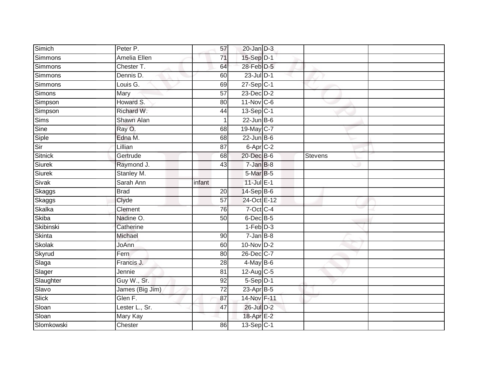| Simich         | Peter P.        | 57              | $20$ -Jan $D-3$         |                |  |
|----------------|-----------------|-----------------|-------------------------|----------------|--|
| Simmons        | Amelia Ellen    | 71              | 15-Sep D-1              |                |  |
| <b>Simmons</b> | Chester T.      | 64              | 28-Feb D-5              |                |  |
| Simmons        | Dennis D.       | 60              | $23$ -Jul $D-1$         |                |  |
| <b>Simmons</b> | Louis G.        | 69              | $27-Sep$ <sub>C-1</sub> |                |  |
| <b>Simons</b>  | Mary            | 57              | 23-Dec D-2              |                |  |
| Simpson        | Howard S.       | 80              | 11-Nov C-6              |                |  |
| Simpson        | Richard W.      | 44              | 13-Sep C-1              |                |  |
| Sims           | Shawn Alan      | 1               | $22$ -Jun B-6           |                |  |
| Sine           | Ray O.          | 68              | 19-May C-7              |                |  |
| Siple          | Edna M.         | 68              | $22$ -Jun B-6           |                |  |
| Sir            | Lillian         | $\overline{87}$ | 6-Apr C-2               |                |  |
| <b>Sitnick</b> | Gertrude        | 68              | 20-Dec B-6              | <b>Stevens</b> |  |
| Siurek         | Raymond J.      | 43              | $7 - Jan$ $B-8$         |                |  |
| <b>Siurek</b>  | Stanley M.      |                 | 5-Mar B-5               |                |  |
| Sivak          | Sarah Ann       | infant          | $11$ -Jul $E-1$         |                |  |
| Skaggs         | <b>Brad</b>     | 20              | 14-Sep B-6              |                |  |
| Skaggs         | Clyde           | $\overline{57}$ | 24-Oct E-12             |                |  |
| <b>Skalka</b>  | Clement         | 76              | 7-Oct C-4               |                |  |
| Skiba          | Nadine O.       | 50              | 6-Dec B-5               |                |  |
| Skibinski      | Catherine       |                 | $1-Feb$ $D-3$           |                |  |
| Skinta         | Michael         | 90              | $7 - Jan$ $B-8$         |                |  |
| <b>Skolak</b>  | JoAnn           | 60              | $10-Nov$ $D-2$          |                |  |
| Skyrud         | Fern            | 80              | 26-Dec C-7              |                |  |
| Slaga          | Francis J.      | 28              | $4$ -May B-6            |                |  |
| Slager         | Jennie          | $\overline{81}$ | $12-Aug$ C-5            |                |  |
| Slaughter      | Guy W., Sr.     | $\overline{92}$ | $5-Sep$ D-1             |                |  |
| Slavo          | James (Big Jim) | 72              | 23-Apr B-5              |                |  |
| Slick          | Glen F.         | 87              | 14-Nov F-11             |                |  |
| Sloan          | Lester L., Sr.  | 47              | 26-Jul D-2              |                |  |
| Sloan          | Mary Kay        |                 | 18-Apr E-2              |                |  |
| Slomkowski     | Chester         | 86              | $13-Sep C-1$            |                |  |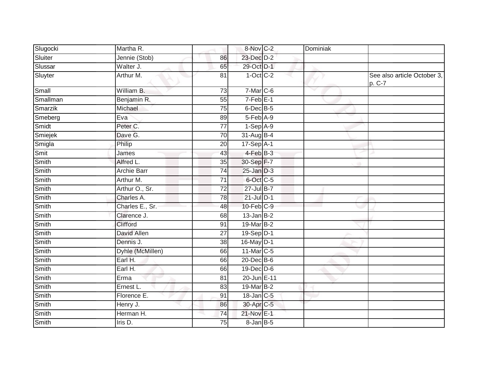| Slugocki | Martha R.        |                 | 8-Nov C-2        | Dominiak |                                       |
|----------|------------------|-----------------|------------------|----------|---------------------------------------|
| Sluiter  | Jennie (Stob)    | 86              | 23-Dec D-2       |          |                                       |
| Slussar  | Walter J.        | 65              | 29-Oct D-1       |          |                                       |
| Sluyter  | Arthur M.        | 81              | $1-Oct$ $C-2$    |          | See also article October 3,<br>p. C-7 |
| Small    | William B.       | 73              | 7-Mar C-6        |          |                                       |
| Smallman | Benjamin R.      | 55              | $7-Feb$ E-1      |          |                                       |
| Smarzik  | Michael          | 75              | $6$ -Dec $B$ -5  |          |                                       |
| Smeberg  | Eva              | 89              | $5-Feb$ A-9      |          |                                       |
| Smidt    | Peter C.         | 77              | $1-Sep$ A-9      |          |                                       |
| Smiejek  | Dave G.          | 70              | 31-Aug B-4       |          |                                       |
| Smigla   | Philip           | 20              | 17-Sep A-1       |          |                                       |
| Smit     | James            | 43              | 4-Feb B-3        |          |                                       |
| Smith    | Alfred L.        | $\overline{35}$ | 30-Sep F-7       |          |                                       |
| Smith    | Archie Barr      | 74              | $25$ -Jan $D-3$  |          |                                       |
| Smith    | Arthur M.        | $\overline{71}$ | 6-Oct C-5        |          |                                       |
| Smith    | Arthur O., Sr.   | $\overline{72}$ | 27-Jul B-7       |          |                                       |
| Smith    | Charles A.       | 78              | $21$ -Jul $D-1$  |          |                                       |
| Smith    | Charles E., Sr.  | 48              | $10$ -Feb $C-9$  |          |                                       |
| Smith    | Clarence J.      | 68              | $13$ -Jan $B-2$  |          |                                       |
| Smith    | Clifford         | $\overline{91}$ | 19-Mar B-2       |          |                                       |
| Smith    | David Allen      | 27              | $19-Sep$ $D-1$   |          |                                       |
| Smith    | Dennis J.        | $\overline{38}$ | $16$ -May D-1    |          |                                       |
| Smith    | Dyhle (McMillen) | 66              | 11-Mar C-5       |          |                                       |
| Smith    | Earl H.          | 66              | 20-Dec B-6       |          |                                       |
| Smith    | Earl H.          | 66              | $19$ -Dec $D$ -6 |          |                                       |
| Smith    | Erma             | 81              | 20-Jun E-11      |          |                                       |
| Smith    | Ernest L.        | 83              | 19-Mar B-2       |          |                                       |
| Smith    | Florence E.      | 91              | 18-Jan C-5       |          |                                       |
| Smith    | Henry J.         | 86              | 30-Apr C-5       |          |                                       |
| Smith    | Herman H.        | 74              | 21-Nov E-1       |          |                                       |
| Smith    | $l$ ris D.       | 75              | 8-Jan B-5        |          |                                       |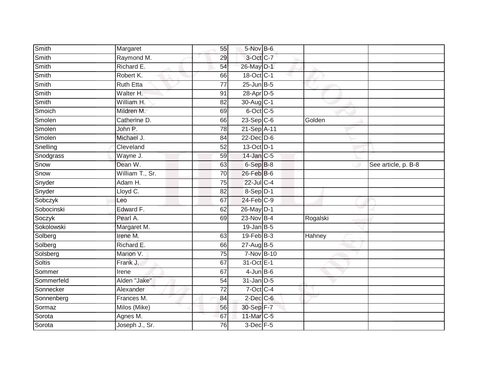| Smith      | Margaret         | 55              | 5-Nov B-6        |               |                     |
|------------|------------------|-----------------|------------------|---------------|---------------------|
| Smith      | Raymond M.       | 29              | 3-Oct C-7        |               |                     |
| Smith      | Richard E.       | 54              | 26-May D-1       |               |                     |
| Smith      | Robert K.        | 66              | 18-Oct C-1       |               |                     |
| Smith      | <b>Ruth Etta</b> | $\overline{77}$ | $25$ -Jun $B$ -5 |               |                     |
| Smith      | Walter H.        | 91              | 28-Apr D-5       |               |                     |
| Smith      | William H.       | 82              | 30-Aug C-1       |               |                     |
| Smoich     | Mildren M.       | 69              | 6-Oct C-5        |               |                     |
| Smolen     | Catherine D.     | 66              | $23-Sep$ C-6     | Golden        |                     |
| Smolen     | John P.          | 78              | 21-Sep A-11      |               |                     |
| Smolen     | Michael J.       | 84              | $22$ -Dec $D-6$  |               |                     |
| Snelling   | Cleveland        | 52              | 13-Oct D-1       |               |                     |
| Snodgrass  | Wayne J.         | 59              | 14-Jan C-5       |               |                     |
| Snow       | Dean W.          | 63              | $6-$ Sep $B-8$   |               | See article, p. B-8 |
| Snow       | William T., Sr.  | $\overline{70}$ | 26-Feb B-6       |               |                     |
| Snyder     | Adam H.          | 75              | 22-Jul C-4       |               |                     |
| Snyder     | Lloyd C.         | $\overline{82}$ | $8-$ Sep $D-1$   |               |                     |
| Sobczyk    | Leo              | 67              | $24$ -Feb $C-9$  |               |                     |
| Sobocinski | Edward F.        | 62              | 26-May D-1       |               |                     |
| Soczyk     | Pearl A.         | 69              | 23-Nov B-4       | Rogalski      |                     |
| Sokolowski | Margaret M.      |                 | $19$ -Jan B-5    |               |                     |
| Solberg    | Irene M.         | 63              | $19$ -Feb $B-3$  | <b>Hahney</b> |                     |
| Solberg    | Richard E.       | 66              | 27-Aug B-5       |               |                     |
| Solsberg   | Marion V.        | 75              | 7-Nov B-10       |               |                     |
| Soltis     | Frank J.         | 67              | 31-Oct E-1       |               |                     |
| Sommer     | Irene            | 67              | $4$ -Jun $B$ -6  |               |                     |
| Sommerfeld | Alden "Jake"     | 54              | $31$ -Jan D-5    |               |                     |
| Sonnecker  | Alexander        | 72              | 7-Oct C-4        |               |                     |
| Sonnenberg | Frances M.       | 84              | $2$ -Dec $C$ -6  |               |                     |
| Sormaz     | Milos (Mike)     | 56              | 30-Sep F-7       |               |                     |
| Sorota     | Agnes M.         | 67              | 11-Mar C-5       |               |                     |
| Sorota     | Joseph J., Sr.   | 76              | $3$ -Dec $F-5$   |               |                     |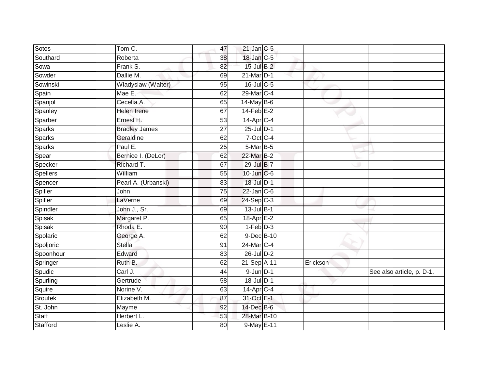| Sotos         | Tom C.               | 47              | $21$ -Jan $C-5$       |          |                           |
|---------------|----------------------|-----------------|-----------------------|----------|---------------------------|
| Southard      | Roberta              | 38              | 18-Jan C-5            |          |                           |
| Sowa          | Frank S.             | 82              | 15-Jul B-2            |          |                           |
| Sowder        | Dallie M.            | 69              | 21-Mar D-1            |          |                           |
| Sowinski      | Wladyslaw (Walter)   | 95              | 16-Jul C-5            |          |                           |
| Spain         | Mae E.               | 62              | 29-Mar C-4            |          |                           |
| Spanjol       | Cecelia A.           | 65              | $14$ -May B-6         |          |                           |
| Spanley       | Helen Irene          | 67              | $14$ -Feb $E-2$       |          |                           |
| Sparber       | Ernest H.            | 53              | $14$ -Apr $C-4$       |          |                           |
| <b>Sparks</b> | <b>Bradley James</b> | $\overline{27}$ | $25$ -Jul $D-1$       |          |                           |
| <b>Sparks</b> | Geraldine            | 62              | $7$ -Oct C-4          |          |                           |
| <b>Sparks</b> | Paul E.              | 25              | 5-Mar B-5             |          |                           |
| Spear         | Bernice I. (DeLor)   | 62              | 22-Mar B-2            |          |                           |
| Specker       | Richard T.           | 67              | 29-Jul B-7            |          |                           |
| Spellers      | William              | 55              | 10-Jun C-6            |          |                           |
| Spencer       | Pearl A. (Urbanski)  | 83              | 18-Jul D-1            |          |                           |
| Spiller       | John                 | $\overline{75}$ | $22$ -Jan $C-6$       |          |                           |
| Spiller       | LaVerne              | 69              | $24-SepC-3$           |          |                           |
| Spindler      | John J., Sr.         | 69              | 13-Jul B-1            |          |                           |
| Spisak        | Margaret P.          | 65              | $18$ -Apr $E-2$       |          |                           |
| Spisak        | Rhoda E.             | 90              | $1-Feb$ $D-3$         |          |                           |
| Spolaric      | George A.            | 62              | 9-Dec B-10            |          |                           |
| Spoljoric     | <b>Stella</b>        | 91              | 24-Mar C-4            |          |                           |
| Spoonhour     | Edward               | 83              | 26-Jul D-2            |          |                           |
| Springer      | Ruth B.              | 62              | 21-Sep A-11           | Erickson |                           |
| Spudic        | Carl J.              | 44              | $9$ -Jun $D-1$        |          | See also article, p. D-1. |
| Spurling      | Gertrude             | 58              | 18-Jul D-1            |          |                           |
| Squire        | Norine V.            | 63              | 14-Apr <sub>C-4</sub> |          |                           |
| Sroufek       | Elizabeth M.         | 87              | 31-Oct E-1            |          |                           |
| St. John      | Mayme                | 92              | 14-Dec B-6            |          |                           |
| Staff         | Herbert L.           | 53              | 28-Mar B-10           |          |                           |
| Stafford      | Leslie A.            | 80              | 9-May E-11            |          |                           |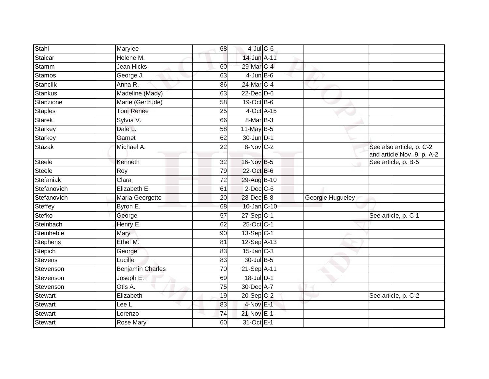| Stahl           | Marylee                 | 68              | $4$ -Jul $C$ -6        |                  |                                                        |
|-----------------|-------------------------|-----------------|------------------------|------------------|--------------------------------------------------------|
| Staicar         | Helene M.               |                 | 14-Jun A-11            |                  |                                                        |
|                 |                         |                 |                        |                  |                                                        |
| Stamm           | Jean Hicks              | 60              | 29-Mar C-4             |                  |                                                        |
| Stamos          | George J.               | 63              | $4$ -Jun $B$ -6        |                  |                                                        |
| Stanclik        | Anna R.                 | 86              | 24-Mar C-4             |                  |                                                        |
| Stankus         | Madeline (Mady)         | 63              | $22$ -Dec $D-6$        |                  |                                                        |
| Stanzione       | Marie (Gertrude)        | 58              | $19-Oct$ B-6           |                  |                                                        |
| <b>Staples</b>  | <b>Toni Renee</b>       | 25              | 4-Oct A-15             |                  |                                                        |
| Starek          | Sylvia V.               | 66              | 8-Mar B-3              |                  |                                                        |
| Starkey         | Dale L.                 | $\overline{58}$ | $11$ -May B-5          |                  |                                                        |
| Starkey         | Garnet                  | 62              | 30-Jun D-1             |                  |                                                        |
| <b>Stazak</b>   | Michael A.              | 22              | $8-Nov$ <sub>C-2</sub> |                  | See also article, p. C-2<br>and article Nov. 9, p. A-2 |
| Steele          | Kenneth                 | $\overline{32}$ | 16-Nov B-5             |                  | See article, p. B-5                                    |
| <b>Steele</b>   | Roy                     | 79              | 22-Oct B-6             |                  |                                                        |
| Stefaniak       | Clara                   | $\overline{72}$ | 29-Aug B-10            |                  |                                                        |
| Stefanovich     | Elizabeth E.            | 61              | $2$ -Dec $C$ -6        |                  |                                                        |
| Stefanovich     | Maria Georgette         | 20              | 28-Dec B-8             | Georgie Hugueley |                                                        |
| <b>Steffey</b>  | Byron E.                | 68              | 10-Jan C-10            |                  |                                                        |
| Stefko          | George                  | 57              | $27-Sep C-1$           |                  | See article, p. C-1                                    |
| Steinbach       | Henry E.                | 62              | 25-Oct C-1             |                  |                                                        |
| Steinheble      | Mary                    | 90              | 13-Sep C-1             |                  |                                                        |
| <b>Stephens</b> | Ethel M.                | 81              | $12-Sep$ A-13          |                  |                                                        |
| Stepich         | George                  | 83              | $15$ -Jan $C-3$        |                  |                                                        |
| <b>Stevens</b>  | Lucille                 | 83              | 30-Jul B-5             |                  |                                                        |
| Stevenson       | <b>Benjamin Charles</b> | 70              | 21-Sep A-11            |                  |                                                        |
| Stevenson       | Joseph E.               | 69              | 18-Jul D-1             |                  |                                                        |
| Stevenson       | Otis A.                 | $\overline{75}$ | 30-Dec A-7             |                  |                                                        |
| <b>Stewart</b>  | Elizabeth               | 19              | $20-Sep$ C-2           |                  | See article, p. C-2                                    |
| <b>Stewart</b>  | Lee L.                  | 83              | $4-Nov$ E-1            |                  |                                                        |
| Stewart         | Lorenzo                 | 74              | 21-Nov E-1             |                  |                                                        |
| Stewart         | Rose Mary               | 60              | 31-Oct E-1             |                  |                                                        |
|                 |                         |                 |                        |                  |                                                        |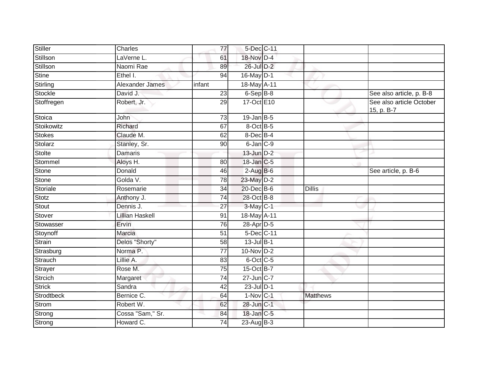| Stiller           | Charles                | 77              | 5-Dec C-11      |                 |                                        |
|-------------------|------------------------|-----------------|-----------------|-----------------|----------------------------------------|
| Stillson          | LaVerne L.             | 61              | 18-Nov D-4      |                 |                                        |
| Stillson          | Naomi Rae              | 89              | 26-Jul D-2      |                 |                                        |
| <b>Stine</b>      | Ethel I.               | 94              | 16-May D-1      |                 |                                        |
| Stirling          | Alexander James        | infant          | 18-May A-11     |                 |                                        |
| Stockle           | David J.               | 23              | $6-Sep$ B-8     |                 | See also article, p. B-8               |
| Stoffregen        | Robert, Jr.            | 29              | 17-Oct E10      |                 | See also article October<br>15, p. B-7 |
| Stoica            | John                   | 73              | $19$ -Jan B-5   |                 |                                        |
| Stoikowitz        | Richard                | 67              | 8-Oct B-5       |                 |                                        |
| Stokes            | Claude M.              | 62              | 8-Dec B-4       |                 |                                        |
| Stolarz           | Stanley, Sr.           | 90              | $6$ -Jan $C-9$  |                 |                                        |
| Stolte            | <b>Damaris</b>         |                 | $13$ -Jun $D-2$ |                 |                                        |
| Stommel           | Aloys H.               | 80              | 18-Jan C-5      |                 |                                        |
| <b>Stone</b>      | Donald                 | 46              | $2-AugB-6$      |                 | See article, p. B-6                    |
| Stone             | Golda V.               | 78              | 23-May D-2      |                 |                                        |
| Storiale          | Rosemarie              | 34              | 20-Dec B-6      | <b>Dillis</b>   |                                        |
| Stotz             | Anthony J.             | 74              | 28-Oct B-8      |                 |                                        |
| Stout             | Dennis J.              | 27              | 3-May C-1       |                 |                                        |
| Stover            | <b>Lillian Haskell</b> | 91              | 18-May A-11     |                 |                                        |
| Stowasser         | Ervin                  | 76              | 28-Apr D-5      |                 |                                        |
| Stoynoff          | Marcia                 | 51              | 5-Dec C-11      |                 |                                        |
| Strain            | Delos "Shorty"         | $\overline{58}$ | $13$ -Jul $B-1$ |                 |                                        |
| Strasburg         | Norma P.               | $\overline{77}$ | $10-Nov$ D-2    |                 |                                        |
| Strauch           | Lillie A.              | 83              | 6-Oct C-5       |                 |                                        |
| Strayer           | Rose M.                | 75              | 15-Oct B-7      |                 |                                        |
| Strcich           | Margaret               | 74              | 27-Jun C-7      |                 |                                        |
| <b>Strick</b>     | Sandra                 | 42              | $23$ -Jul $D-1$ |                 |                                        |
| <b>Strodtbeck</b> | Bernice C.             | 64              | $1-Nov C-1$     | <b>Matthews</b> |                                        |
| Strom             | Robert W.              | 62              | 28-Jun C-1      |                 |                                        |
| Strong            | Cossa "Sam," Sr.       | 84              | 18-Jan C-5      |                 |                                        |
| Strong            | Howard C.              | 74              | 23-Aug B-3      |                 |                                        |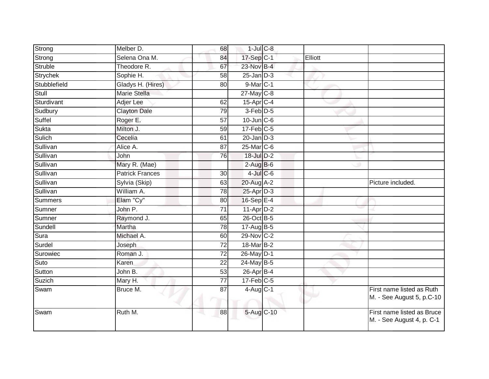| Strong       | Melber D.              | 68              | $1$ -Jul $C$ -8  |         |                                                         |
|--------------|------------------------|-----------------|------------------|---------|---------------------------------------------------------|
| Strong       | Selena Ona M.          | 84              | 17-Sep C-1       | Elliott |                                                         |
| Struble      | Theodore R.            | 67              | 23-Nov B-4       |         |                                                         |
| Strychek     | Sophie H.              | 58              | $25$ -Jan $D-3$  |         |                                                         |
| Stubblefield | Gladys H. (Hires)      | 80              | 9-Mar C-1        |         |                                                         |
| Stull        | <b>Marie Stella</b>    |                 | 27-May C-8       |         |                                                         |
| Sturdivant   | Adjer Lee              | 62              | $15$ -Apr $C$ -4 |         |                                                         |
| Sudbury      | <b>Clayton Dale</b>    | 79              | $3-Feb$ $D-5$    |         |                                                         |
| Suffel       | Roger E.               | 57              | $10$ -Jun $C$ -6 |         |                                                         |
| Sukta        | Milton J.              | 59              | $17$ -Feb $C-5$  |         |                                                         |
| Sulich       | Cecelia                | 61              | $20$ -Jan $D-3$  |         |                                                         |
| Sullivan     | Alice A.               | $\overline{87}$ | 25-Mar C-6       |         |                                                         |
| Sullivan     | John                   | 76              | 18-Jul D-2       |         |                                                         |
| Sullivan     | Mary R. (Mae)          |                 | $2-AugB-6$       |         |                                                         |
| Sullivan     | <b>Patrick Frances</b> | $\overline{30}$ | $4$ -Jul $C$ -6  |         |                                                         |
| Sullivan     | Sylvia (Skip)          | 63              | 20-Aug A-2       |         | Picture included.                                       |
| Sullivan     | William A.             | 78              | $25$ -Apr $D-3$  |         |                                                         |
| Summers      | Elam "Cy"              | 80              | 16-Sep $E-4$     |         |                                                         |
| Sumner       | John P.                | 71              | $11-AprD-2$      |         |                                                         |
| Sumner       | Raymond J.             | 65              | 26-Oct B-5       |         |                                                         |
| Sundell      | Martha                 | 78              | 17-Aug B-5       |         |                                                         |
| Sura         | Michael A.             | 60              | 29-Nov C-2       |         |                                                         |
| Surdel       | Joseph                 | 72              | $18$ -Mar $B-2$  |         |                                                         |
| Surowiec     | Roman J.               | $\overline{72}$ | 26-May D-1       |         |                                                         |
| Suto         | Karen                  | 22              | 24-May B-5       |         |                                                         |
| Sutton       | John B.                | 53              | $26$ -Apr $B$ -4 |         |                                                         |
| Suzich       | Mary H.                | $\overline{77}$ | $17$ -Feb $C-5$  |         |                                                         |
| Swam         | Bruce M.               | 87              | $4-Aug$ C-1      |         | First name listed as Ruth<br>M. - See August 5, p.C-10  |
| Swam         | Ruth M.                | 88              | 5-Aug C-10       |         | First name listed as Bruce<br>M. - See August 4, p. C-1 |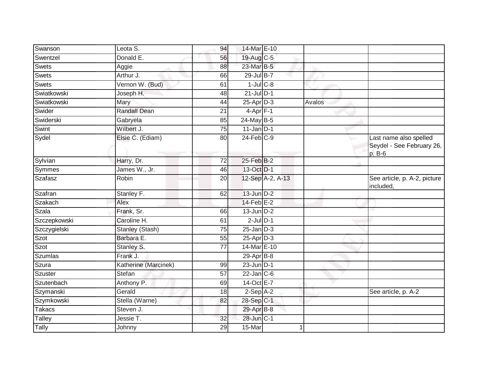| Swanson      | Leota S.               | 94              | 14-Mar E-10       |                  |        |                                                               |
|--------------|------------------------|-----------------|-------------------|------------------|--------|---------------------------------------------------------------|
| Swentzel     | Donald E.              | 56              | 19-Aug C-5        |                  |        |                                                               |
| Swets        | Aggie                  | 88              | 23-Mar B-5        |                  |        |                                                               |
| Swets        | Arthur J.              | 66              | 29-Jul B-7        |                  |        |                                                               |
| Swets        | Vernon W. (Bud)        | 61              | $1$ -Jul $C$ -8   |                  |        |                                                               |
| Swiatkowski  | Joseph H.              | 48              | $21$ -Jul D-1     |                  |        |                                                               |
| Swiatkowski  | Mary                   | 44              | $25-AprD-3$       |                  | Avalos |                                                               |
| Swider       | <b>Randall Dean</b>    | 21              | $4-Apr$ F-1       |                  |        |                                                               |
| Swiderski    | Gabryela               | 85              | 24-May B-5        |                  |        |                                                               |
| Swint        | Wilbert J.             | 75              | $11$ -Jan D-1     |                  |        |                                                               |
| Sydel        | Elsie C. (Ediam)       | 80              | $24$ -Feb $C-9$   |                  |        | Last name also spelled<br>Seydel - See February 26,<br>p. B-6 |
| Sylvian      | Harry, Dr.             | 72              | 25-Feb B-2        |                  |        |                                                               |
| Symmes       | James W., Jr.          | 46              | 13-Oct D-1        |                  |        |                                                               |
| Szafasz      | Robin                  | 20              |                   | 12-Sep A-2, A-13 |        | See article, p. A-2, picture<br>included,                     |
| Szafran      | Stanley F.             | 62              | $13$ -Jun $D-2$   |                  |        |                                                               |
| Szakach      | Alex                   |                 | $14$ -Feb $E-2$   |                  |        |                                                               |
| Szala        | Frank, Sr.             | 66              | $13$ -Jun $D-2$   |                  |        |                                                               |
| Szczepkowski | Caroline H.            | 61              | $2$ -Jul $D-1$    |                  |        |                                                               |
| Szczygielski | <b>Stanley (Stash)</b> | 75              | $25$ -Jan $D-3$   |                  |        |                                                               |
| Szot         | Barbara E.             | 55              | $25$ -Apr $D-3$   |                  |        |                                                               |
| Szot         | Stanley S.             | $\overline{77}$ | 14-Mar E-10       |                  |        |                                                               |
| Szumlas      | Frank J.               |                 | 29-Apr B-8        |                  |        |                                                               |
| Szura        | Katherine (Marcinek)   | 99              | $23$ -Jun $ D-1 $ |                  |        |                                                               |
| Szuster      | Stefan                 | 57              | $22$ -Jan $C-6$   |                  |        |                                                               |
| Szutenbach   | Anthony P.             | 69              | 14-Oct E-7        |                  |        |                                                               |
| Szymanski    | Gerald                 | 18              | $2-Sep$ $A-2$     |                  |        | See article, p. A-2                                           |
| Szymkowski   | Stella (Warne)         | 82              | 28-Sep C-1        |                  |        |                                                               |
| Takacs       | Steven J.              |                 | 29-Apr B-8        |                  |        |                                                               |
| Talley       | Jessie T.              | 32              | 28-Jun C-1        |                  |        |                                                               |
| <b>Tally</b> | Johnny                 | 29              | 15-Mar            |                  |        |                                                               |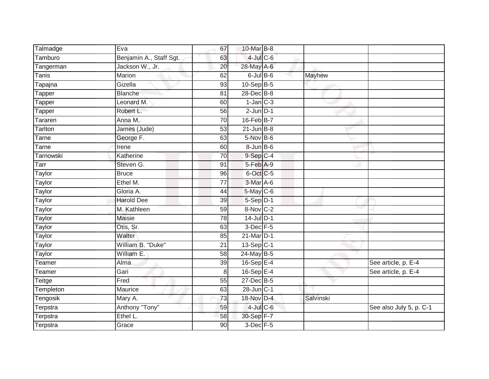| Talmadge      | Eva                     | 67              | 10-Mar B-8              |           |                         |
|---------------|-------------------------|-----------------|-------------------------|-----------|-------------------------|
| Tamburo       | Benjamin A., Staff Sgt. | 63              | $4$ -Jul $C$ -6         |           |                         |
| Tangerman     | Jackson W., Jr.         | 20              | 28-May A-6              |           |                         |
| Tanis         | Marion                  | 62              | $6$ -Jul $B$ -6         | Mayhew    |                         |
| Tapajna       | Gizella                 | 93              | 10-Sep B-5              |           |                         |
| Tapper        | <b>Blanche</b>          | 81              | 28-Dec B-8              |           |                         |
| Tapper        | Leonard M.              | 60              | $1$ -Jan $C-3$          |           |                         |
| Tapper        | Robert L.               | 56              | $2$ -Jun $D-1$          |           |                         |
| Tararen       | Anna M.                 | 70              | 16-Feb B-7              |           |                         |
| Tarlton       | James (Jude)            | 53              | $21$ -Jun $B-8$         |           |                         |
| Tarne         | George F.               | 63              | $5-Nov$ B-6             |           |                         |
| Tarne         | Irene                   | 60              | $8 - Jun$ B-6           |           |                         |
| Tarnowski     | Katherine               | 70              | $9-Sep$ $C-4$           |           |                         |
| Tarr          | Steven G.               | 91              | 5-Feb A-9               |           |                         |
| <b>Taylor</b> | <b>Bruce</b>            | 96              | 6-Oct C-5               |           |                         |
| Taylor        | Ethel M.                | $\overline{77}$ | 3-Mar A-6               |           |                         |
| <b>Taylor</b> | Gloria A.               | 44              | $5$ -May $C$ -6         |           |                         |
| Taylor        | <b>Harold Dee</b>       | 39              | $5-Sep$ D-1             |           |                         |
| Taylor        | M. Kathleen             | 59              | 8-Nov C-2               |           |                         |
| <b>Taylor</b> | <b>Maisie</b>           | 78              | $14$ -Jul D-1           |           |                         |
| <b>Taylor</b> | Otis, Sr.               | 63              | $3$ -Dec $F - 5$        |           |                         |
| Taylor        | Walter                  | 85              | 21-Mar D-1              |           |                         |
| Taylor        | William B. "Duke"       | 21              | $13-Sep$ <sub>C-1</sub> |           |                         |
| Taylor        | William E.              | 58              | 24-May B-5              |           |                         |
| Teamer        | Alma                    | 39              | 16-Sep E-4              |           | See article, p. E-4     |
| Teamer        | Gari                    | 8               | 16-Sep $E-4$            |           | See article, p. E-4     |
| Teitge        | Fred                    | 55              | 27-Dec B-5              |           |                         |
| Templeton     | Maurice                 | 63              | $28$ -Jun $ C-1 $       |           |                         |
| Tengosik      | Mary A.                 | 73              | 18-Nov D-4              | Salvinski |                         |
| Terpstra      | Anthony "Tony"          | 59              | $4$ -Jul $C$ -6         |           | See also July 5, p. C-1 |
| Terpstra      | Ethel L.                | 58              | 30-Sep F-7              |           |                         |
| Terpstra      | Grace                   | $\overline{90}$ | 3-Dec F-5               |           |                         |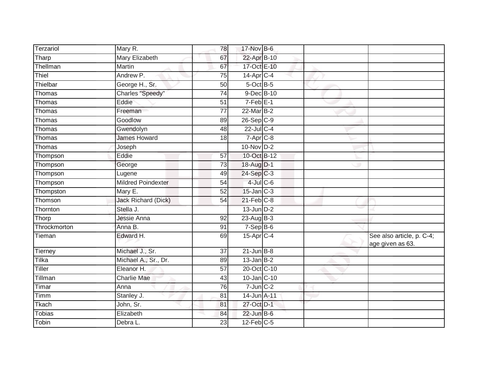| Terzariol     | Mary R.                   | 78              | 17-Nov B-6               |  |                                               |
|---------------|---------------------------|-----------------|--------------------------|--|-----------------------------------------------|
| Tharp         | Mary Elizabeth            | 67              | 22-Apr B-10              |  |                                               |
| Thellman      | Martin                    | 67              | 17-Oct E-10              |  |                                               |
| Thiel         | Andrew P.                 | 75              | $14$ -Apr $C-4$          |  |                                               |
| Thielbar      | George H., Sr.            | 50              | $5$ -Oct $B$ -5          |  |                                               |
| Thomas        | Charles "Speedy"          | 74              | 9-Dec B-10               |  |                                               |
| Thomas        | Eddie                     | 51              | $7-Feb$ E-1              |  |                                               |
| Thomas        | Freeman                   | 77              | 22-Mar B-2               |  |                                               |
| Thomas        | Goodlow                   | 89              | $26-SepC-9$              |  |                                               |
| Thomas        | Gwendolyn                 | 48              | $22$ -Jul C-4            |  |                                               |
| Thomas        | <b>James Howard</b>       | 18              | $7 - \overline{Apr}$ C-8 |  |                                               |
| Thomas        | Joseph                    |                 | 10-Nov D-2               |  |                                               |
| Thompson      | Eddie                     | 57              | 10-Oct B-12              |  |                                               |
| Thompson      | George                    | 73              | 18-Aug D-1               |  |                                               |
| Thompson      | Lugene                    | 49              | 24-Sep C-3               |  |                                               |
| Thompson      | <b>Mildred Poindexter</b> | $\overline{54}$ | $4$ -Jul $C$ -6          |  |                                               |
| Thompston     | Mary E.                   | $\overline{52}$ | $15$ -Jan $C-3$          |  |                                               |
| Thomson       | Jack Richard (Dick)       | 54              | $21$ -Feb $C-8$          |  |                                               |
| Thornton      | Stella J.                 |                 | $13$ -Jun $D-2$          |  |                                               |
| Thorp         | Jessie Anna               | 92              | 23-Aug B-3               |  |                                               |
| Throckmorton  | Anna B.                   | 91              | $7-Sep$ B-6              |  |                                               |
| Tieman        | Edward H.                 | 69              | 15-Apr C-4               |  | See also article, p. C-4;<br>age given as 63. |
| Tierney       | Michael J., Sr.           | $\overline{37}$ | $21$ -Jun $B-8$          |  |                                               |
| Tilka         | Michael A., Sr., Dr.      | 89              | $13$ -Jan B-2            |  |                                               |
| <b>Tiller</b> | Eleanor H.                | $\overline{57}$ | 20-Oct C-10              |  |                                               |
| Tillman       | <b>Charlie Mae</b>        | 43              | 10-Jan C-10              |  |                                               |
| Timar         | Anna                      | 76              | $7$ -Jun $C-2$           |  |                                               |
| Timm          | Stanley J.                | 81              | 14-Jun A-11              |  |                                               |
| Tkach         | John, Sr.                 | 81              | 27-Oct D-1               |  |                                               |
| <b>Tobias</b> | Elizabeth                 | 84              | $22$ -Jun B-6            |  |                                               |
| Tobin         | Debra L.                  | 23              | $12$ -Feb $C-5$          |  |                                               |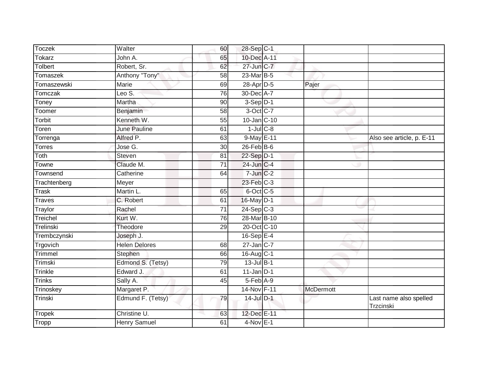| Toczek        | Walter               | 60              | 28-Sep C-1       |                  |                                     |
|---------------|----------------------|-----------------|------------------|------------------|-------------------------------------|
| Tokarz        | John A.              | 65              | 10-Dec A-11      |                  |                                     |
| Tolbert       | Robert, Sr.          | 62              | 27-Jun C-7       |                  |                                     |
| Tomaszek      | Anthony "Tony"       | 58              | 23-Mar B-5       |                  |                                     |
| Tomaszewski   | <b>Marie</b>         | 69              | 28-Apr D-5       | Pajer            |                                     |
| Tomczak       | Leo S.               | 76              | 30-Dec A-7       |                  |                                     |
| Toney         | Martha               | 90              | $3-Sep D-1$      |                  |                                     |
| Toomer        | Benjamin             | 58              | 3-Oct C-7        |                  |                                     |
| Torbit        | Kenneth W.           | 55              | 10-Jan C-10      |                  |                                     |
| Toren         | <b>June Pauline</b>  | 61              | $1$ -Jul $C$ -8  |                  |                                     |
| Torrenga      | Alfred P.            | 63              | 9-May E-11       |                  | Also see article, p. E-11           |
| <b>Torres</b> | Jose G.              | 30              | $26$ -Feb $B$ -6 |                  |                                     |
| Toth          | <b>Steven</b>        | 81              | 22-Sep D-1       |                  |                                     |
| Towne         | Claude M.            | $\overline{71}$ | 24-Jun C-4       |                  |                                     |
| Townsend      | Catherine            | 64              | $7$ -Jun $C-2$   |                  |                                     |
| Trachtenberg  | Meyer                |                 | $23$ -Feb $C-3$  |                  |                                     |
| <b>Trask</b>  | Martin L.            | 65              | 6-Oct C-5        |                  |                                     |
| Traves        | C. Robert            | 61              | $16$ -May $D-1$  |                  |                                     |
| Traylor       | Rachel               | $\overline{71}$ | $24-Sep C-3$     |                  |                                     |
| Treichel      | Kurt W.              | 76              | 28-Mar B-10      |                  |                                     |
| Trelinski     | Theodore             | 29              | 20-Oct C-10      |                  |                                     |
| Trembczynski  | Joseph J.            |                 | $16-Sep$ $E-4$   |                  |                                     |
| Trgovich      | <b>Helen Delores</b> | 68              | $27$ -Jan C-7    |                  |                                     |
| Trimmel       | Stephen              | 66              | 16-Aug C-1       |                  |                                     |
| Trimski       | Edmond S. (Tetsy)    | 79              | $13$ -Jul B-1    |                  |                                     |
| Trinkle       | Edward J.            | 61              | $11$ -Jan D-1    |                  |                                     |
| Trinks        | Sally A.             | 45              | $5-Feb$ A-9      |                  |                                     |
| Trinoskey     | Margaret P.          |                 | 14-Nov F-11      | <b>McDermott</b> |                                     |
| Trinski       | Edmund F. (Tetsy)    | 79              | 14-Jul D-1       |                  | Last name also spelled<br>Trzcinski |
| Tropek        | Christine U.         | 63              | 12-Dec E-11      |                  |                                     |
| Tropp         | Henry Samuel         | 61              | $4-Nov$ E-1      |                  |                                     |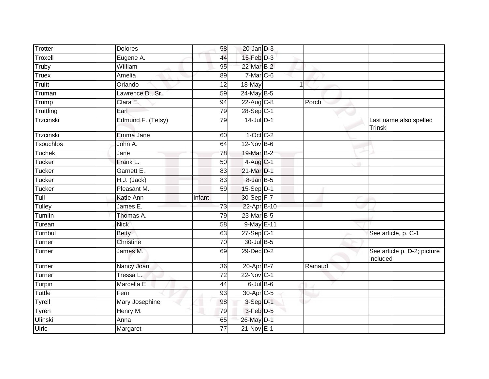| <b>Dolores</b>    | 58              |        |                                                                                                                                                                                                                                                                                                                                                                                                                                                                         |                                         |
|-------------------|-----------------|--------|-------------------------------------------------------------------------------------------------------------------------------------------------------------------------------------------------------------------------------------------------------------------------------------------------------------------------------------------------------------------------------------------------------------------------------------------------------------------------|-----------------------------------------|
| Eugene A.         | 44              |        |                                                                                                                                                                                                                                                                                                                                                                                                                                                                         |                                         |
| William           | 95              |        |                                                                                                                                                                                                                                                                                                                                                                                                                                                                         |                                         |
| Amelia            | 89              |        |                                                                                                                                                                                                                                                                                                                                                                                                                                                                         |                                         |
| Orlando           | $\overline{12}$ | 18-May |                                                                                                                                                                                                                                                                                                                                                                                                                                                                         |                                         |
| Lawrence D., Sr.  | 59              |        |                                                                                                                                                                                                                                                                                                                                                                                                                                                                         |                                         |
| Clara E.          | 94              |        | Porch                                                                                                                                                                                                                                                                                                                                                                                                                                                                   |                                         |
| Earl              | 79              |        |                                                                                                                                                                                                                                                                                                                                                                                                                                                                         |                                         |
| Edmund F. (Tetsy) | 79              |        |                                                                                                                                                                                                                                                                                                                                                                                                                                                                         | Last name also spelled<br>Trinski       |
| Emma Jane         | 60              |        |                                                                                                                                                                                                                                                                                                                                                                                                                                                                         |                                         |
| John A.           | 64              |        |                                                                                                                                                                                                                                                                                                                                                                                                                                                                         |                                         |
| Jane              | 78              |        |                                                                                                                                                                                                                                                                                                                                                                                                                                                                         |                                         |
| Frank L.          | $\overline{50}$ |        |                                                                                                                                                                                                                                                                                                                                                                                                                                                                         |                                         |
| Garnett E.        | 83              |        |                                                                                                                                                                                                                                                                                                                                                                                                                                                                         |                                         |
| H.J. (Jack)       | 83              |        |                                                                                                                                                                                                                                                                                                                                                                                                                                                                         |                                         |
| Pleasant M.       | 59              |        |                                                                                                                                                                                                                                                                                                                                                                                                                                                                         |                                         |
| Katie Ann         | infant          |        |                                                                                                                                                                                                                                                                                                                                                                                                                                                                         |                                         |
| James E.          | 73              |        |                                                                                                                                                                                                                                                                                                                                                                                                                                                                         |                                         |
| Thomas A.         | 79              |        |                                                                                                                                                                                                                                                                                                                                                                                                                                                                         |                                         |
| <b>Nick</b>       | 58              |        |                                                                                                                                                                                                                                                                                                                                                                                                                                                                         |                                         |
| <b>Betty</b>      | 63              |        |                                                                                                                                                                                                                                                                                                                                                                                                                                                                         | See article, p. C-1                     |
| <b>Christine</b>  | 70              |        |                                                                                                                                                                                                                                                                                                                                                                                                                                                                         |                                         |
| James M.          | 69              |        |                                                                                                                                                                                                                                                                                                                                                                                                                                                                         | See article p. D-2; picture<br>included |
| Nancy Joan        | 36              |        | Rainaud                                                                                                                                                                                                                                                                                                                                                                                                                                                                 |                                         |
| Tressa L.         | $\overline{72}$ |        |                                                                                                                                                                                                                                                                                                                                                                                                                                                                         |                                         |
| Marcella E.       | 44              |        |                                                                                                                                                                                                                                                                                                                                                                                                                                                                         |                                         |
| Fern              | 93              |        |                                                                                                                                                                                                                                                                                                                                                                                                                                                                         |                                         |
| Mary Josephine    | 98              |        |                                                                                                                                                                                                                                                                                                                                                                                                                                                                         |                                         |
| Henry M.          | 79              |        |                                                                                                                                                                                                                                                                                                                                                                                                                                                                         |                                         |
| Anna              | 65              |        |                                                                                                                                                                                                                                                                                                                                                                                                                                                                         |                                         |
| Margaret          | 77              |        |                                                                                                                                                                                                                                                                                                                                                                                                                                                                         |                                         |
|                   |                 |        | $20$ -Jan $D-3$<br>$15$ -Feb $D-3$<br>22-Mar B-2<br>7-Mar C-6<br>24-May B-5<br>22-Aug C-8<br>28-Sep C-1<br>$14$ -Jul $D-1$<br>$1-Oct$ $C-2$<br>$12$ -Nov $B-6$<br>19-Mar B-2<br>4-Aug C-1<br>21-Mar D-1<br>8-Jan B-5<br>15-Sep D-1<br>30-Sep F-7<br>22-Apr B-10<br>23-Mar B-5<br>9-May E-11<br>$27-Sep$ C-1<br>30-Jul B-5<br>29-Dec D-2<br>20-Apr B-7<br>22-Nov C-1<br>$6$ -Jul $B$ -6<br>30-Apr <sub>C-5</sub><br>3-Sep D-1<br>3-Feb D-5<br>26-May D-1<br>$21-Nov$ E-1 |                                         |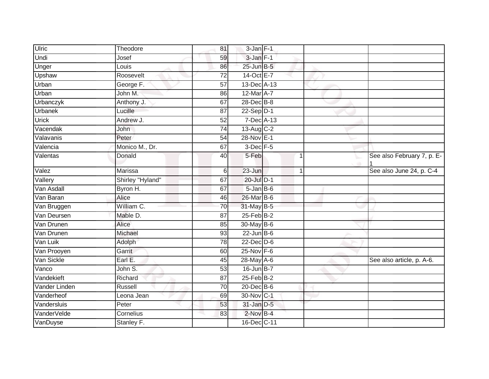| Ulric         | Theodore         | 81              | $3$ -Jan $F-1$  |   |                            |
|---------------|------------------|-----------------|-----------------|---|----------------------------|
| Undi          | Josef            | 59              | 3-Jan F-1       |   |                            |
| Unger         | Louis            | 86              | 25-Jun B-5      |   |                            |
| Upshaw        | Roosevelt        | 72              | 14-Oct E-7      |   |                            |
| Urban         | George F.        | $\overline{57}$ | 13-Dec A-13     |   |                            |
| Urban         | John M:          | 86              | 12-Mar A-7      |   |                            |
| Urbanczyk     | Anthony J.       | 67              | 28-Dec B-8      |   |                            |
| Urbanek       | Lucille          | 87              | $22-Sep$ D-1    |   |                            |
| <b>Urick</b>  | Andrew J.        | 52              | 7-Dec A-13      |   |                            |
| Vacendak      | John             | 74              | 13-Aug C-2      |   |                            |
| Valavanis     | Peter            | 54              | 28-Nov E-1      |   |                            |
| Valencia      | Monico M., Dr.   | 67              | $3$ -Dec $F-5$  |   |                            |
| Valentas      | Donald           | 40              | 5-Feb           | 1 | See also February 7, p. E- |
| Valez         | Marissa          | 6               | 23-Jun          | 1 | See also June 24, p. C-4   |
| Vallery       | Shirley "Hyland" | 67              | 20-Jul D-1      |   |                            |
| Van Asdall    | Byron H.         | 67              | $5 - JanB - 6$  |   |                            |
| Van Baran     | Alice            | 46              | 26-Mar B-6      |   |                            |
| Van Bruggen   | William C.       | 70              | 31-May B-5      |   |                            |
| Van Deursen   | Mable D.         | 87              | $25$ -Feb $B-2$ |   |                            |
| Van Drunen    | Alice            | 85              | 30-May B-6      |   |                            |
| Van Drunen    | Michael          | 93              | $22$ -Jun B-6   |   |                            |
| Van Luik      | Adolph           | 78              | $22$ -Dec $D-6$ |   |                            |
| Van Prooyen   | Garrit           | 60              | $25$ -Nov $F-6$ |   |                            |
| Van Sickle    | Earl E.          | 45              | 28-May A-6      |   | See also article, p. A-6.  |
| Vanco         | John S.          | 53              | $16$ -Jun $B-7$ |   |                            |
| Vandekieft    | Richard          | 87              | $25$ -Feb $B-2$ |   |                            |
| Vander Linden | <b>Russell</b>   | 70              | 20-Dec B-6      |   |                            |
| Vanderheof    | Leona Jean       | 69              | 30-Nov C-1      |   |                            |
| Vandersluis   | Peter            | 53              | 31-Jan D-5      |   |                            |
| VanderVelde   | Cornelius        | 83              | $2$ -Nov $B-4$  |   |                            |
| VanDuyse      | Stanley F.       |                 | 16-Dec C-11     |   |                            |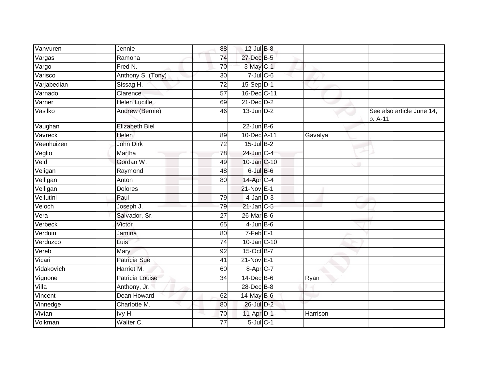| Vanvuren    | Jennie                | 88              | 12-Jul B-8       |          |                                      |
|-------------|-----------------------|-----------------|------------------|----------|--------------------------------------|
| Vargas      | Ramona                | 74              | 27-Dec B-5       |          |                                      |
| Vargo       | Fred N.               | 70              | 3-May C-1        |          |                                      |
| Varisco     | Anthony S. (Tony)     | 30              | $7$ -Jul $C$ -6  |          |                                      |
| Varjabedian | Sissag H.             | $\overline{72}$ | $15-Sep$ D-1     |          |                                      |
| Varnado     | Clarence              | 57              | 16-Dec C-11      |          |                                      |
| Varner      | <b>Helen Lucille</b>  | 69              | $21$ -Dec $D-2$  |          |                                      |
| Vasilko     | Andrew (Bernie)       | 46              | $13$ -Jun $D-2$  |          | See also article June 14,<br>p. A-11 |
| Vaughan     | <b>Elizabeth Biel</b> |                 | $22$ -Jun B-6    |          |                                      |
| Vavreck     | Helen                 | 89              | 10-Dec A-11      | Gavalya  |                                      |
| Veenhuizen  | John Dirk             | $\overline{72}$ | $15$ -Jul B-2    |          |                                      |
| Veglio      | Martha                | 78              | 24-Jun C-4       |          |                                      |
| Veld        | Gordan W.             | 49              | 10-Jan C-10      |          |                                      |
| Veligan     | Raymond               | 48              | 6-Jul B-6        |          |                                      |
| Velligan    | Anton                 | 80              | 14-Apr C-4       |          |                                      |
| Velligan    | <b>Dolores</b>        |                 | 21-Nov E-1       |          |                                      |
| Vellutini   | Paul                  | 79              | $4$ -Jan $D-3$   |          |                                      |
| Veloch      | Joseph J.             | 79              | $21$ -Jan $C-5$  |          |                                      |
| Vera        | Salvador, Sr.         | 27              | $26$ -Mar $B$ -6 |          |                                      |
| Verbeck     | Victor                | 65              | $4$ -Jun $B$ -6  |          |                                      |
| Verduin     | Jamina                | 80              | $7-Feb$ E-1      |          |                                      |
| Verduzco    | Luis                  | 74              | 10-Jan C-10      |          |                                      |
| Vereb       | Mary                  | 92              | 15-Oct B-7       |          |                                      |
| Vicari      | <b>Patricia Sue</b>   | 41              | 21-Nov E-1       |          |                                      |
| Vidakovich  | Harriet M.            | 60              | 8-Apr C-7        |          |                                      |
| Vignone     | Patricia Louise       | 34              | $14$ -Dec B-6    | Ryan     |                                      |
| Villa       | Anthony, Jr.          |                 | 28-Dec B-8       |          |                                      |
| Vincent     | Dean Howard           | 62              | $14$ -May B-6    |          |                                      |
| Vinnedge    | Charlotte M.          | 80              | 26-Jul D-2       |          |                                      |
| Vivian      | lvy H.                | 70              | $11-Apr$ D-1     | Harrison |                                      |
| Volkman     | Walter C.             | 77              | $5$ -Jul $C$ -1  |          |                                      |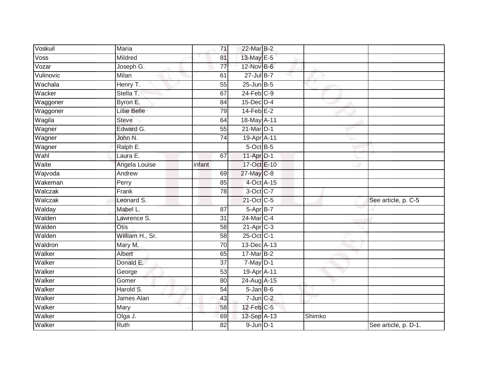| Voskuil   | Maria               | 71              | 22-Mar B-2        |        |                      |
|-----------|---------------------|-----------------|-------------------|--------|----------------------|
| Voss      | Mildred             | 81              | 13-May E-5        |        |                      |
| Vozar     | Joseph G.           | $\overline{77}$ | 12-Nov B-6        |        |                      |
| Vulinovic | Milan               | 61              | $27$ -Jul B-7     |        |                      |
| Wachala   | Henry T.            | 55              | $25$ -Jun $B-5$   |        |                      |
| Wacker    | Stella T.           | 67              | $24$ -Feb $C-9$   |        |                      |
| Waggoner  | Byron E.            | 84              | $15$ -Dec $ D-4 $ |        |                      |
| Waggoner  | <b>Lillie Belle</b> | 79              | $14$ -Feb $E-2$   |        |                      |
| Wagila    | <b>Steve</b>        | 64              | 18-May A-11       |        |                      |
| Wagner    | Edward G.           | 55              | 21-Mar D-1        |        |                      |
| Wagner    | John N.             | 74              | 19-Apr A-11       |        |                      |
| Wagner    | Ralph E.            |                 | 5-Oct B-5         |        |                      |
| Wahl      | Laura E.            | 67              | 11-Apr D-1        |        |                      |
| Waite     | Angela Louise       | infant          | 17-Oct E-10       |        |                      |
| Wajvoda   | Andrew              | 69              | 27-May C-8        |        |                      |
| Wakeman   | Perry               | 85              | 4-Oct A-15        |        |                      |
| Walczak   | Frank               | $\overline{78}$ | 3-Oct C-7         |        |                      |
| Walczak   | Leonard S.          |                 | 21-Oct C-5        |        | See article, p. C-5  |
| Walday    | Mabel L.            | 87              | 5-Apr B-7         |        |                      |
| Walden    | Lawrence S.         | $\overline{31}$ | 24-Mar C-4        |        |                      |
| Walden    | <b>Otis</b>         | 58              | $21-Apr$ C-3      |        |                      |
| Walden    | William H., Sr.     | $\overline{58}$ | 25-Oct C-1        |        |                      |
| Waldron   | Mary M.             | 70              | 13-Dec A-13       |        |                      |
| Walker    | Albert              | 65              | 17-Mar B-2        |        |                      |
| Walker    | Donald E.           | $\overline{37}$ | $7$ -May $D-1$    |        |                      |
| Walker    | George              | 53              | 19-Apr A-11       |        |                      |
| Walker    | Gomer               | 80              | 24-Aug A-15       |        |                      |
| Walker    | Harold S.           | $\overline{54}$ | $5 - Jan$ $B - 6$ |        |                      |
| Walker    | James Alan          | 43              | $7$ -Jun $C-2$    |        |                      |
| Walker    | Mary                | 58              | $12$ -Feb $C-5$   |        |                      |
| Walker    | Olga J.             | 69              | 12-Sep A-13       | Shimko |                      |
| Walker    | Ruth                | 82              | $9$ -Jun $D-1$    |        | See article, p. D-1. |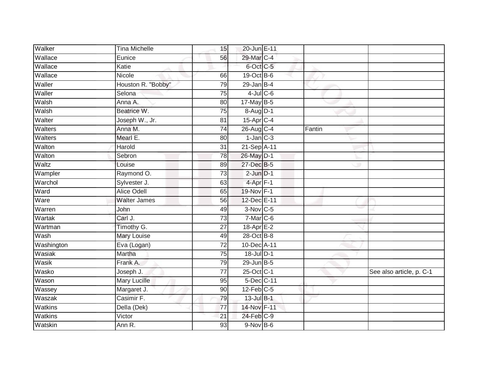| Walker     | <b>Tina Michelle</b> | 15              | 20-Jun E-11          |        |                          |
|------------|----------------------|-----------------|----------------------|--------|--------------------------|
| Wallace    | Eunice               | 56              | 29-Mar C-4           |        |                          |
| Wallace    | Katie                |                 | 6-Oct C-5            |        |                          |
| Wallace    | Nicole               | 66              | 19-Oct B-6           |        |                          |
| Waller     | Houston R. "Bobby"   | 79              | $29$ -Jan B-4        |        |                          |
| Waller     | Selona               | $\overline{75}$ | $4$ -Jul $C$ -6      |        |                          |
| Walsh      | Anna A.              | 80              | 17-May B-5           |        |                          |
| Walsh      | Beatrice W.          | 75              | 8-Aug D-1            |        |                          |
| Walter     | Joseph W., Jr.       | 81              | 15-Apr C-4           |        |                          |
| Walters    | Anna M.              | $\overline{74}$ | 26-Aug C-4           | Fantin |                          |
| Walters    | Mearl E.             | 80              | $1$ -Jan $C-3$       |        |                          |
| Walton     | Harold               | 31              | 21-Sep A-11          |        |                          |
| Walton     | Sebron               | 78              | 26-May D-1           |        |                          |
| Waltz      | Louise               | 89              | 27-Dec B-5           |        |                          |
| Wampler    | Raymond O.           | $\overline{73}$ | $2$ -Jun $D-1$       |        |                          |
| Warchol    | Sylvester J.         | 63              | 4-Apr <sub>F-1</sub> |        |                          |
| Ward       | <b>Alice Odell</b>   | 65              | 19-Nov F-1           |        |                          |
| Ware       | <b>Walter James</b>  | 56              | 12-Dec E-11          |        |                          |
| Warren     | John                 | 49              | $3-Nov$ C-5          |        |                          |
| Wartak     | Carl J.              | 73              | $7-Mar$ C-6          |        |                          |
| Wartman    | Timothy G.           | 27              | 18-Apr E-2           |        |                          |
| Wash       | <b>Mary Louise</b>   | 49              | 28-Oct B-8           |        |                          |
| Washington | Eva (Logan)          | $\overline{72}$ | 10-Dec A-11          |        |                          |
| Wasiak     | Martha               | $\overline{75}$ | 18-Jul D-1           |        |                          |
| Wasik      | Frank A.             | 79              | $29$ -Jun $B-5$      |        |                          |
| Wasko      | Joseph J.            | 77              | 25-Oct C-1           |        | See also article, p. C-1 |
| Wason      | <b>Mary Lucille</b>  | 95              | 5-Dec C-11           |        |                          |
| Wassey     | Margaret J.          | 90              | $12$ -Feb $C-5$      |        |                          |
| Waszak     | Casimir F.           | 79              | 13-Jul B-1           |        |                          |
| Watkins    | Della (Dek)          | 77              | 14-Nov F-11          |        |                          |
| Watkins    | Victor               | 21              | 24-Feb C-9           |        |                          |
| Watskin    | Ann R.               | $\overline{93}$ | $9-NovB-6$           |        |                          |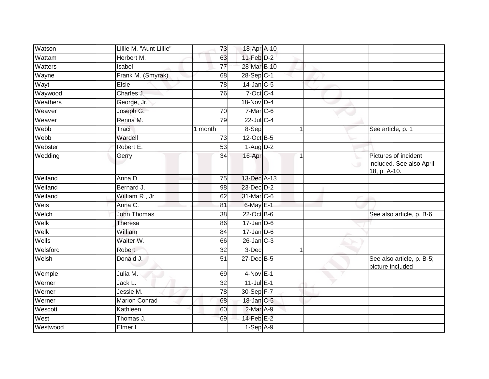| Watson   | Lillie M. "Aunt Lillie" | 73              | 18-Apr A-10      |             |                                                                  |
|----------|-------------------------|-----------------|------------------|-------------|------------------------------------------------------------------|
| Wattam   | Herbert M.              | 63              | $11-Feb$ D-2     |             |                                                                  |
| Watters  | Isabel                  | $\overline{77}$ | 28-Mar B-10      |             |                                                                  |
| Wayne    | Frank M. (Smyrak)       | 68              | $28-Sep$ C-1     |             |                                                                  |
| Wayt     | Elsie                   | 78              | $14$ -Jan $C-5$  |             |                                                                  |
| Waywood  | Charles J.              | 76              | 7-Oct C-4        |             |                                                                  |
| Weathers | George, Jr.             |                 | 18-Nov D-4       |             |                                                                  |
| Weaver   | Joseph G.               | 70              | $7-Mar$ C-6      |             |                                                                  |
| Weaver   | Renna M.                | 79              | 22-Jul C-4       |             |                                                                  |
| Webb     | Traci                   | 1 month         | 8-Sep            | 1           | See article, p. 1                                                |
| Webb     | Wardell                 | 73              | 12-Oct B-5       |             |                                                                  |
| Webster  | Robert E.               | $\overline{53}$ | $1-AugD-2$       |             |                                                                  |
| Wedding  | Gerry                   | 34              | 16-Apr           | 1<br>$\cup$ | Pictures of incident<br>included. See also April<br>18, p. A-10. |
| Weiland  | Anna D.                 | $\overline{75}$ | 13-Dec A-13      |             |                                                                  |
| Weiland  | Bernard J.              | 98              | 23-Dec D-2       |             |                                                                  |
| Weiland  | William R., Jr.         | 62              | 31-Mar C-6       |             |                                                                  |
| Weis     | Anna C.                 | 81              | $6$ -May $E-1$   |             |                                                                  |
| Welch    | <b>John Thomas</b>      | 38              | 22-Oct B-6       |             | See also article, p. B-6                                         |
| Welk     | <b>Theresa</b>          | 86              | $17 - Jan$ $D-6$ |             |                                                                  |
| Welk     | William                 | 84              | $17 - Jan$ $D-6$ |             |                                                                  |
| Wells    | Walter W.               | 66              | $26$ -Jan $C-3$  |             |                                                                  |
| Welsford | Robert                  | 32              | 3-Dec            | 1           |                                                                  |
| Welsh    | Donald J.               | $\overline{51}$ | 27-Dec B-5       |             | See also article, p. B-5;<br>picture included                    |
| Wemple   | Julia M.                | 69              | $4-Nov$ E-1      |             |                                                                  |
| Werner   | Jack L.                 | 32              | $11$ -Jul $E-1$  |             |                                                                  |
| Werner   | Jessie M.               | $\overline{78}$ | 30-Sep F-7       |             |                                                                  |
| Werner   | <b>Marion Conrad</b>    | 68              | 18-Jan C-5       |             |                                                                  |
| Wescott  | Kathleen                | 60              | $2$ -Mar $A-9$   |             |                                                                  |
| West     | Thomas J.               | 69              | 14-Feb E-2       |             |                                                                  |
| Westwood | Elmer L.                |                 | $1-Sep$ A-9      |             |                                                                  |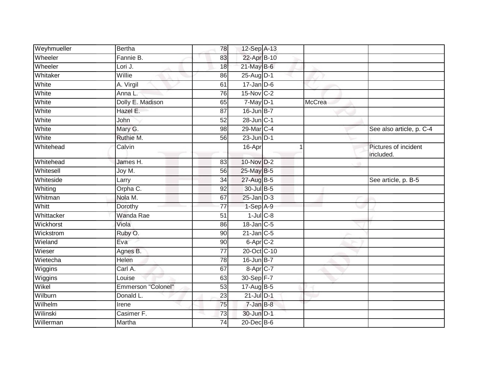| Weyhmueller | <b>Bertha</b>      | 78              | 12-Sep A-13          |        |                                   |
|-------------|--------------------|-----------------|----------------------|--------|-----------------------------------|
| Wheeler     | Fannie B.          | 83              | 22-Apr B-10          |        |                                   |
| Wheeler     | Lori J.            | 18              | $21$ -May B-6        |        |                                   |
| Whitaker    | Willie             | 86              | $25$ -AugD-1         |        |                                   |
| White       | A. Virgil          | 61              | $17 - Jan$ $D-6$     |        |                                   |
| White       | Anna L.            | 76              | 15-Nov C-2           |        |                                   |
| White       | Dolly E. Madison   | 65              | 7-May D-1            | McCrea |                                   |
| White       | Hazel E.           | 87              | $16$ -Jun $B-7$      |        |                                   |
| White       | John               | 52              | 28-Jun C-1           |        |                                   |
| White       | Mary G.            | $\overline{98}$ | 29-Mar C-4           |        | See also article, p. C-4          |
| White       | Ruthie M.          | 56              | $23$ -Jun $D-1$      |        |                                   |
| Whitehead   | Calvin             |                 | 16-Apr               |        | Pictures of incident<br>included. |
| Whitehead   | James H.           | 83              | 10-Nov D-2           |        |                                   |
| Whitesell   | Joy M.             | 56              | 25-May B-5           |        |                                   |
| Whiteside   | Larry              | 34              | 27-Aug B-5           |        | See article, p. B-5               |
| Whiting     | Orpha C.           | 92              | 30-Jul B-5           |        |                                   |
| Whitman     | Nola M.            | 67              | $25$ -Jan $D-3$      |        |                                   |
| Whitt       | Dorothy            | 77              | 1-Sep A-9            |        |                                   |
| Whittacker  | <b>Wanda Rae</b>   | 51              | $1$ -Jul $C$ -8      |        |                                   |
| Wickhorst   | Viola              | 86              | $18$ -Jan $C$ -5     |        |                                   |
| Wickstrom   | Ruby O.            | 90              | $21$ -Jan $C-5$      |        |                                   |
| Wieland     | Eva                | 90              | 6-Apr <sub>C-2</sub> |        |                                   |
| Wieser      | Agnes B.           | 77              | 20-Oct C-10          |        |                                   |
| Wietecha    | Helen              | 78              | 16-Jun B-7           |        |                                   |
| Wiggins     | Carl A.            | 67              | 8-Apr C-7            |        |                                   |
| Wiggins     | Louise             | 63              | 30-Sep F-7           |        |                                   |
| Wikel       | Emmerson "Colonel" | 53              | $17$ -Aug $B$ -5     |        |                                   |
| Wilburn     | Donald L.          | 23              | $21$ -Jul $D-1$      |        |                                   |
| Wilhelm     | Irene              | 75              | $7 - Jan$ $B-8$      |        |                                   |
| Wilinski    | Casimer F.         | 73              | 30-Jun D-1           |        |                                   |
| Willerman   | Martha             | 74              | 20-Dec B-6           |        |                                   |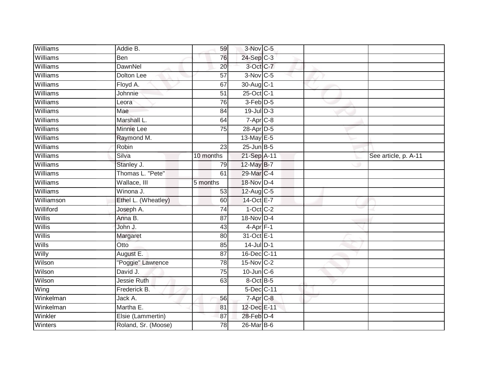| Williams        | Addie B.            | 59              | $3-Nov$ C-5       |  |                      |
|-----------------|---------------------|-----------------|-------------------|--|----------------------|
| Williams        | Ben                 | 76              | 24-Sep C-3        |  |                      |
| Williams        | <b>DawnNel</b>      | 20              | 3-Oct C-7         |  |                      |
| Williams        | Dolton Lee          | 57              | 3-Nov C-5         |  |                      |
| Williams        | Floyd A.            | 67              | 30-Aug C-1        |  |                      |
| Williams        | Johnnie             | 51              | 25-Oct C-1        |  |                      |
| Williams        | Leora               | 76              | 3-Feb D-5         |  |                      |
| Williams        | Mae                 | 84              | $19$ -Jul $D-3$   |  |                      |
| Williams        | Marshall L.         | 64              | $7 - Apr$ $C-8$   |  |                      |
| Williams        | Minnie Lee          | 75              | 28-Apr D-5        |  |                      |
| Williams        | Raymond M.          |                 | 13-May E-5        |  |                      |
| Williams        | Robin               | 23              | $25$ -Jun $B$ -5  |  |                      |
| Williams        | Silva               | 10 months       | 21-Sep A-11       |  | See article, p. A-11 |
| <b>Williams</b> | Stanley J.          | 79              | 12-May B-7        |  |                      |
| Williams        | Thomas L. "Pete"    | 61              | 29-Mar C-4        |  |                      |
| Williams        | Wallace, III        | 5 months        | 18-Nov D-4        |  |                      |
| Williams        | Winona J.           | 53              | 12-Aug C-5        |  |                      |
| Williamson      | Ethel L. (Wheatley) | 60              | 14-Oct E-7        |  |                      |
| Williford       | Joseph A.           | $\overline{74}$ | $1-Oct$ $C-2$     |  |                      |
| Willis          | Anna B.             | $\overline{87}$ | 18-Nov D-4        |  |                      |
| Willis          | John J.             | 43              | $4$ -Apr $F-1$    |  |                      |
| Willis          | Margaret            | 80              | 31-Oct E-1        |  |                      |
| Wills           | Otto                | 85              | $14$ -Jul D-1     |  |                      |
| Willy           | August E.           | 87              | 16-Dec C-11       |  |                      |
| Wilson          | "Poggie" Lawrence   | 78              | $15$ -Nov $ C-2 $ |  |                      |
| Wilson          | David J.            | 75              | $10$ -Jun $C$ -6  |  |                      |
| Wilson          | Jessie Ruth         | 63              | 8-Oct B-5         |  |                      |
| Wing            | Frederick B.        |                 | 5-Dec C-11        |  |                      |
| Winkelman       | Jack A.             | 56              | 7-Apr C-8         |  |                      |
| Winkelman       | Martha E.           | 81              | 12-Dec E-11       |  |                      |
| Winkler         | Elsie (Lammertin)   | 87              | 28-Feb D-4        |  |                      |
| Winters         | Roland, Sr. (Moose) | $\overline{78}$ | 26-Mar B-6        |  |                      |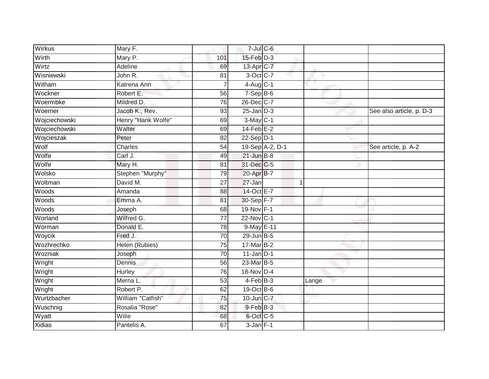| Wirkus        | Mary F.            |                 | $7$ -Jul $C$ -6 |                 |       |                          |
|---------------|--------------------|-----------------|-----------------|-----------------|-------|--------------------------|
| Wirth         | Mary P.            | 101             | $15$ -Feb $D-3$ |                 |       |                          |
| Wirtz         | Adeline            | 69              | 13-Apr C-7      |                 |       |                          |
| Wisniewski    | John R.            | 81              | 3-Oct C-7       |                 |       |                          |
| Witham        | Katrena Ann        | $\overline{7}$  | $4-Aug$ C-1     |                 |       |                          |
| Wockner       | Robert E.          | 56              | $7-Sep$ B-6     |                 |       |                          |
| Woermbke      | Mildred D.         | 76              | 26-Dec C-7      |                 |       |                          |
| Woerner       | Jacob K., Rev.     | 93              | $25$ -Jan $D-3$ |                 |       | See also article, p. D-3 |
| Wojciechowski | Henry "Hank Wolfe" | 69              | $3-May$ C-1     |                 |       |                          |
| Wojciechowski | Walter             | 69              | $14$ -Feb $E-2$ |                 |       |                          |
| Wojcieszak    | Peter              | 82              | $22-Sep$ D-1    |                 |       |                          |
| Wolf          | Charles            | 54              |                 | 19-Sep A-2, D-1 |       | See article, p. A-2      |
| Wolfe         | Carl J.            | 49              | $21$ -Jun $B-8$ |                 |       |                          |
| Wolfe         | Mary H.            | 81              | 31-Dec C-5      |                 |       |                          |
| Wolsko        | Stephen "Murphy"   | 79              | 20-Apr B-7      |                 |       |                          |
| Woltman       | David M.           | 27              | 27-Jan          |                 |       |                          |
| Woods         | Amanda             | 88              | 14-Oct E-7      |                 |       |                          |
| Woods         | Emma A.            | 81              | 30-Sep F-7      |                 |       |                          |
| Woods         | Joseph             | 68              | 19-Nov F-1      |                 |       |                          |
| Worland       | Wilfred G.         | $\overline{77}$ | 22-Nov C-1      |                 |       |                          |
| Worman        | Donald E.          | 78              | 9-May E-11      |                 |       |                          |
| Woycik        | Fred J.            | 70              | 29-Jun B-5      |                 |       |                          |
| Wozhrechko    | Helen (Rubies)     | 75              | 17-Mar B-2      |                 |       |                          |
| Wozniak       | Joseph             | 70              | $11$ -Jan D-1   |                 |       |                          |
| Wright        | Dennis             | 56              | 23-Mar B-5      |                 |       |                          |
| Wright        | Hurley             | 76              | 18-Nov D-4      |                 |       |                          |
| Wright        | Merna L.           | 53              | $4-FebB-3$      |                 | Lange |                          |
| Wright        | Robert P.          | 62              | 19-Oct B-6      |                 |       |                          |
| Wurtzbacher   | William "Catfish"  | $\overline{75}$ | 10-Jun C-7      |                 |       |                          |
| Wuschnig      | Rosalia "Rose"     | 82              | 9-Feb B-3       |                 |       |                          |
| Wyatt         | Wilie              | 68              | 6-Oct C-5       |                 |       |                          |
| <b>Xidias</b> | Pantelis A.        | 67              | $3$ -Jan $F-1$  |                 |       |                          |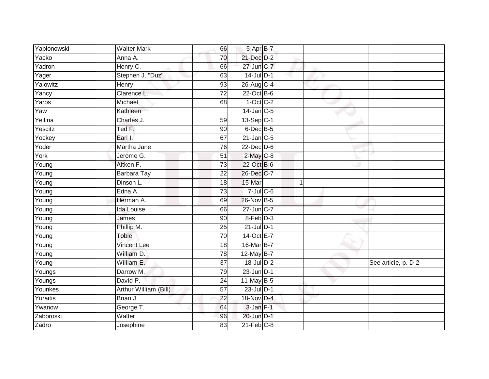| Yablonowski | <b>Walter Mark</b>    | 66              | 5-Apr B-7       |   |                     |
|-------------|-----------------------|-----------------|-----------------|---|---------------------|
| Yacko       | Anna A.               | 70              | 21-Dec D-2      |   |                     |
| Yadron      | Henry C.              | 66              | 27-Jun C-7      |   |                     |
| Yager       | Stephen J. "Duz"      | 63              | $14$ -Jul $D-1$ |   |                     |
| Yalowitz    | <b>Henry</b>          | 93              | 26-Aug C-4      |   |                     |
| Yancy       | Clarence L.           | $\overline{72}$ | 22-Oct B-6      |   |                     |
| Yaros       | Michael               | 68              | $1-Oct$ $C-2$   |   |                     |
| Yaw         | Kathleen              |                 | $14$ -Jan C-5   |   |                     |
| Yellina     | Charles J.            | 59              | $13-Sep$ C-1    |   |                     |
| Yescitz     | Ted F.                | 90              | 6-Dec B-5       |   |                     |
| Yockey      | Earl I.               | 67              | $21$ -Jan $C-5$ |   |                     |
| Yoder       | Martha Jane           | 76              | 22-Dec D-6      |   |                     |
| York        | Jerome G.             | 51              | $2$ -May $C$ -8 |   |                     |
| Young       | Aitken F.             | 73              | 22-Oct B-6      |   |                     |
| Young       | <b>Barbara Tay</b>    | $\overline{22}$ | 26-Dec C-7      |   |                     |
| Young       | Dinson L.             | 18              | 15-Mar          | 1 |                     |
| Young       | Edna A.               | 73              | $7$ -Jul $C$ -6 |   |                     |
| Young       | Herman A.             | 69              | 26-Nov B-5      |   |                     |
| Young       | <b>Ida Louise</b>     | 66              | 27-Jun C-7      |   |                     |
| Young       | James                 | 90              | 8-Feb D-3       |   |                     |
| Young       | Phillip M.            | 25              | $21$ -Jul $D-1$ |   |                     |
| Young       | <b>Tobie</b>          | $\overline{70}$ | 14-Oct E-7      |   |                     |
| Young       | <b>Vincent Lee</b>    | 18              | 16-Mar B-7      |   |                     |
| Young       | William D.            | $\overline{78}$ | 12-May B-7      |   |                     |
| Young       | William E.            | 37              | $18$ -Jul $D-2$ |   | See article, p. D-2 |
| Youngs      | Darrow M.             | 79              | $23$ -Jun $D-1$ |   |                     |
| Youngs      | David P.              | 24              | 11-May B-5      |   |                     |
| Younkes     | Arthur William (Bill) | 57              | $23$ -Jul $D-1$ |   |                     |
| Yuraitis    | Brian J.              | 22              | 18-Nov D-4      |   |                     |
| Ywanow      | George T.             | 64              | $3$ -Jan $F-1$  |   |                     |
| Zaboroski   | Walter                | 96              | 20-Jun D-1      |   |                     |
| Zadro       | Josephine             | 83              | $21$ -Feb $C-8$ |   |                     |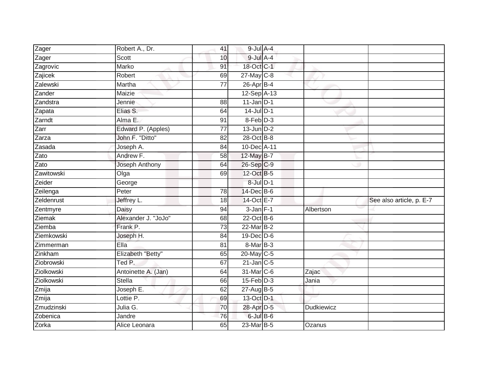| Zager              | Robert A., Dr.      | 41              | $9$ -Jul $A - 4$  |               |                          |
|--------------------|---------------------|-----------------|-------------------|---------------|--------------------------|
| Zager              | Scott               | 10              | $9$ -Jul $A$ -4   |               |                          |
| Zagrovic           | <b>Marko</b>        | 91              | 18-Oct C-1        |               |                          |
| Zajicek            | Robert              | 69              | 27-May C-8        |               |                          |
| Zalewski           | Martha              | $\overline{77}$ | $26$ -Apr $B-4$   |               |                          |
| Zander             | Maizie              |                 | 12-Sep A-13       |               |                          |
| Zandstra           | Jennie              | 88              | $11$ -Jan D-1     |               |                          |
| Zapata             | Elias S.            | 64              | $14$ -Jul D-1     |               |                          |
| Zarndt             | Alma E.             | 91              | 8-Feb D-3         |               |                          |
| Zarr               | Edward P. (Apples)  | 77              | $13$ -Jun $D-2$   |               |                          |
| Zarza              | John F. "Ditto"     | 82              | 28-Oct B-8        |               |                          |
| Zasada             | Joseph A.           | 84              | 10-Dec A-11       |               |                          |
| Zato               | Andrew F.           | 58              | 12-May B-7        |               |                          |
| $\overline{z}$ ato | Joseph Anthony      | 64              | 26-Sep C-9        |               |                          |
| Zawitowski         | Olga                | 69              | 12-Oct B-5        |               |                          |
| Zeider             | George              |                 | 8-Jul D-1         |               |                          |
| Zeilenga           | Peter               | $\overline{78}$ | 14-Dec B-6        |               |                          |
| Zeldenrust         | Jeffrey L.          | 18              | 14-Oct E-7        |               | See also article, p. E-7 |
| Zentmyre           | Daisy               | 94              | $3$ -Jan $F-1$    | Albertson     |                          |
| Ziemak             | Alexander J. "JoJo" | 68              | $22$ -Oct B-6     |               |                          |
| Ziemba             | Frank P.            | $\overline{73}$ | 22-Mar B-2        |               |                          |
| Ziemkowski         | Joseph H.           | 84              | 19-Dec D-6        |               |                          |
| Zimmerman          | Ella                | 81              | 8-Mar B-3         |               |                          |
| Zinkham            | Elizabeth "Betty"   | 65              | 20-May C-5        |               |                          |
| Ziobrowski         | Ted P.              | 67              | $21$ -Jan $ C-5 $ |               |                          |
| Ziolkowski         | Antoinette A. (Jan) | 64              | 31-Mar C-6        | Zajac         |                          |
| Ziolkowski         | Stella              | 66              | $15$ -Feb $D-3$   | Jania         |                          |
| Zmija              | Joseph E.           | 62              | $27$ -Aug $B$ -5  |               |                          |
| Zmija              | Lottie P.           | 69              | 13-Oct D-1        |               |                          |
| Zmudzinski         | Julia G.            | 70              | 28-Apr D-5        | Dudkiewicz    |                          |
| Zobenica           | Jandre              | $\overline{76}$ | 6-Jul B-6         |               |                          |
| Zorka              | Alice Leonara       | 65              | 23-Mar B-5        | <b>Ozanus</b> |                          |